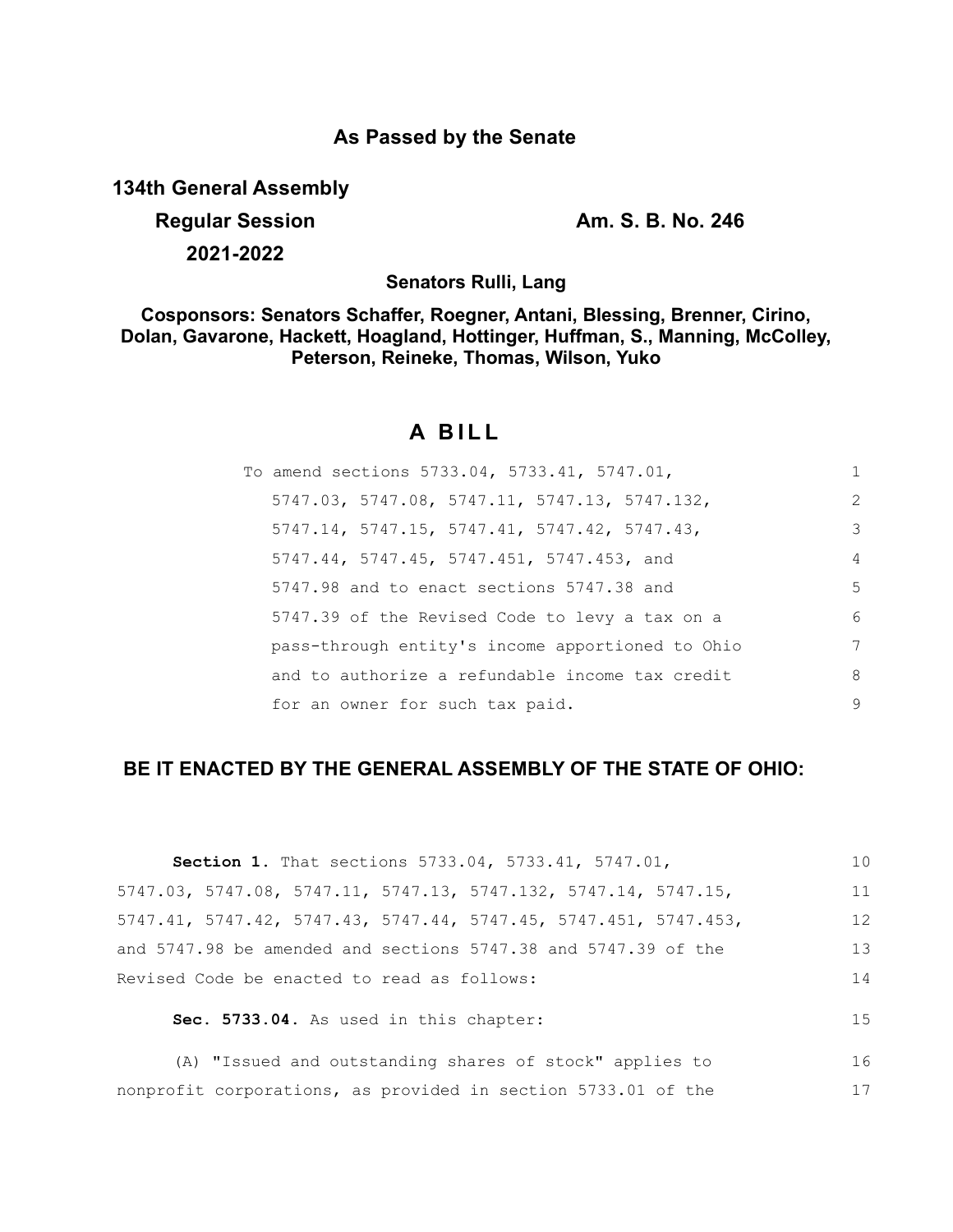### **As Passed by the Senate**

**134th General Assembly**

## **Regular Session Am. S. B. No. 246**

17

**2021-2022**

**Senators Rulli, Lang**

**Cosponsors: Senators Schaffer, Roegner, Antani, Blessing, Brenner, Cirino, Dolan, Gavarone, Hackett, Hoagland, Hottinger, Huffman, S., Manning, McColley, Peterson, Reineke, Thomas, Wilson, Yuko**

# **A BILL**

| To amend sections 5733.04, 5733.41, 5747.01,     | 1              |
|--------------------------------------------------|----------------|
| 5747.03, 5747.08, 5747.11, 5747.13, 5747.132,    | 2              |
| $5747.14, 5747.15, 5747.41, 5747.42, 5747.43,$   | 3              |
| 5747.44, 5747.45, 5747.451, 5747.453, and        | $\overline{4}$ |
| 5747.98 and to enact sections 5747.38 and        | -5             |
| 5747.39 of the Revised Code to levy a tax on a   | 6              |
| pass-through entity's income apportioned to Ohio | 7              |
| and to authorize a refundable income tax credit  | 8              |
| for an owner for such tax paid.                  | 9              |

### **BE IT ENACTED BY THE GENERAL ASSEMBLY OF THE STATE OF OHIO:**

| <b>Section 1.</b> That sections 5733.04, 5733.41, 5747.01,           | 10 |
|----------------------------------------------------------------------|----|
| 5747.03, 5747.08, 5747.11, 5747.13, 5747.132, 5747.14, 5747.15,      | 11 |
| $5747.41, 5747.42, 5747.43, 5747.44, 5747.45, 5747.451, 5747.453,$   | 12 |
| and $5747.98$ be amended and sections $5747.38$ and $5747.39$ of the | 13 |
| Revised Code be enacted to read as follows:                          | 14 |
| Sec. 5733.04. As used in this chapter:                               | 15 |
| (A) "Issued and outstanding shares of stock" applies to              | 16 |

nonprofit corporations, as provided in section 5733.01 of the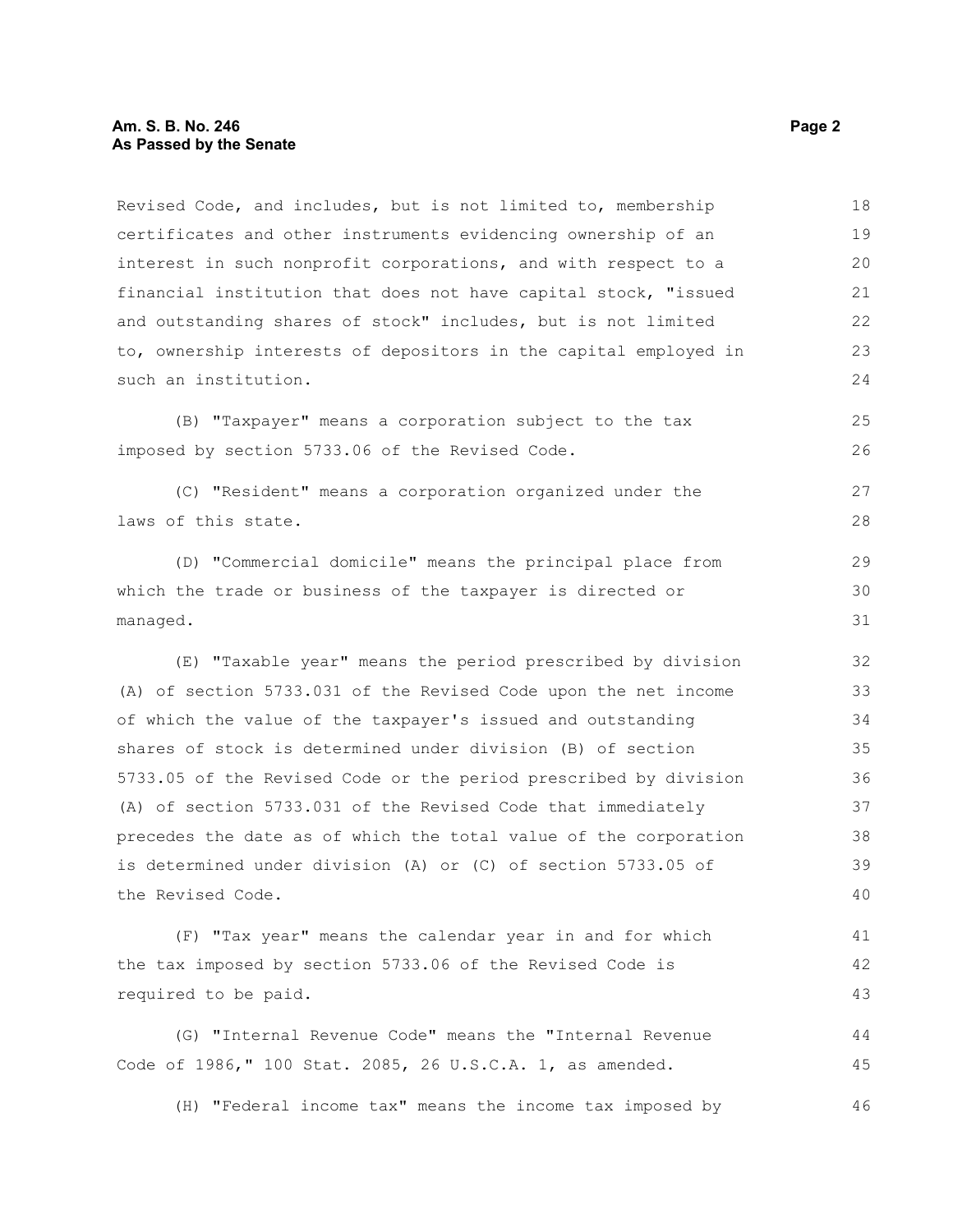Revised Code, and includes, but is not limited to, membership certificates and other instruments evidencing ownership of an interest in such nonprofit corporations, and with respect to a financial institution that does not have capital stock, "issued and outstanding shares of stock" includes, but is not limited to, ownership interests of depositors in the capital employed in such an institution. 18 19 20 21 22 23  $24$ 

(B) "Taxpayer" means a corporation subject to the tax imposed by section 5733.06 of the Revised Code.

(C) "Resident" means a corporation organized under the laws of this state.

(D) "Commercial domicile" means the principal place from which the trade or business of the taxpayer is directed or managed.

(E) "Taxable year" means the period prescribed by division (A) of section 5733.031 of the Revised Code upon the net income of which the value of the taxpayer's issued and outstanding shares of stock is determined under division (B) of section 5733.05 of the Revised Code or the period prescribed by division (A) of section 5733.031 of the Revised Code that immediately precedes the date as of which the total value of the corporation is determined under division (A) or (C) of section 5733.05 of the Revised Code.

(F) "Tax year" means the calendar year in and for which the tax imposed by section 5733.06 of the Revised Code is required to be paid. 41 42 43

(G) "Internal Revenue Code" means the "Internal Revenue Code of 1986," 100 Stat. 2085, 26 U.S.C.A. 1, as amended. 44 45

(H) "Federal income tax" means the income tax imposed by 46

25 26

27 28

29 30 31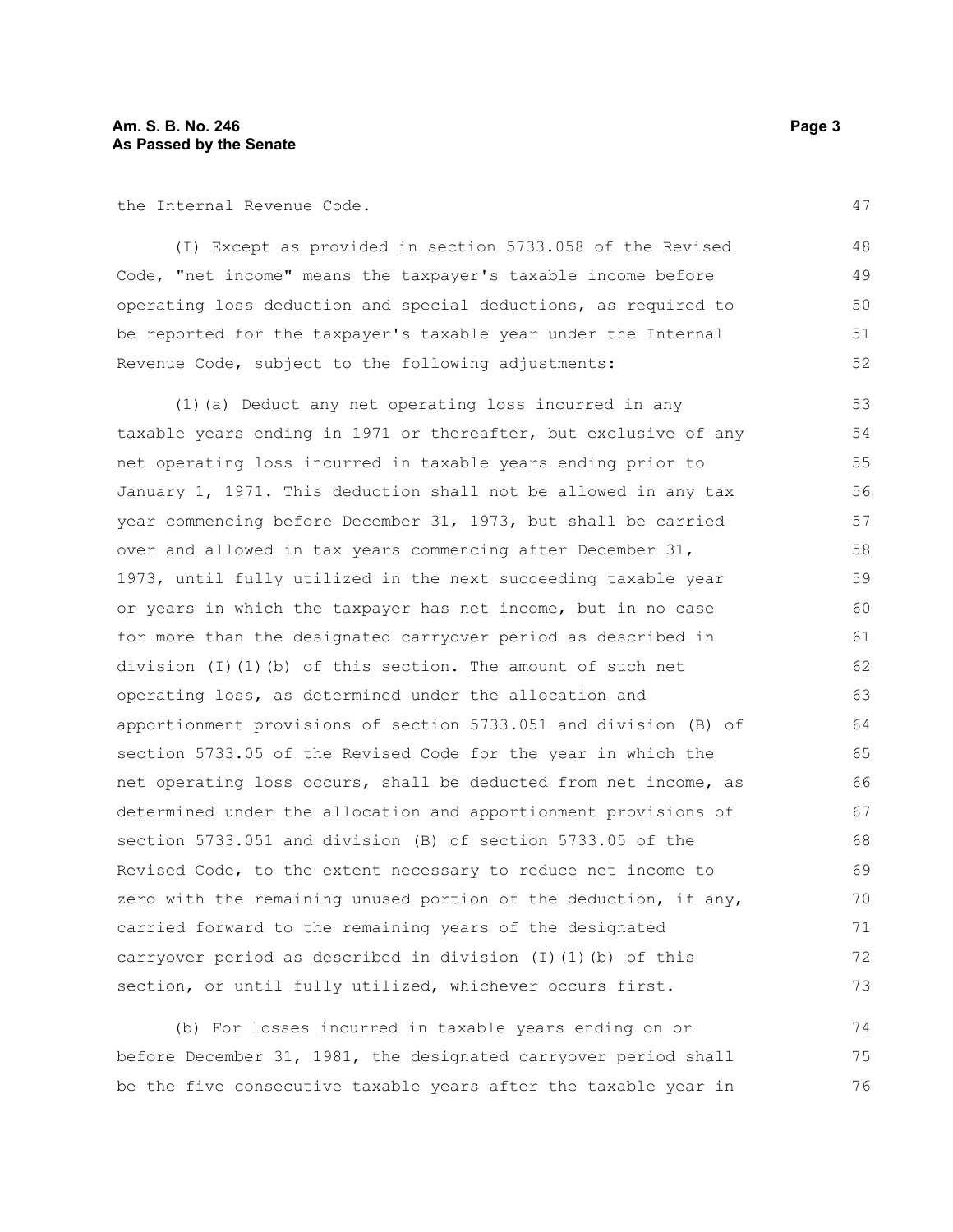the Internal Revenue Code.

(I) Except as provided in section 5733.058 of the Revised Code, "net income" means the taxpayer's taxable income before operating loss deduction and special deductions, as required to be reported for the taxpayer's taxable year under the Internal Revenue Code, subject to the following adjustments: 48 49 50 51 52

(1)(a) Deduct any net operating loss incurred in any taxable years ending in 1971 or thereafter, but exclusive of any net operating loss incurred in taxable years ending prior to January 1, 1971. This deduction shall not be allowed in any tax year commencing before December 31, 1973, but shall be carried over and allowed in tax years commencing after December 31, 1973, until fully utilized in the next succeeding taxable year or years in which the taxpayer has net income, but in no case for more than the designated carryover period as described in division (I)(1)(b) of this section. The amount of such net operating loss, as determined under the allocation and apportionment provisions of section 5733.051 and division (B) of section 5733.05 of the Revised Code for the year in which the net operating loss occurs, shall be deducted from net income, as determined under the allocation and apportionment provisions of section 5733.051 and division (B) of section 5733.05 of the Revised Code, to the extent necessary to reduce net income to zero with the remaining unused portion of the deduction, if any, carried forward to the remaining years of the designated carryover period as described in division (I)(1)(b) of this section, or until fully utilized, whichever occurs first. 53 54 55 56 57 58 59 60 61 62 63 64 65 66 67 68 69 70 71 72 73

(b) For losses incurred in taxable years ending on or before December 31, 1981, the designated carryover period shall be the five consecutive taxable years after the taxable year in 74 75 76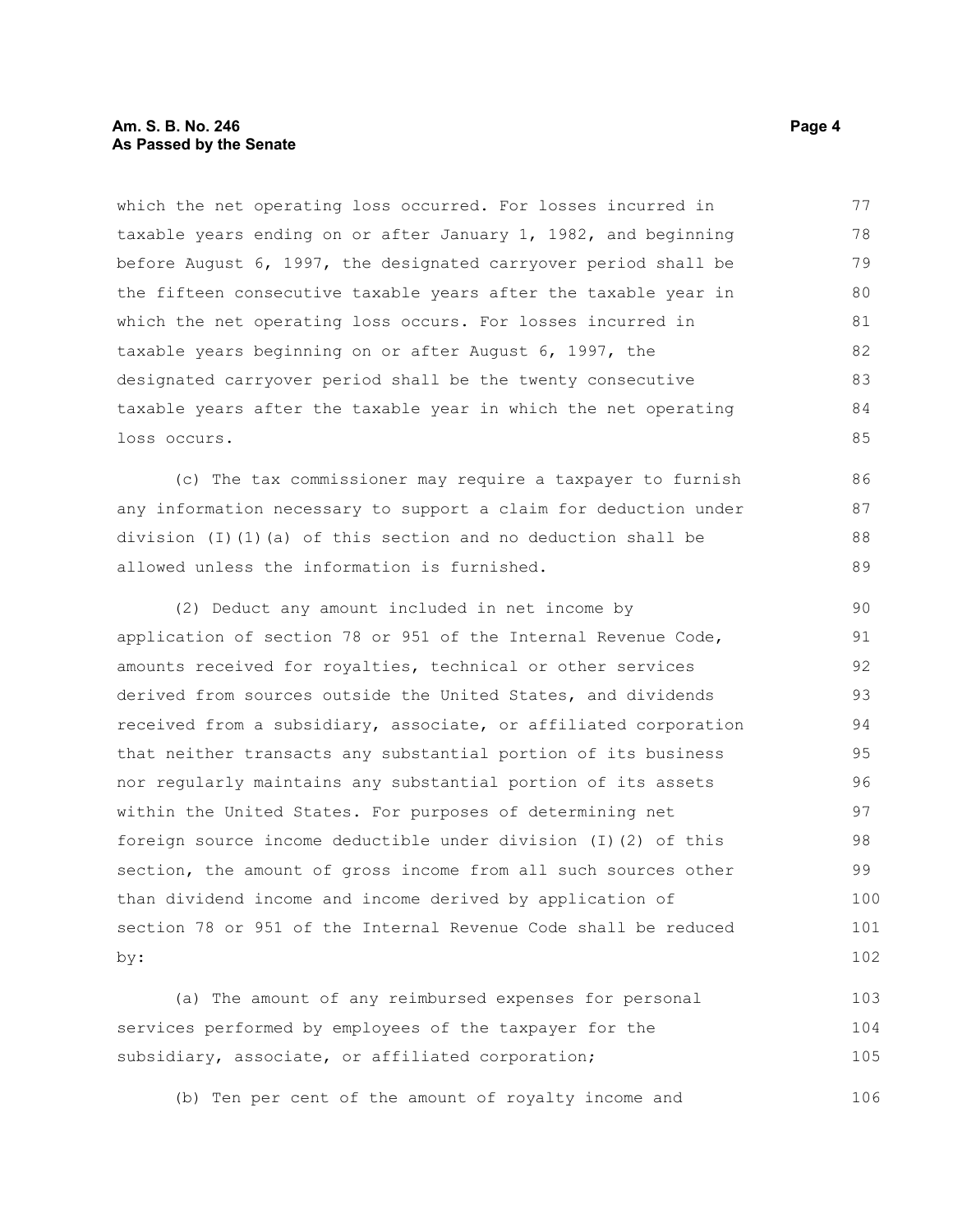#### **Am. S. B. No. 246 Page 4** Page 4 **As Passed by the Senate**

which the net operating loss occurred. For losses incurred in taxable years ending on or after January 1, 1982, and beginning before August 6, 1997, the designated carryover period shall be the fifteen consecutive taxable years after the taxable year in which the net operating loss occurs. For losses incurred in taxable years beginning on or after August 6, 1997, the designated carryover period shall be the twenty consecutive taxable years after the taxable year in which the net operating loss occurs. 77 78 79 80 81 82 83 84 85

(c) The tax commissioner may require a taxpayer to furnish any information necessary to support a claim for deduction under division (I)(1)(a) of this section and no deduction shall be allowed unless the information is furnished.

(2) Deduct any amount included in net income by application of section 78 or 951 of the Internal Revenue Code, amounts received for royalties, technical or other services derived from sources outside the United States, and dividends received from a subsidiary, associate, or affiliated corporation that neither transacts any substantial portion of its business nor regularly maintains any substantial portion of its assets within the United States. For purposes of determining net foreign source income deductible under division (I)(2) of this section, the amount of gross income from all such sources other than dividend income and income derived by application of section 78 or 951 of the Internal Revenue Code shall be reduced by: 90 91 92 93 94 95 96 97 98 99 100 101 102

(a) The amount of any reimbursed expenses for personal services performed by employees of the taxpayer for the subsidiary, associate, or affiliated corporation; 103 104 105

(b) Ten per cent of the amount of royalty income and 106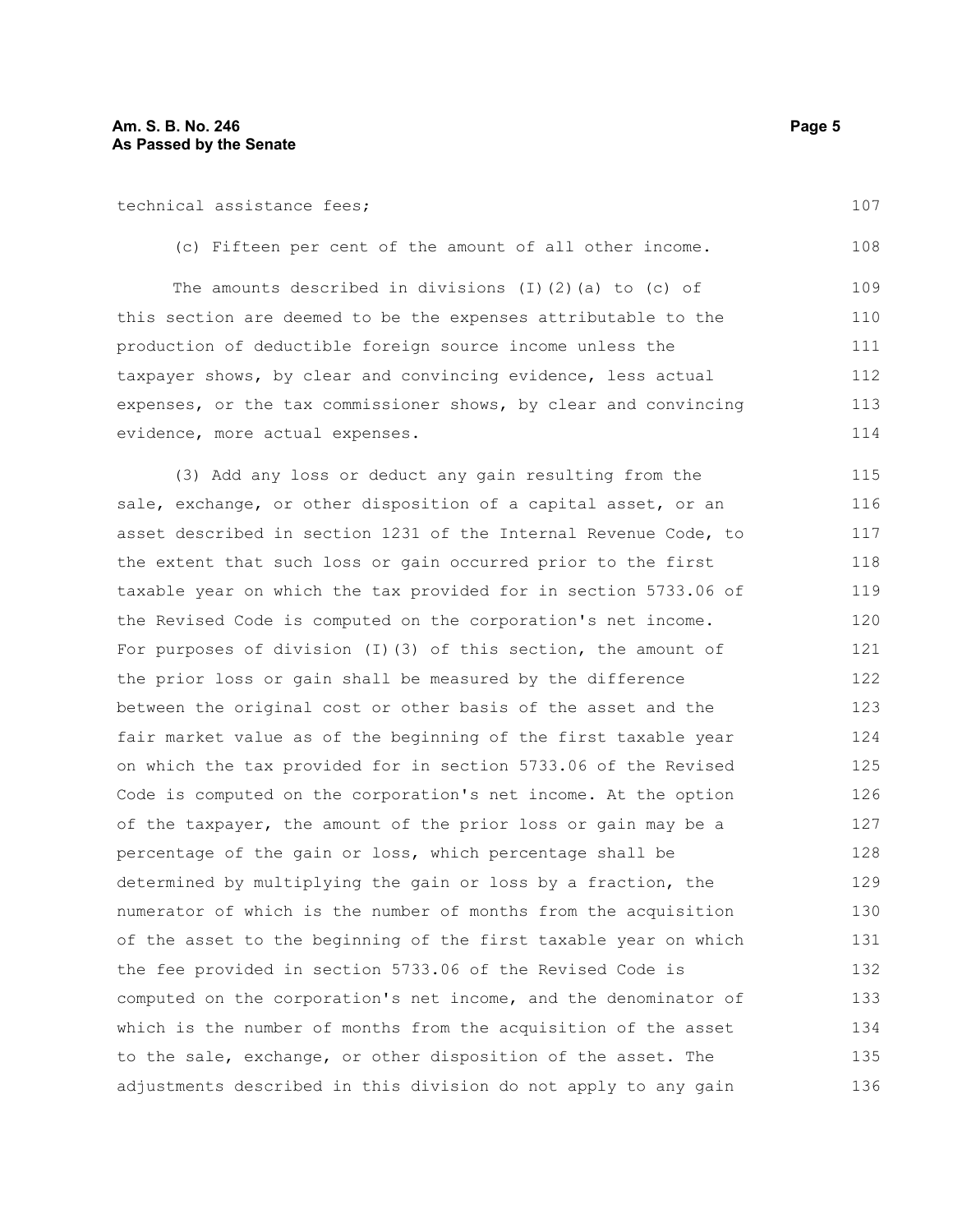| technical assistance fees; |
|----------------------------|
|----------------------------|

107

108

| The amounts described in divisions $(I)$ $(2)$ $(a)$ to $(c)$ of | 109 |
|------------------------------------------------------------------|-----|
| this section are deemed to be the expenses attributable to the   | 110 |
| production of deductible foreign source income unless the        | 111 |
| taxpayer shows, by clear and convincing evidence, less actual    | 112 |
| expenses, or the tax commissioner shows, by clear and convincing | 113 |
| evidence, more actual expenses.                                  | 114 |

(c) Fifteen per cent of the amount of all other income.

(3) Add any loss or deduct any gain resulting from the sale, exchange, or other disposition of a capital asset, or an asset described in section 1231 of the Internal Revenue Code, to the extent that such loss or gain occurred prior to the first taxable year on which the tax provided for in section 5733.06 of the Revised Code is computed on the corporation's net income. For purposes of division (I)(3) of this section, the amount of the prior loss or gain shall be measured by the difference between the original cost or other basis of the asset and the fair market value as of the beginning of the first taxable year on which the tax provided for in section 5733.06 of the Revised Code is computed on the corporation's net income. At the option of the taxpayer, the amount of the prior loss or gain may be a percentage of the gain or loss, which percentage shall be determined by multiplying the gain or loss by a fraction, the numerator of which is the number of months from the acquisition of the asset to the beginning of the first taxable year on which the fee provided in section 5733.06 of the Revised Code is computed on the corporation's net income, and the denominator of which is the number of months from the acquisition of the asset to the sale, exchange, or other disposition of the asset. The adjustments described in this division do not apply to any gain 115 116 117 118 119 120 121 122 123 124 125 126 127 128 129 130 131 132 133 134 135 136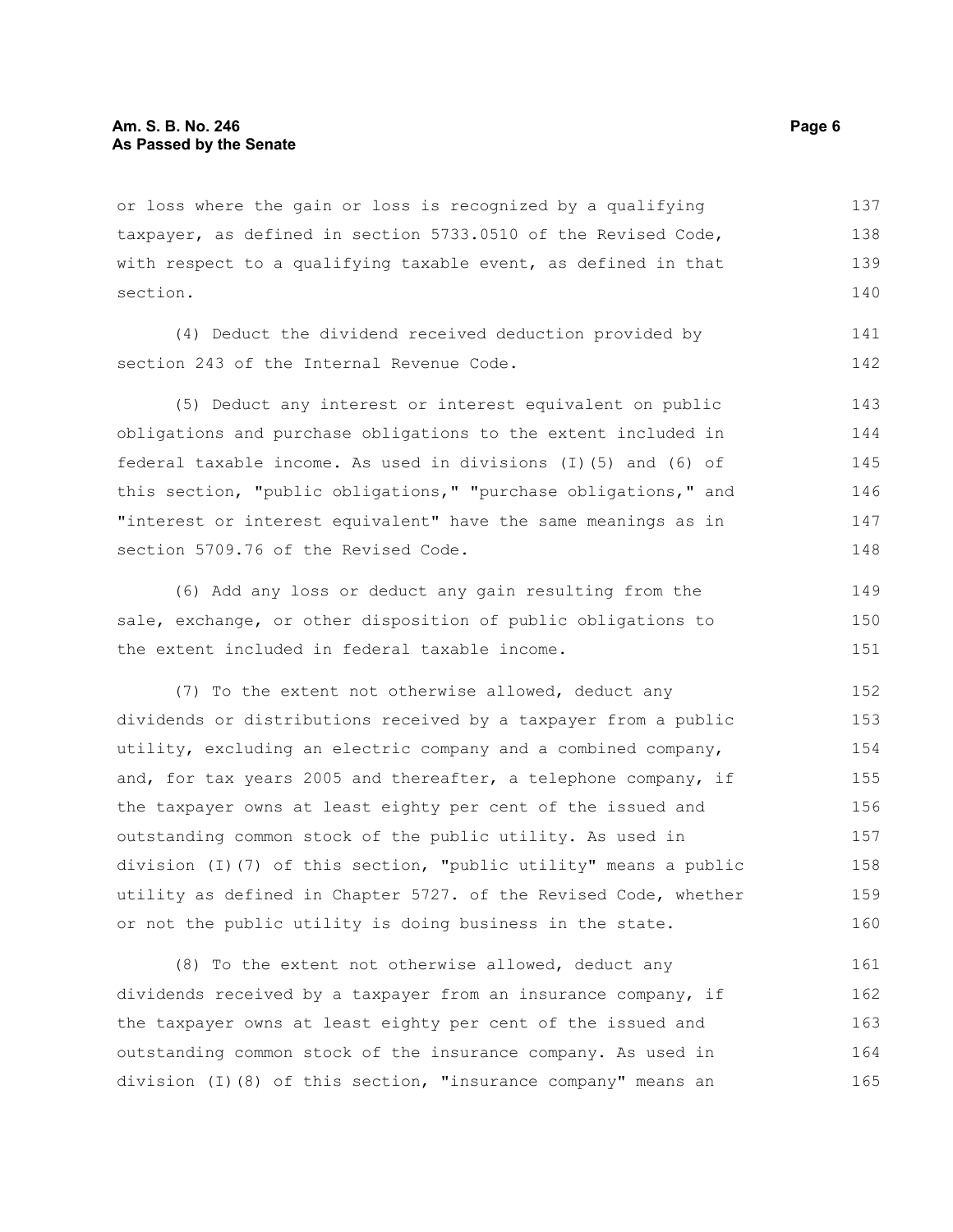or loss where the gain or loss is recognized by a qualifying taxpayer, as defined in section 5733.0510 of the Revised Code, with respect to a qualifying taxable event, as defined in that section. 137 138 139 140

(4) Deduct the dividend received deduction provided by section 243 of the Internal Revenue Code.

(5) Deduct any interest or interest equivalent on public obligations and purchase obligations to the extent included in federal taxable income. As used in divisions (I)(5) and (6) of this section, "public obligations," "purchase obligations," and "interest or interest equivalent" have the same meanings as in section 5709.76 of the Revised Code. 143 144 145 146 147 148

(6) Add any loss or deduct any gain resulting from the sale, exchange, or other disposition of public obligations to the extent included in federal taxable income. 149 150 151

(7) To the extent not otherwise allowed, deduct any dividends or distributions received by a taxpayer from a public utility, excluding an electric company and a combined company, and, for tax years 2005 and thereafter, a telephone company, if the taxpayer owns at least eighty per cent of the issued and outstanding common stock of the public utility. As used in division (I)(7) of this section, "public utility" means a public utility as defined in Chapter 5727. of the Revised Code, whether or not the public utility is doing business in the state. 152 153 154 155 156 157 158 159 160

(8) To the extent not otherwise allowed, deduct any dividends received by a taxpayer from an insurance company, if the taxpayer owns at least eighty per cent of the issued and outstanding common stock of the insurance company. As used in division (I)(8) of this section, "insurance company" means an 161 162 163 164 165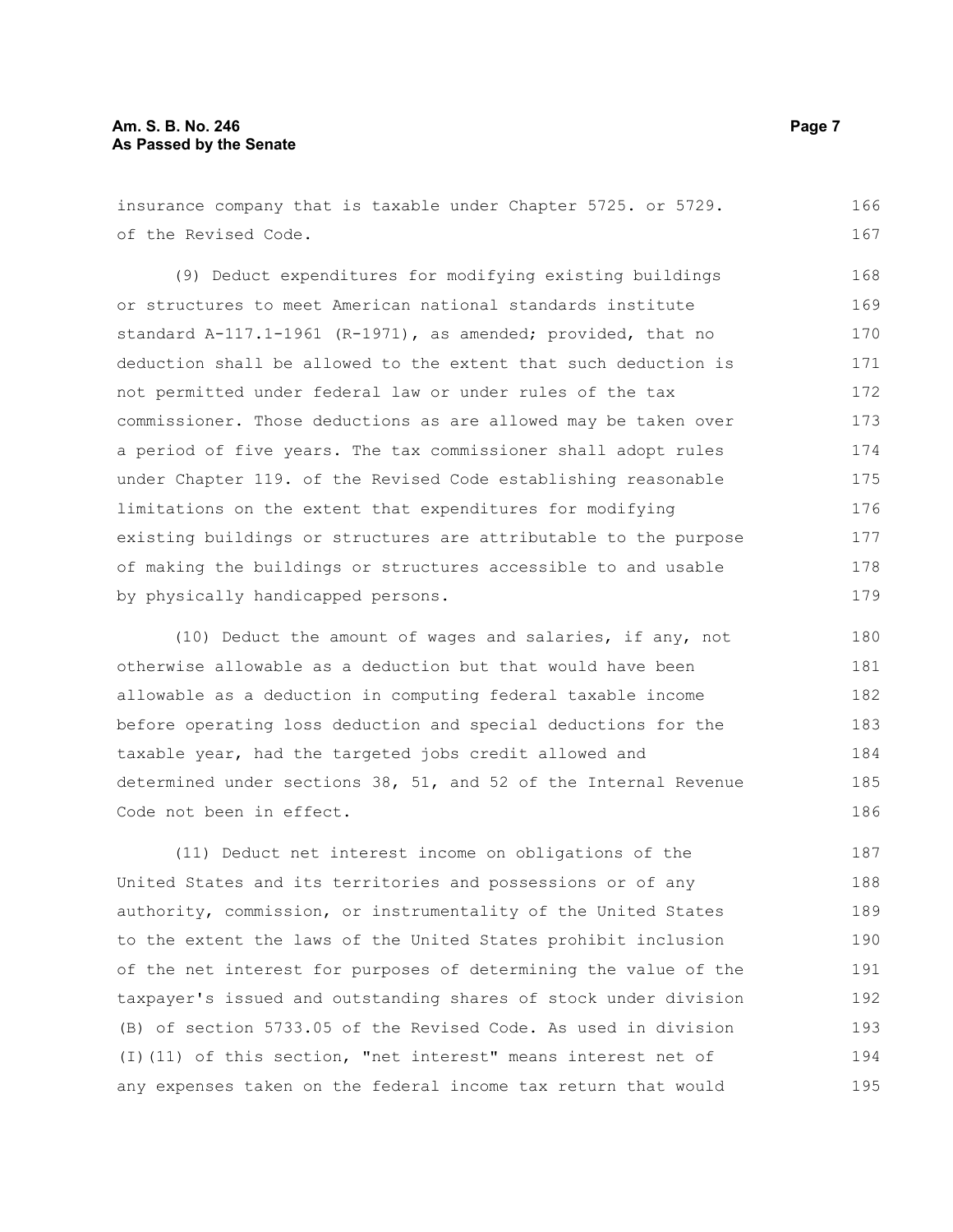insurance company that is taxable under Chapter 5725. or 5729. of the Revised Code. 166 167

(9) Deduct expenditures for modifying existing buildings or structures to meet American national standards institute standard A-117.1-1961 (R-1971), as amended; provided, that no deduction shall be allowed to the extent that such deduction is not permitted under federal law or under rules of the tax commissioner. Those deductions as are allowed may be taken over a period of five years. The tax commissioner shall adopt rules under Chapter 119. of the Revised Code establishing reasonable limitations on the extent that expenditures for modifying existing buildings or structures are attributable to the purpose of making the buildings or structures accessible to and usable by physically handicapped persons. 168 169 170 171 172 173 174 175 176 177 178 179

(10) Deduct the amount of wages and salaries, if any, not otherwise allowable as a deduction but that would have been allowable as a deduction in computing federal taxable income before operating loss deduction and special deductions for the taxable year, had the targeted jobs credit allowed and determined under sections 38, 51, and 52 of the Internal Revenue Code not been in effect.

(11) Deduct net interest income on obligations of the United States and its territories and possessions or of any authority, commission, or instrumentality of the United States to the extent the laws of the United States prohibit inclusion of the net interest for purposes of determining the value of the taxpayer's issued and outstanding shares of stock under division (B) of section 5733.05 of the Revised Code. As used in division (I)(11) of this section, "net interest" means interest net of any expenses taken on the federal income tax return that would 187 188 189 190 191 192 193 194 195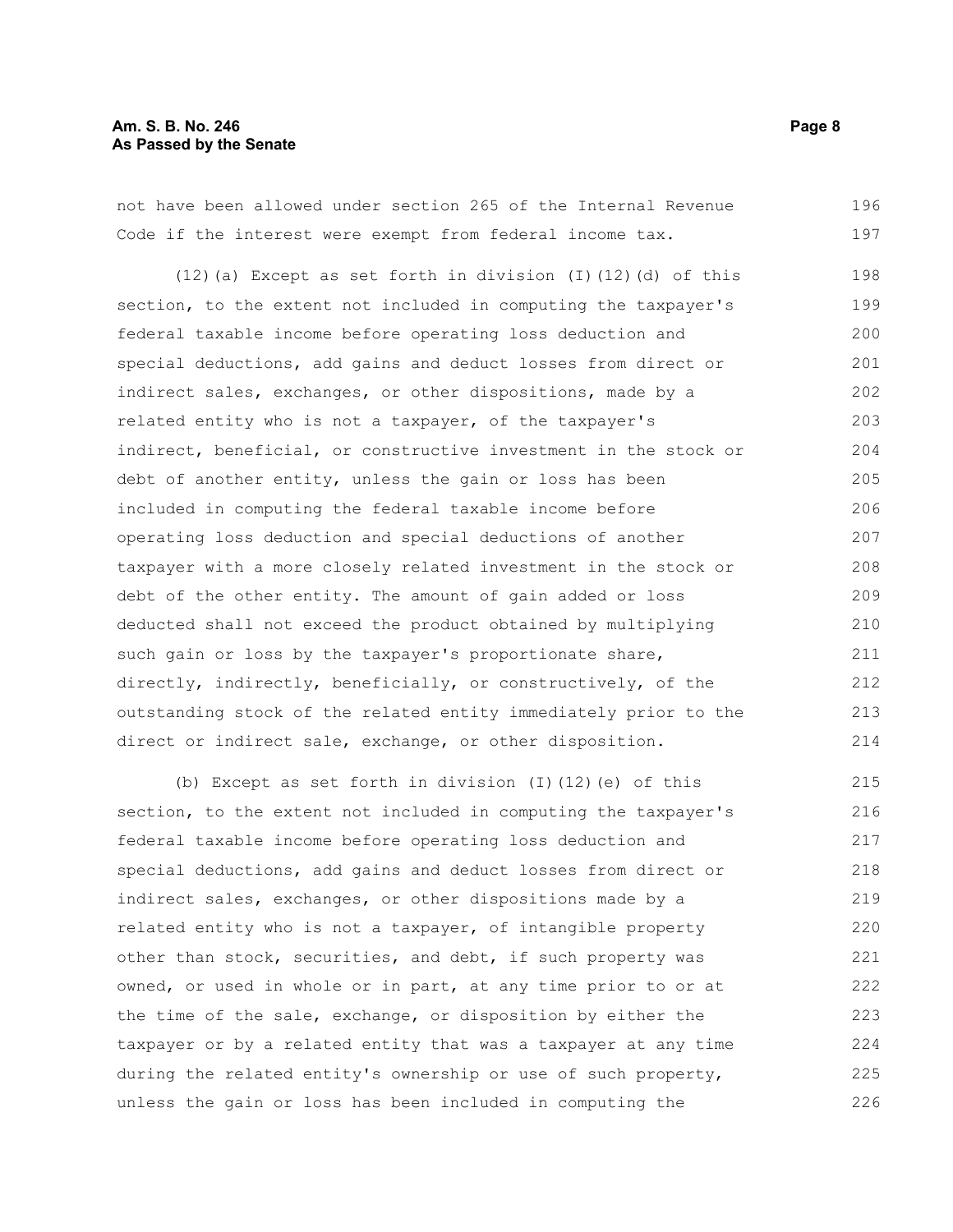#### **Am. S. B. No. 246 Page 8 As Passed by the Senate**

not have been allowed under section 265 of the Internal Revenue Code if the interest were exempt from federal income tax. 196 197

(12)(a) Except as set forth in division (I)(12)(d) of this section, to the extent not included in computing the taxpayer's federal taxable income before operating loss deduction and special deductions, add gains and deduct losses from direct or indirect sales, exchanges, or other dispositions, made by a related entity who is not a taxpayer, of the taxpayer's indirect, beneficial, or constructive investment in the stock or debt of another entity, unless the gain or loss has been included in computing the federal taxable income before operating loss deduction and special deductions of another taxpayer with a more closely related investment in the stock or debt of the other entity. The amount of gain added or loss deducted shall not exceed the product obtained by multiplying such gain or loss by the taxpayer's proportionate share, directly, indirectly, beneficially, or constructively, of the outstanding stock of the related entity immediately prior to the direct or indirect sale, exchange, or other disposition. 198 199 200 201 202 203 204 205 206 207 208 209 210 211 212 213 214

(b) Except as set forth in division (I)(12)(e) of this section, to the extent not included in computing the taxpayer's federal taxable income before operating loss deduction and special deductions, add gains and deduct losses from direct or indirect sales, exchanges, or other dispositions made by a related entity who is not a taxpayer, of intangible property other than stock, securities, and debt, if such property was owned, or used in whole or in part, at any time prior to or at the time of the sale, exchange, or disposition by either the taxpayer or by a related entity that was a taxpayer at any time during the related entity's ownership or use of such property, unless the gain or loss has been included in computing the 215 216 217 218 219 220 221 222 223 224 225 226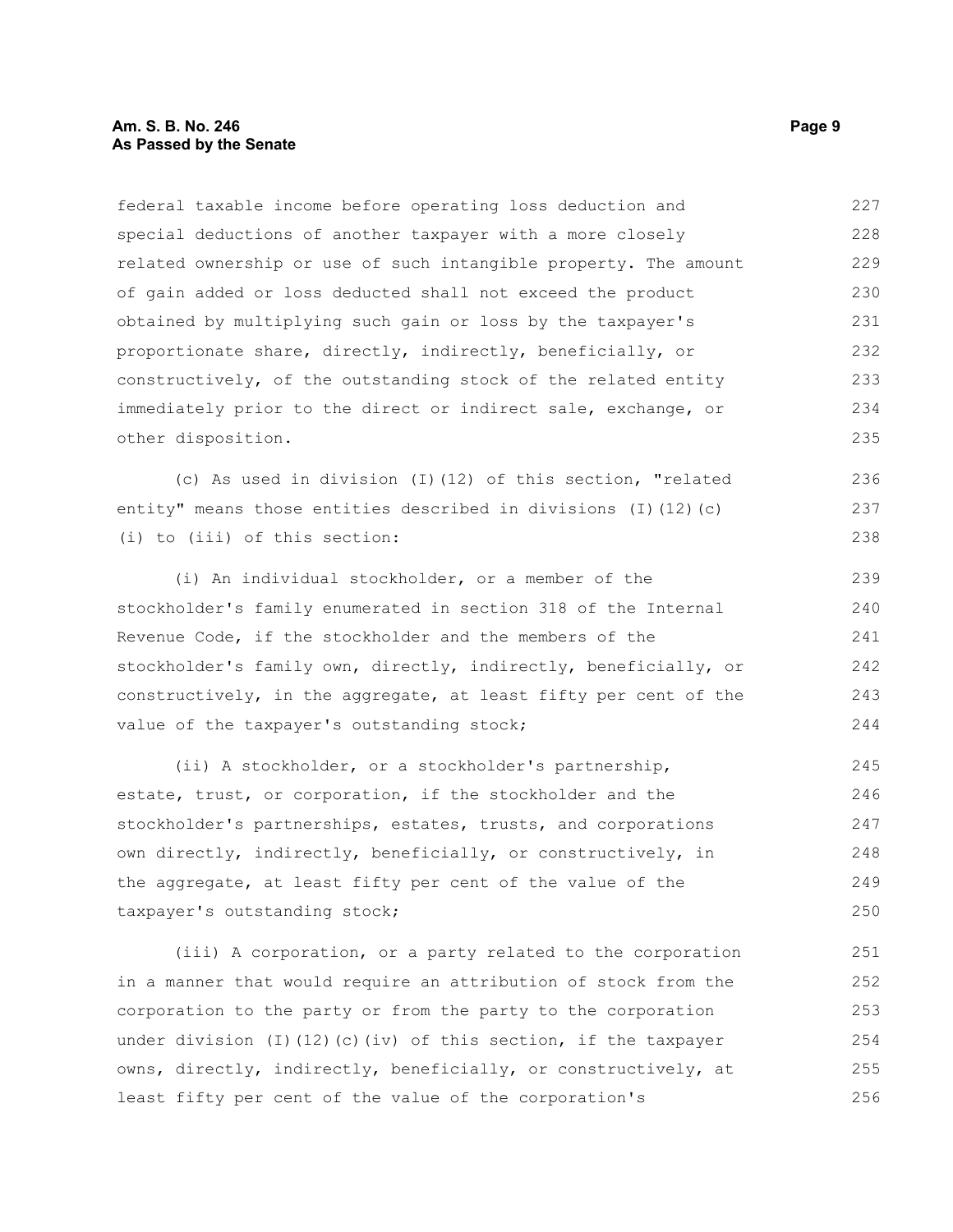federal taxable income before operating loss deduction and special deductions of another taxpayer with a more closely related ownership or use of such intangible property. The amount of gain added or loss deducted shall not exceed the product obtained by multiplying such gain or loss by the taxpayer's proportionate share, directly, indirectly, beneficially, or constructively, of the outstanding stock of the related entity immediately prior to the direct or indirect sale, exchange, or other disposition. 227 228 229 230 231 232 233 234 235

(c) As used in division (I)(12) of this section, "related entity" means those entities described in divisions (I)(12)(c) (i) to (iii) of this section:

(i) An individual stockholder, or a member of the stockholder's family enumerated in section 318 of the Internal Revenue Code, if the stockholder and the members of the stockholder's family own, directly, indirectly, beneficially, or constructively, in the aggregate, at least fifty per cent of the value of the taxpayer's outstanding stock; 239 240 241 242 243 244

(ii) A stockholder, or a stockholder's partnership, estate, trust, or corporation, if the stockholder and the stockholder's partnerships, estates, trusts, and corporations own directly, indirectly, beneficially, or constructively, in the aggregate, at least fifty per cent of the value of the taxpayer's outstanding stock; 245 246 247 248 249 250

(iii) A corporation, or a party related to the corporation in a manner that would require an attribution of stock from the corporation to the party or from the party to the corporation under division (I)(12)(c)(iv) of this section, if the taxpayer owns, directly, indirectly, beneficially, or constructively, at least fifty per cent of the value of the corporation's 251 252 253 254 255 256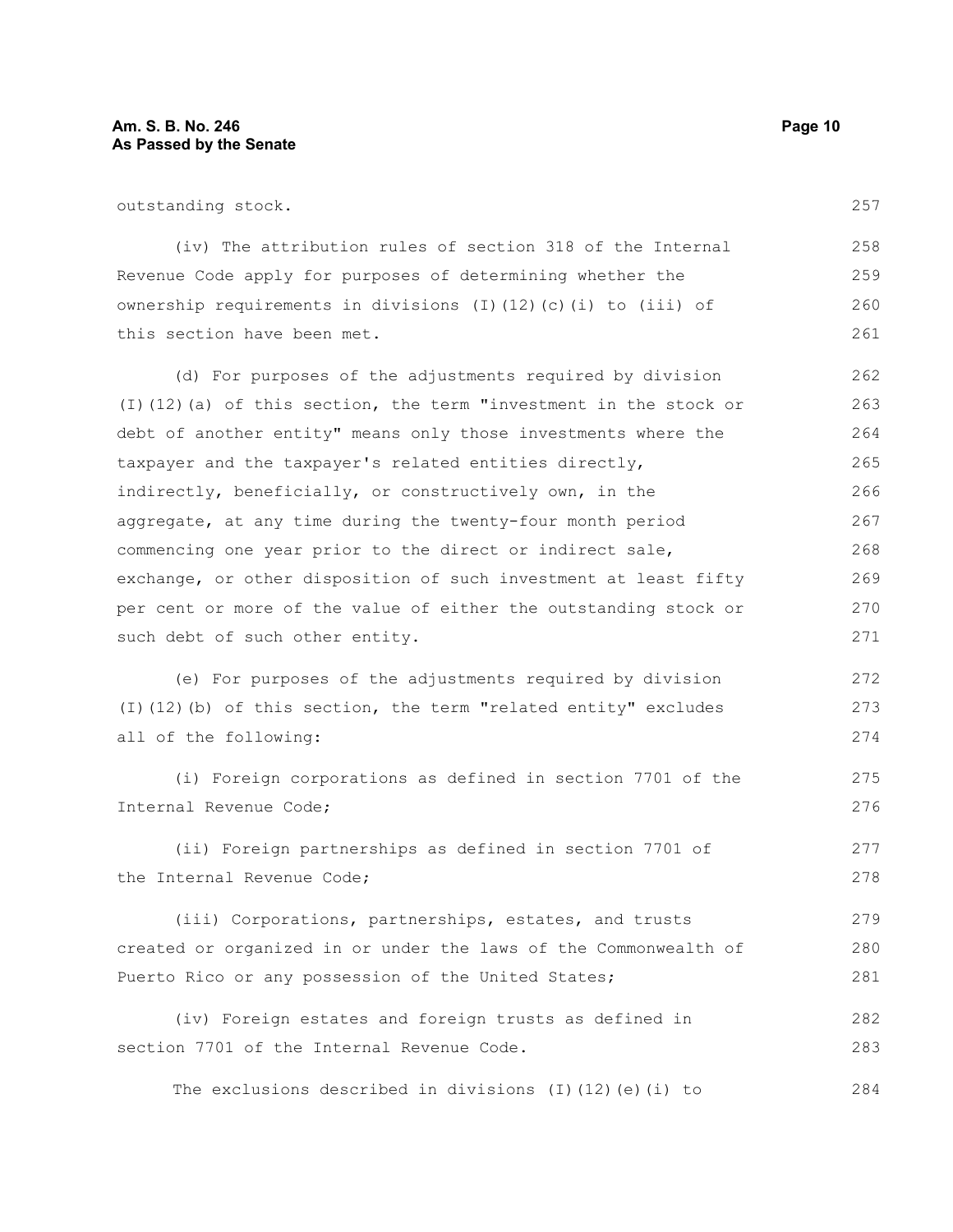outstanding stock.

(iv) The attribution rules of section 318 of the Internal Revenue Code apply for purposes of determining whether the ownership requirements in divisions (I)(12)(c)(i) to (iii) of this section have been met. 258 259 260 261

(d) For purposes of the adjustments required by division (I)(12)(a) of this section, the term "investment in the stock or debt of another entity" means only those investments where the taxpayer and the taxpayer's related entities directly, indirectly, beneficially, or constructively own, in the aggregate, at any time during the twenty-four month period commencing one year prior to the direct or indirect sale, exchange, or other disposition of such investment at least fifty per cent or more of the value of either the outstanding stock or such debt of such other entity. 262 263 264 265 266 267 268 269 270 271

(e) For purposes of the adjustments required by division (I)(12)(b) of this section, the term "related entity" excludes all of the following: 272 273 274

(i) Foreign corporations as defined in section 7701 of the Internal Revenue Code;

(ii) Foreign partnerships as defined in section 7701 of the Internal Revenue Code;

(iii) Corporations, partnerships, estates, and trusts created or organized in or under the laws of the Commonwealth of Puerto Rico or any possession of the United States; 279 280 281

(iv) Foreign estates and foreign trusts as defined in section 7701 of the Internal Revenue Code. 282 283

The exclusions described in divisions (I)(12)(e)(i) to 284

257

275 276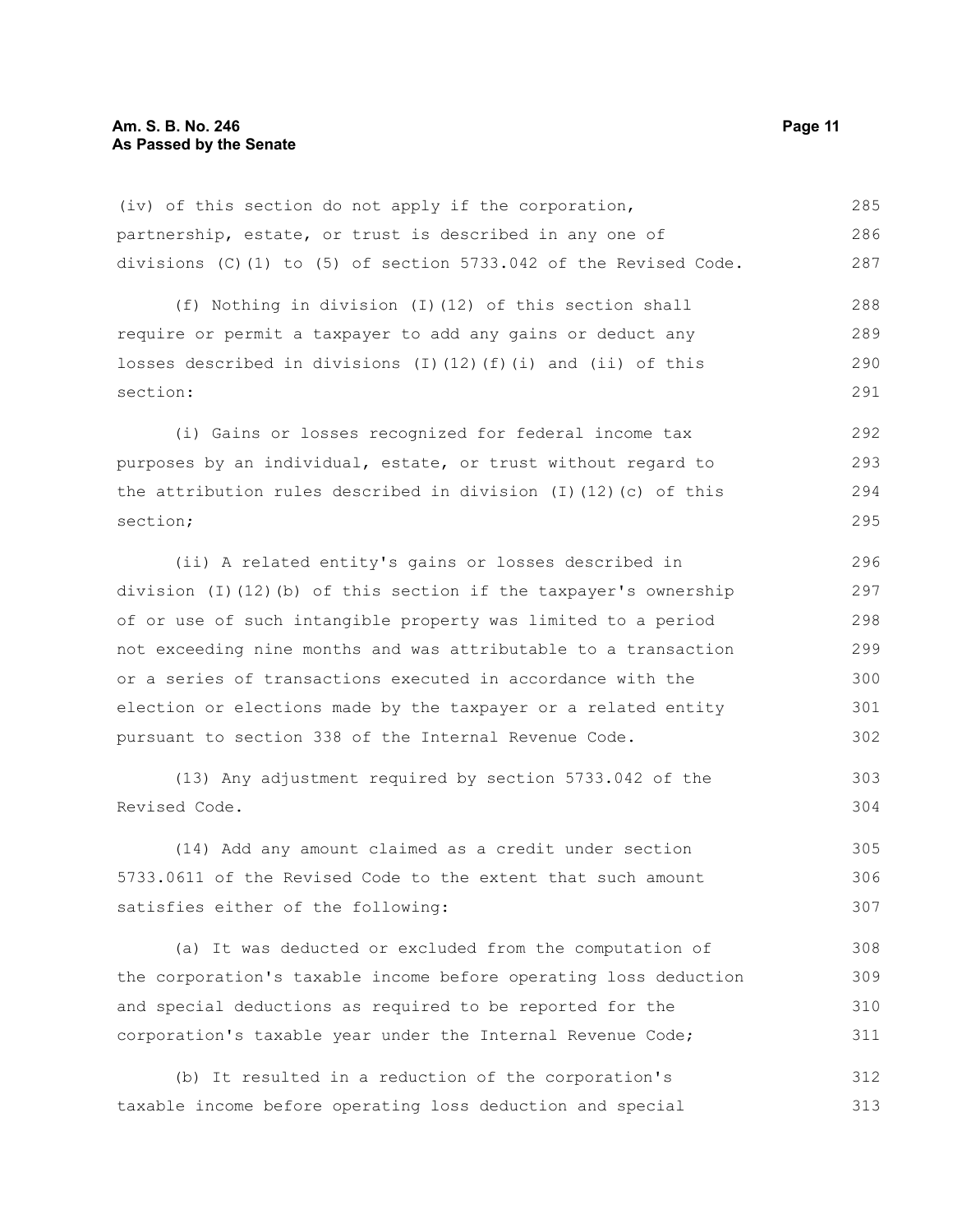(iv) of this section do not apply if the corporation, partnership, estate, or trust is described in any one of divisions (C)(1) to (5) of section 5733.042 of the Revised Code. 285 286 287

(f) Nothing in division (I)(12) of this section shall require or permit a taxpayer to add any gains or deduct any losses described in divisions (I)(12)(f)(i) and (ii) of this section: 288 289 290 291

(i) Gains or losses recognized for federal income tax purposes by an individual, estate, or trust without regard to the attribution rules described in division (I)(12)(c) of this section; 292 293 294 295

(ii) A related entity's gains or losses described in division (I)(12)(b) of this section if the taxpayer's ownership of or use of such intangible property was limited to a period not exceeding nine months and was attributable to a transaction or a series of transactions executed in accordance with the election or elections made by the taxpayer or a related entity pursuant to section 338 of the Internal Revenue Code.

(13) Any adjustment required by section 5733.042 of the Revised Code.

(14) Add any amount claimed as a credit under section 5733.0611 of the Revised Code to the extent that such amount satisfies either of the following: 305 306 307

(a) It was deducted or excluded from the computation of the corporation's taxable income before operating loss deduction and special deductions as required to be reported for the corporation's taxable year under the Internal Revenue Code; 308 309 310 311

(b) It resulted in a reduction of the corporation's taxable income before operating loss deduction and special 312 313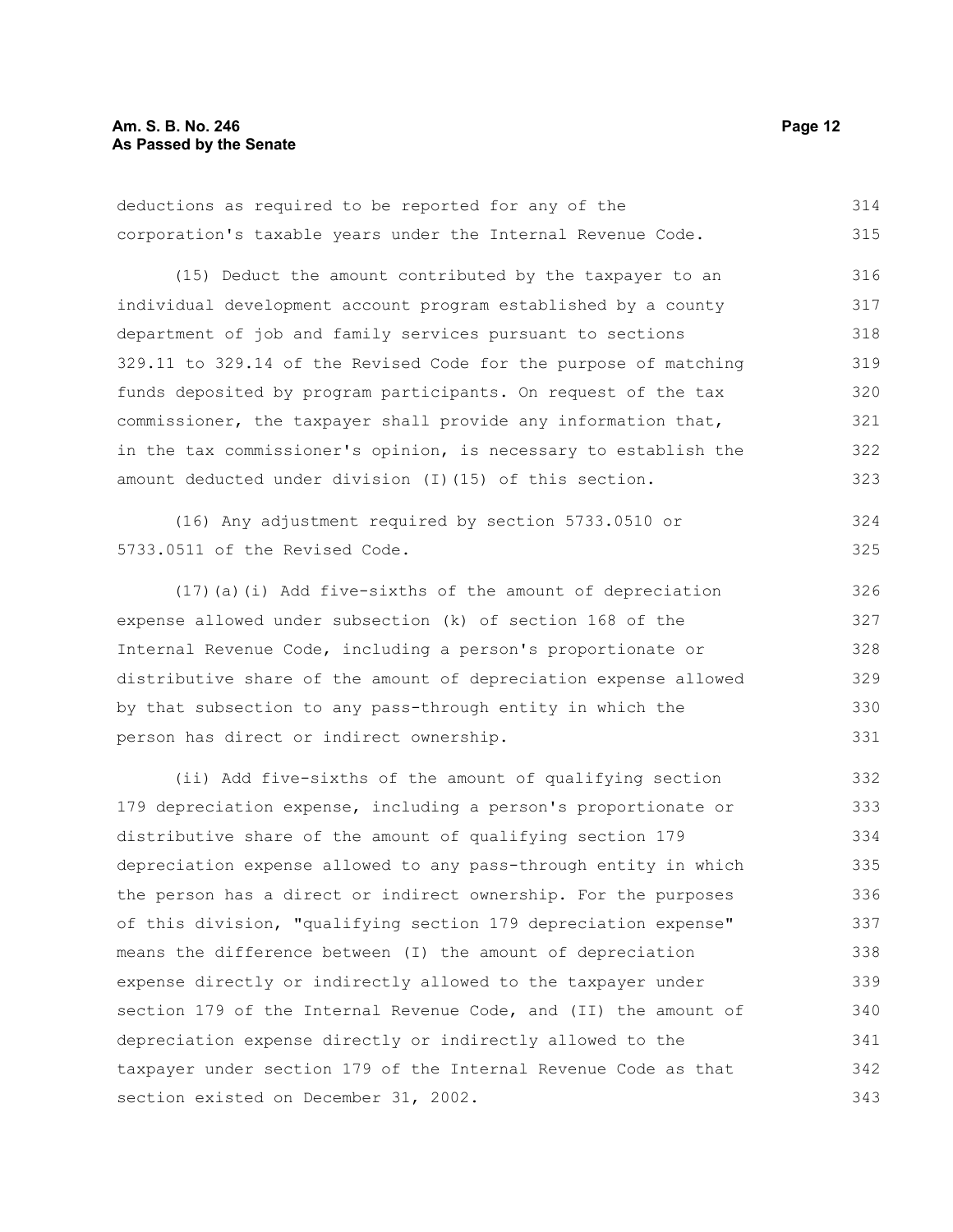deductions as required to be reported for any of the corporation's taxable years under the Internal Revenue Code. 314 315

(15) Deduct the amount contributed by the taxpayer to an individual development account program established by a county department of job and family services pursuant to sections 329.11 to 329.14 of the Revised Code for the purpose of matching funds deposited by program participants. On request of the tax commissioner, the taxpayer shall provide any information that, in the tax commissioner's opinion, is necessary to establish the amount deducted under division (I)(15) of this section. 316 317 318 319 320 321 322 323

(16) Any adjustment required by section 5733.0510 or 5733.0511 of the Revised Code.

(17)(a)(i) Add five-sixths of the amount of depreciation expense allowed under subsection (k) of section 168 of the Internal Revenue Code, including a person's proportionate or distributive share of the amount of depreciation expense allowed by that subsection to any pass-through entity in which the person has direct or indirect ownership.

(ii) Add five-sixths of the amount of qualifying section 179 depreciation expense, including a person's proportionate or distributive share of the amount of qualifying section 179 depreciation expense allowed to any pass-through entity in which the person has a direct or indirect ownership. For the purposes of this division, "qualifying section 179 depreciation expense" means the difference between (I) the amount of depreciation expense directly or indirectly allowed to the taxpayer under section 179 of the Internal Revenue Code, and (II) the amount of depreciation expense directly or indirectly allowed to the taxpayer under section 179 of the Internal Revenue Code as that section existed on December 31, 2002. 332 333 334 335 336 337 338 339 340 341 342 343

324 325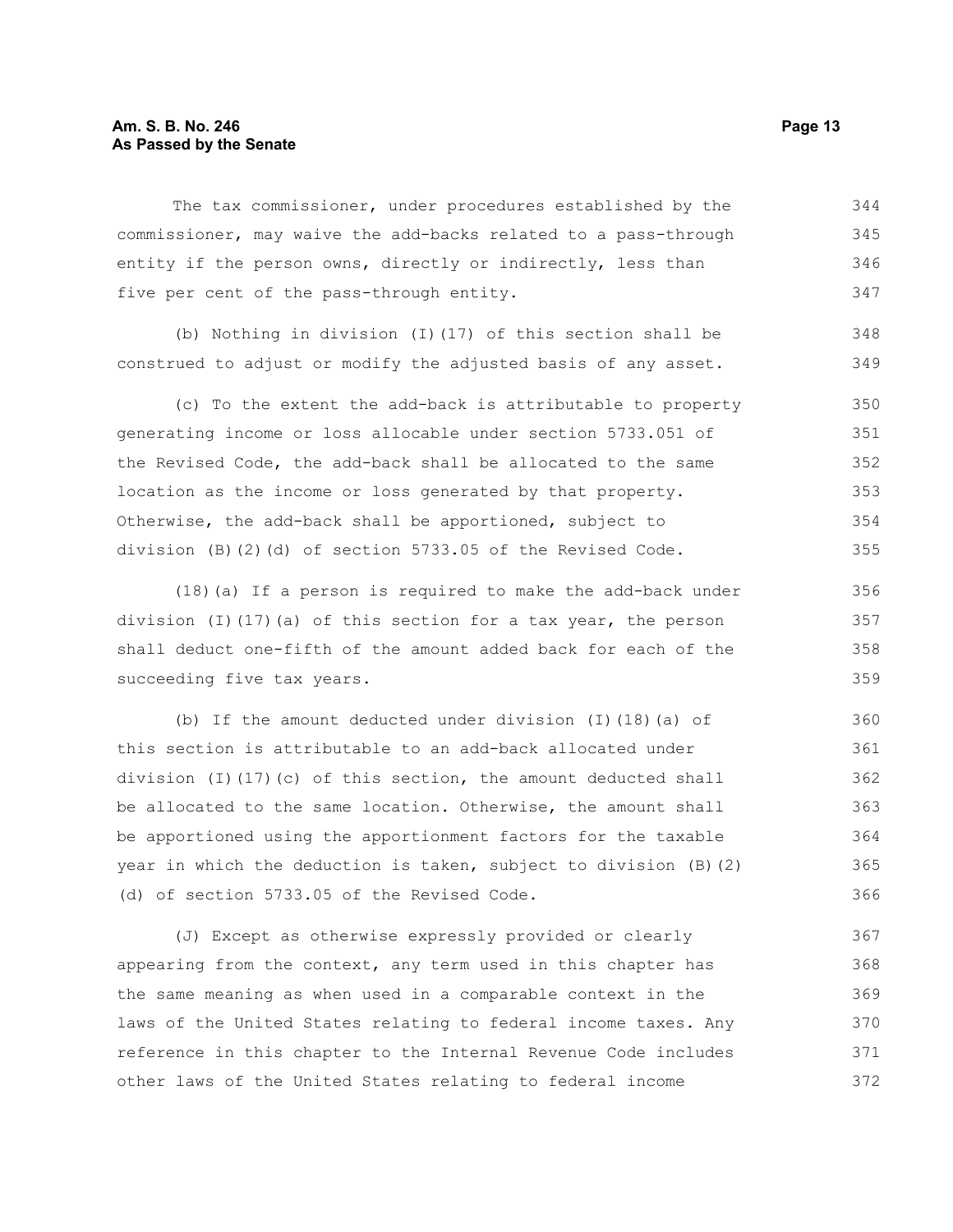#### **Am. S. B. No. 246 Page 13 As Passed by the Senate**

The tax commissioner, under procedures established by the commissioner, may waive the add-backs related to a pass-through entity if the person owns, directly or indirectly, less than five per cent of the pass-through entity. 344 345 346 347

(b) Nothing in division (I)(17) of this section shall be construed to adjust or modify the adjusted basis of any asset. 348 349

(c) To the extent the add-back is attributable to property generating income or loss allocable under section 5733.051 of the Revised Code, the add-back shall be allocated to the same location as the income or loss generated by that property. Otherwise, the add-back shall be apportioned, subject to division (B)(2)(d) of section 5733.05 of the Revised Code. 350 351 352 353 354 355

(18)(a) If a person is required to make the add-back under division (I)(17)(a) of this section for a tax year, the person shall deduct one-fifth of the amount added back for each of the succeeding five tax years.

(b) If the amount deducted under division (I)(18)(a) of this section is attributable to an add-back allocated under division (I)(17)(c) of this section, the amount deducted shall be allocated to the same location. Otherwise, the amount shall be apportioned using the apportionment factors for the taxable year in which the deduction is taken, subject to division (B)(2) (d) of section 5733.05 of the Revised Code. 360 361 362 363 364 365 366

(J) Except as otherwise expressly provided or clearly appearing from the context, any term used in this chapter has the same meaning as when used in a comparable context in the laws of the United States relating to federal income taxes. Any reference in this chapter to the Internal Revenue Code includes other laws of the United States relating to federal income 367 368 369 370 371 372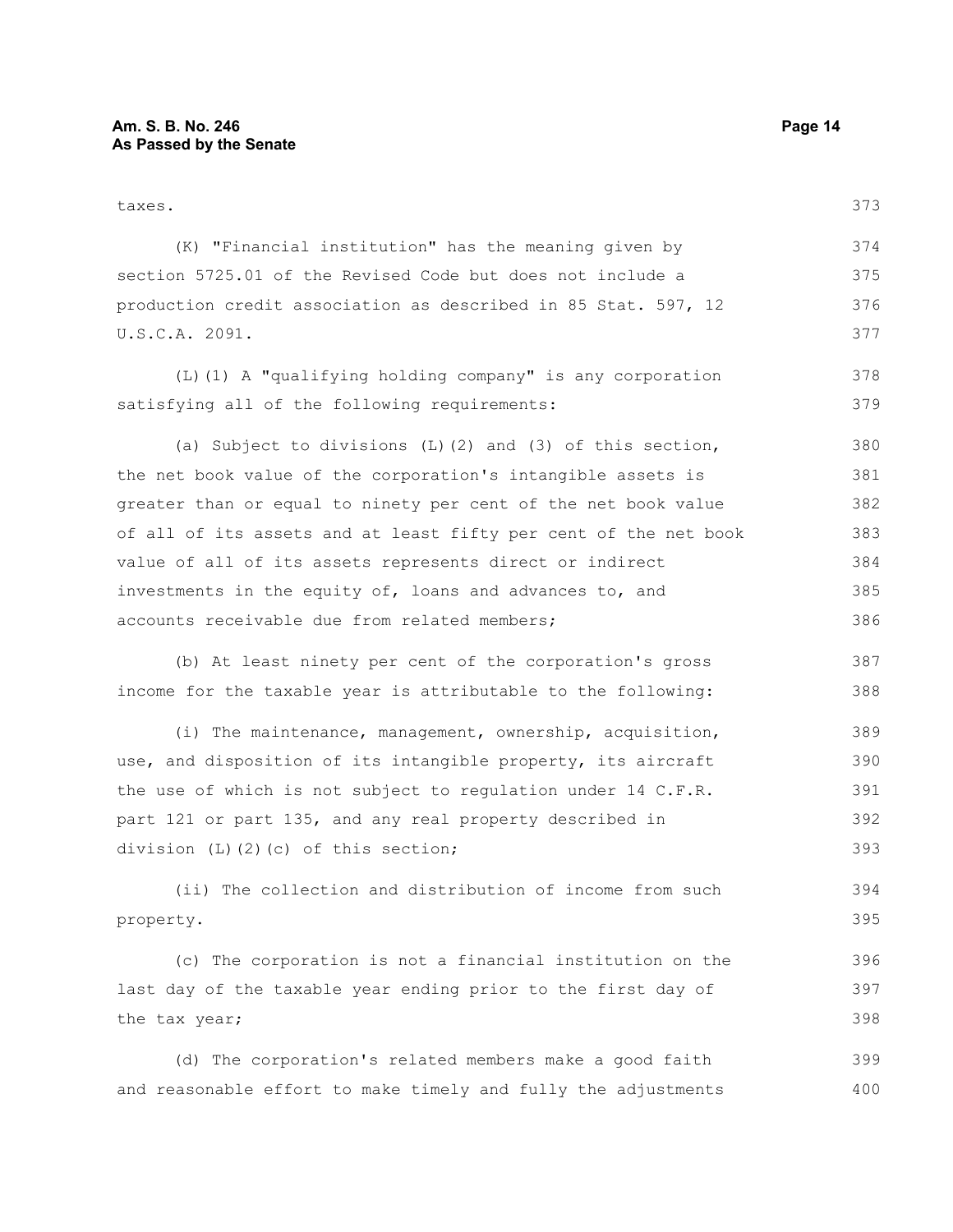| taxes.                                                           | 373 |
|------------------------------------------------------------------|-----|
| (K) "Financial institution" has the meaning given by             | 374 |
| section 5725.01 of the Revised Code but does not include a       | 375 |
| production credit association as described in 85 Stat. 597, 12   |     |
| U.S.C.A. 2091.                                                   | 377 |
| (L) (1) A "qualifying holding company" is any corporation        | 378 |
| satisfying all of the following requirements:                    | 379 |
| (a) Subject to divisions $(L)$ (2) and (3) of this section,      | 380 |
| the net book value of the corporation's intangible assets is     | 381 |
| greater than or equal to ninety per cent of the net book value   | 382 |
| of all of its assets and at least fifty per cent of the net book | 383 |
| value of all of its assets represents direct or indirect         | 384 |
| investments in the equity of, loans and advances to, and         | 385 |
| accounts receivable due from related members;                    | 386 |
| (b) At least ninety per cent of the corporation's gross          | 387 |
| income for the taxable year is attributable to the following:    | 388 |
| (i) The maintenance, management, ownership, acquisition,         | 389 |
| use, and disposition of its intangible property, its aircraft    | 390 |
| the use of which is not subject to regulation under 14 C.F.R.    | 391 |
| part 121 or part 135, and any real property described in         | 392 |
| division $(L)$ $(2)$ $(c)$ of this section;                      | 393 |
| (ii) The collection and distribution of income from such         | 394 |
| property.                                                        | 395 |
| (c) The corporation is not a financial institution on the        | 396 |
| last day of the taxable year ending prior to the first day of    | 397 |
| the tax year;                                                    | 398 |
| (d) The corporation's related members make a good faith          | 399 |
| and reasonable effort to make timely and fully the adjustments   | 400 |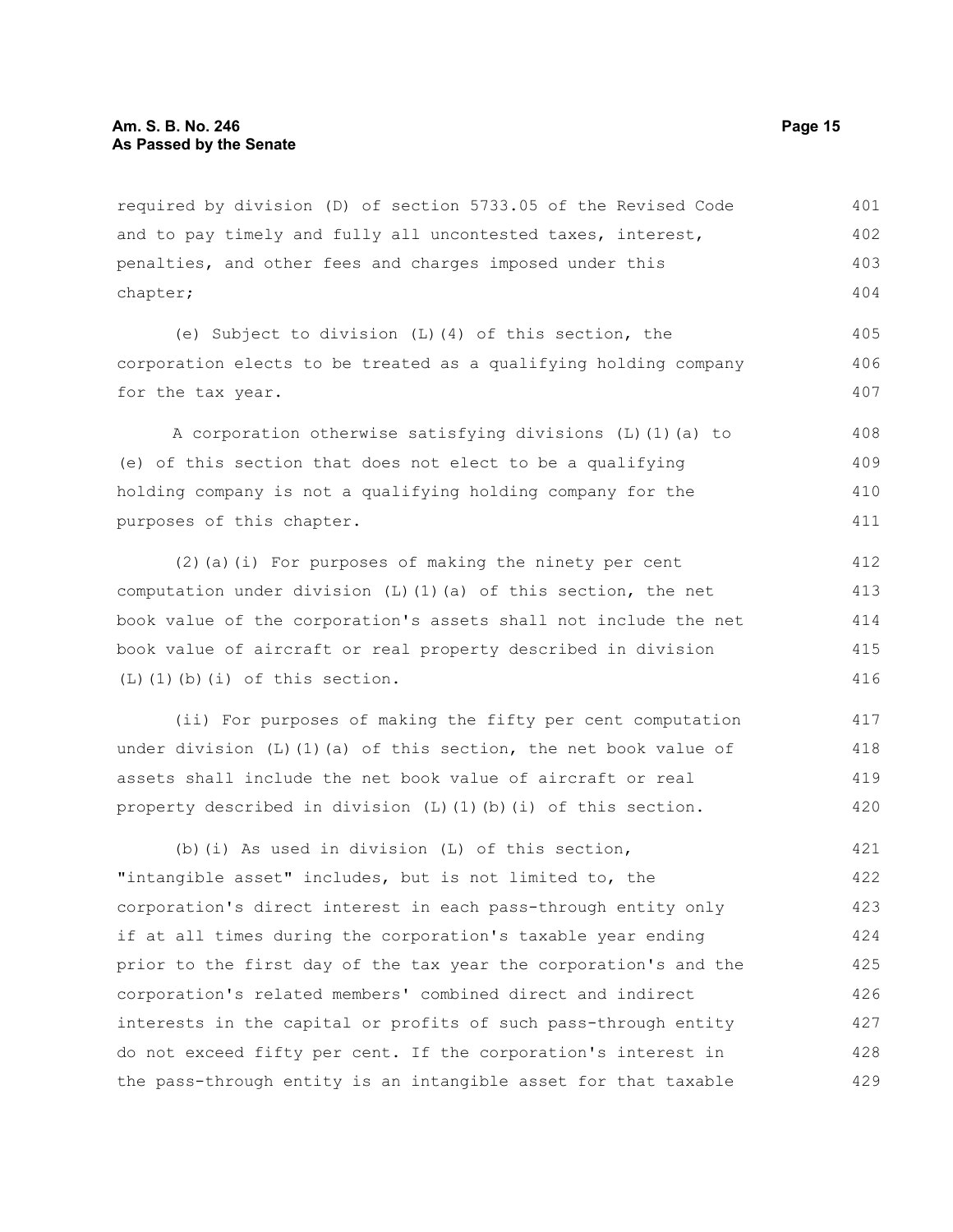required by division (D) of section 5733.05 of the Revised Code and to pay timely and fully all uncontested taxes, interest, penalties, and other fees and charges imposed under this chapter; 401 402 403 404

(e) Subject to division (L)(4) of this section, the corporation elects to be treated as a qualifying holding company for the tax year.

A corporation otherwise satisfying divisions (L)(1)(a) to (e) of this section that does not elect to be a qualifying holding company is not a qualifying holding company for the purposes of this chapter. 408 409 410 411

(2)(a)(i) For purposes of making the ninety per cent computation under division  $(L)$  (1)(a) of this section, the net book value of the corporation's assets shall not include the net book value of aircraft or real property described in division (L)(1)(b)(i) of this section. 412 413 414 415 416

(ii) For purposes of making the fifty per cent computation under division  $(L)$  (1)(a) of this section, the net book value of assets shall include the net book value of aircraft or real property described in division  $(L)$   $(1)$   $(b)$   $(i)$  of this section. 417 418 419 420

(b)(i) As used in division (L) of this section, "intangible asset" includes, but is not limited to, the corporation's direct interest in each pass-through entity only if at all times during the corporation's taxable year ending prior to the first day of the tax year the corporation's and the corporation's related members' combined direct and indirect interests in the capital or profits of such pass-through entity do not exceed fifty per cent. If the corporation's interest in the pass-through entity is an intangible asset for that taxable 421 422 423 424 425 426 427 428 429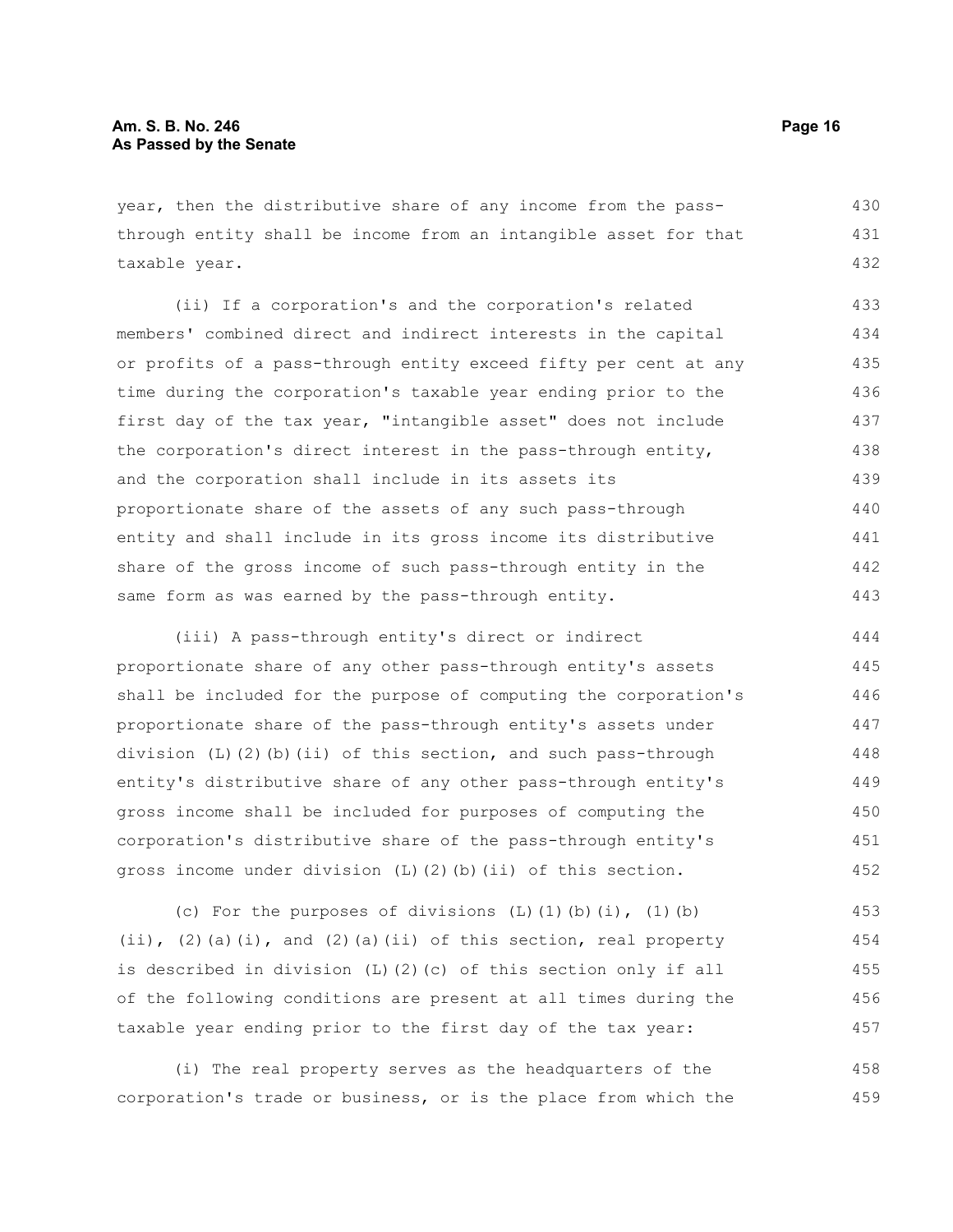year, then the distributive share of any income from the passthrough entity shall be income from an intangible asset for that taxable year. 430 431 432

(ii) If a corporation's and the corporation's related members' combined direct and indirect interests in the capital or profits of a pass-through entity exceed fifty per cent at any time during the corporation's taxable year ending prior to the first day of the tax year, "intangible asset" does not include the corporation's direct interest in the pass-through entity, and the corporation shall include in its assets its proportionate share of the assets of any such pass-through entity and shall include in its gross income its distributive share of the gross income of such pass-through entity in the same form as was earned by the pass-through entity. 433 434 435 436 437 438 439 440 441 442 443

(iii) A pass-through entity's direct or indirect proportionate share of any other pass-through entity's assets shall be included for the purpose of computing the corporation's proportionate share of the pass-through entity's assets under division (L)(2)(b)(ii) of this section, and such pass-through entity's distributive share of any other pass-through entity's gross income shall be included for purposes of computing the corporation's distributive share of the pass-through entity's gross income under division  $(L)$   $(2)$   $(b)$   $(ii)$  of this section. 444 445 446 447 448 449 450 451 452

(c) For the purposes of divisions  $(L)$   $(1)$  $(b)$  $(i)$ ,  $(1)$  $(b)$ (ii),  $(2)$  (a)(i), and  $(2)$  (a)(ii) of this section, real property is described in division (L)(2)(c) of this section only if all of the following conditions are present at all times during the taxable year ending prior to the first day of the tax year: 453 454 455 456 457

(i) The real property serves as the headquarters of the corporation's trade or business, or is the place from which the 458 459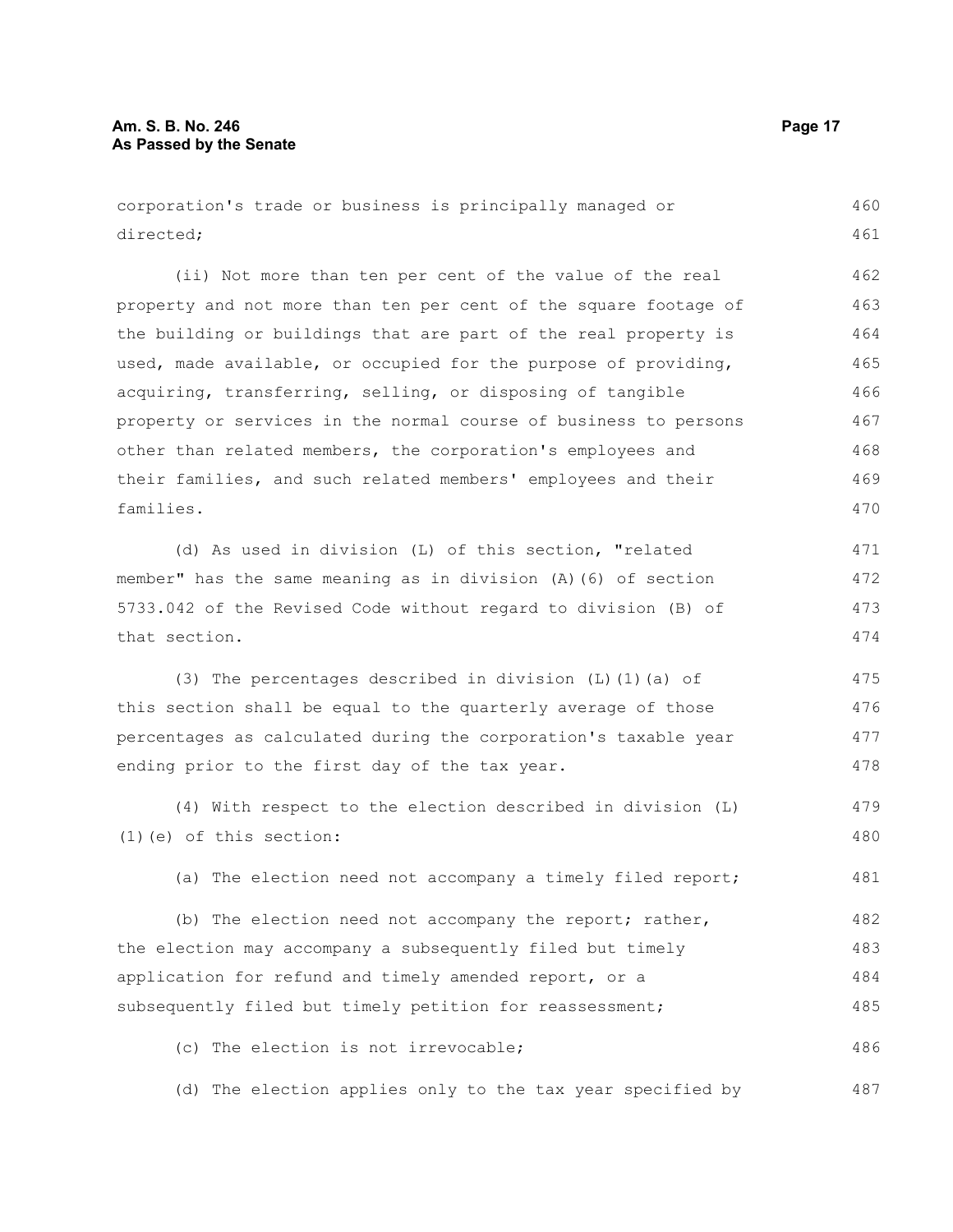corporation's trade or business is principally managed or directed; 460 461

(ii) Not more than ten per cent of the value of the real property and not more than ten per cent of the square footage of the building or buildings that are part of the real property is used, made available, or occupied for the purpose of providing, acquiring, transferring, selling, or disposing of tangible property or services in the normal course of business to persons other than related members, the corporation's employees and their families, and such related members' employees and their families. 462 463 464 465 466 467 468 469 470

(d) As used in division (L) of this section, "related member" has the same meaning as in division (A)(6) of section 5733.042 of the Revised Code without regard to division (B) of that section. 471 472 473 474

(3) The percentages described in division (L)(1)(a) of this section shall be equal to the quarterly average of those percentages as calculated during the corporation's taxable year ending prior to the first day of the tax year. 475 476 477 478

(4) With respect to the election described in division (L) (1)(e) of this section: 479 480

(a) The election need not accompany a timely filed report; 481

(b) The election need not accompany the report; rather, the election may accompany a subsequently filed but timely application for refund and timely amended report, or a subsequently filed but timely petition for reassessment; 482 483 484 485

(c) The election is not irrevocable; 486

(d) The election applies only to the tax year specified by 487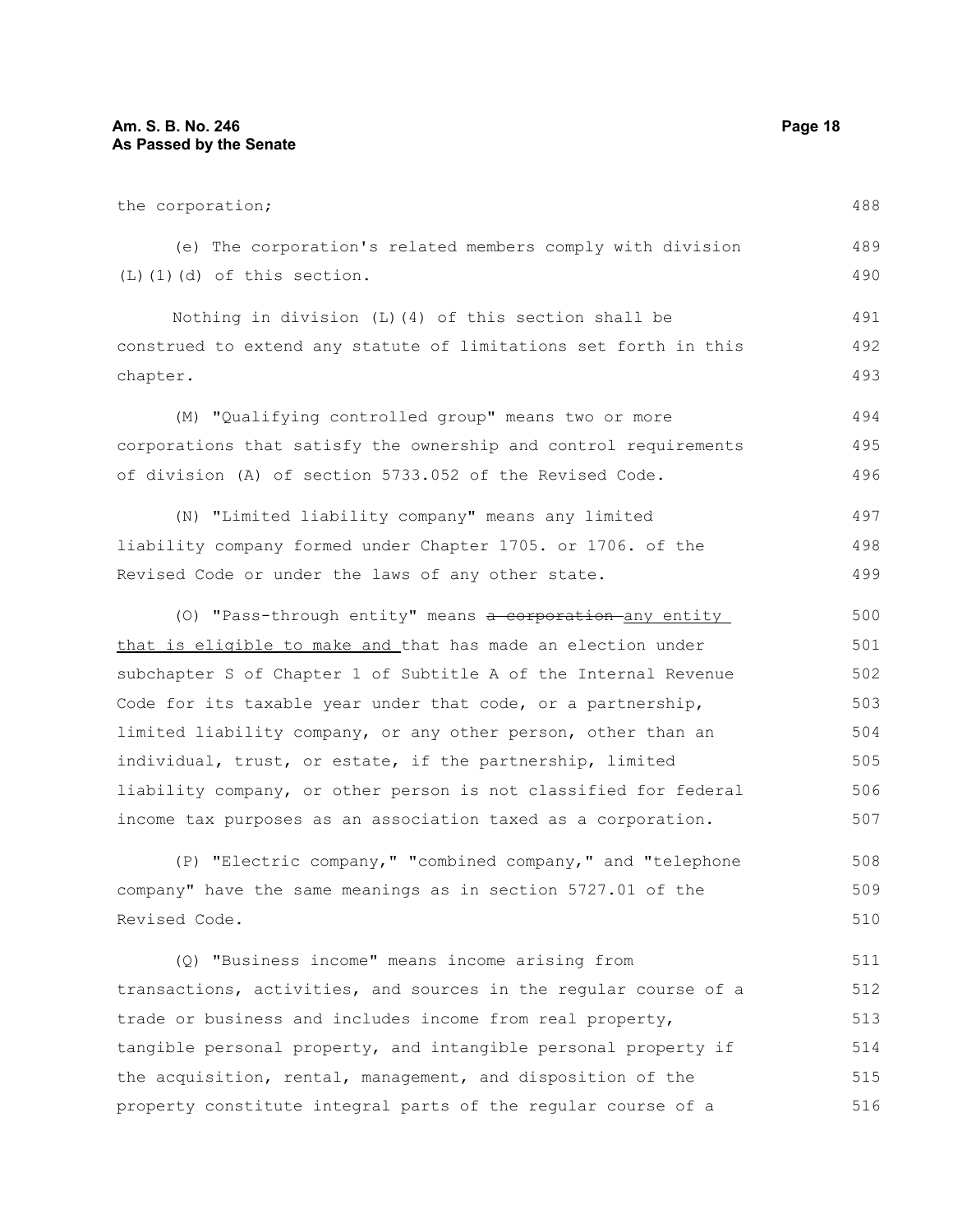| the corporation;                                                 |     |
|------------------------------------------------------------------|-----|
| (e) The corporation's related members comply with division       | 489 |
| $(L)$ $(1)$ $(d)$ of this section.                               | 490 |
| Nothing in division (L) (4) of this section shall be             | 491 |
| construed to extend any statute of limitations set forth in this | 492 |
| chapter.                                                         | 493 |
| (M) "Qualifying controlled group" means two or more              | 494 |
| corporations that satisfy the ownership and control requirements | 495 |
| of division (A) of section 5733.052 of the Revised Code.         | 496 |
| (N) "Limited liability company" means any limited                | 497 |
| liability company formed under Chapter 1705. or 1706. of the     | 498 |
| Revised Code or under the laws of any other state.               | 499 |
| (0) "Pass-through entity" means a corporation any entity         | 500 |
| that is eligible to make and that has made an election under     |     |
| subchapter S of Chapter 1 of Subtitle A of the Internal Revenue  | 502 |
| Code for its taxable year under that code, or a partnership,     | 503 |
| limited liability company, or any other person, other than an    | 504 |
| individual, trust, or estate, if the partnership, limited        | 505 |
| liability company, or other person is not classified for federal | 506 |
| income tax purposes as an association taxed as a corporation.    | 507 |
| (P) "Electric company," "combined company," and "telephone       | 508 |
| company" have the same meanings as in section 5727.01 of the     | 509 |
| Revised Code.                                                    | 510 |
| (Q) "Business income" means income arising from                  | 511 |
| transactions, activities, and sources in the regular course of a | 512 |
| trade or business and includes income from real property,        | 513 |
| tangible personal property, and intangible personal property if  | 514 |
| the acquisition, rental, management, and disposition of the      |     |

property constitute integral parts of the regular course of a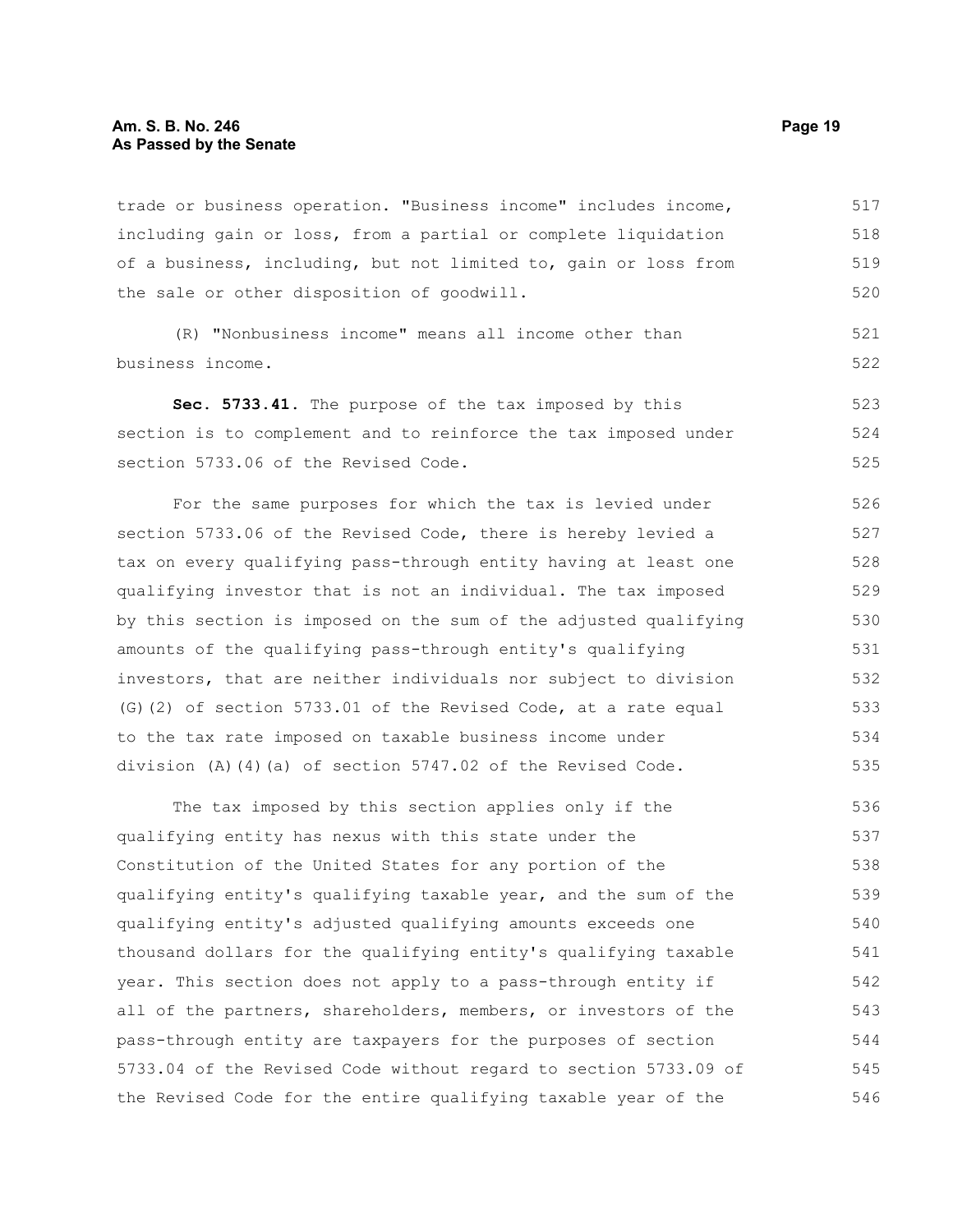trade or business operation. "Business income" includes income, including gain or loss, from a partial or complete liquidation of a business, including, but not limited to, gain or loss from the sale or other disposition of goodwill. 517 518 519 520

(R) "Nonbusiness income" means all income other than business income. 521 522

**Sec. 5733.41.** The purpose of the tax imposed by this section is to complement and to reinforce the tax imposed under section 5733.06 of the Revised Code. 523 524 525

For the same purposes for which the tax is levied under section 5733.06 of the Revised Code, there is hereby levied a tax on every qualifying pass-through entity having at least one qualifying investor that is not an individual. The tax imposed by this section is imposed on the sum of the adjusted qualifying amounts of the qualifying pass-through entity's qualifying investors, that are neither individuals nor subject to division (G)(2) of section 5733.01 of the Revised Code, at a rate equal to the tax rate imposed on taxable business income under division (A)(4)(a) of section  $5747.02$  of the Revised Code. 526 527 528 529 530 531 532 533 534 535

The tax imposed by this section applies only if the qualifying entity has nexus with this state under the Constitution of the United States for any portion of the qualifying entity's qualifying taxable year, and the sum of the qualifying entity's adjusted qualifying amounts exceeds one thousand dollars for the qualifying entity's qualifying taxable year. This section does not apply to a pass-through entity if all of the partners, shareholders, members, or investors of the pass-through entity are taxpayers for the purposes of section 5733.04 of the Revised Code without regard to section 5733.09 of the Revised Code for the entire qualifying taxable year of the 536 537 538 539 540 541 542 543 544 545 546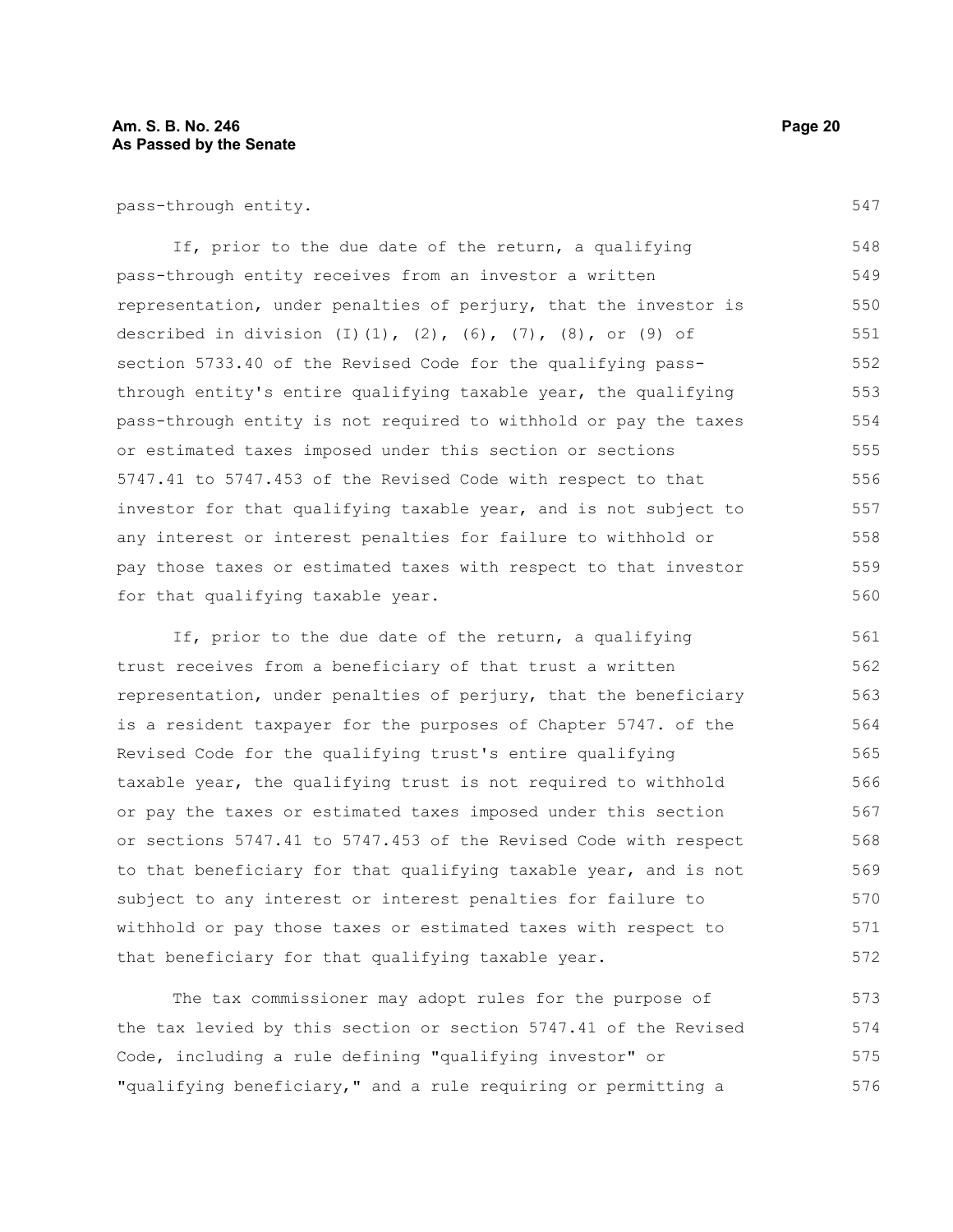pass-through entity.

If, prior to the due date of the return, a qualifying pass-through entity receives from an investor a written representation, under penalties of perjury, that the investor is described in division (I)(1), (2), (6), (7), (8), or (9) of section 5733.40 of the Revised Code for the qualifying passthrough entity's entire qualifying taxable year, the qualifying pass-through entity is not required to withhold or pay the taxes or estimated taxes imposed under this section or sections 5747.41 to 5747.453 of the Revised Code with respect to that investor for that qualifying taxable year, and is not subject to any interest or interest penalties for failure to withhold or pay those taxes or estimated taxes with respect to that investor for that qualifying taxable year. 548 549 550 551 552 553 554 555 556 557 558 559 560

If, prior to the due date of the return, a qualifying trust receives from a beneficiary of that trust a written representation, under penalties of perjury, that the beneficiary is a resident taxpayer for the purposes of Chapter 5747. of the Revised Code for the qualifying trust's entire qualifying taxable year, the qualifying trust is not required to withhold or pay the taxes or estimated taxes imposed under this section or sections 5747.41 to 5747.453 of the Revised Code with respect to that beneficiary for that qualifying taxable year, and is not subject to any interest or interest penalties for failure to withhold or pay those taxes or estimated taxes with respect to that beneficiary for that qualifying taxable year. 561 562 563 564 565 566 567 568 569 570 571 572

The tax commissioner may adopt rules for the purpose of the tax levied by this section or section 5747.41 of the Revised Code, including a rule defining "qualifying investor" or "qualifying beneficiary," and a rule requiring or permitting a 573 574 575 576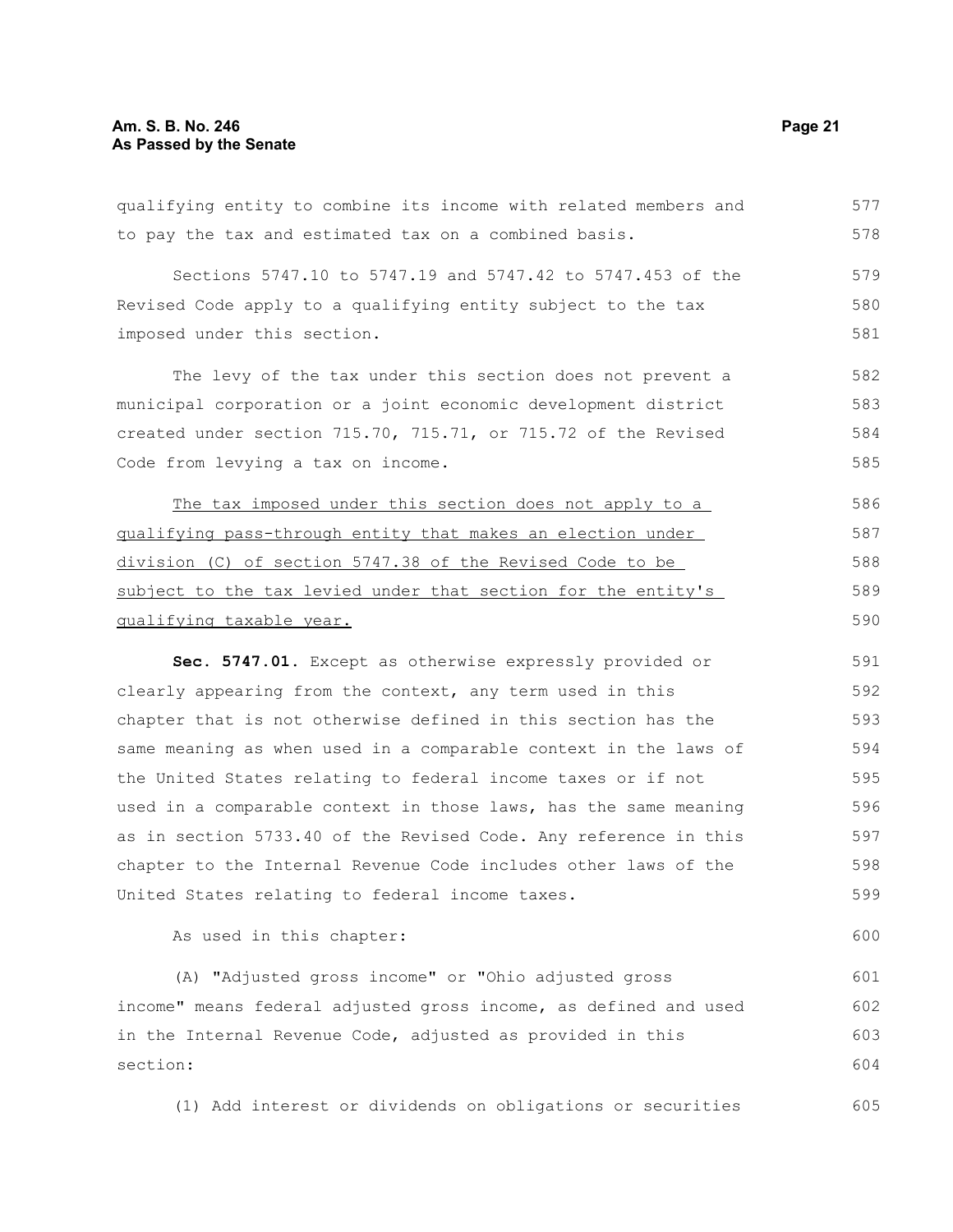#### **Am. S. B. No. 246 Page 21 As Passed by the Senate**

qualifying entity to combine its income with related members and to pay the tax and estimated tax on a combined basis. Sections 5747.10 to 5747.19 and 5747.42 to 5747.453 of the Revised Code apply to a qualifying entity subject to the tax imposed under this section. The levy of the tax under this section does not prevent a municipal corporation or a joint economic development district created under section 715.70, 715.71, or 715.72 of the Revised Code from levying a tax on income. The tax imposed under this section does not apply to a qualifying pass-through entity that makes an election under division (C) of section 5747.38 of the Revised Code to be subject to the tax levied under that section for the entity's qualifying taxable year. **Sec. 5747.01.** Except as otherwise expressly provided or clearly appearing from the context, any term used in this chapter that is not otherwise defined in this section has the same meaning as when used in a comparable context in the laws of the United States relating to federal income taxes or if not used in a comparable context in those laws, has the same meaning as in section 5733.40 of the Revised Code. Any reference in this 577 578 579 580 581 582 583 584 585 586 587 588 589 590 591 592 593 594 595 596 597

chapter to the Internal Revenue Code includes other laws of the United States relating to federal income taxes. 598 599

As used in this chapter:

(A) "Adjusted gross income" or "Ohio adjusted gross income" means federal adjusted gross income, as defined and used in the Internal Revenue Code, adjusted as provided in this section:

(1) Add interest or dividends on obligations or securities 605

600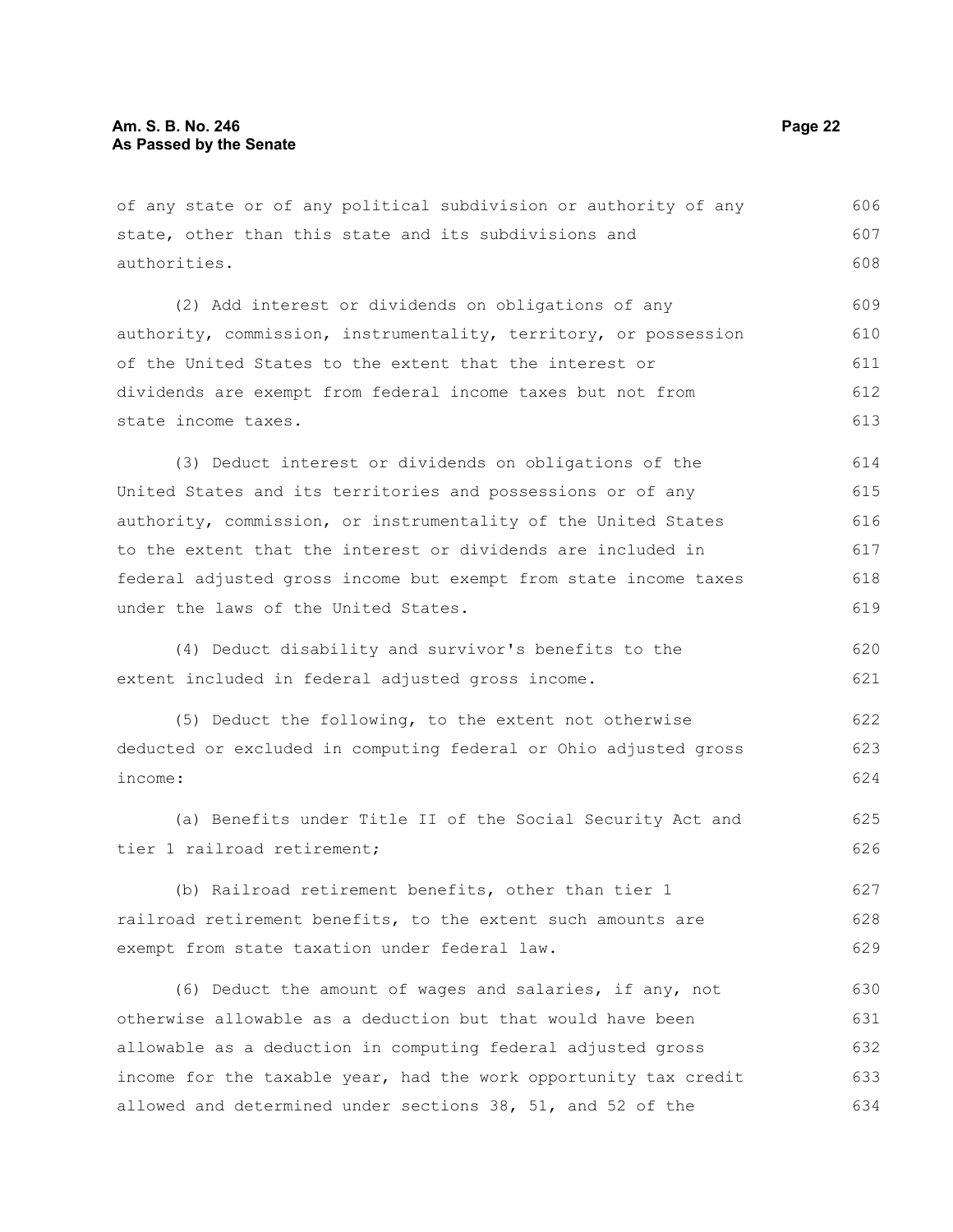of any state or of any political subdivision or authority of any state, other than this state and its subdivisions and authorities. (2) Add interest or dividends on obligations of any authority, commission, instrumentality, territory, or possession of the United States to the extent that the interest or dividends are exempt from federal income taxes but not from state income taxes. (3) Deduct interest or dividends on obligations of the United States and its territories and possessions or of any authority, commission, or instrumentality of the United States to the extent that the interest or dividends are included in federal adjusted gross income but exempt from state income taxes under the laws of the United States. (4) Deduct disability and survivor's benefits to the extent included in federal adjusted gross income. (5) Deduct the following, to the extent not otherwise deducted or excluded in computing federal or Ohio adjusted gross income: (a) Benefits under Title II of the Social Security Act and tier 1 railroad retirement; (b) Railroad retirement benefits, other than tier 1 railroad retirement benefits, to the extent such amounts are exempt from state taxation under federal law. 606 607 608 609 610 611 612 613 614 615 616 617 618 619 620 621 622 623 624 625 626 627 628 629

(6) Deduct the amount of wages and salaries, if any, not otherwise allowable as a deduction but that would have been allowable as a deduction in computing federal adjusted gross income for the taxable year, had the work opportunity tax credit allowed and determined under sections 38, 51, and 52 of the 630 631 632 633 634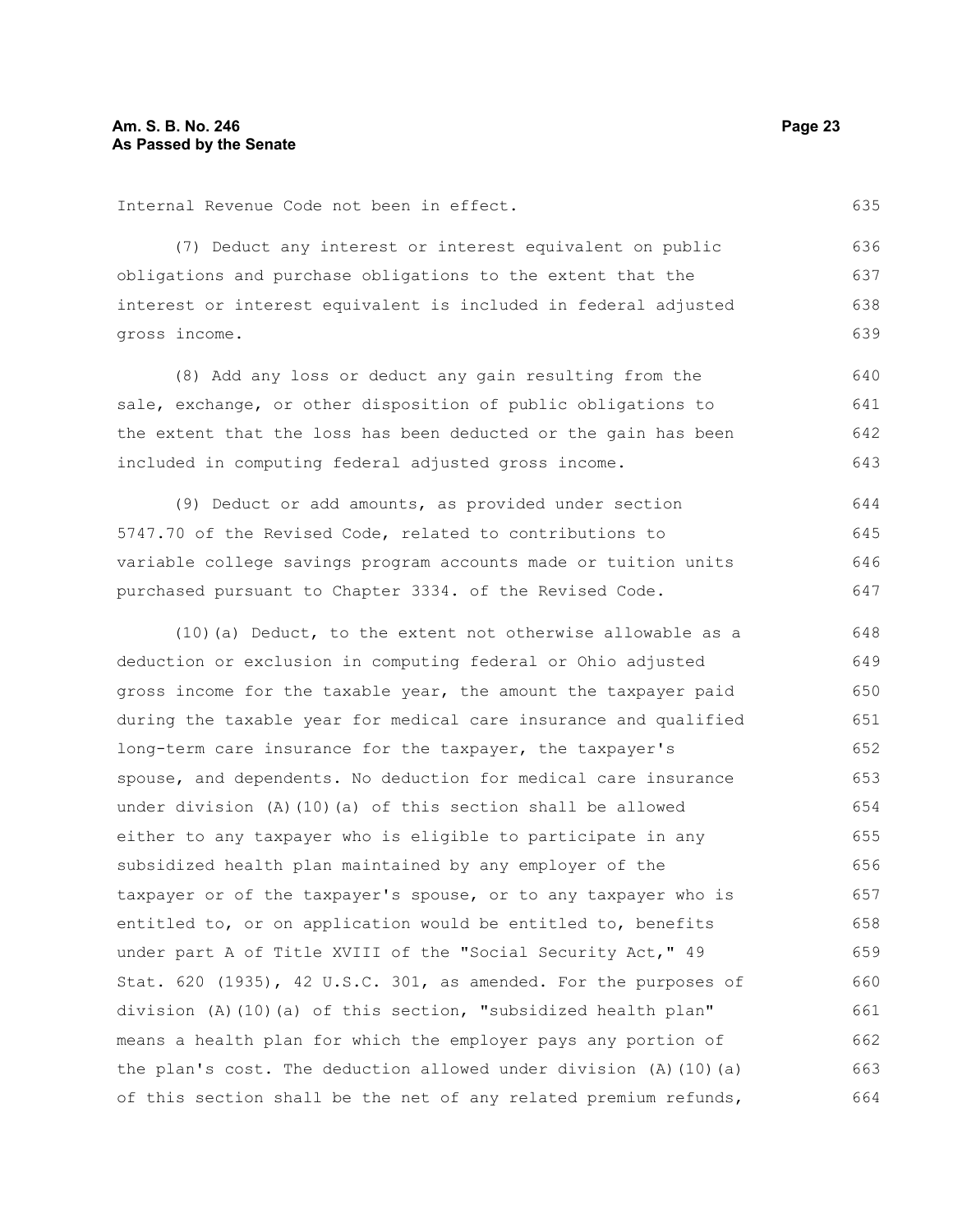635

Internal Revenue Code not been in effect.

(7) Deduct any interest or interest equivalent on public obligations and purchase obligations to the extent that the interest or interest equivalent is included in federal adjusted gross income.

(8) Add any loss or deduct any gain resulting from the sale, exchange, or other disposition of public obligations to the extent that the loss has been deducted or the gain has been included in computing federal adjusted gross income. 640 641 642 643

(9) Deduct or add amounts, as provided under section 5747.70 of the Revised Code, related to contributions to variable college savings program accounts made or tuition units purchased pursuant to Chapter 3334. of the Revised Code. 644 645 646 647

(10)(a) Deduct, to the extent not otherwise allowable as a deduction or exclusion in computing federal or Ohio adjusted gross income for the taxable year, the amount the taxpayer paid during the taxable year for medical care insurance and qualified long-term care insurance for the taxpayer, the taxpayer's spouse, and dependents. No deduction for medical care insurance under division (A)(10)(a) of this section shall be allowed either to any taxpayer who is eligible to participate in any subsidized health plan maintained by any employer of the taxpayer or of the taxpayer's spouse, or to any taxpayer who is entitled to, or on application would be entitled to, benefits under part A of Title XVIII of the "Social Security Act," 49 Stat. 620 (1935), 42 U.S.C. 301, as amended. For the purposes of division (A)(10)(a) of this section, "subsidized health plan" means a health plan for which the employer pays any portion of the plan's cost. The deduction allowed under division (A)(10)(a) of this section shall be the net of any related premium refunds, 648 649 650 651 652 653 654 655 656 657 658 659 660 661 662 663 664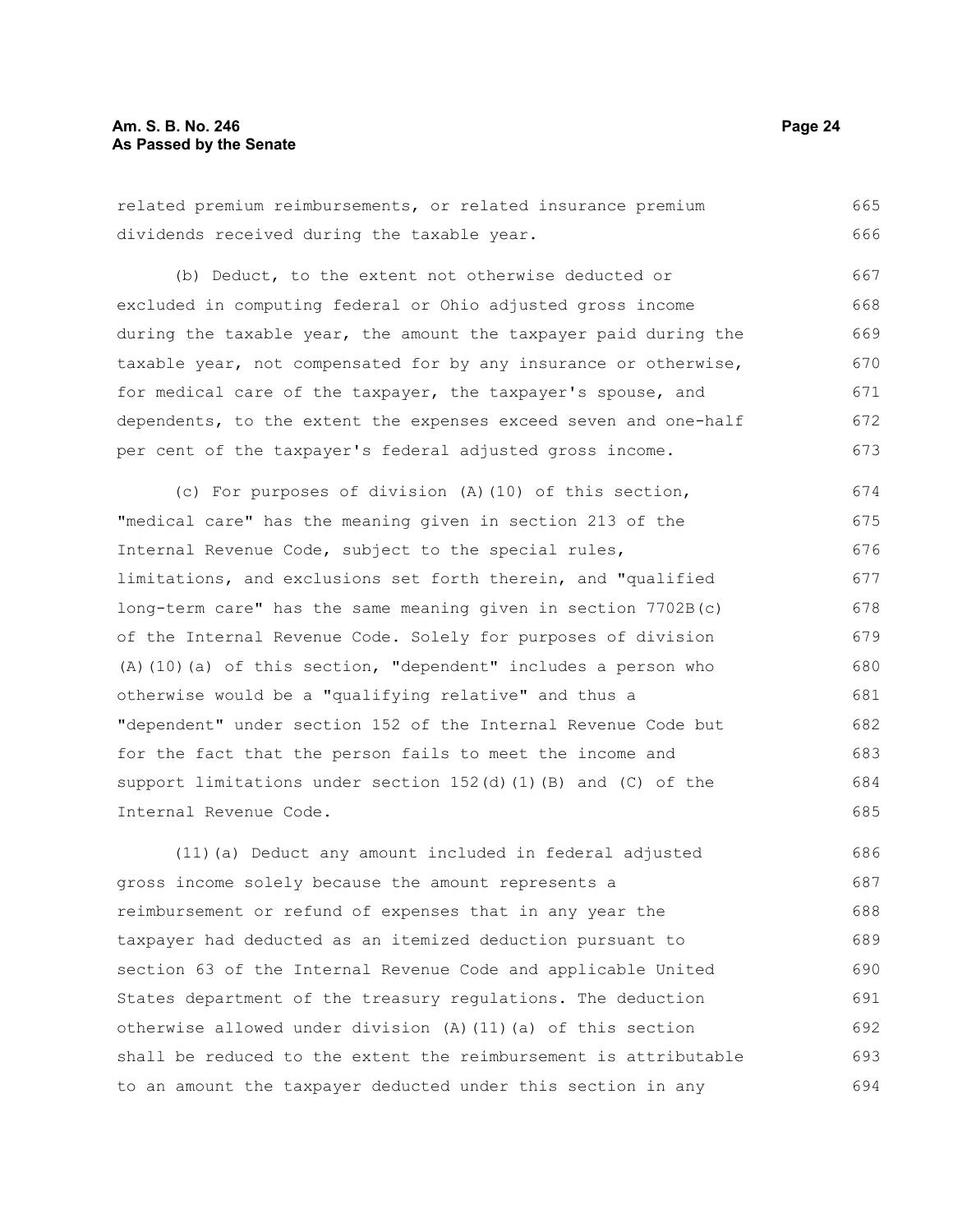related premium reimbursements, or related insurance premium dividends received during the taxable year. (b) Deduct, to the extent not otherwise deducted or excluded in computing federal or Ohio adjusted gross income 665 666 667 668

during the taxable year, the amount the taxpayer paid during the taxable year, not compensated for by any insurance or otherwise, for medical care of the taxpayer, the taxpayer's spouse, and dependents, to the extent the expenses exceed seven and one-half per cent of the taxpayer's federal adjusted gross income. 669 670 671 672 673

(c) For purposes of division (A)(10) of this section, "medical care" has the meaning given in section 213 of the Internal Revenue Code, subject to the special rules, limitations, and exclusions set forth therein, and "qualified long-term care" has the same meaning given in section 7702B(c) of the Internal Revenue Code. Solely for purposes of division (A)(10)(a) of this section, "dependent" includes a person who otherwise would be a "qualifying relative" and thus a "dependent" under section 152 of the Internal Revenue Code but for the fact that the person fails to meet the income and support limitations under section  $152(d)$  (1)(B) and (C) of the Internal Revenue Code. 674 675 676 677 678 679 680 681 682 683 684 685

(11)(a) Deduct any amount included in federal adjusted gross income solely because the amount represents a reimbursement or refund of expenses that in any year the taxpayer had deducted as an itemized deduction pursuant to section 63 of the Internal Revenue Code and applicable United States department of the treasury regulations. The deduction otherwise allowed under division (A)(11)(a) of this section shall be reduced to the extent the reimbursement is attributable to an amount the taxpayer deducted under this section in any 686 687 688 689 690 691 692 693 694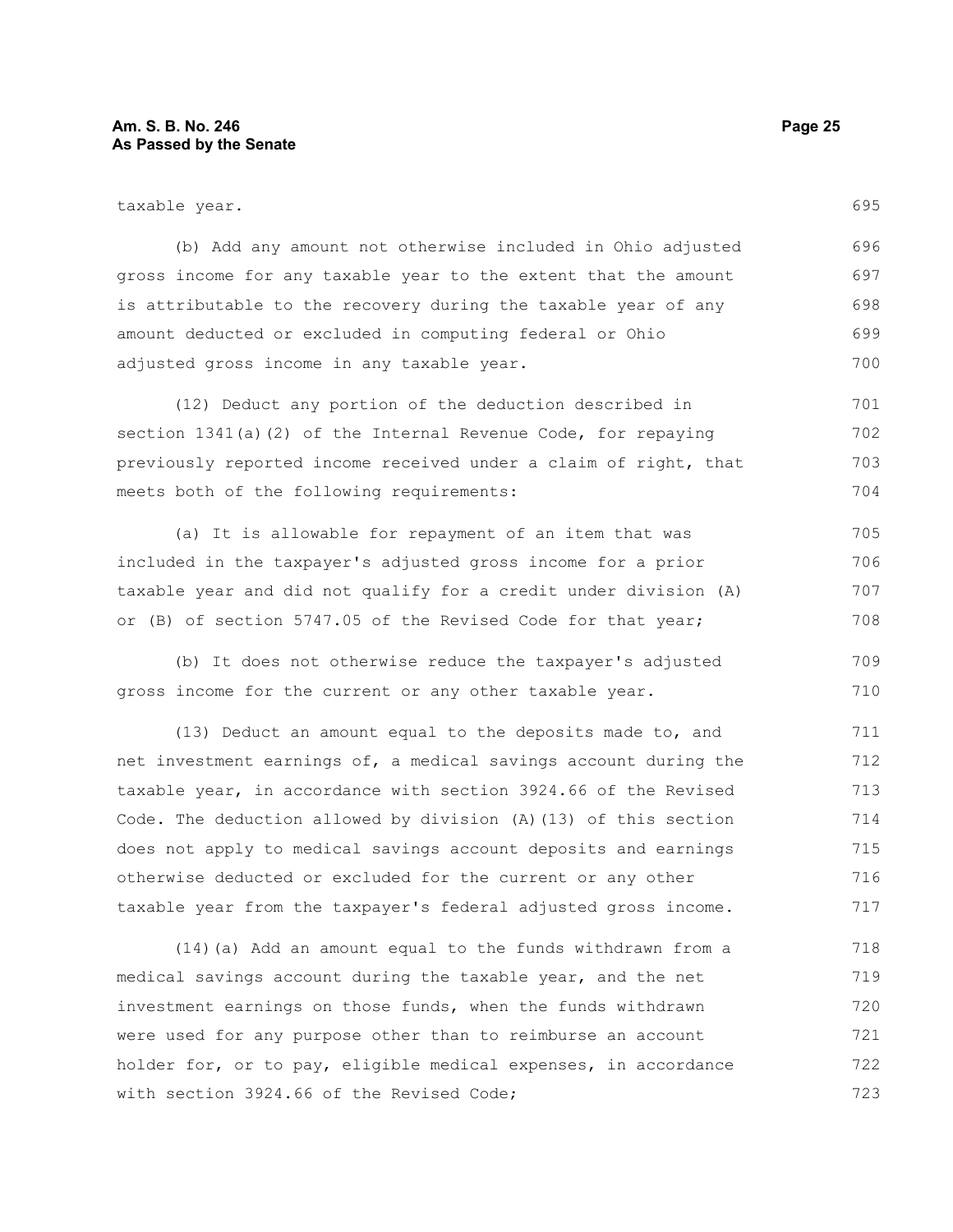(b) Add any amount not otherwise included in Ohio adjusted gross income for any taxable year to the extent that the amount is attributable to the recovery during the taxable year of any amount deducted or excluded in computing federal or Ohio adjusted gross income in any taxable year. 696 697 698 699 700

(12) Deduct any portion of the deduction described in section 1341(a)(2) of the Internal Revenue Code, for repaying previously reported income received under a claim of right, that meets both of the following requirements: 701 702 703 704

(a) It is allowable for repayment of an item that was included in the taxpayer's adjusted gross income for a prior taxable year and did not qualify for a credit under division (A) or (B) of section 5747.05 of the Revised Code for that year; 705 706 707 708

(b) It does not otherwise reduce the taxpayer's adjusted gross income for the current or any other taxable year. 709 710

(13) Deduct an amount equal to the deposits made to, and net investment earnings of, a medical savings account during the taxable year, in accordance with section 3924.66 of the Revised Code. The deduction allowed by division (A)(13) of this section does not apply to medical savings account deposits and earnings otherwise deducted or excluded for the current or any other taxable year from the taxpayer's federal adjusted gross income. 711 712 713 714 715 716 717

(14)(a) Add an amount equal to the funds withdrawn from a medical savings account during the taxable year, and the net investment earnings on those funds, when the funds withdrawn were used for any purpose other than to reimburse an account holder for, or to pay, eligible medical expenses, in accordance with section 3924.66 of the Revised Code; 718 719 720 721 722 723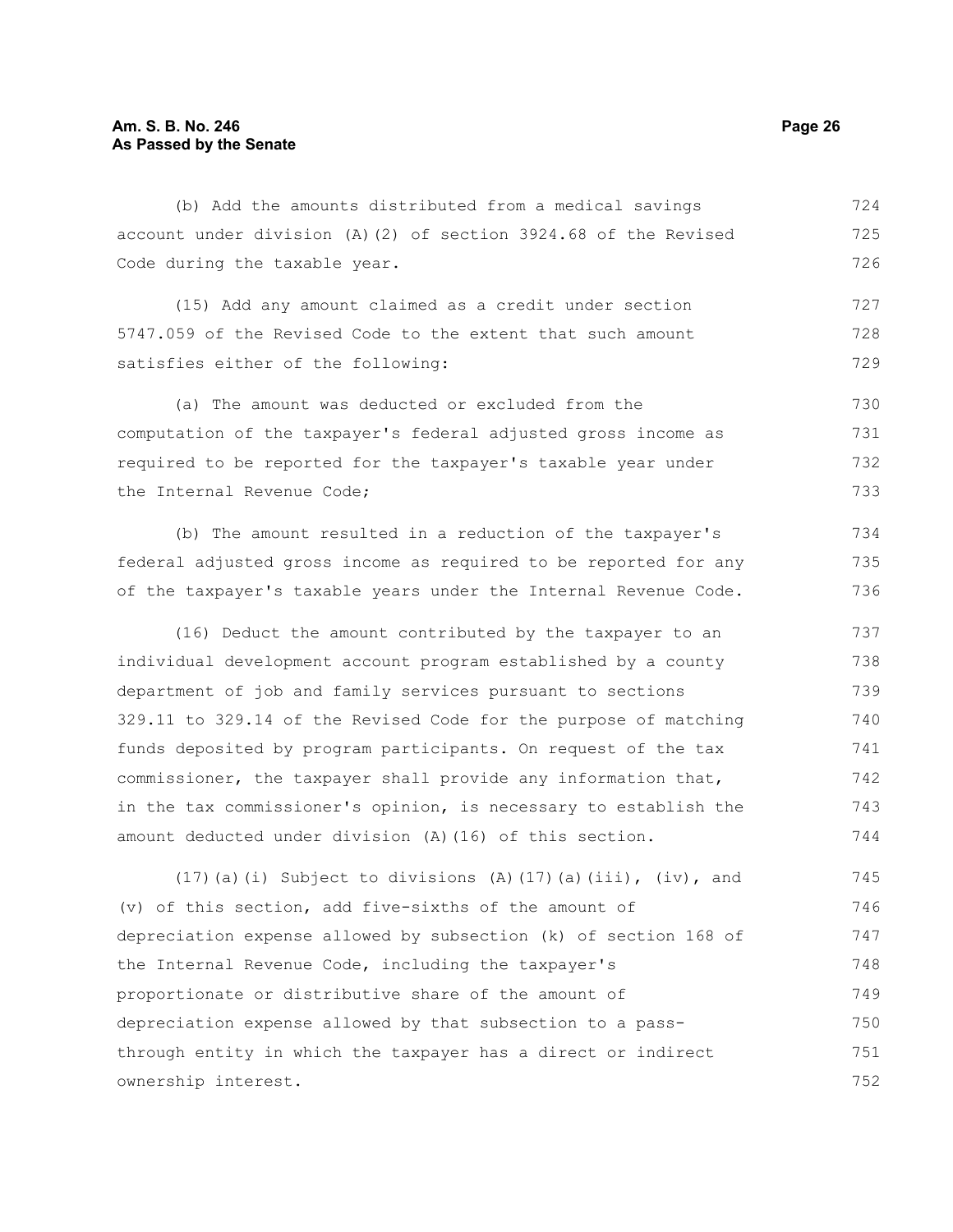(b) Add the amounts distributed from a medical savings account under division (A)(2) of section 3924.68 of the Revised Code during the taxable year. 724 725 726

(15) Add any amount claimed as a credit under section 5747.059 of the Revised Code to the extent that such amount satisfies either of the following: 727 728 729

(a) The amount was deducted or excluded from the computation of the taxpayer's federal adjusted gross income as required to be reported for the taxpayer's taxable year under the Internal Revenue Code; 730 731 732 733

(b) The amount resulted in a reduction of the taxpayer's federal adjusted gross income as required to be reported for any of the taxpayer's taxable years under the Internal Revenue Code. 734 735 736

(16) Deduct the amount contributed by the taxpayer to an individual development account program established by a county department of job and family services pursuant to sections 329.11 to 329.14 of the Revised Code for the purpose of matching funds deposited by program participants. On request of the tax commissioner, the taxpayer shall provide any information that, in the tax commissioner's opinion, is necessary to establish the amount deducted under division (A)(16) of this section. 737 738 739 740 741 742 743 744

(17)(a)(i) Subject to divisions (A)(17)(a)(iii), (iv), and (v) of this section, add five-sixths of the amount of depreciation expense allowed by subsection (k) of section 168 of the Internal Revenue Code, including the taxpayer's proportionate or distributive share of the amount of depreciation expense allowed by that subsection to a passthrough entity in which the taxpayer has a direct or indirect ownership interest. 745 746 747 748 749 750 751 752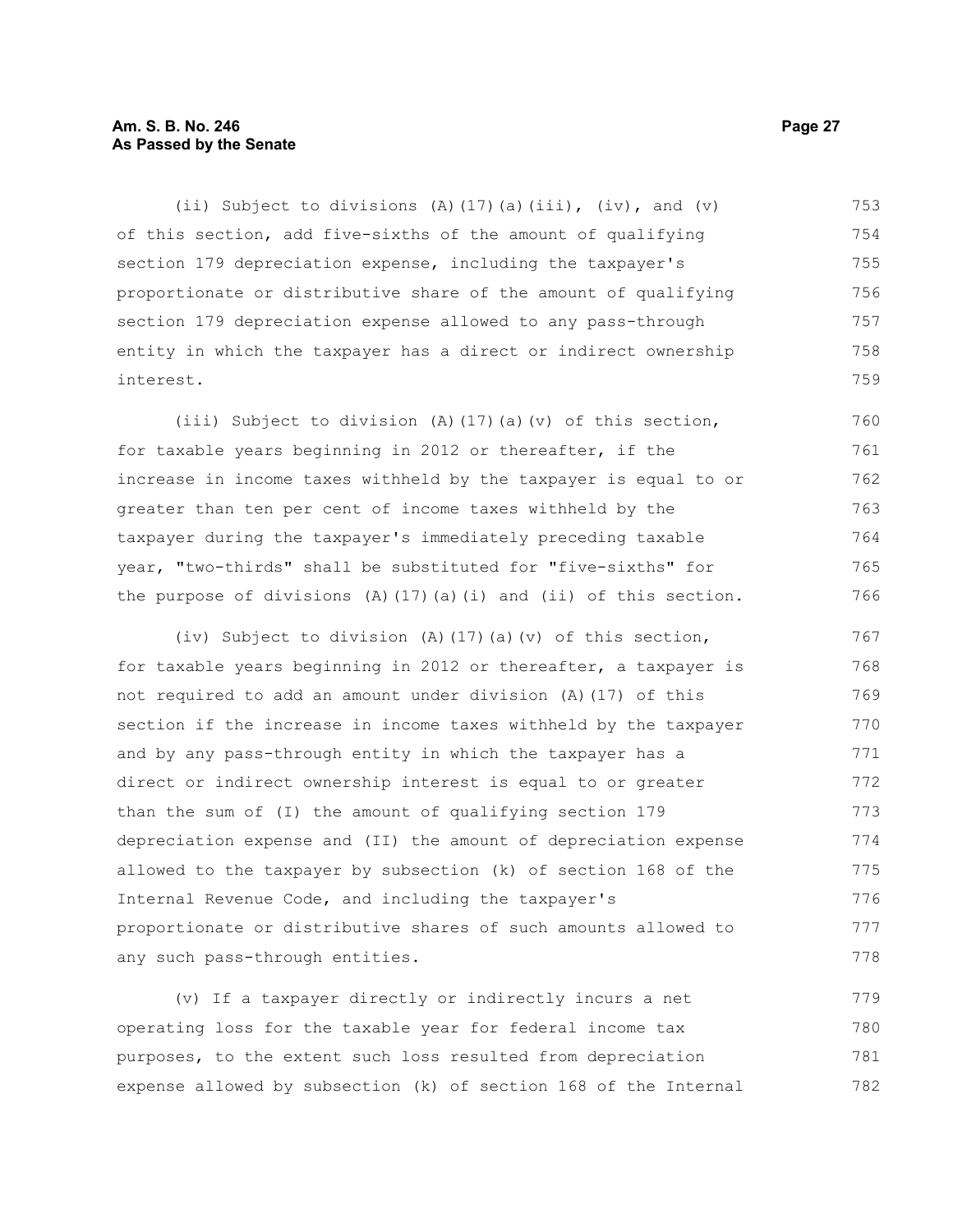#### **Am. S. B. No. 246 Page 27 As Passed by the Senate**

(ii) Subject to divisions (A)(17)(a)(iii), (iv), and (v) of this section, add five-sixths of the amount of qualifying section 179 depreciation expense, including the taxpayer's proportionate or distributive share of the amount of qualifying section 179 depreciation expense allowed to any pass-through entity in which the taxpayer has a direct or indirect ownership interest. 753 754 755 756 757 758 759

(iii) Subject to division (A)(17)(a)(v) of this section, for taxable years beginning in 2012 or thereafter, if the increase in income taxes withheld by the taxpayer is equal to or greater than ten per cent of income taxes withheld by the taxpayer during the taxpayer's immediately preceding taxable year, "two-thirds" shall be substituted for "five-sixths" for the purpose of divisions  $(A)$  (17)(a)(i) and (ii) of this section. 760 761 762 763 764 765 766

(iv) Subject to division (A)(17)(a)(v) of this section, for taxable years beginning in 2012 or thereafter, a taxpayer is not required to add an amount under division (A)(17) of this section if the increase in income taxes withheld by the taxpayer and by any pass-through entity in which the taxpayer has a direct or indirect ownership interest is equal to or greater than the sum of (I) the amount of qualifying section 179 depreciation expense and (II) the amount of depreciation expense allowed to the taxpayer by subsection (k) of section 168 of the Internal Revenue Code, and including the taxpayer's proportionate or distributive shares of such amounts allowed to any such pass-through entities. 767 768 769 770 771 772 773 774 775 776 777 778

(v) If a taxpayer directly or indirectly incurs a net operating loss for the taxable year for federal income tax purposes, to the extent such loss resulted from depreciation expense allowed by subsection (k) of section 168 of the Internal 779 780 781 782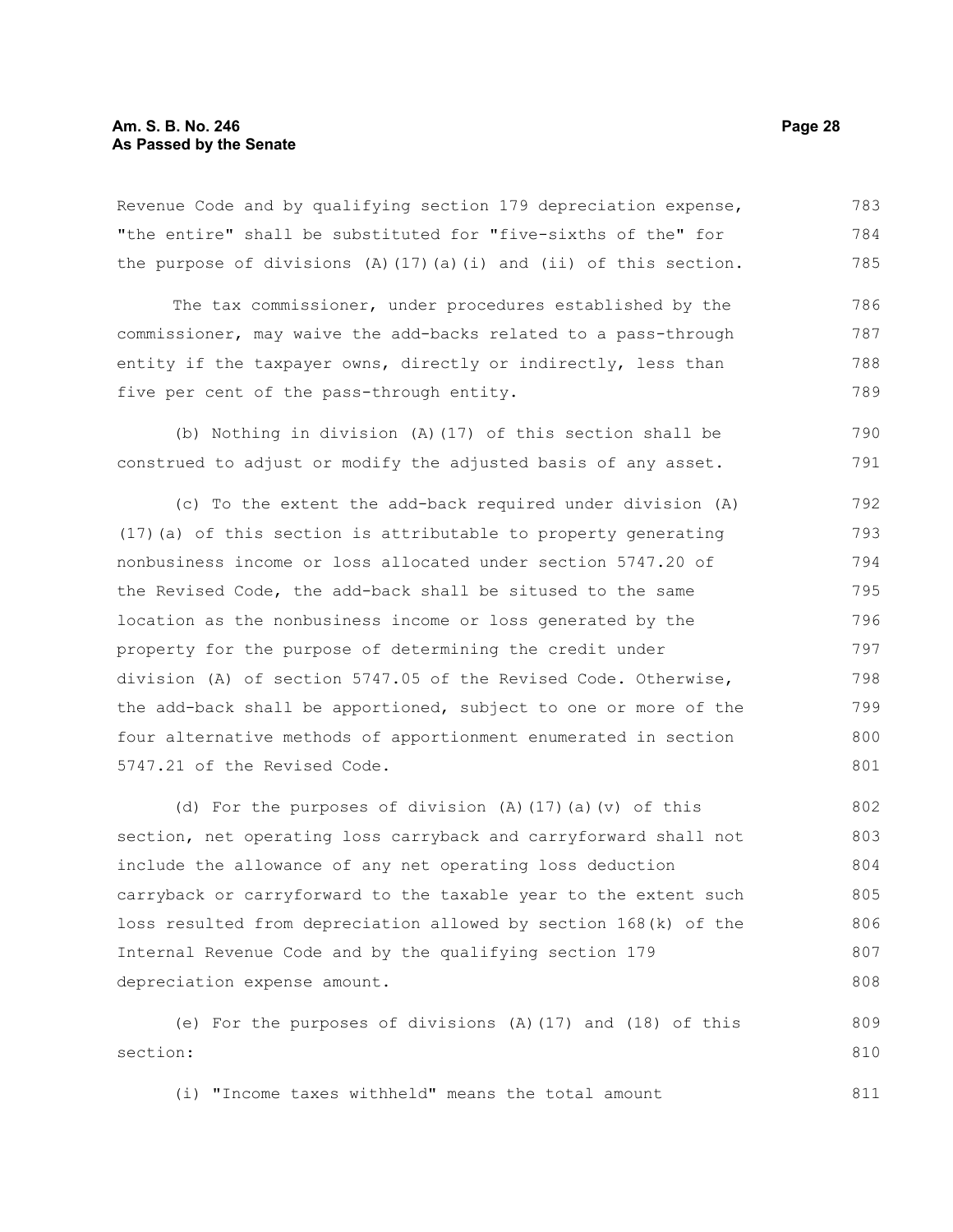Revenue Code and by qualifying section 179 depreciation expense, "the entire" shall be substituted for "five-sixths of the" for the purpose of divisions  $(A)$  (17)(a)(i) and (ii) of this section. 783 784 785

The tax commissioner, under procedures established by the commissioner, may waive the add-backs related to a pass-through entity if the taxpayer owns, directly or indirectly, less than five per cent of the pass-through entity. 786 787 788 789

(b) Nothing in division (A)(17) of this section shall be construed to adjust or modify the adjusted basis of any asset. 790 791

(c) To the extent the add-back required under division (A) (17)(a) of this section is attributable to property generating nonbusiness income or loss allocated under section 5747.20 of the Revised Code, the add-back shall be sitused to the same location as the nonbusiness income or loss generated by the property for the purpose of determining the credit under division (A) of section 5747.05 of the Revised Code. Otherwise, the add-back shall be apportioned, subject to one or more of the four alternative methods of apportionment enumerated in section 5747.21 of the Revised Code. 792 793 794 795 796 797 798 799 800 801

(d) For the purposes of division (A)(17)(a)(v) of this section, net operating loss carryback and carryforward shall not include the allowance of any net operating loss deduction carryback or carryforward to the taxable year to the extent such loss resulted from depreciation allowed by section 168(k) of the Internal Revenue Code and by the qualifying section 179 depreciation expense amount. 802 803 804 805 806 807 808

(e) For the purposes of divisions (A)(17) and (18) of this section: 809 810

(i) "Income taxes withheld" means the total amount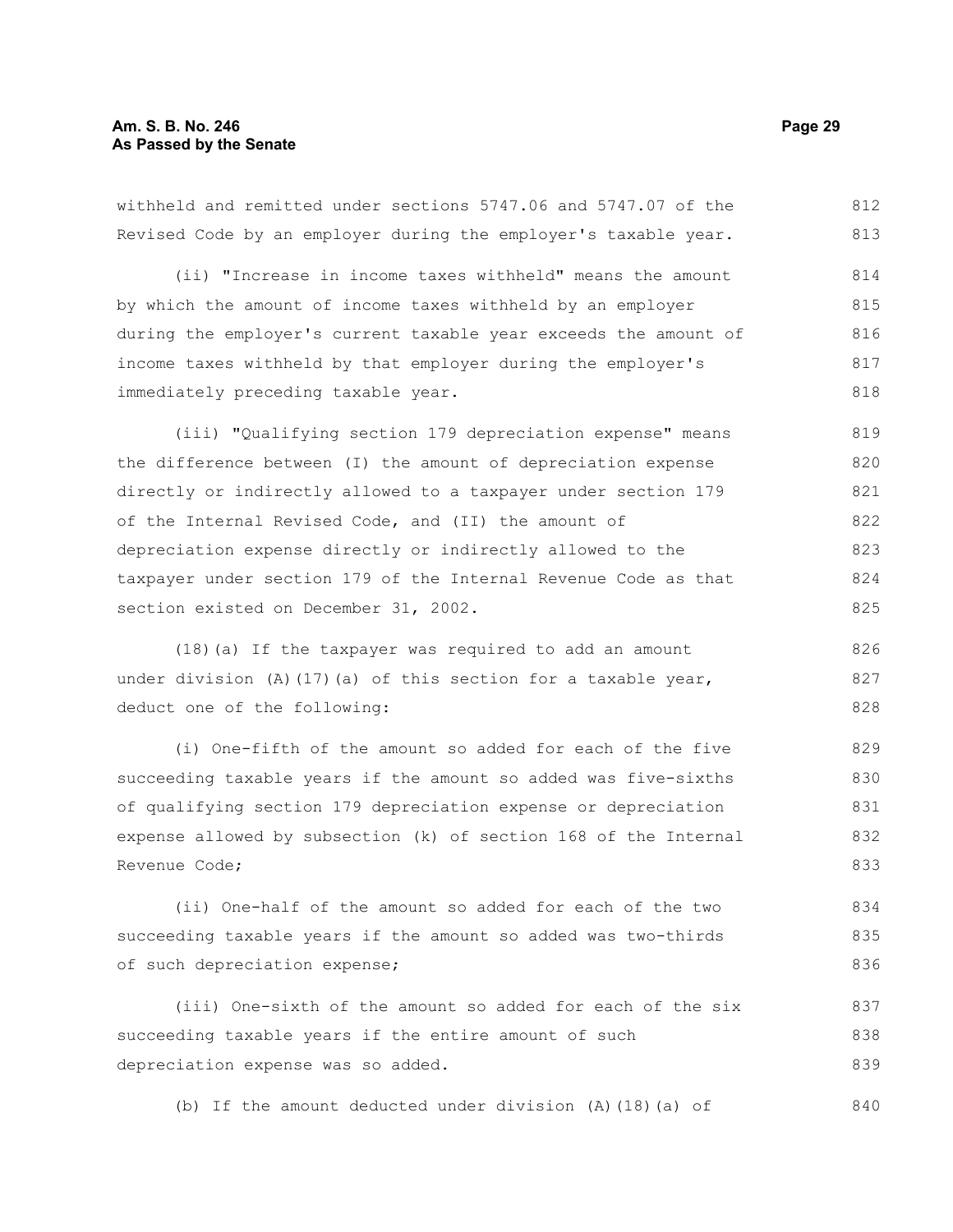withheld and remitted under sections 5747.06 and 5747.07 of the Revised Code by an employer during the employer's taxable year. 812 813

(ii) "Increase in income taxes withheld" means the amount by which the amount of income taxes withheld by an employer during the employer's current taxable year exceeds the amount of income taxes withheld by that employer during the employer's immediately preceding taxable year. 814 815 816 817 818

(iii) "Qualifying section 179 depreciation expense" means the difference between (I) the amount of depreciation expense directly or indirectly allowed to a taxpayer under section 179 of the Internal Revised Code, and (II) the amount of depreciation expense directly or indirectly allowed to the taxpayer under section 179 of the Internal Revenue Code as that section existed on December 31, 2002. 819 820 821 822 823 824 825

(18)(a) If the taxpayer was required to add an amount under division (A)(17)(a) of this section for a taxable year, deduct one of the following: 826 827 828

(i) One-fifth of the amount so added for each of the five succeeding taxable years if the amount so added was five-sixths of qualifying section 179 depreciation expense or depreciation expense allowed by subsection (k) of section 168 of the Internal Revenue Code; 829 830 831 832 833

(ii) One-half of the amount so added for each of the two succeeding taxable years if the amount so added was two-thirds of such depreciation expense; 834 835 836

(iii) One-sixth of the amount so added for each of the six succeeding taxable years if the entire amount of such depreciation expense was so added. 837 838 839

(b) If the amount deducted under division (A)(18)(a) of 840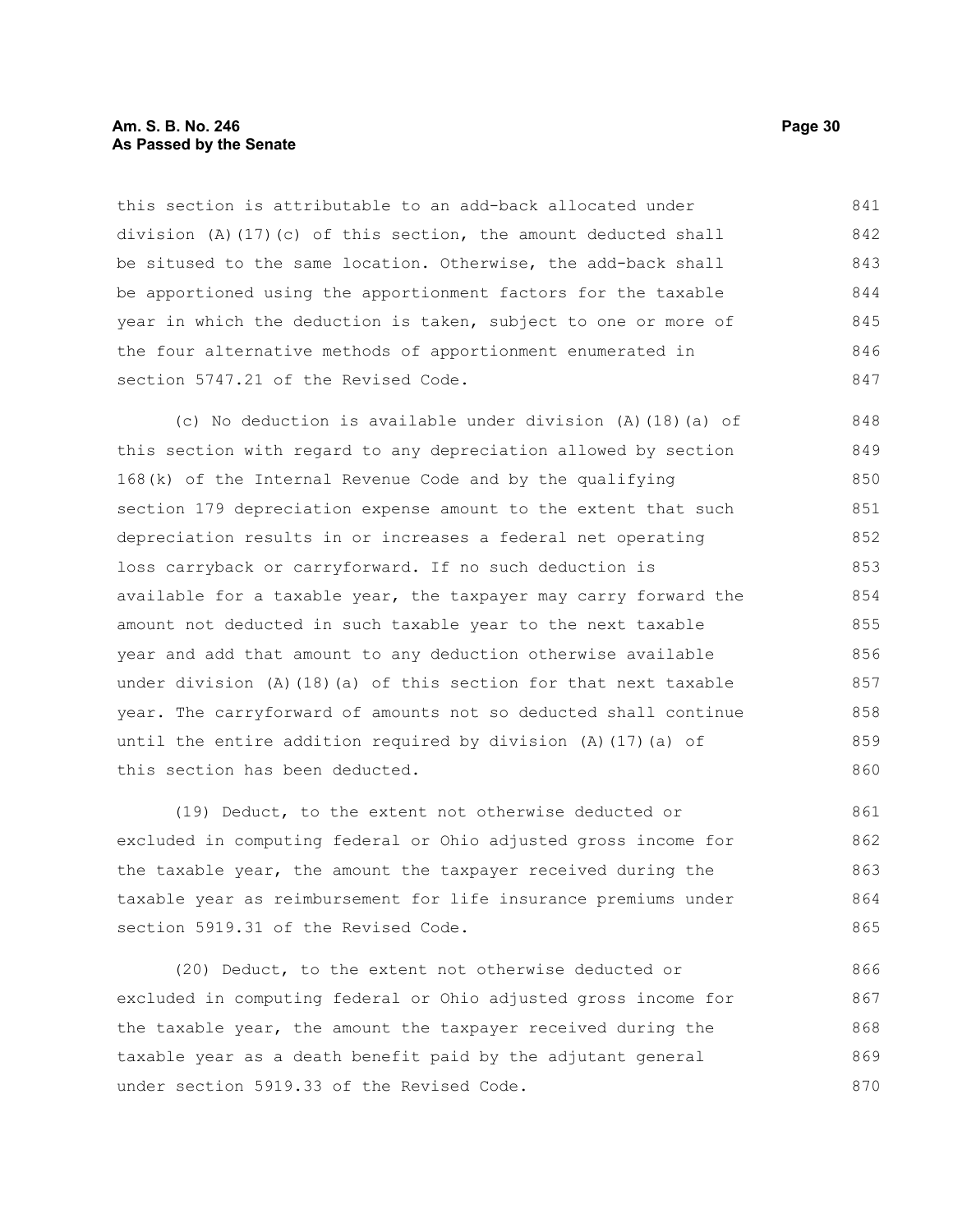#### **Am. S. B. No. 246 Page 30 As Passed by the Senate**

this section is attributable to an add-back allocated under division (A)(17)(c) of this section, the amount deducted shall be sitused to the same location. Otherwise, the add-back shall be apportioned using the apportionment factors for the taxable year in which the deduction is taken, subject to one or more of the four alternative methods of apportionment enumerated in section 5747.21 of the Revised Code. 841 842 843 844 845 846 847

(c) No deduction is available under division (A)(18)(a) of this section with regard to any depreciation allowed by section 168(k) of the Internal Revenue Code and by the qualifying section 179 depreciation expense amount to the extent that such depreciation results in or increases a federal net operating loss carryback or carryforward. If no such deduction is available for a taxable year, the taxpayer may carry forward the amount not deducted in such taxable year to the next taxable year and add that amount to any deduction otherwise available under division (A)(18)(a) of this section for that next taxable year. The carryforward of amounts not so deducted shall continue until the entire addition required by division (A)(17)(a) of this section has been deducted. 848 849 850 851 852 853 854 855 856 857 858 859 860

(19) Deduct, to the extent not otherwise deducted or excluded in computing federal or Ohio adjusted gross income for the taxable year, the amount the taxpayer received during the taxable year as reimbursement for life insurance premiums under section 5919.31 of the Revised Code. 861 862 863 864 865

(20) Deduct, to the extent not otherwise deducted or excluded in computing federal or Ohio adjusted gross income for the taxable year, the amount the taxpayer received during the taxable year as a death benefit paid by the adjutant general under section 5919.33 of the Revised Code. 866 867 868 869 870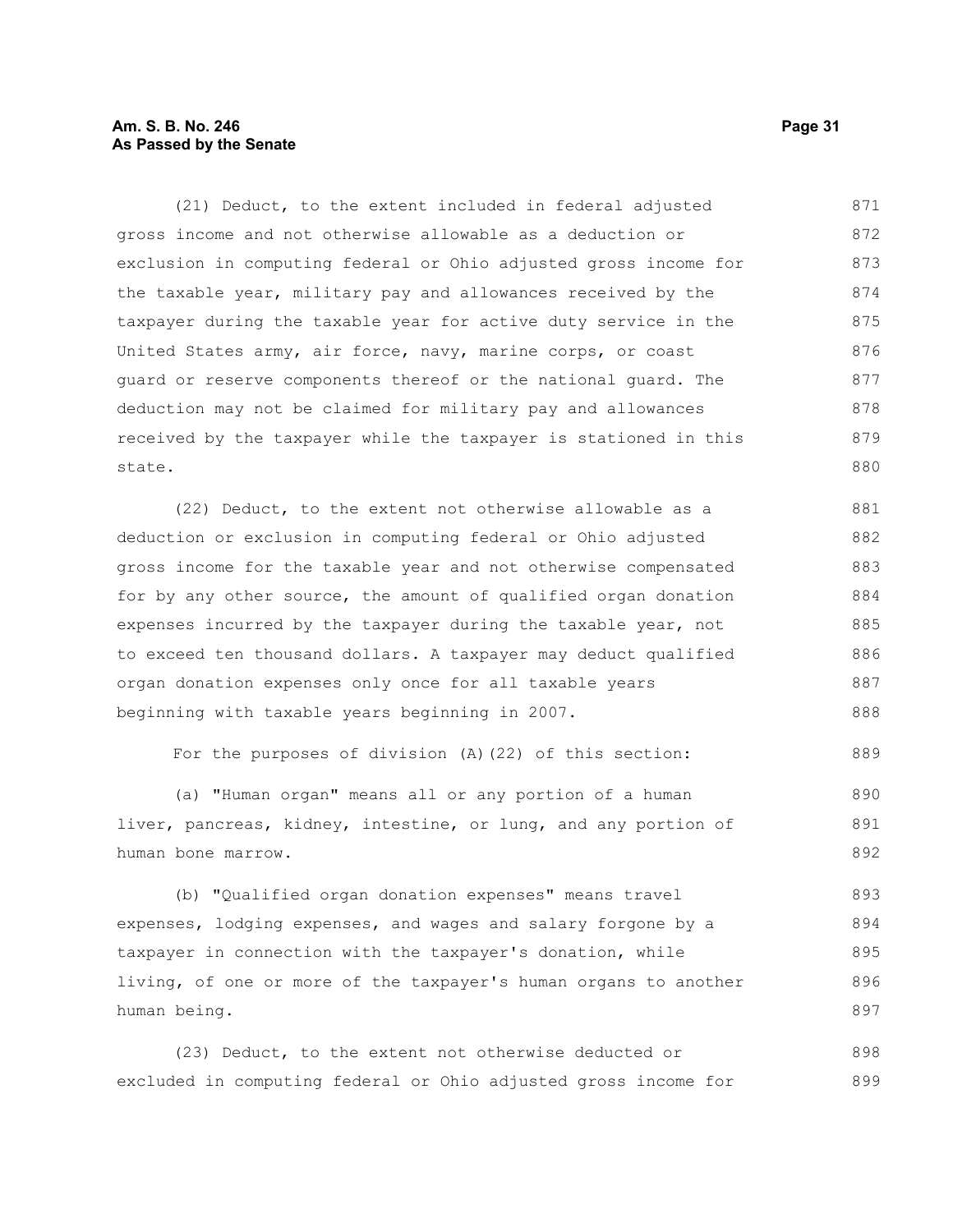#### **Am. S. B. No. 246 Page 31 As Passed by the Senate**

(21) Deduct, to the extent included in federal adjusted gross income and not otherwise allowable as a deduction or exclusion in computing federal or Ohio adjusted gross income for the taxable year, military pay and allowances received by the taxpayer during the taxable year for active duty service in the United States army, air force, navy, marine corps, or coast guard or reserve components thereof or the national guard. The deduction may not be claimed for military pay and allowances received by the taxpayer while the taxpayer is stationed in this state. 871 872 873 874 875 876 877 878 879 880

(22) Deduct, to the extent not otherwise allowable as a deduction or exclusion in computing federal or Ohio adjusted gross income for the taxable year and not otherwise compensated for by any other source, the amount of qualified organ donation expenses incurred by the taxpayer during the taxable year, not to exceed ten thousand dollars. A taxpayer may deduct qualified organ donation expenses only once for all taxable years beginning with taxable years beginning in 2007. 881 882 883 884 885 886 887 888

For the purposes of division (A)(22) of this section: 889

(a) "Human organ" means all or any portion of a human liver, pancreas, kidney, intestine, or lung, and any portion of human bone marrow. 890 891 892

(b) "Qualified organ donation expenses" means travel expenses, lodging expenses, and wages and salary forgone by a taxpayer in connection with the taxpayer's donation, while living, of one or more of the taxpayer's human organs to another human being. 893 894 895 896 897

(23) Deduct, to the extent not otherwise deducted or excluded in computing federal or Ohio adjusted gross income for 898 899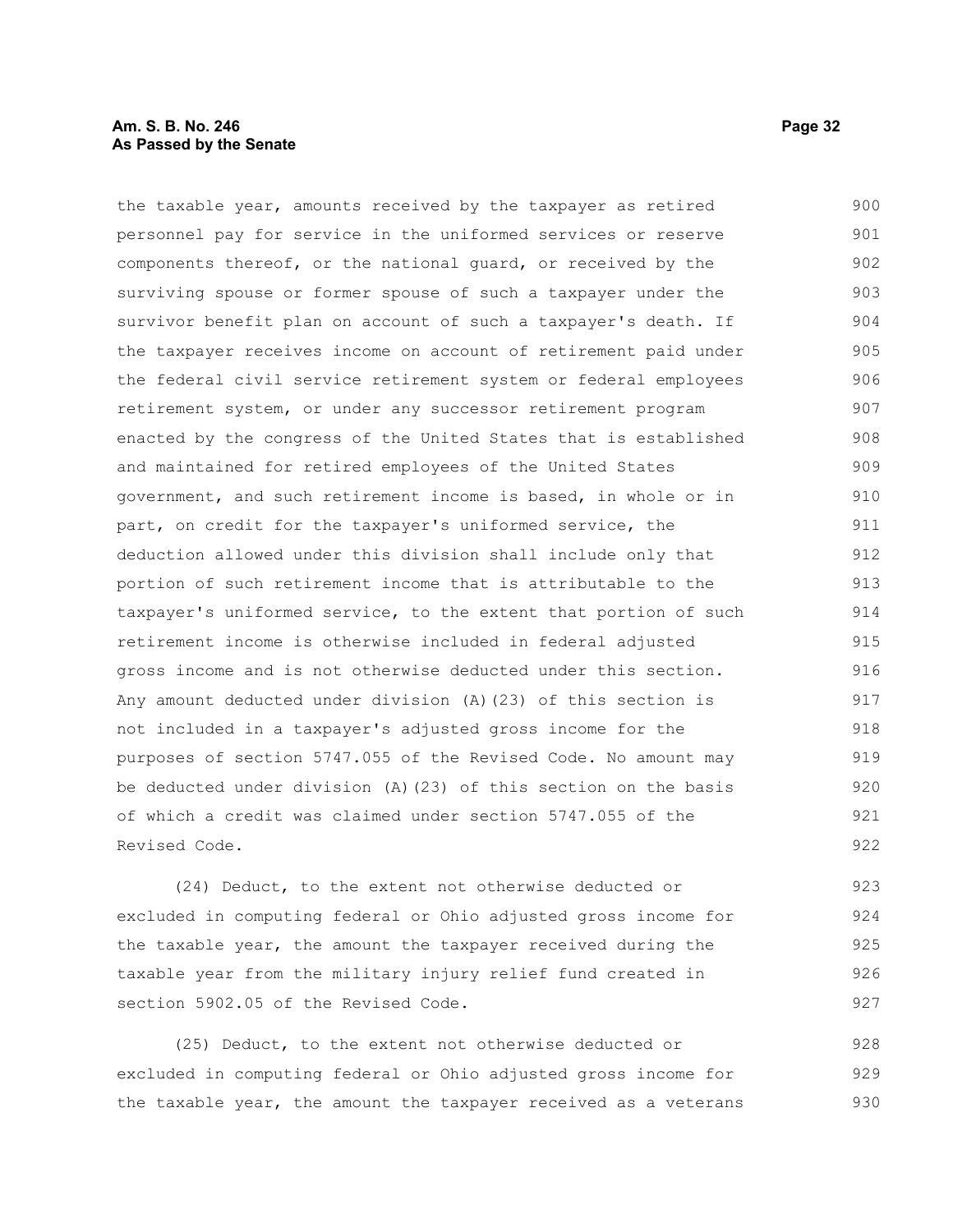#### **Am. S. B. No. 246 Page 32 As Passed by the Senate**

the taxable year, amounts received by the taxpayer as retired personnel pay for service in the uniformed services or reserve components thereof, or the national guard, or received by the surviving spouse or former spouse of such a taxpayer under the survivor benefit plan on account of such a taxpayer's death. If the taxpayer receives income on account of retirement paid under the federal civil service retirement system or federal employees retirement system, or under any successor retirement program enacted by the congress of the United States that is established and maintained for retired employees of the United States government, and such retirement income is based, in whole or in part, on credit for the taxpayer's uniformed service, the deduction allowed under this division shall include only that portion of such retirement income that is attributable to the taxpayer's uniformed service, to the extent that portion of such retirement income is otherwise included in federal adjusted gross income and is not otherwise deducted under this section. Any amount deducted under division (A)(23) of this section is not included in a taxpayer's adjusted gross income for the purposes of section 5747.055 of the Revised Code. No amount may be deducted under division (A)(23) of this section on the basis of which a credit was claimed under section 5747.055 of the Revised Code. 900 901 902 903 904 905 906 907 908 909 910 911 912 913 914 915 916 917 918 919 920 921 922

(24) Deduct, to the extent not otherwise deducted or excluded in computing federal or Ohio adjusted gross income for the taxable year, the amount the taxpayer received during the taxable year from the military injury relief fund created in section 5902.05 of the Revised Code. 923 924 925 926 927

(25) Deduct, to the extent not otherwise deducted or excluded in computing federal or Ohio adjusted gross income for the taxable year, the amount the taxpayer received as a veterans 928 929 930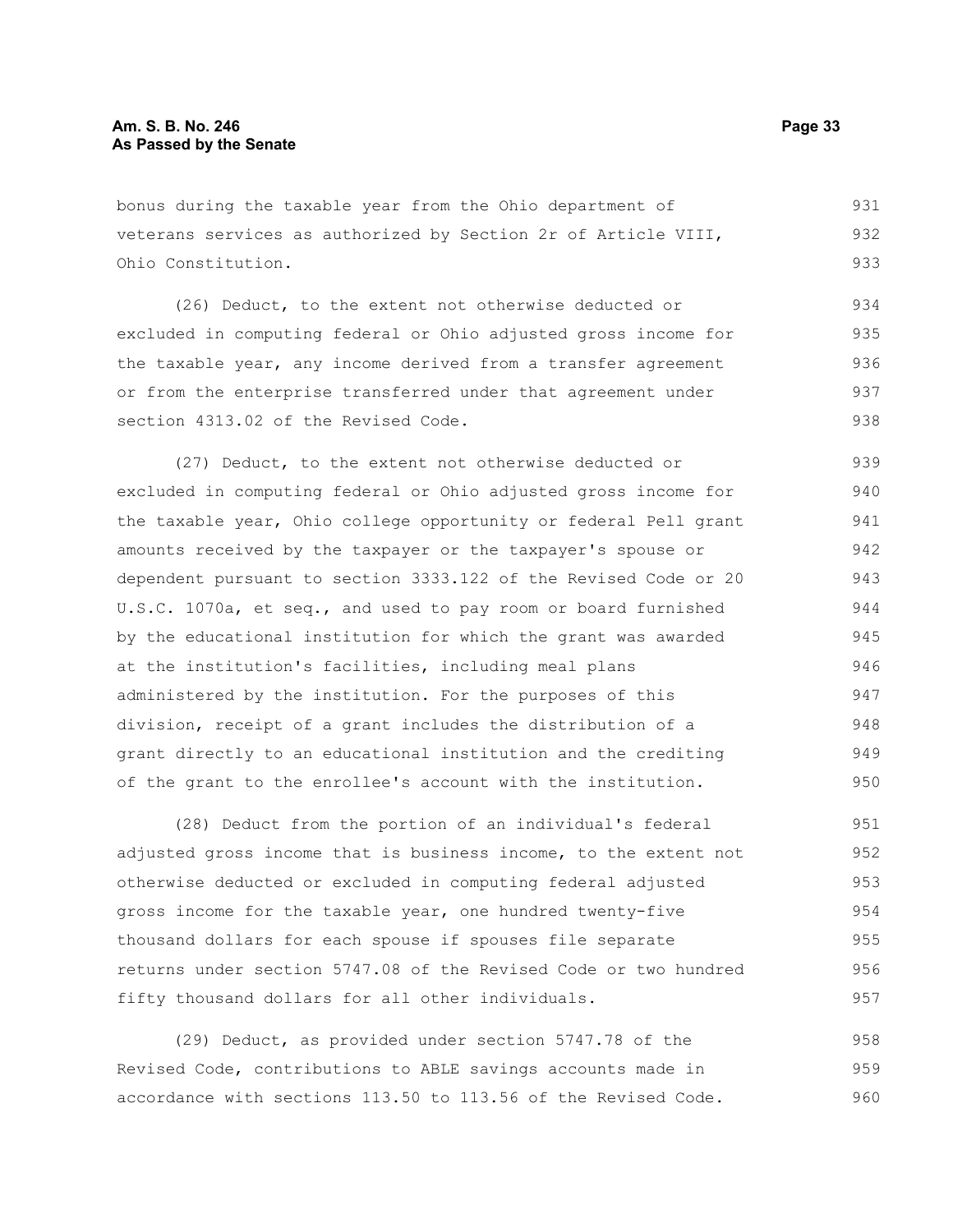bonus during the taxable year from the Ohio department of veterans services as authorized by Section 2r of Article VIII, Ohio Constitution. 931 932 933

(26) Deduct, to the extent not otherwise deducted or excluded in computing federal or Ohio adjusted gross income for the taxable year, any income derived from a transfer agreement or from the enterprise transferred under that agreement under section 4313.02 of the Revised Code. 934 935 936 937 938

(27) Deduct, to the extent not otherwise deducted or excluded in computing federal or Ohio adjusted gross income for the taxable year, Ohio college opportunity or federal Pell grant amounts received by the taxpayer or the taxpayer's spouse or dependent pursuant to section 3333.122 of the Revised Code or 20 U.S.C. 1070a, et seq., and used to pay room or board furnished by the educational institution for which the grant was awarded at the institution's facilities, including meal plans administered by the institution. For the purposes of this division, receipt of a grant includes the distribution of a grant directly to an educational institution and the crediting of the grant to the enrollee's account with the institution. 939 940 941 942 943 944 945 946 947 948 949 950

(28) Deduct from the portion of an individual's federal adjusted gross income that is business income, to the extent not otherwise deducted or excluded in computing federal adjusted gross income for the taxable year, one hundred twenty-five thousand dollars for each spouse if spouses file separate returns under section 5747.08 of the Revised Code or two hundred fifty thousand dollars for all other individuals. 951 952 953 954 955 956 957

(29) Deduct, as provided under section 5747.78 of the Revised Code, contributions to ABLE savings accounts made in accordance with sections 113.50 to 113.56 of the Revised Code. 958 959 960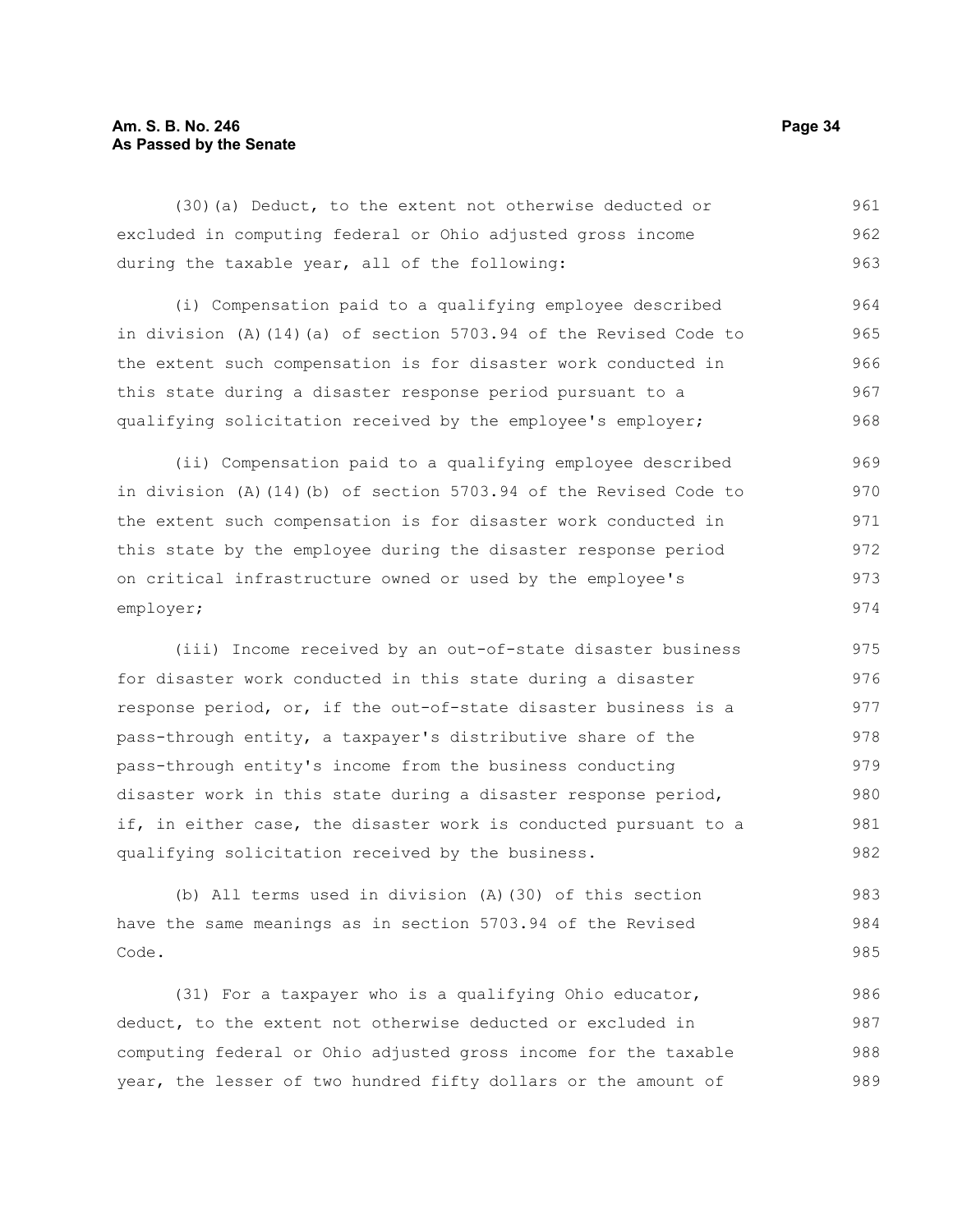#### **Am. S. B. No. 246 Page 34 As Passed by the Senate**

(30)(a) Deduct, to the extent not otherwise deducted or excluded in computing federal or Ohio adjusted gross income during the taxable year, all of the following: 961 962 963

(i) Compensation paid to a qualifying employee described in division (A)(14)(a) of section 5703.94 of the Revised Code to the extent such compensation is for disaster work conducted in this state during a disaster response period pursuant to a qualifying solicitation received by the employee's employer; 964 965 966 967 968

(ii) Compensation paid to a qualifying employee described in division (A)(14)(b) of section 5703.94 of the Revised Code to the extent such compensation is for disaster work conducted in this state by the employee during the disaster response period on critical infrastructure owned or used by the employee's employer; 969 970 971 972 973 974

(iii) Income received by an out-of-state disaster business for disaster work conducted in this state during a disaster response period, or, if the out-of-state disaster business is a pass-through entity, a taxpayer's distributive share of the pass-through entity's income from the business conducting disaster work in this state during a disaster response period, if, in either case, the disaster work is conducted pursuant to a qualifying solicitation received by the business. 975 976 977 978 979 980 981 982

(b) All terms used in division (A)(30) of this section have the same meanings as in section 5703.94 of the Revised Code. 983 984 985

(31) For a taxpayer who is a qualifying Ohio educator, deduct, to the extent not otherwise deducted or excluded in computing federal or Ohio adjusted gross income for the taxable year, the lesser of two hundred fifty dollars or the amount of 986 987 988 989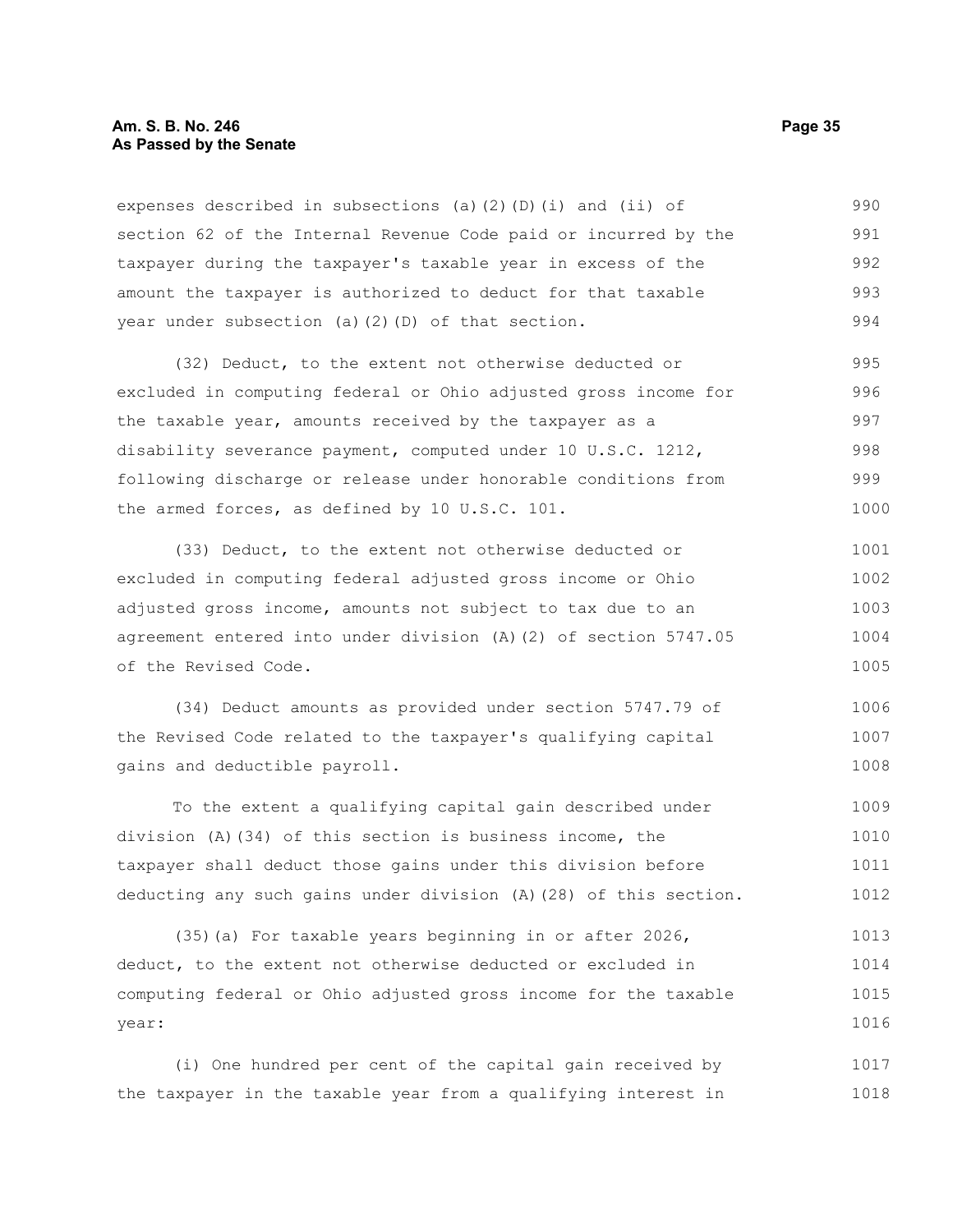#### **Am. S. B. No. 246 Page 35 As Passed by the Senate**

expenses described in subsections (a)(2)(D)(i) and (ii) of section 62 of the Internal Revenue Code paid or incurred by the taxpayer during the taxpayer's taxable year in excess of the amount the taxpayer is authorized to deduct for that taxable year under subsection (a)(2)(D) of that section. 990 991 992 993 994

(32) Deduct, to the extent not otherwise deducted or excluded in computing federal or Ohio adjusted gross income for the taxable year, amounts received by the taxpayer as a disability severance payment, computed under 10 U.S.C. 1212, following discharge or release under honorable conditions from the armed forces, as defined by 10 U.S.C. 101. 995 996 997 998 999 1000

(33) Deduct, to the extent not otherwise deducted or excluded in computing federal adjusted gross income or Ohio adjusted gross income, amounts not subject to tax due to an agreement entered into under division (A)(2) of section 5747.05 of the Revised Code. 1001 1002 1003 1004 1005

(34) Deduct amounts as provided under section 5747.79 of the Revised Code related to the taxpayer's qualifying capital gains and deductible payroll. 1006 1007 1008

To the extent a qualifying capital gain described under division (A)(34) of this section is business income, the taxpayer shall deduct those gains under this division before deducting any such gains under division (A)(28) of this section. 1009 1010 1011 1012

(35)(a) For taxable years beginning in or after 2026, deduct, to the extent not otherwise deducted or excluded in computing federal or Ohio adjusted gross income for the taxable year: 1013 1014 1015 1016

(i) One hundred per cent of the capital gain received by the taxpayer in the taxable year from a qualifying interest in 1017 1018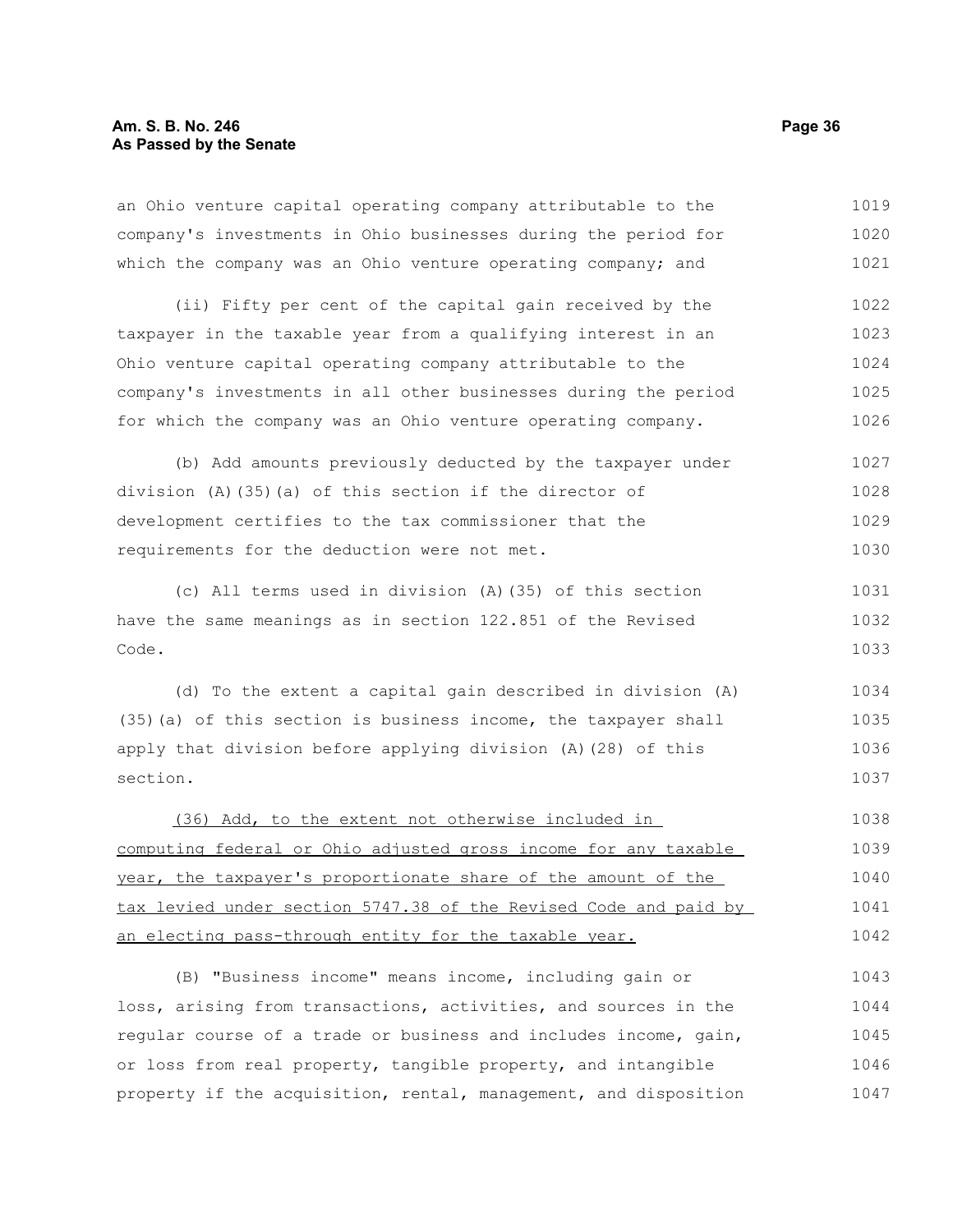| an Ohio venture capital operating company attributable to the    | 1019 |
|------------------------------------------------------------------|------|
| company's investments in Ohio businesses during the period for   | 1020 |
| which the company was an Ohio venture operating company; and     | 1021 |
| (ii) Fifty per cent of the capital gain received by the          | 1022 |
| taxpayer in the taxable year from a qualifying interest in an    | 1023 |
| Ohio venture capital operating company attributable to the       | 1024 |
| company's investments in all other businesses during the period  | 1025 |
| for which the company was an Ohio venture operating company.     | 1026 |
| (b) Add amounts previously deducted by the taxpayer under        | 1027 |
| division $(A)$ (35) (a) of this section if the director of       | 1028 |
| development certifies to the tax commissioner that the           |      |
| requirements for the deduction were not met.                     |      |
| (c) All terms used in division (A) (35) of this section          | 1031 |
| have the same meanings as in section 122.851 of the Revised      |      |
| Code.                                                            | 1033 |
| (d) To the extent a capital gain described in division (A)       | 1034 |
| (35) (a) of this section is business income, the taxpayer shall  | 1035 |
| apply that division before applying division (A) (28) of this    | 1036 |
| section.                                                         | 1037 |
| (36) Add, to the extent not otherwise included in                | 1038 |
| computing federal or Ohio adjusted gross income for any taxable  |      |
| year, the taxpayer's proportionate share of the amount of the    | 1040 |
| tax levied under section 5747.38 of the Revised Code and paid by | 1041 |

an electing pass-through entity for the taxable year. 1042

(B) "Business income" means income, including gain or loss, arising from transactions, activities, and sources in the regular course of a trade or business and includes income, gain, or loss from real property, tangible property, and intangible property if the acquisition, rental, management, and disposition 1043 1044 1045 1046 1047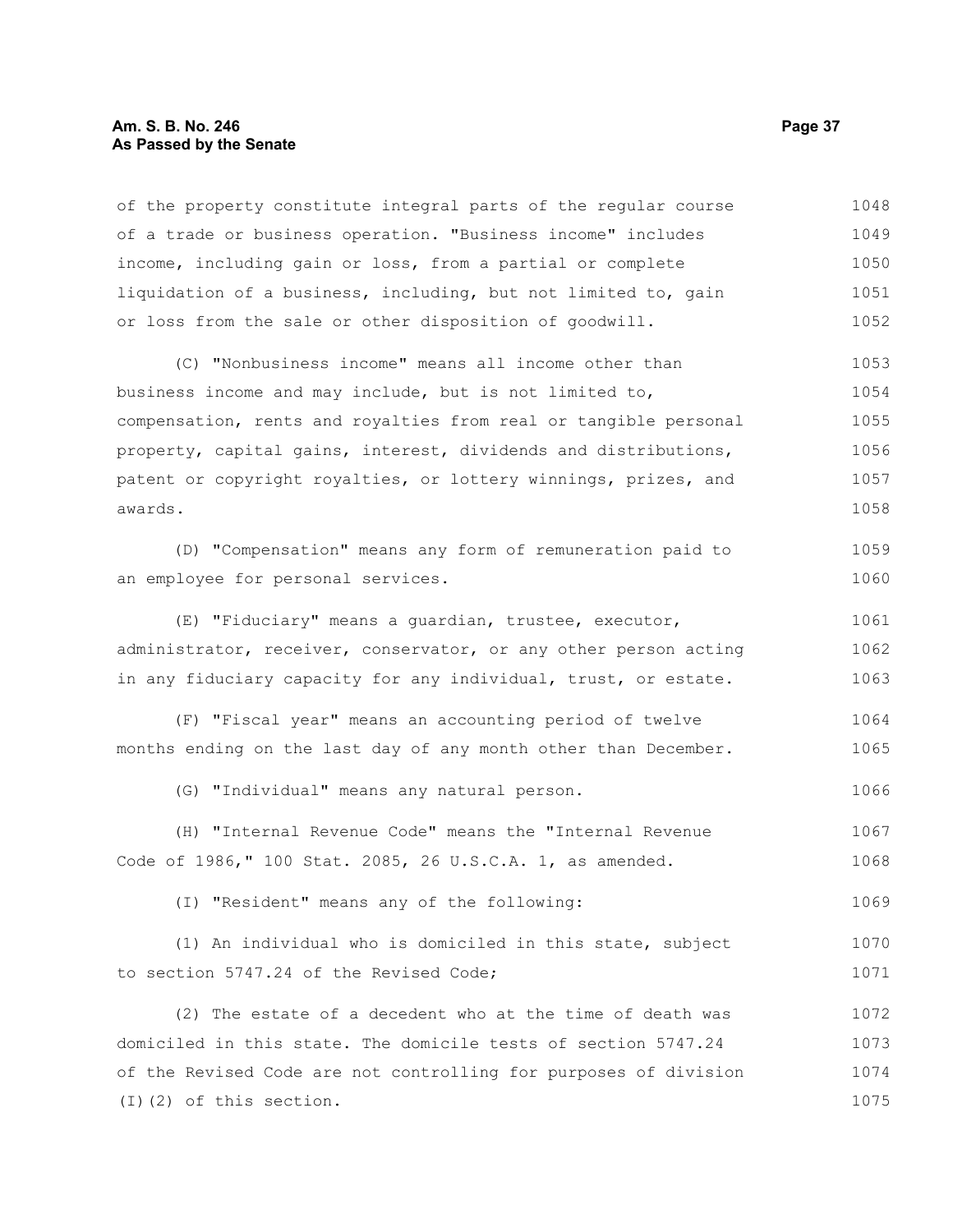#### **Am. S. B. No. 246 Page 37 As Passed by the Senate**

of the property constitute integral parts of the regular course of a trade or business operation. "Business income" includes income, including gain or loss, from a partial or complete liquidation of a business, including, but not limited to, gain or loss from the sale or other disposition of goodwill. 1048 1049 1050 1051 1052

(C) "Nonbusiness income" means all income other than business income and may include, but is not limited to, compensation, rents and royalties from real or tangible personal property, capital gains, interest, dividends and distributions, patent or copyright royalties, or lottery winnings, prizes, and awards. 1053 1054 1055 1056 1057 1058

(D) "Compensation" means any form of remuneration paid to an employee for personal services. 1059 1060

(E) "Fiduciary" means a guardian, trustee, executor, administrator, receiver, conservator, or any other person acting in any fiduciary capacity for any individual, trust, or estate. 1061 1062 1063

(F) "Fiscal year" means an accounting period of twelve months ending on the last day of any month other than December. 1064 1065

(G) "Individual" means any natural person. 1066

(H) "Internal Revenue Code" means the "Internal Revenue Code of 1986," 100 Stat. 2085, 26 U.S.C.A. 1, as amended. 1067 1068

(I) "Resident" means any of the following: 1069

(1) An individual who is domiciled in this state, subject to section 5747.24 of the Revised Code; 1070 1071

(2) The estate of a decedent who at the time of death was domiciled in this state. The domicile tests of section 5747.24 of the Revised Code are not controlling for purposes of division (I)(2) of this section. 1072 1073 1074 1075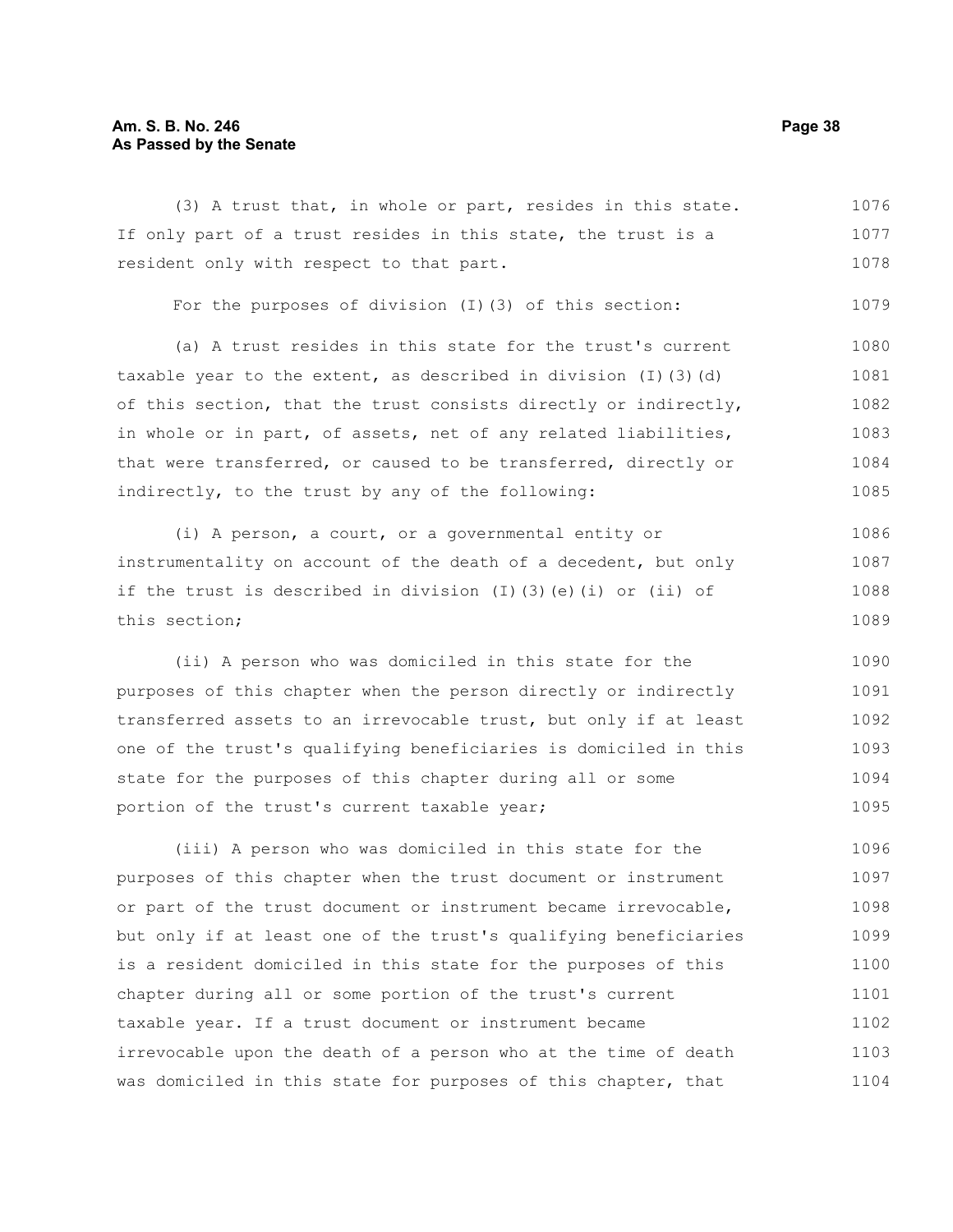#### **Am. S. B. No. 246 Page 38 As Passed by the Senate**

(3) A trust that, in whole or part, resides in this state. If only part of a trust resides in this state, the trust is a resident only with respect to that part. For the purposes of division (I)(3) of this section: (a) A trust resides in this state for the trust's current taxable year to the extent, as described in division  $(I)$  (3)(d) of this section, that the trust consists directly or indirectly, in whole or in part, of assets, net of any related liabilities, that were transferred, or caused to be transferred, directly or 1076 1077 1078 1079 1080 1081 1082 1083 1084

(i) A person, a court, or a governmental entity or instrumentality on account of the death of a decedent, but only if the trust is described in division (I)(3)(e)(i) or (ii) of this section; 1086 1087 1088 1089

indirectly, to the trust by any of the following:

(ii) A person who was domiciled in this state for the purposes of this chapter when the person directly or indirectly transferred assets to an irrevocable trust, but only if at least one of the trust's qualifying beneficiaries is domiciled in this state for the purposes of this chapter during all or some portion of the trust's current taxable year; 1090 1091 1092 1093 1094 1095

(iii) A person who was domiciled in this state for the purposes of this chapter when the trust document or instrument or part of the trust document or instrument became irrevocable, but only if at least one of the trust's qualifying beneficiaries is a resident domiciled in this state for the purposes of this chapter during all or some portion of the trust's current taxable year. If a trust document or instrument became irrevocable upon the death of a person who at the time of death was domiciled in this state for purposes of this chapter, that 1096 1097 1098 1099 1100 1101 1102 1103 1104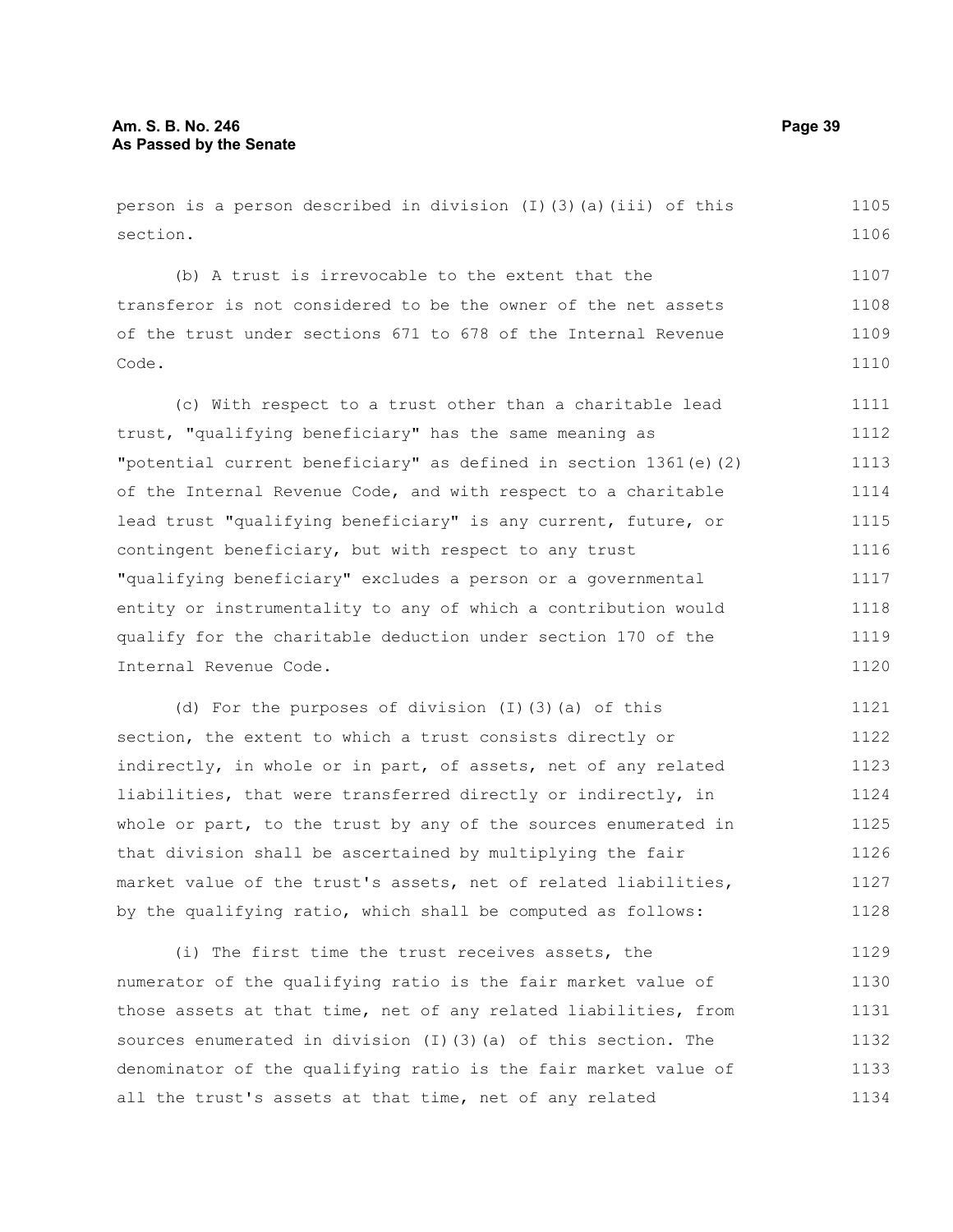person is a person described in division  $(I)$  (3)(a)(iii) of this section.

(b) A trust is irrevocable to the extent that the transferor is not considered to be the owner of the net assets of the trust under sections 671 to 678 of the Internal Revenue Code. 1107 1108 1109 1110

(c) With respect to a trust other than a charitable lead trust, "qualifying beneficiary" has the same meaning as "potential current beneficiary" as defined in section 1361(e)(2) of the Internal Revenue Code, and with respect to a charitable lead trust "qualifying beneficiary" is any current, future, or contingent beneficiary, but with respect to any trust "qualifying beneficiary" excludes a person or a governmental entity or instrumentality to any of which a contribution would qualify for the charitable deduction under section 170 of the Internal Revenue Code. 1111 1112 1113 1114 1115 1116 1117 1118 1119 1120

(d) For the purposes of division (I)(3)(a) of this section, the extent to which a trust consists directly or indirectly, in whole or in part, of assets, net of any related liabilities, that were transferred directly or indirectly, in whole or part, to the trust by any of the sources enumerated in that division shall be ascertained by multiplying the fair market value of the trust's assets, net of related liabilities, by the qualifying ratio, which shall be computed as follows: 1121 1122 1123 1124 1125 1126 1127 1128

(i) The first time the trust receives assets, the numerator of the qualifying ratio is the fair market value of those assets at that time, net of any related liabilities, from sources enumerated in division (I)(3)(a) of this section. The denominator of the qualifying ratio is the fair market value of all the trust's assets at that time, net of any related 1129 1130 1131 1132 1133 1134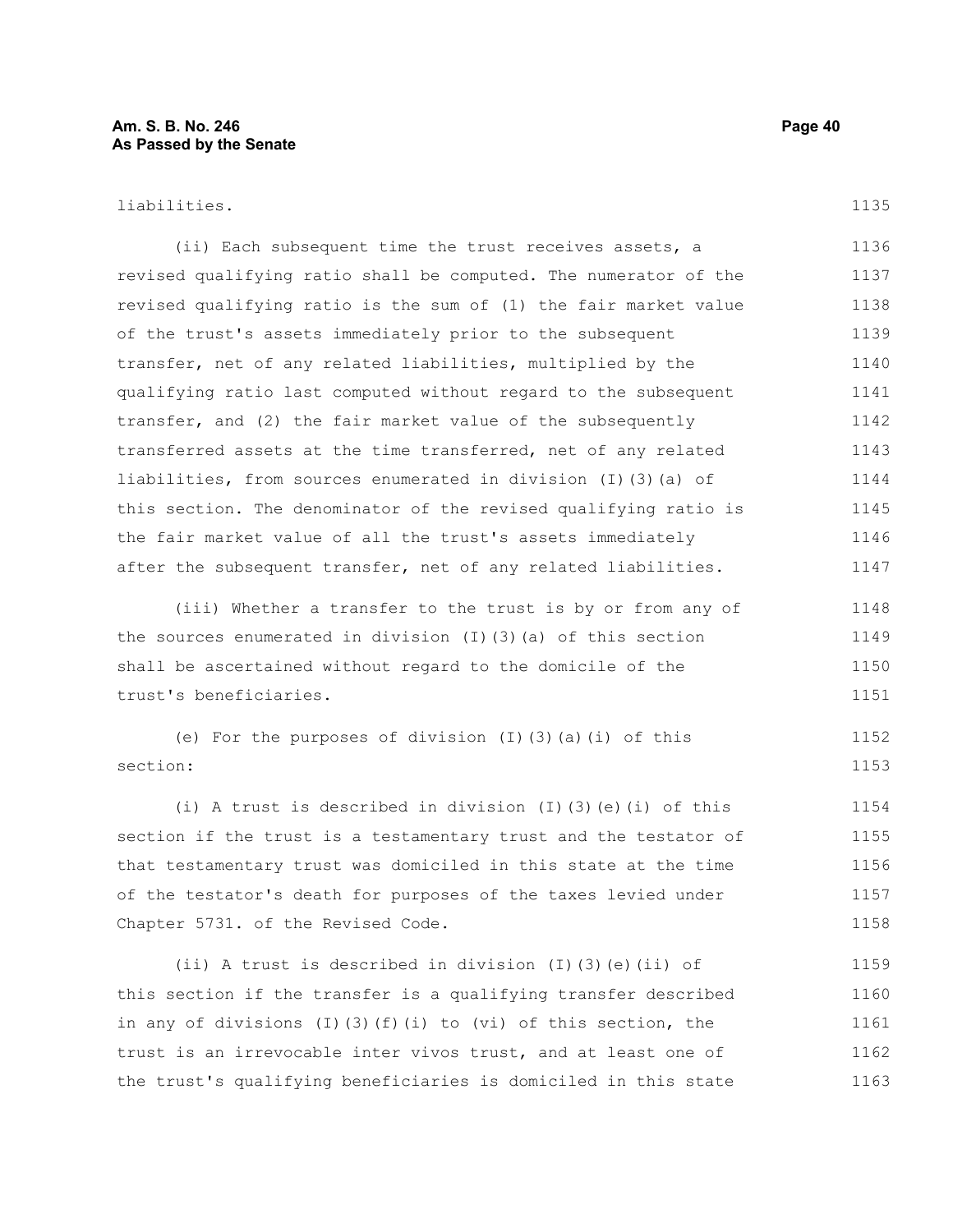#### liabilities.

1135

(ii) Each subsequent time the trust receives assets, a revised qualifying ratio shall be computed. The numerator of the revised qualifying ratio is the sum of (1) the fair market value of the trust's assets immediately prior to the subsequent transfer, net of any related liabilities, multiplied by the qualifying ratio last computed without regard to the subsequent transfer, and (2) the fair market value of the subsequently transferred assets at the time transferred, net of any related liabilities, from sources enumerated in division (I)(3)(a) of this section. The denominator of the revised qualifying ratio is the fair market value of all the trust's assets immediately after the subsequent transfer, net of any related liabilities. 1136 1137 1138 1139 1140 1141 1142 1143 1144 1145 1146 1147

(iii) Whether a transfer to the trust is by or from any of the sources enumerated in division (I)(3)(a) of this section shall be ascertained without regard to the domicile of the trust's beneficiaries. 1148 1149 1150 1151

(e) For the purposes of division (I)(3)(a)(i) of this section: 1152 1153

(i) A trust is described in division (I)(3)(e)(i) of this section if the trust is a testamentary trust and the testator of that testamentary trust was domiciled in this state at the time of the testator's death for purposes of the taxes levied under Chapter 5731. of the Revised Code. 1154 1155 1156 1157 1158

(ii) A trust is described in division (I)(3)(e)(ii) of this section if the transfer is a qualifying transfer described in any of divisions (I)(3)(f)(i) to (vi) of this section, the trust is an irrevocable inter vivos trust, and at least one of the trust's qualifying beneficiaries is domiciled in this state 1159 1160 1161 1162 1163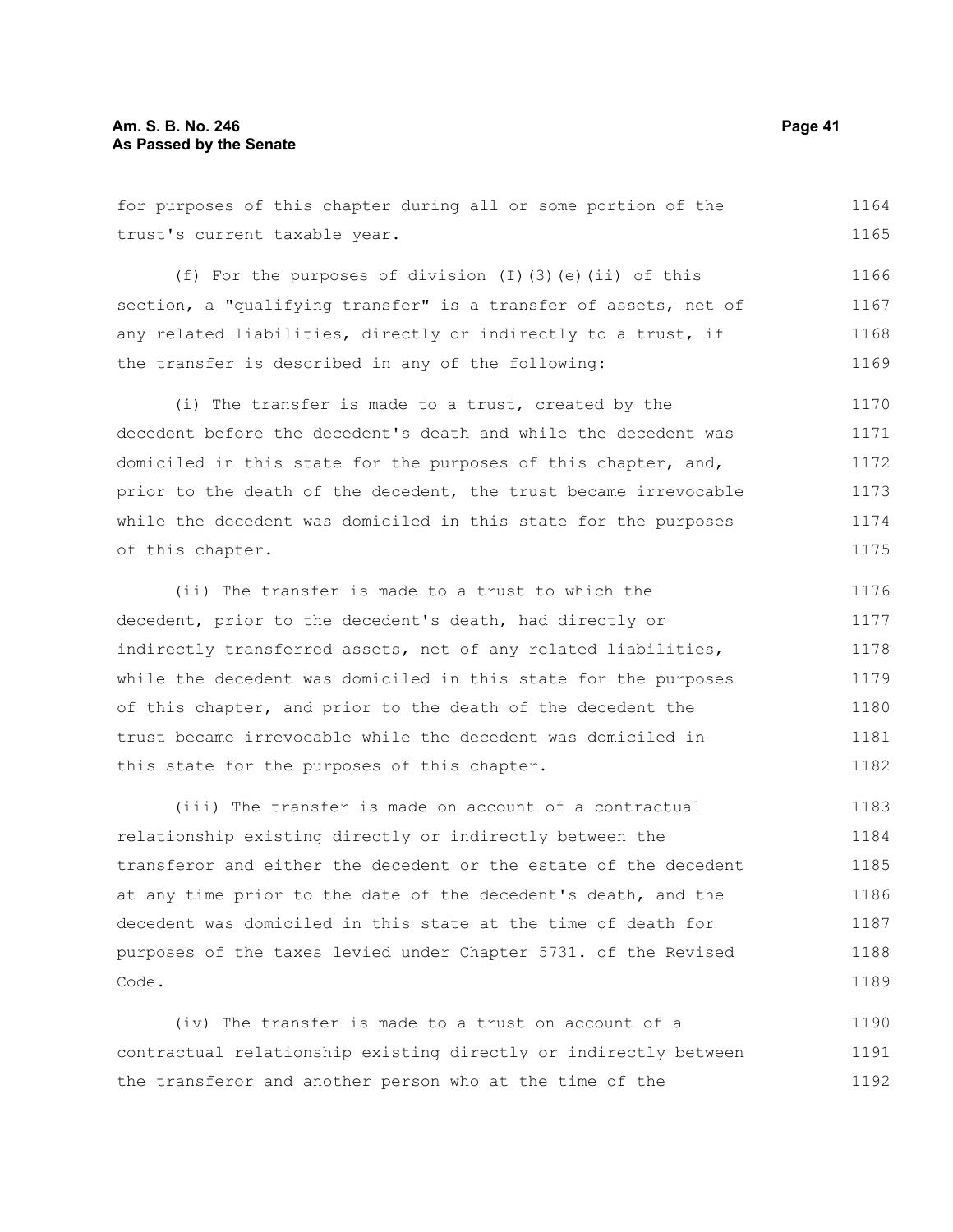for purposes of this chapter during all or some portion of the trust's current taxable year. (f) For the purposes of division (I)(3)(e)(ii) of this 1164 1165

section, a "qualifying transfer" is a transfer of assets, net of any related liabilities, directly or indirectly to a trust, if the transfer is described in any of the following: 1167 1168 1169

(i) The transfer is made to a trust, created by the decedent before the decedent's death and while the decedent was domiciled in this state for the purposes of this chapter, and, prior to the death of the decedent, the trust became irrevocable while the decedent was domiciled in this state for the purposes of this chapter. 1170 1171 1172 1173 1174 1175

(ii) The transfer is made to a trust to which the decedent, prior to the decedent's death, had directly or indirectly transferred assets, net of any related liabilities, while the decedent was domiciled in this state for the purposes of this chapter, and prior to the death of the decedent the trust became irrevocable while the decedent was domiciled in this state for the purposes of this chapter. 1176 1177 1178 1179 1180 1181 1182

(iii) The transfer is made on account of a contractual relationship existing directly or indirectly between the transferor and either the decedent or the estate of the decedent at any time prior to the date of the decedent's death, and the decedent was domiciled in this state at the time of death for purposes of the taxes levied under Chapter 5731. of the Revised Code. 1183 1184 1185 1186 1187 1188 1189

(iv) The transfer is made to a trust on account of a contractual relationship existing directly or indirectly between the transferor and another person who at the time of the 1190 1191 1192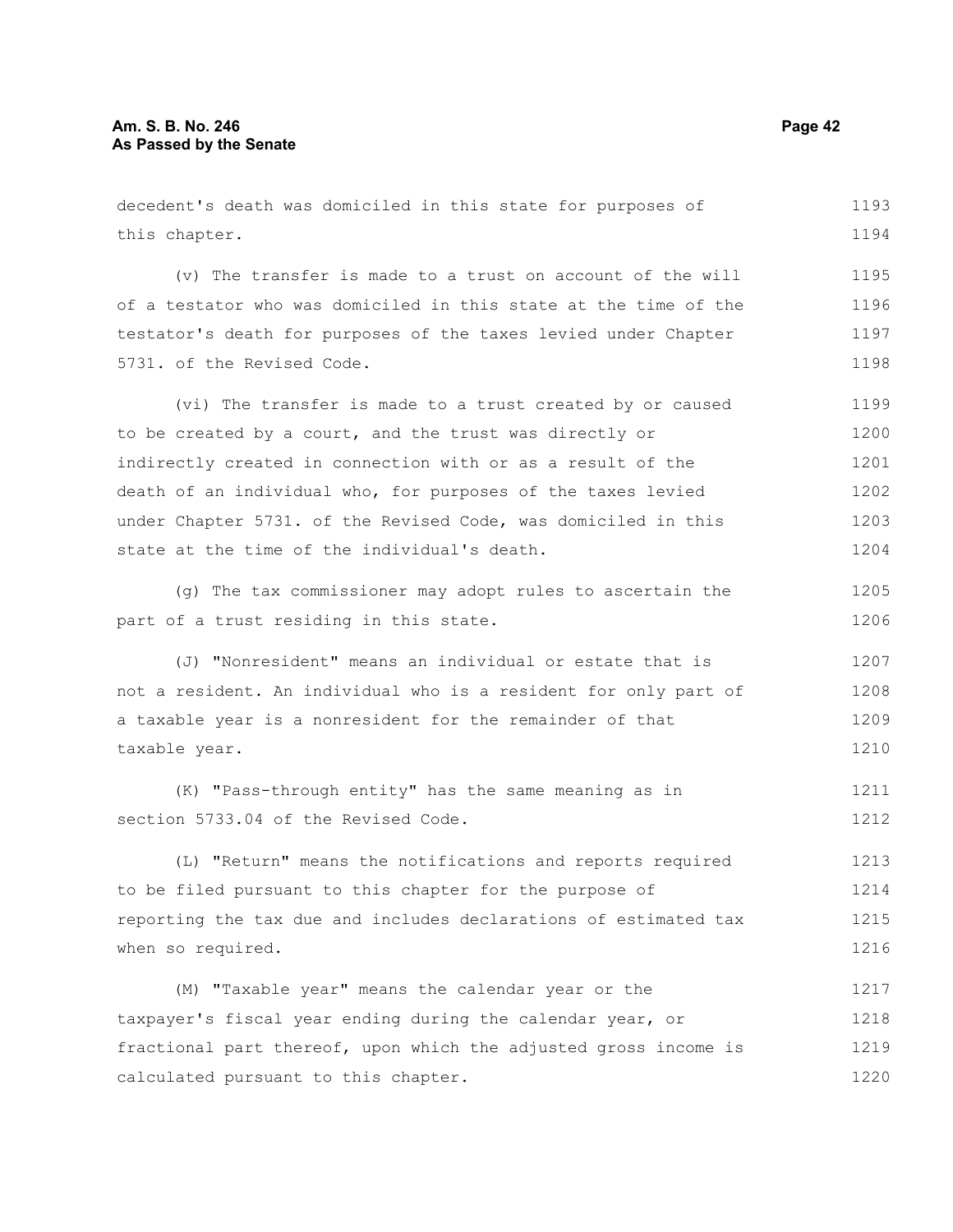decedent's death was domiciled in this state for purposes of this chapter. (v) The transfer is made to a trust on account of the will of a testator who was domiciled in this state at the time of the testator's death for purposes of the taxes levied under Chapter 5731. of the Revised Code. (vi) The transfer is made to a trust created by or caused to be created by a court, and the trust was directly or indirectly created in connection with or as a result of the death of an individual who, for purposes of the taxes levied under Chapter 5731. of the Revised Code, was domiciled in this state at the time of the individual's death. (g) The tax commissioner may adopt rules to ascertain the part of a trust residing in this state. (J) "Nonresident" means an individual or estate that is not a resident. An individual who is a resident for only part of a taxable year is a nonresident for the remainder of that taxable year. (K) "Pass-through entity" has the same meaning as in section 5733.04 of the Revised Code. (L) "Return" means the notifications and reports required to be filed pursuant to this chapter for the purpose of reporting the tax due and includes declarations of estimated tax when so required. (M) "Taxable year" means the calendar year or the taxpayer's fiscal year ending during the calendar year, or fractional part thereof, upon which the adjusted gross income is calculated pursuant to this chapter. 1193 1194 1195 1196 1197 1198 1199 1200 1201 1202 1203 1204 1205 1206 1207 1208 1209 1210 1211 1212 1213 1214 1215 1216 1217 1218 1219 1220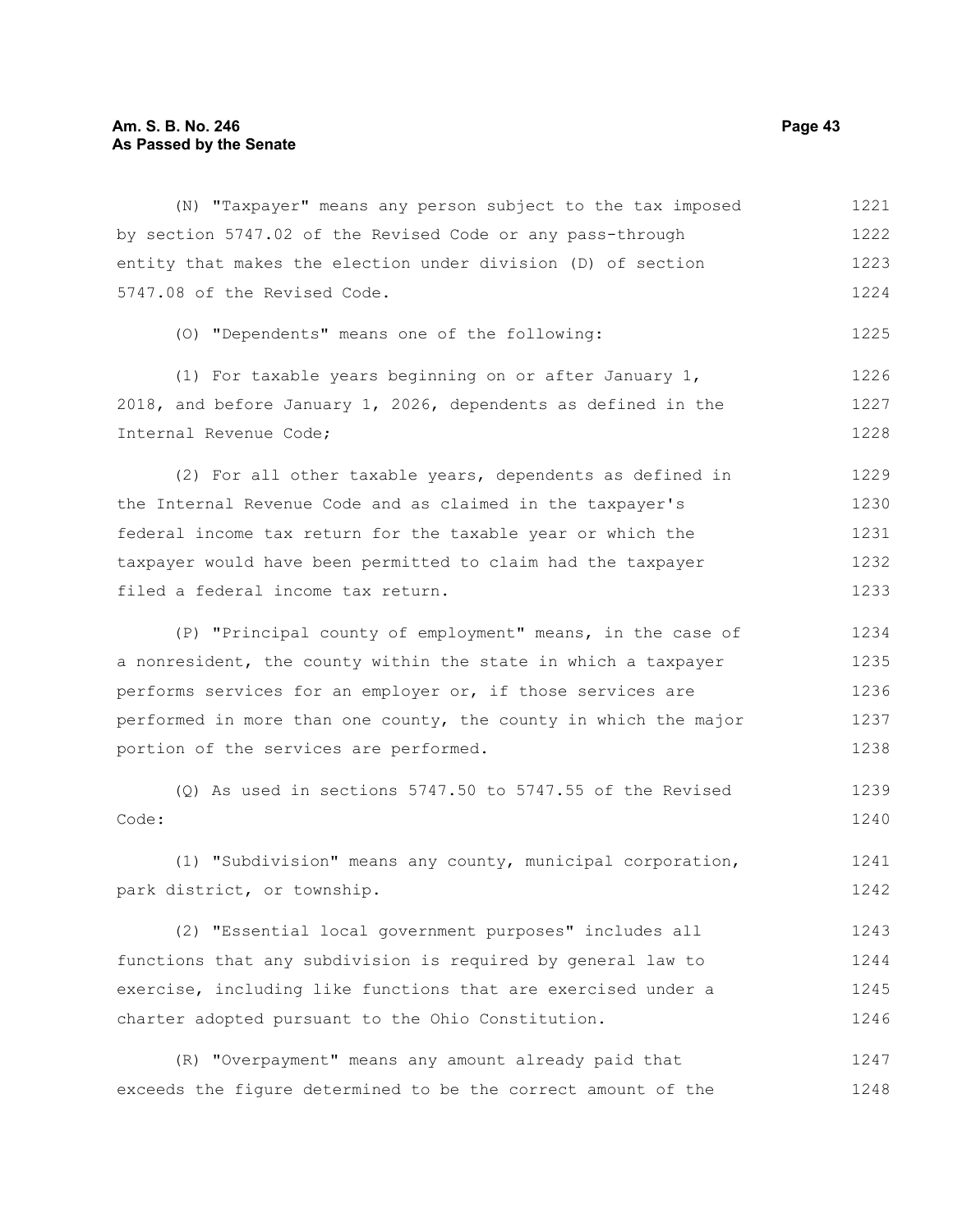# Am. S. B. No. 246 **Page 43 As Passed by the Senate**

| (N) "Taxpayer" means any person subject to the tax imposed       | 1221 |
|------------------------------------------------------------------|------|
| by section 5747.02 of the Revised Code or any pass-through       | 1222 |
| entity that makes the election under division (D) of section     | 1223 |
| 5747.08 of the Revised Code.                                     | 1224 |
| (0) "Dependents" means one of the following:                     | 1225 |
| (1) For taxable years beginning on or after January $1$ ,        | 1226 |
| 2018, and before January 1, 2026, dependents as defined in the   | 1227 |
| Internal Revenue Code;                                           | 1228 |
| (2) For all other taxable years, dependents as defined in        | 1229 |
| the Internal Revenue Code and as claimed in the taxpayer's       | 1230 |
| federal income tax return for the taxable year or which the      | 1231 |
| taxpayer would have been permitted to claim had the taxpayer     | 1232 |
| filed a federal income tax return.                               | 1233 |
| (P) "Principal county of employment" means, in the case of       | 1234 |
| a nonresident, the county within the state in which a taxpayer   | 1235 |
| performs services for an employer or, if those services are      | 1236 |
| performed in more than one county, the county in which the major | 1237 |
| portion of the services are performed.                           | 1238 |
| $(Q)$ As used in sections 5747.50 to 5747.55 of the Revised      | 1239 |
| Code:                                                            | 1240 |
| (1) "Subdivision" means any county, municipal corporation,       | 1241 |
| park district, or township.                                      | 1242 |
| (2) "Essential local government purposes" includes all           | 1243 |
| functions that any subdivision is required by general law to     | 1244 |
| exercise, including like functions that are exercised under a    | 1245 |
| charter adopted pursuant to the Ohio Constitution.               | 1246 |
| (R) "Overpayment" means any amount already paid that             | 1247 |
| exceeds the figure determined to be the correct amount of the    | 1248 |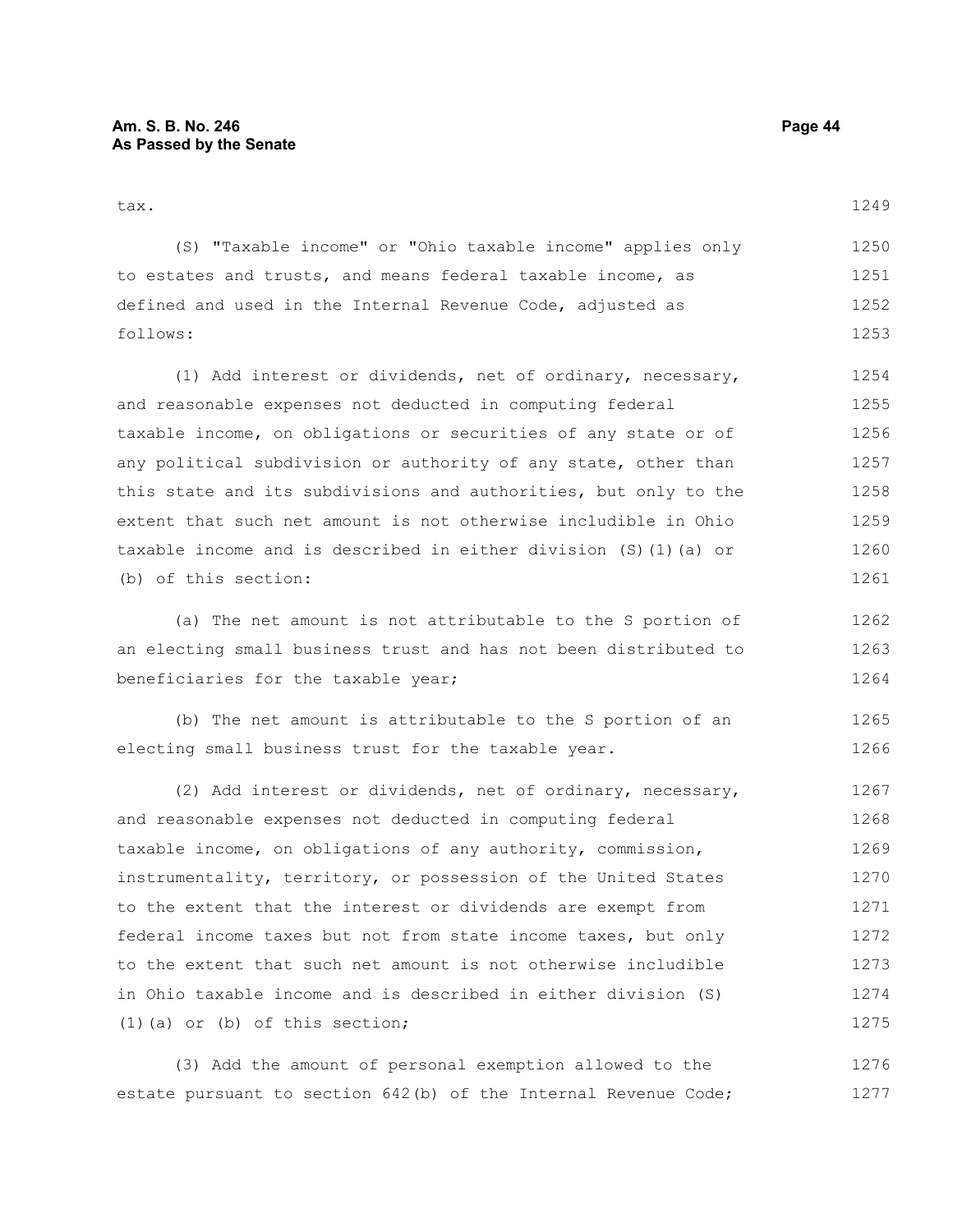1249

| (S) "Taxable income" or "Ohio taxable income" applies only  | 1250 |
|-------------------------------------------------------------|------|
| to estates and trusts, and means federal taxable income, as | 1251 |
| defined and used in the Internal Revenue Code, adjusted as  | 1252 |
| follows:                                                    | 1253 |

(1) Add interest or dividends, net of ordinary, necessary, and reasonable expenses not deducted in computing federal taxable income, on obligations or securities of any state or of any political subdivision or authority of any state, other than this state and its subdivisions and authorities, but only to the extent that such net amount is not otherwise includible in Ohio taxable income and is described in either division (S)(1)(a) or (b) of this section: 1254 1255 1256 1257 1258 1259 1260 1261

(a) The net amount is not attributable to the S portion of an electing small business trust and has not been distributed to beneficiaries for the taxable year; 1262 1263 1264

(b) The net amount is attributable to the S portion of an electing small business trust for the taxable year. 1265 1266

(2) Add interest or dividends, net of ordinary, necessary, and reasonable expenses not deducted in computing federal taxable income, on obligations of any authority, commission, instrumentality, territory, or possession of the United States to the extent that the interest or dividends are exempt from federal income taxes but not from state income taxes, but only to the extent that such net amount is not otherwise includible in Ohio taxable income and is described in either division (S) (1)(a) or (b) of this section; 1267 1268 1269 1270 1271 1272 1273 1274 1275

(3) Add the amount of personal exemption allowed to the estate pursuant to section 642(b) of the Internal Revenue Code; 1276 1277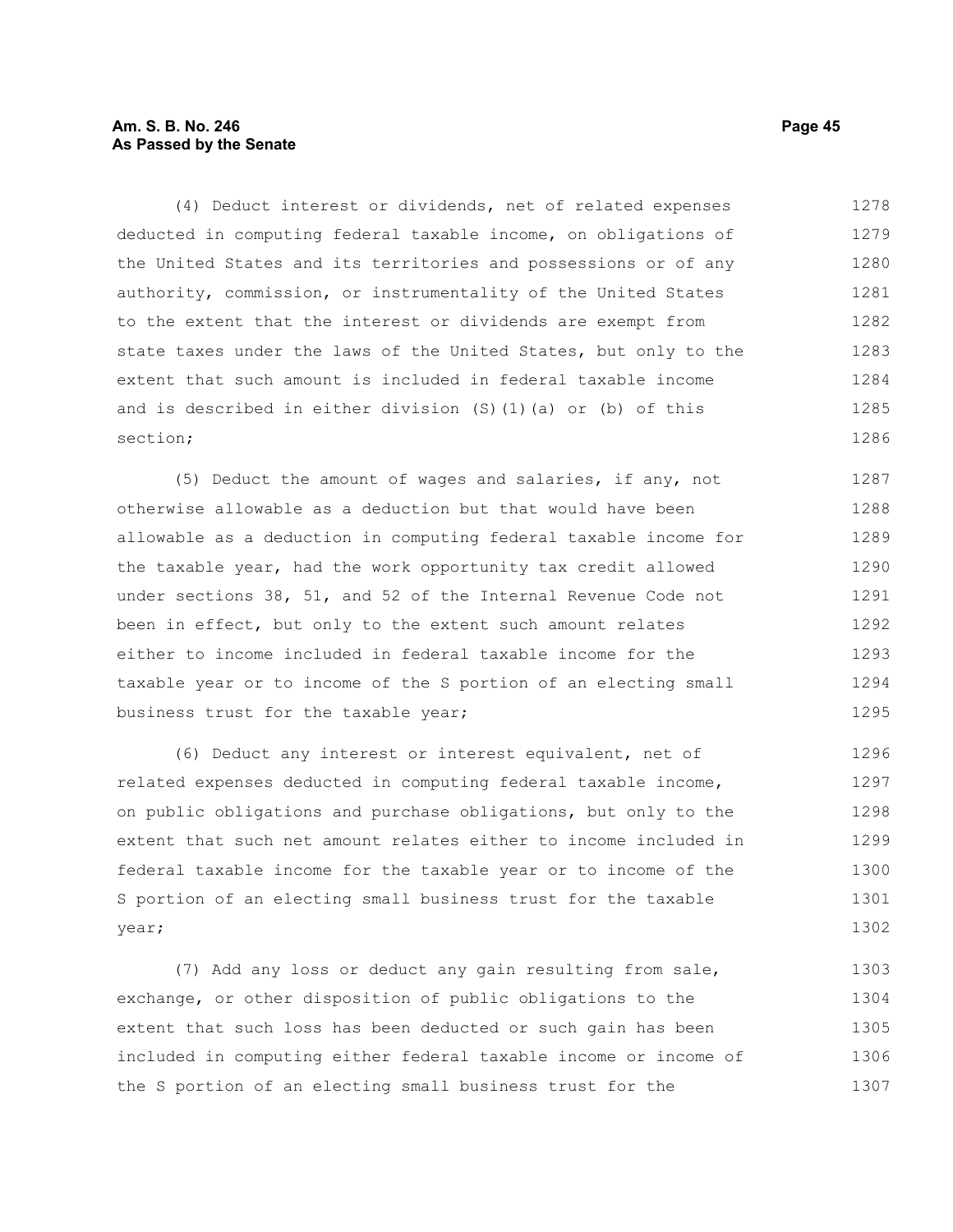## **Am. S. B. No. 246 Page 45 As Passed by the Senate**

(4) Deduct interest or dividends, net of related expenses deducted in computing federal taxable income, on obligations of the United States and its territories and possessions or of any authority, commission, or instrumentality of the United States to the extent that the interest or dividends are exempt from state taxes under the laws of the United States, but only to the extent that such amount is included in federal taxable income and is described in either division (S)(1)(a) or (b) of this section; 1278 1279 1280 1281 1282 1283 1284 1285 1286

(5) Deduct the amount of wages and salaries, if any, not otherwise allowable as a deduction but that would have been allowable as a deduction in computing federal taxable income for the taxable year, had the work opportunity tax credit allowed under sections 38, 51, and 52 of the Internal Revenue Code not been in effect, but only to the extent such amount relates either to income included in federal taxable income for the taxable year or to income of the S portion of an electing small business trust for the taxable year; 1287 1288 1289 1290 1291 1292 1293 1294 1295

(6) Deduct any interest or interest equivalent, net of related expenses deducted in computing federal taxable income, on public obligations and purchase obligations, but only to the extent that such net amount relates either to income included in federal taxable income for the taxable year or to income of the S portion of an electing small business trust for the taxable year; 1296 1297 1298 1299 1300 1301 1302

(7) Add any loss or deduct any gain resulting from sale, exchange, or other disposition of public obligations to the extent that such loss has been deducted or such gain has been included in computing either federal taxable income or income of the S portion of an electing small business trust for the 1303 1304 1305 1306 1307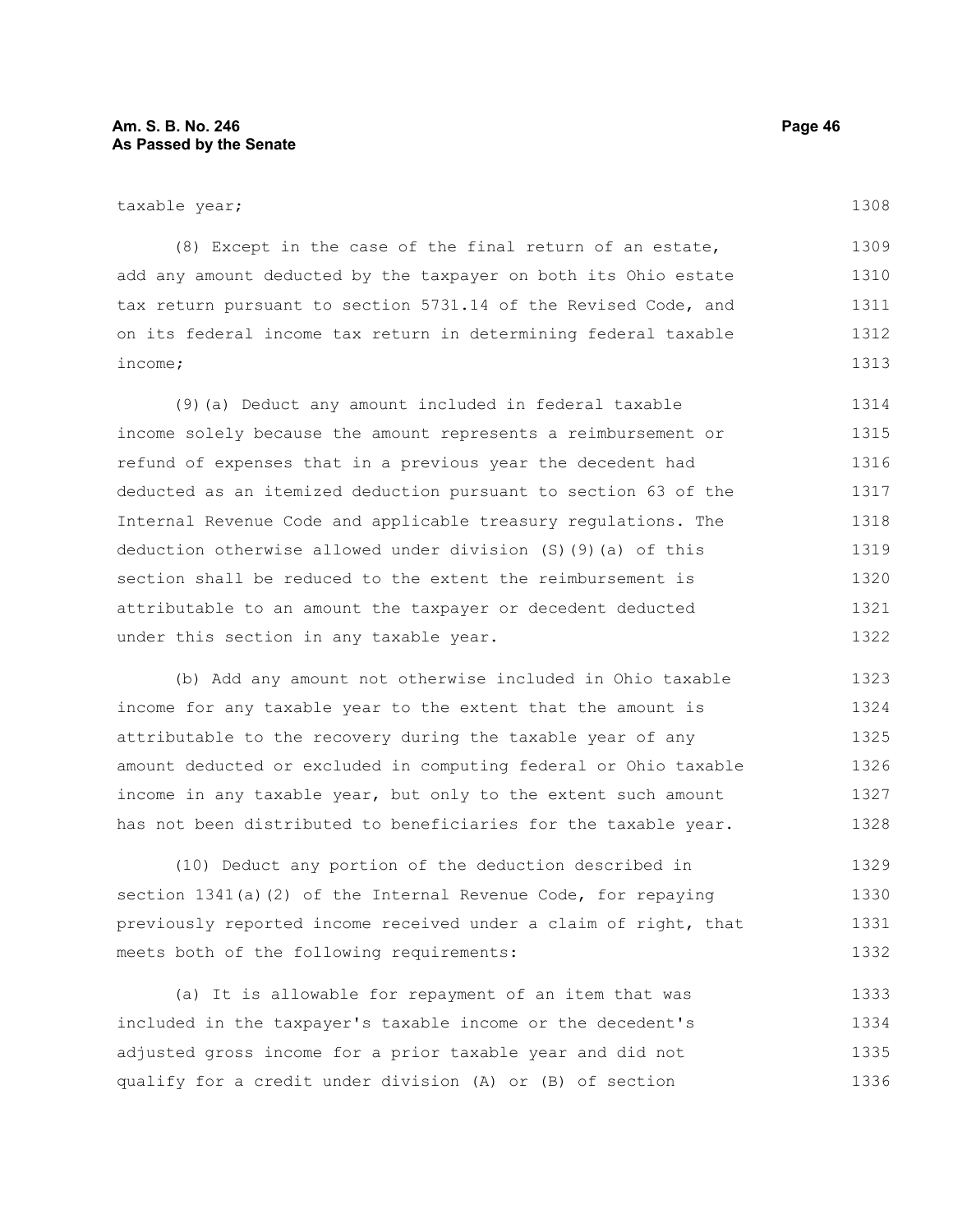(8) Except in the case of the final return of an estate, add any amount deducted by the taxpayer on both its Ohio estate tax return pursuant to section 5731.14 of the Revised Code, and on its federal income tax return in determining federal taxable income; 1309 1310 1311 1312 1313

(9)(a) Deduct any amount included in federal taxable income solely because the amount represents a reimbursement or refund of expenses that in a previous year the decedent had deducted as an itemized deduction pursuant to section 63 of the Internal Revenue Code and applicable treasury regulations. The deduction otherwise allowed under division (S)(9)(a) of this section shall be reduced to the extent the reimbursement is attributable to an amount the taxpayer or decedent deducted under this section in any taxable year. 1314 1315 1316 1317 1318 1319 1320 1321 1322

(b) Add any amount not otherwise included in Ohio taxable income for any taxable year to the extent that the amount is attributable to the recovery during the taxable year of any amount deducted or excluded in computing federal or Ohio taxable income in any taxable year, but only to the extent such amount has not been distributed to beneficiaries for the taxable year. 1323 1324 1325 1326 1327 1328

(10) Deduct any portion of the deduction described in section 1341(a)(2) of the Internal Revenue Code, for repaying previously reported income received under a claim of right, that meets both of the following requirements: 1329 1330 1331 1332

(a) It is allowable for repayment of an item that was included in the taxpayer's taxable income or the decedent's adjusted gross income for a prior taxable year and did not qualify for a credit under division (A) or (B) of section 1333 1334 1335 1336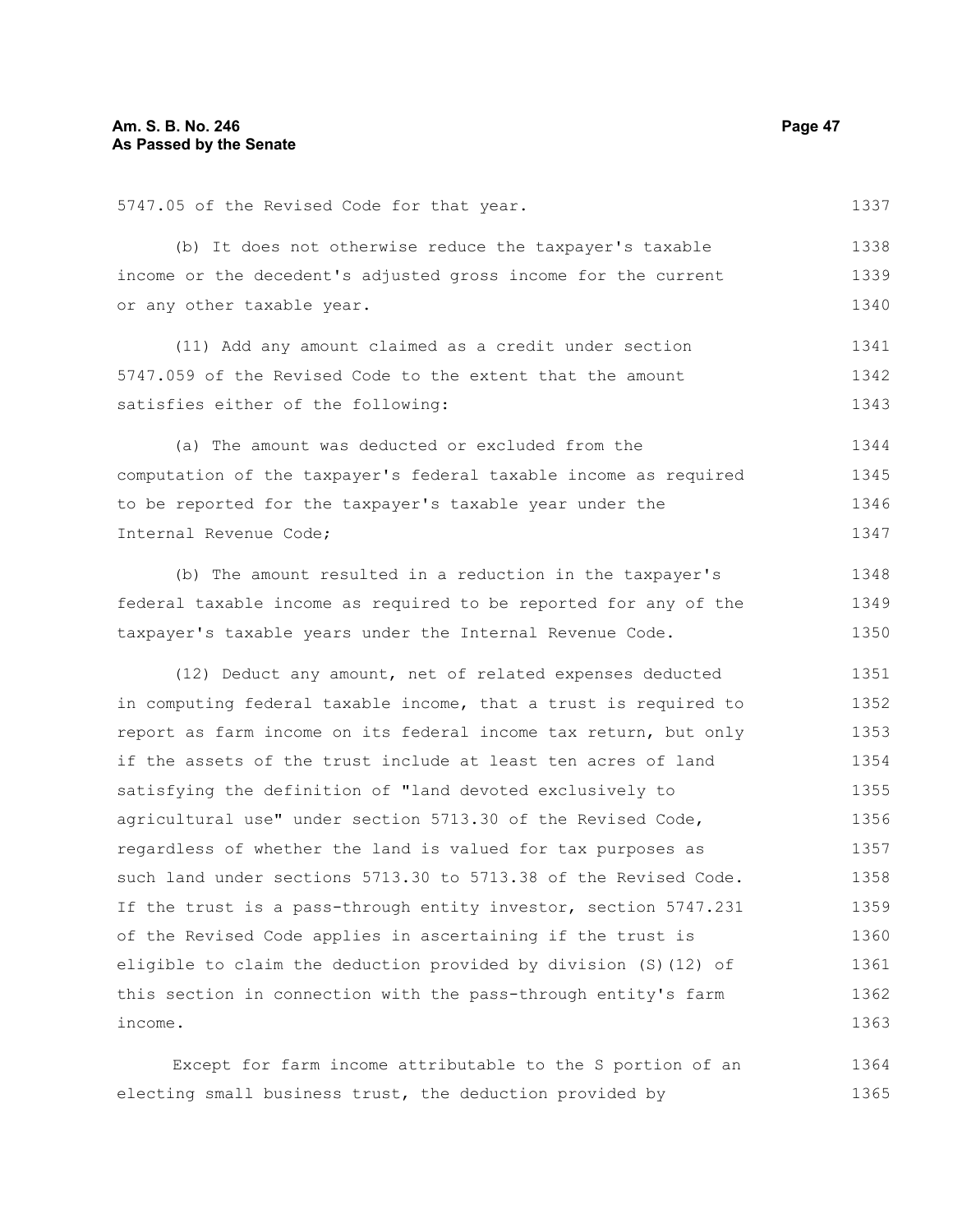| (b) It does not otherwise reduce the taxpayer's taxable        |
|----------------------------------------------------------------|
| income or the decedent's adjusted gross income for the current |
| or any other taxable year.                                     |
| (11) Add any amount claimed as a credit under section          |
| 5747.059 of the Revised Code to the extent that the amount     |

satisfies either of the following:

5747.05 of the Revised Code for that year.

(a) The amount was deducted or excluded from the computation of the taxpayer's federal taxable income as required to be reported for the taxpayer's taxable year under the Internal Revenue Code; 1344 1345 1346 1347

(b) The amount resulted in a reduction in the taxpayer's federal taxable income as required to be reported for any of the taxpayer's taxable years under the Internal Revenue Code. 1348 1349 1350

(12) Deduct any amount, net of related expenses deducted in computing federal taxable income, that a trust is required to report as farm income on its federal income tax return, but only if the assets of the trust include at least ten acres of land satisfying the definition of "land devoted exclusively to agricultural use" under section 5713.30 of the Revised Code, regardless of whether the land is valued for tax purposes as such land under sections 5713.30 to 5713.38 of the Revised Code. If the trust is a pass-through entity investor, section 5747.231 of the Revised Code applies in ascertaining if the trust is eligible to claim the deduction provided by division (S)(12) of this section in connection with the pass-through entity's farm income. 1351 1352 1353 1354 1355 1356 1357 1358 1359 1360 1361 1362 1363

Except for farm income attributable to the S portion of an electing small business trust, the deduction provided by 1364 1365

1337

1338 1339 1340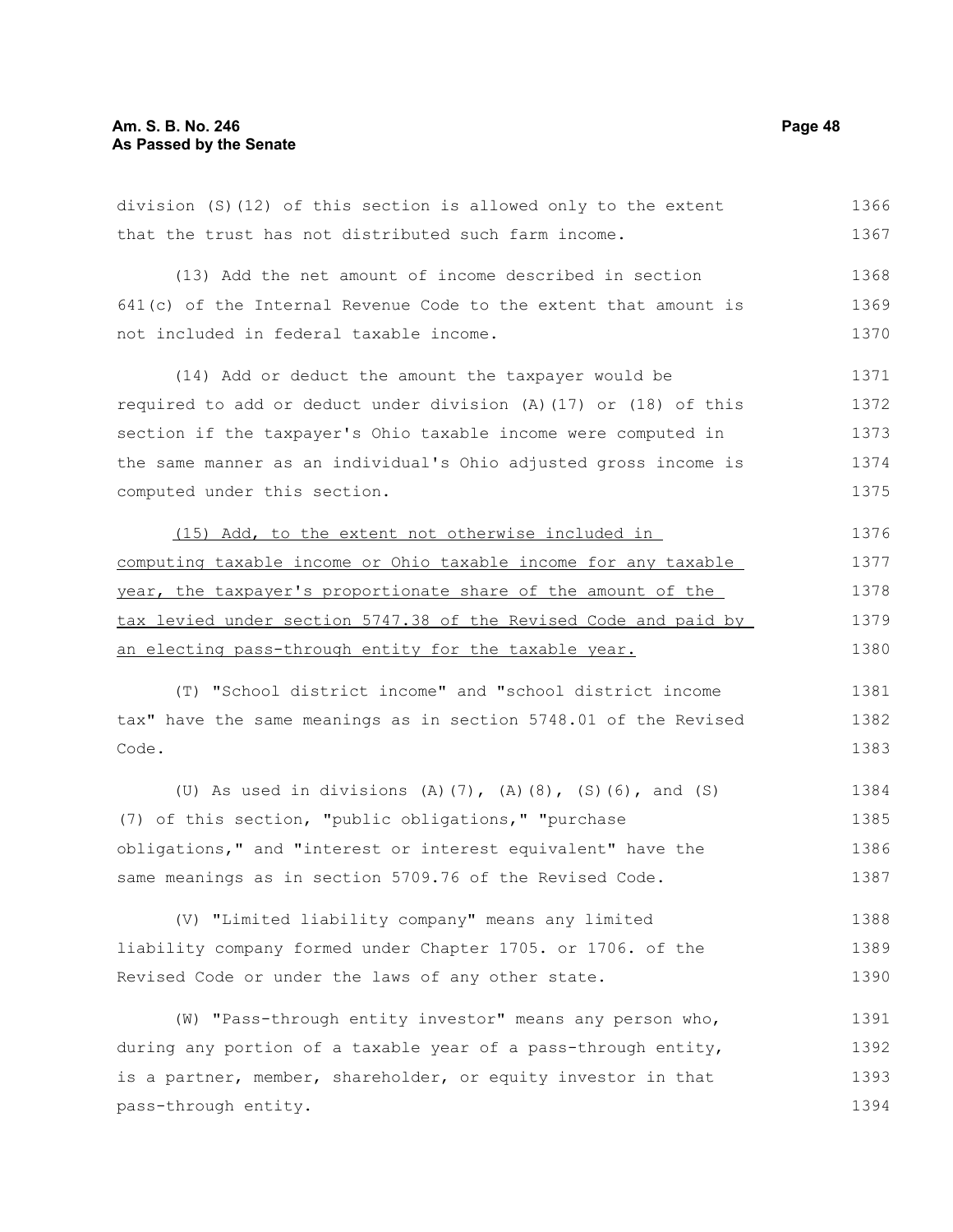#### **Am. S. B. No. 246 Page 48 As Passed by the Senate**

division (S)(12) of this section is allowed only to the extent that the trust has not distributed such farm income. (13) Add the net amount of income described in section 641(c) of the Internal Revenue Code to the extent that amount is not included in federal taxable income. (14) Add or deduct the amount the taxpayer would be required to add or deduct under division (A)(17) or (18) of this section if the taxpayer's Ohio taxable income were computed in the same manner as an individual's Ohio adjusted gross income is computed under this section. (15) Add, to the extent not otherwise included in computing taxable income or Ohio taxable income for any taxable year, the taxpayer's proportionate share of the amount of the tax levied under section 5747.38 of the Revised Code and paid by an electing pass-through entity for the taxable year. (T) "School district income" and "school district income tax" have the same meanings as in section 5748.01 of the Revised Code. (U) As used in divisions (A)(7), (A)(8), (S)(6), and (S) (7) of this section, "public obligations," "purchase obligations," and "interest or interest equivalent" have the same meanings as in section 5709.76 of the Revised Code. (V) "Limited liability company" means any limited liability company formed under Chapter 1705. or 1706. of the Revised Code or under the laws of any other state. (W) "Pass-through entity investor" means any person who, during any portion of a taxable year of a pass-through entity, is a partner, member, shareholder, or equity investor in that pass-through entity. 1367 1368 1369 1370 1371 1372 1373 1374 1375 1376 1377 1378 1379 1380 1381 1382 1383 1384 1385 1386 1387 1388 1389 1390 1391 1392 1393 1394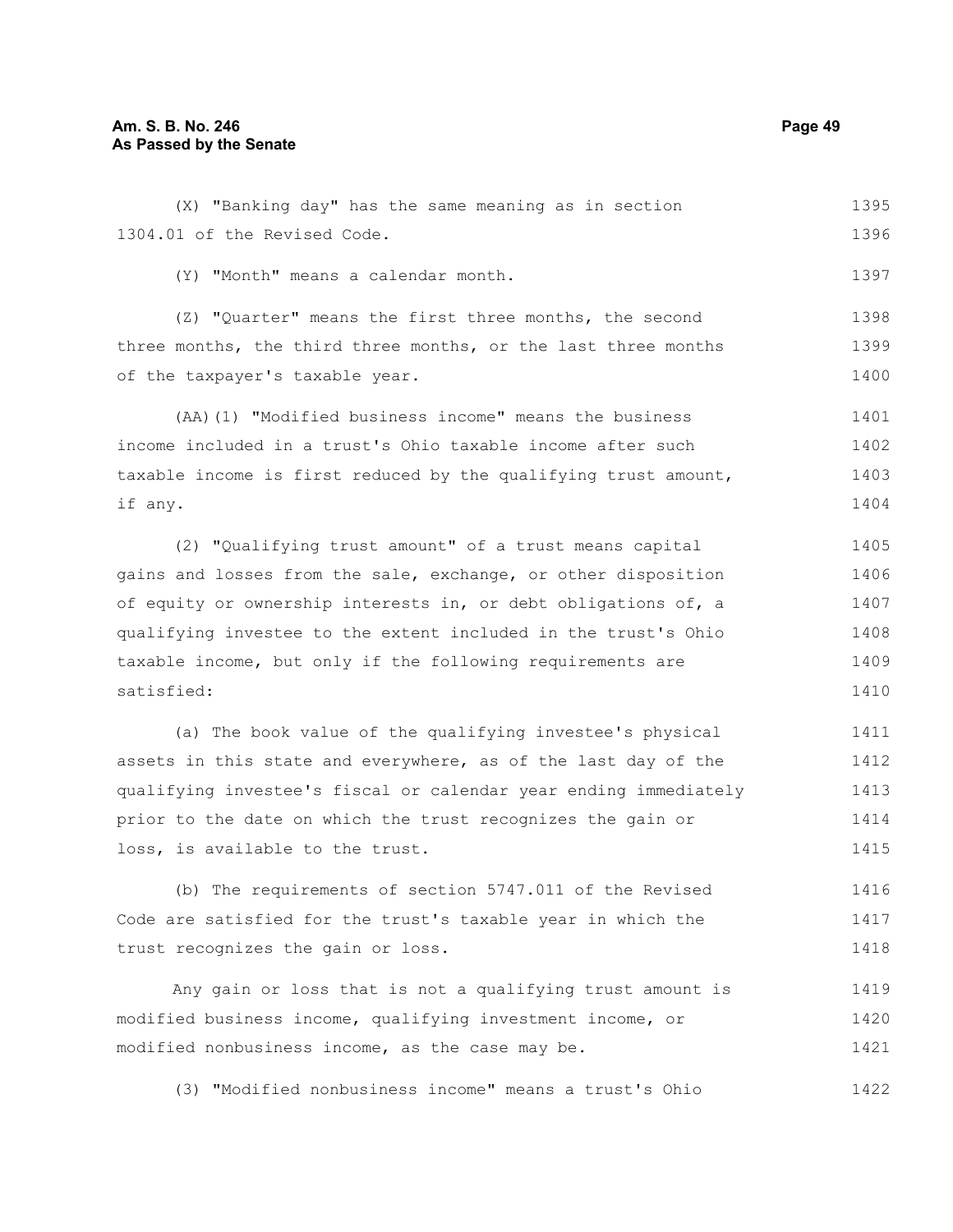(X) "Banking day" has the same meaning as in section 1304.01 of the Revised Code. (Y) "Month" means a calendar month. (Z) "Quarter" means the first three months, the second three months, the third three months, or the last three months of the taxpayer's taxable year. (AA)(1) "Modified business income" means the business income included in a trust's Ohio taxable income after such taxable income is first reduced by the qualifying trust amount, if any. (2) "Qualifying trust amount" of a trust means capital 1395 1396 1397 1398 1399 1400 1401 1402 1403 1404 1405

gains and losses from the sale, exchange, or other disposition of equity or ownership interests in, or debt obligations of, a qualifying investee to the extent included in the trust's Ohio taxable income, but only if the following requirements are satisfied: 1406 1407 1408 1409 1410

(a) The book value of the qualifying investee's physical assets in this state and everywhere, as of the last day of the qualifying investee's fiscal or calendar year ending immediately prior to the date on which the trust recognizes the gain or loss, is available to the trust. 1411 1412 1413 1414 1415

(b) The requirements of section 5747.011 of the Revised Code are satisfied for the trust's taxable year in which the trust recognizes the gain or loss. 1416 1417 1418

Any gain or loss that is not a qualifying trust amount is modified business income, qualifying investment income, or modified nonbusiness income, as the case may be. 1419 1420 1421

(3) "Modified nonbusiness income" means a trust's Ohio 1422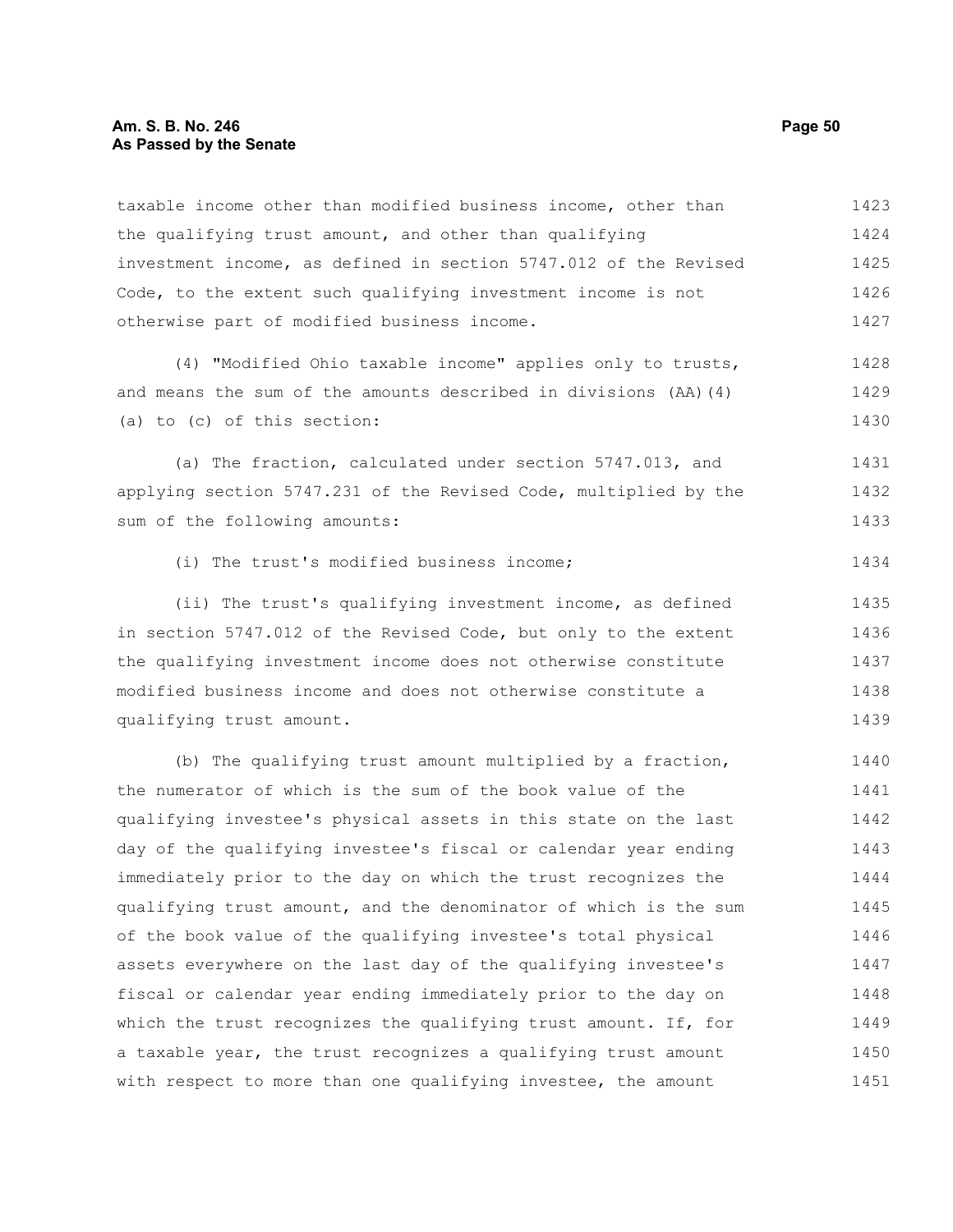#### **Am. S. B. No. 246 Page 50 As Passed by the Senate**

taxable income other than modified business income, other than the qualifying trust amount, and other than qualifying investment income, as defined in section 5747.012 of the Revised Code, to the extent such qualifying investment income is not otherwise part of modified business income. (4) "Modified Ohio taxable income" applies only to trusts, and means the sum of the amounts described in divisions (AA)(4) (a) to (c) of this section: (a) The fraction, calculated under section 5747.013, and applying section 5747.231 of the Revised Code, multiplied by the sum of the following amounts: (i) The trust's modified business income; (ii) The trust's qualifying investment income, as defined in section 5747.012 of the Revised Code, but only to the extent the qualifying investment income does not otherwise constitute modified business income and does not otherwise constitute a qualifying trust amount. (b) The qualifying trust amount multiplied by a fraction, the numerator of which is the sum of the book value of the qualifying investee's physical assets in this state on the last day of the qualifying investee's fiscal or calendar year ending immediately prior to the day on which the trust recognizes the qualifying trust amount, and the denominator of which is the sum of the book value of the qualifying investee's total physical assets everywhere on the last day of the qualifying investee's fiscal or calendar year ending immediately prior to the day on which the trust recognizes the qualifying trust amount. If, for 1423 1424 1425 1426 1427 1428 1429 1430 1431 1432 1433 1434 1435 1436 1437 1438 1439 1440 1441 1442 1443 1444 1445 1446 1447 1448 1449

a taxable year, the trust recognizes a qualifying trust amount with respect to more than one qualifying investee, the amount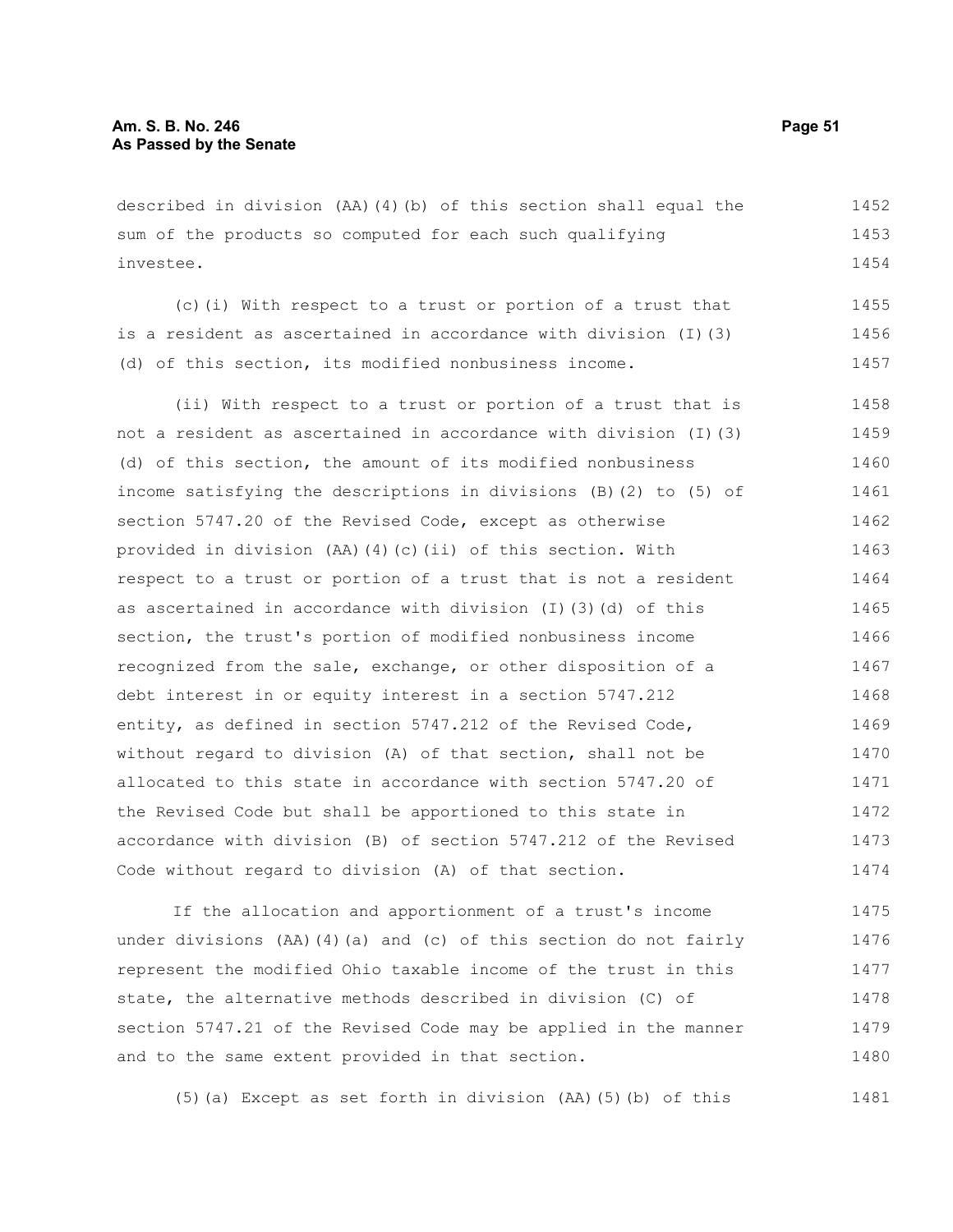described in division (AA)(4)(b) of this section shall equal the sum of the products so computed for each such qualifying investee. 1452 1453 1454

(c)(i) With respect to a trust or portion of a trust that is a resident as ascertained in accordance with division (I)(3) (d) of this section, its modified nonbusiness income. 1455 1456 1457

(ii) With respect to a trust or portion of a trust that is not a resident as ascertained in accordance with division (I)(3) (d) of this section, the amount of its modified nonbusiness income satisfying the descriptions in divisions (B)(2) to (5) of section 5747.20 of the Revised Code, except as otherwise provided in division (AA)(4)(c)(ii) of this section. With respect to a trust or portion of a trust that is not a resident as ascertained in accordance with division (I)(3)(d) of this section, the trust's portion of modified nonbusiness income recognized from the sale, exchange, or other disposition of a debt interest in or equity interest in a section 5747.212 entity, as defined in section 5747.212 of the Revised Code, without regard to division (A) of that section, shall not be allocated to this state in accordance with section 5747.20 of the Revised Code but shall be apportioned to this state in accordance with division (B) of section 5747.212 of the Revised Code without regard to division (A) of that section. 1458 1459 1460 1461 1462 1463 1464 1465 1466 1467 1468 1469 1470 1471 1472 1473 1474

If the allocation and apportionment of a trust's income under divisions (AA)(4)(a) and (c) of this section do not fairly represent the modified Ohio taxable income of the trust in this state, the alternative methods described in division (C) of section 5747.21 of the Revised Code may be applied in the manner and to the same extent provided in that section. 1475 1476 1477 1478 1479 1480

(5)(a) Except as set forth in division (AA)(5)(b) of this 1481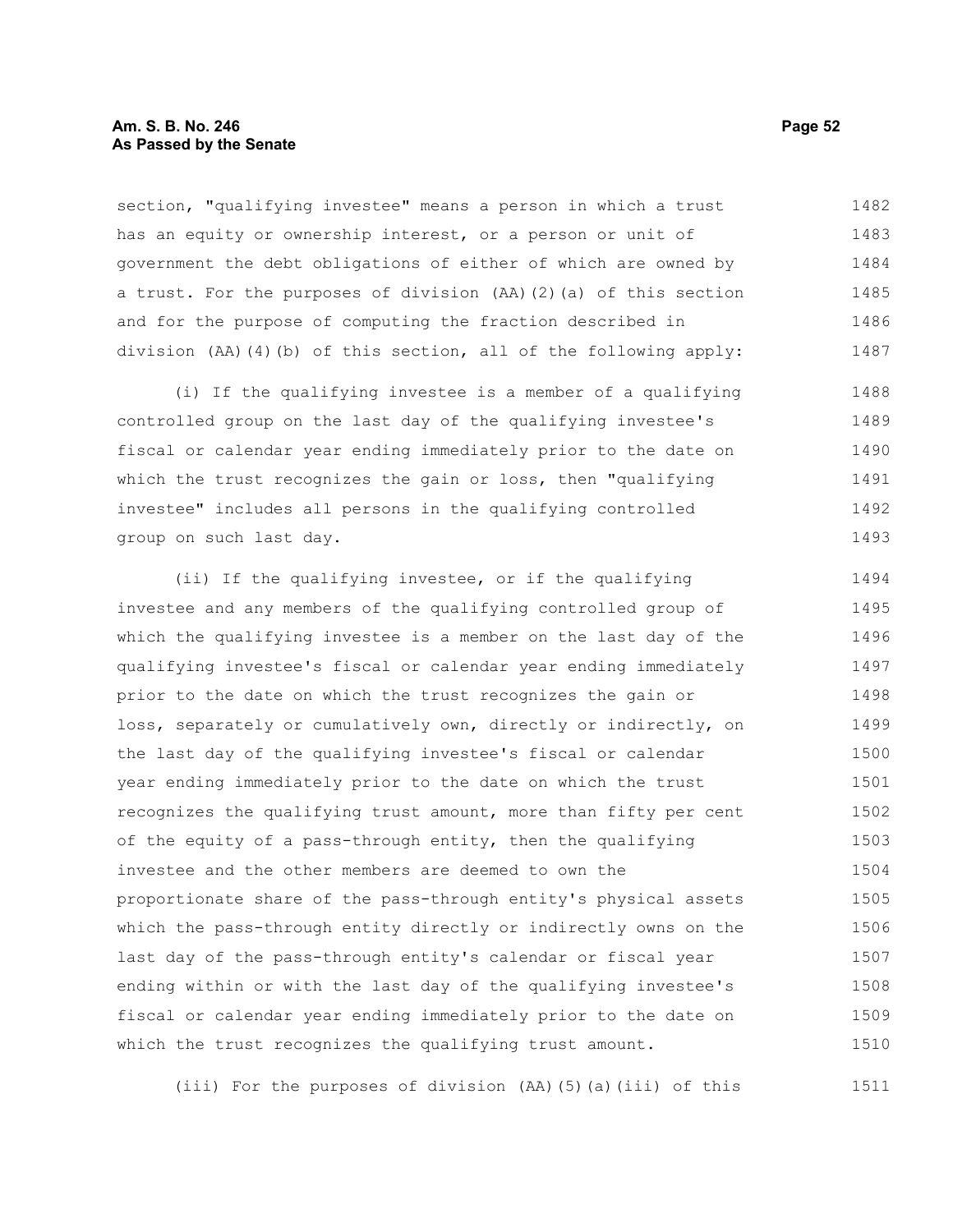#### **Am. S. B. No. 246 Page 52 As Passed by the Senate**

section, "qualifying investee" means a person in which a trust has an equity or ownership interest, or a person or unit of government the debt obligations of either of which are owned by a trust. For the purposes of division (AA)(2)(a) of this section and for the purpose of computing the fraction described in division (AA)(4)(b) of this section, all of the following apply: 1482 1483 1484 1485 1486 1487

(i) If the qualifying investee is a member of a qualifying controlled group on the last day of the qualifying investee's fiscal or calendar year ending immediately prior to the date on which the trust recognizes the gain or loss, then "qualifying investee" includes all persons in the qualifying controlled group on such last day. 1488 1489 1490 1491 1492 1493

(ii) If the qualifying investee, or if the qualifying investee and any members of the qualifying controlled group of which the qualifying investee is a member on the last day of the qualifying investee's fiscal or calendar year ending immediately prior to the date on which the trust recognizes the gain or loss, separately or cumulatively own, directly or indirectly, on the last day of the qualifying investee's fiscal or calendar year ending immediately prior to the date on which the trust recognizes the qualifying trust amount, more than fifty per cent of the equity of a pass-through entity, then the qualifying investee and the other members are deemed to own the proportionate share of the pass-through entity's physical assets which the pass-through entity directly or indirectly owns on the last day of the pass-through entity's calendar or fiscal year ending within or with the last day of the qualifying investee's fiscal or calendar year ending immediately prior to the date on which the trust recognizes the qualifying trust amount. 1494 1495 1496 1497 1498 1499 1500 1501 1502 1503 1504 1505 1506 1507 1508 1509 1510

(iii) For the purposes of division (AA)(5)(a)(iii) of this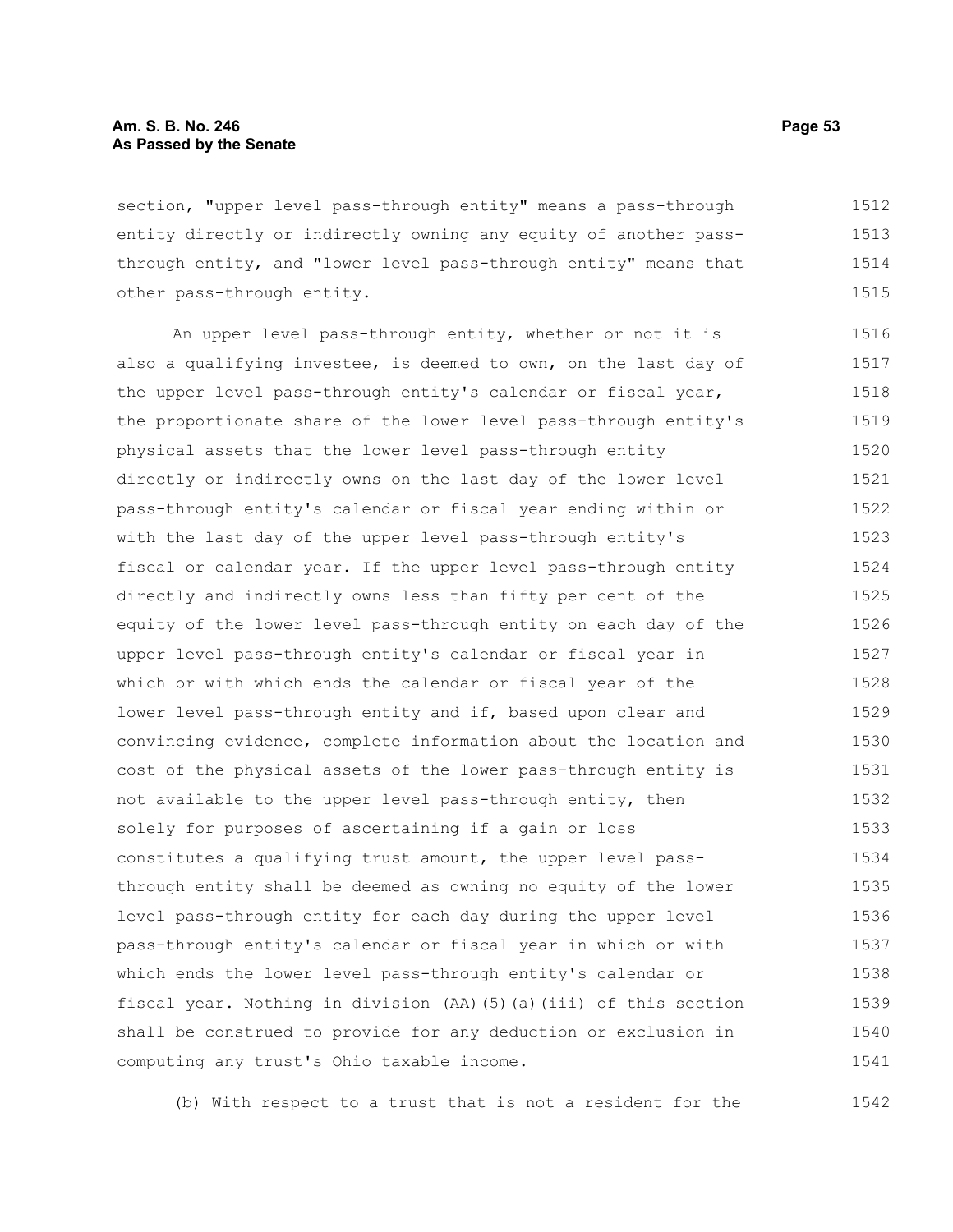section, "upper level pass-through entity" means a pass-through entity directly or indirectly owning any equity of another passthrough entity, and "lower level pass-through entity" means that other pass-through entity. 1512 1513 1514 1515

An upper level pass-through entity, whether or not it is also a qualifying investee, is deemed to own, on the last day of the upper level pass-through entity's calendar or fiscal year, the proportionate share of the lower level pass-through entity's physical assets that the lower level pass-through entity directly or indirectly owns on the last day of the lower level pass-through entity's calendar or fiscal year ending within or with the last day of the upper level pass-through entity's fiscal or calendar year. If the upper level pass-through entity directly and indirectly owns less than fifty per cent of the equity of the lower level pass-through entity on each day of the upper level pass-through entity's calendar or fiscal year in which or with which ends the calendar or fiscal year of the lower level pass-through entity and if, based upon clear and convincing evidence, complete information about the location and cost of the physical assets of the lower pass-through entity is not available to the upper level pass-through entity, then solely for purposes of ascertaining if a gain or loss constitutes a qualifying trust amount, the upper level passthrough entity shall be deemed as owning no equity of the lower level pass-through entity for each day during the upper level pass-through entity's calendar or fiscal year in which or with which ends the lower level pass-through entity's calendar or fiscal year. Nothing in division (AA)(5)(a)(iii) of this section shall be construed to provide for any deduction or exclusion in computing any trust's Ohio taxable income. 1516 1517 1518 1519 1520 1521 1522 1523 1524 1525 1526 1527 1528 1529 1530 1531 1532 1533 1534 1535 1536 1537 1538 1539 1540 1541

(b) With respect to a trust that is not a resident for the 1542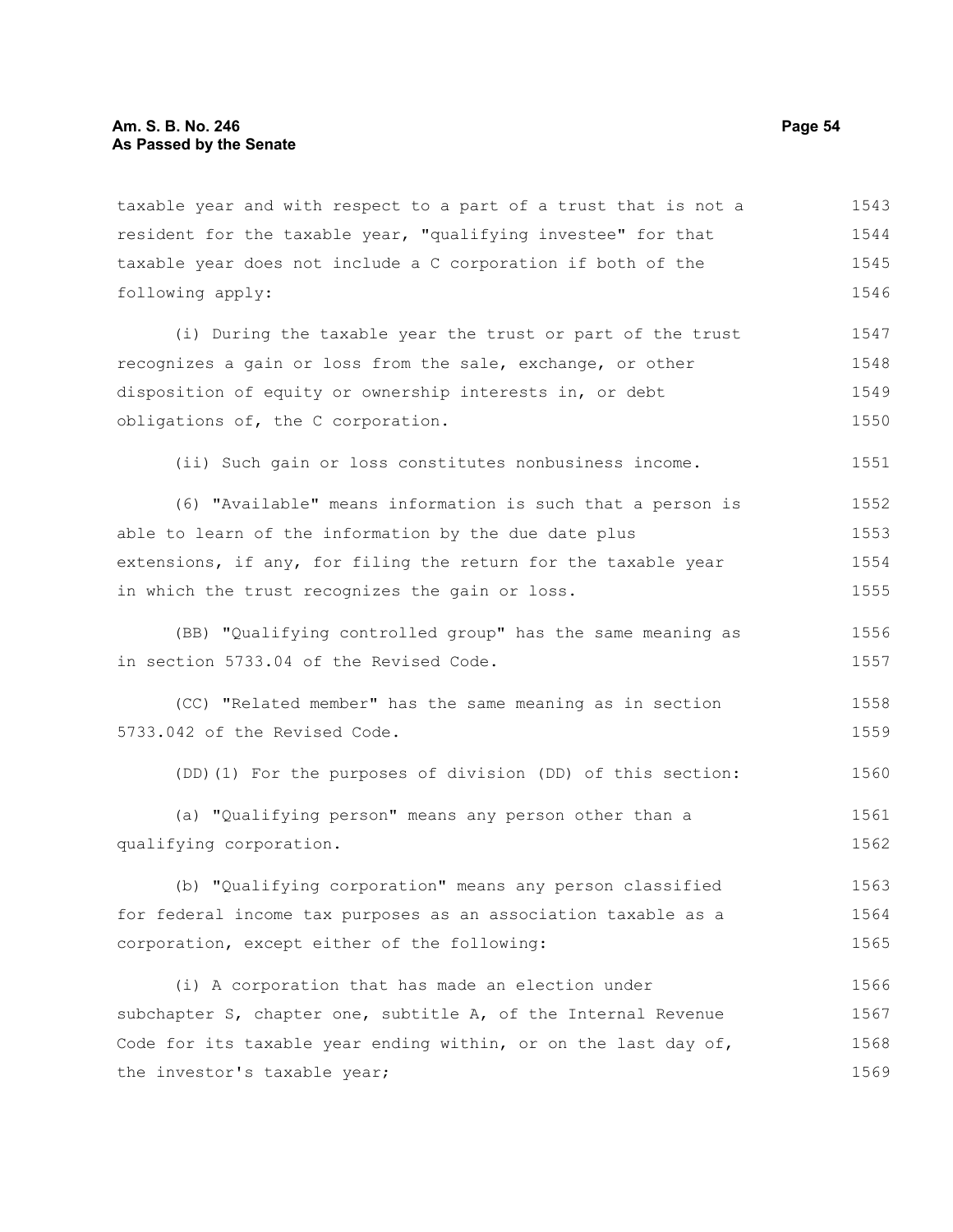taxable year and with respect to a part of a trust that is not a resident for the taxable year, "qualifying investee" for that taxable year does not include a C corporation if both of the following apply: 1543 1544 1545 1546

(i) During the taxable year the trust or part of the trust recognizes a gain or loss from the sale, exchange, or other disposition of equity or ownership interests in, or debt obligations of, the C corporation. 1547 1548 1549 1550

(ii) Such gain or loss constitutes nonbusiness income.

(6) "Available" means information is such that a person is able to learn of the information by the due date plus extensions, if any, for filing the return for the taxable year in which the trust recognizes the gain or loss. 1552 1553 1554 1555

(BB) "Qualifying controlled group" has the same meaning as in section 5733.04 of the Revised Code. 1556 1557

(CC) "Related member" has the same meaning as in section 5733.042 of the Revised Code. 1558 1559

(DD)(1) For the purposes of division (DD) of this section: 1560

(a) "Qualifying person" means any person other than a qualifying corporation. 1561 1562

(b) "Qualifying corporation" means any person classified for federal income tax purposes as an association taxable as a corporation, except either of the following: 1563 1564 1565

(i) A corporation that has made an election under subchapter S, chapter one, subtitle A, of the Internal Revenue Code for its taxable year ending within, or on the last day of, the investor's taxable year; 1566 1567 1568 1569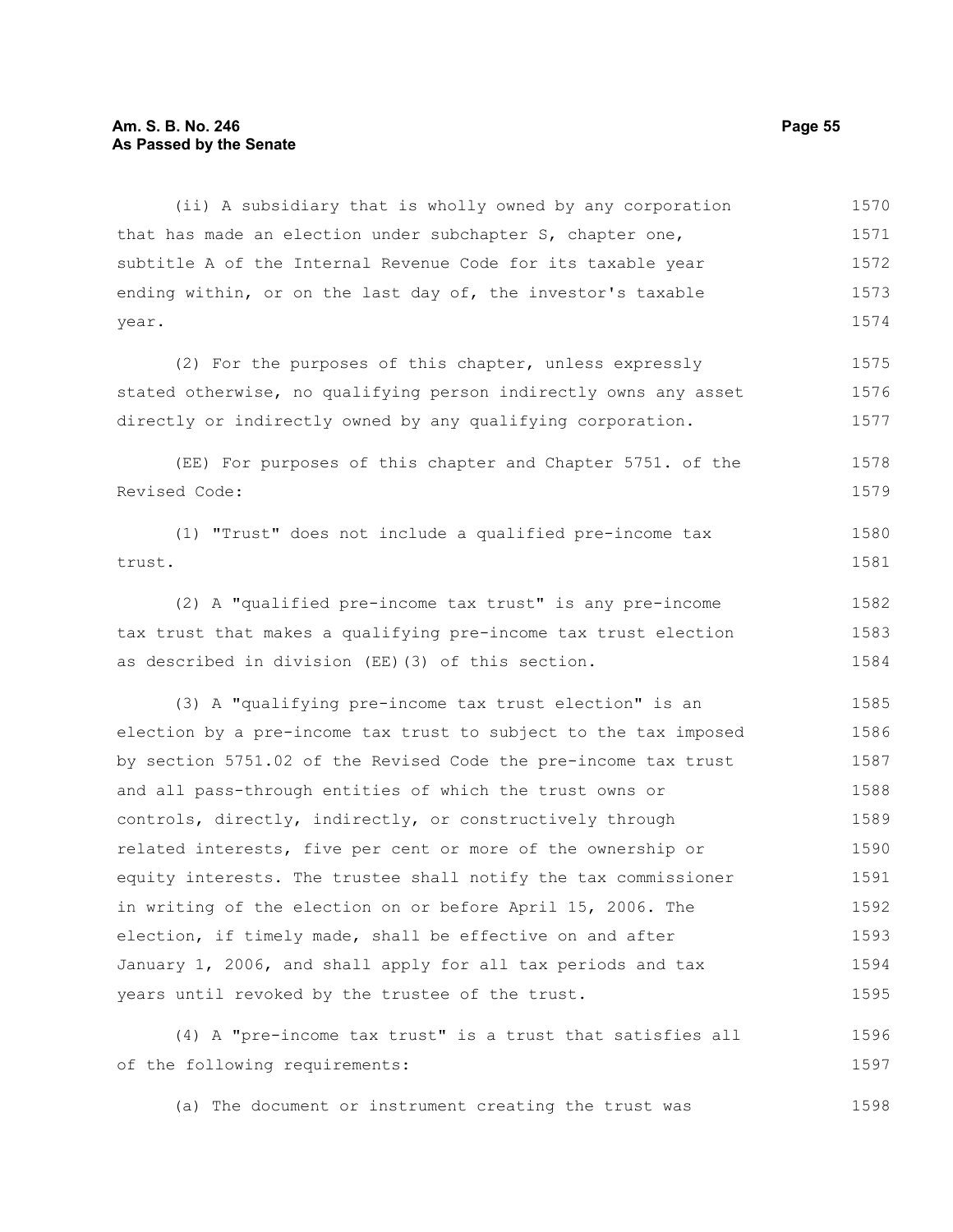#### **Am. S. B. No. 246 Page 55 As Passed by the Senate**

(ii) A subsidiary that is wholly owned by any corporation that has made an election under subchapter S, chapter one, subtitle A of the Internal Revenue Code for its taxable year ending within, or on the last day of, the investor's taxable year. 1570 1571 1572 1573 1574

(2) For the purposes of this chapter, unless expressly stated otherwise, no qualifying person indirectly owns any asset directly or indirectly owned by any qualifying corporation. 1575 1576 1577

(EE) For purposes of this chapter and Chapter 5751. of the Revised Code: 1578 1579

```
(1) "Trust" does not include a qualified pre-income tax
trust. 
                                                                              1580
                                                                              1581
```
(2) A "qualified pre-income tax trust" is any pre-income tax trust that makes a qualifying pre-income tax trust election as described in division (EE)(3) of this section. 1582 1583 1584

(3) A "qualifying pre-income tax trust election" is an election by a pre-income tax trust to subject to the tax imposed by section 5751.02 of the Revised Code the pre-income tax trust and all pass-through entities of which the trust owns or controls, directly, indirectly, or constructively through related interests, five per cent or more of the ownership or equity interests. The trustee shall notify the tax commissioner in writing of the election on or before April 15, 2006. The election, if timely made, shall be effective on and after January 1, 2006, and shall apply for all tax periods and tax years until revoked by the trustee of the trust. 1585 1586 1587 1588 1589 1590 1591 1592 1593 1594 1595

(4) A "pre-income tax trust" is a trust that satisfies all of the following requirements: 1596 1597

(a) The document or instrument creating the trust was 1598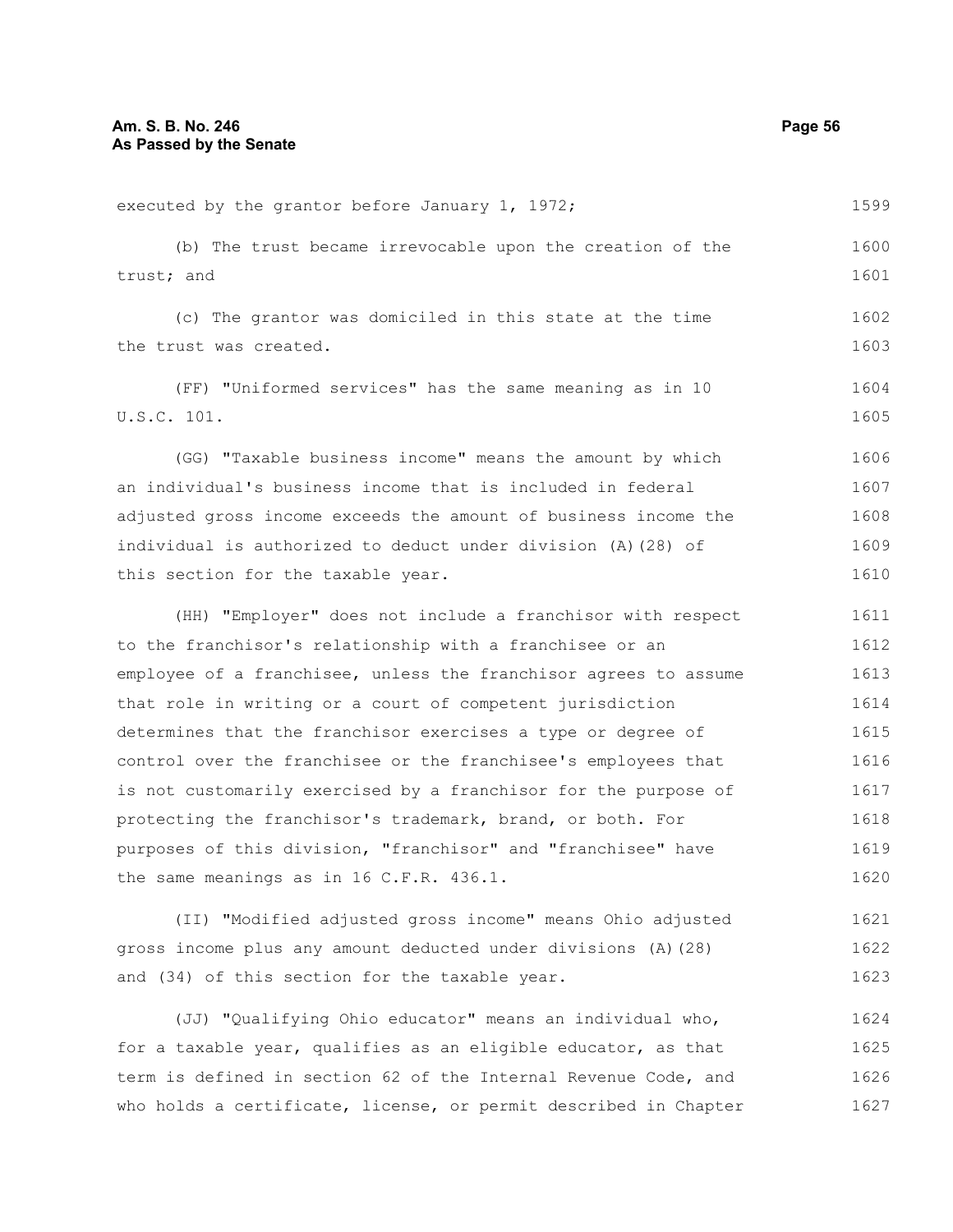executed by the grantor before January 1, 1972; (b) The trust became irrevocable upon the creation of the trust; and (c) The grantor was domiciled in this state at the time the trust was created. (FF) "Uniformed services" has the same meaning as in 10 U.S.C. 101. (GG) "Taxable business income" means the amount by which an individual's business income that is included in federal adjusted gross income exceeds the amount of business income the individual is authorized to deduct under division (A)(28) of this section for the taxable year. (HH) "Employer" does not include a franchisor with respect to the franchisor's relationship with a franchisee or an employee of a franchisee, unless the franchisor agrees to assume that role in writing or a court of competent jurisdiction determines that the franchisor exercises a type or degree of control over the franchisee or the franchisee's employees that is not customarily exercised by a franchisor for the purpose of protecting the franchisor's trademark, brand, or both. For purposes of this division, "franchisor" and "franchisee" have the same meanings as in 16 C.F.R. 436.1. (II) "Modified adjusted gross income" means Ohio adjusted gross income plus any amount deducted under divisions (A)(28) and (34) of this section for the taxable year. 1599 1600 1601 1602 1603 1604 1605 1606 1607 1608 1609 1610 1611 1612 1613 1614 1615 1616 1617 1618 1619 1620 1621 1622 1623

(JJ) "Qualifying Ohio educator" means an individual who, for a taxable year, qualifies as an eligible educator, as that term is defined in section 62 of the Internal Revenue Code, and who holds a certificate, license, or permit described in Chapter 1624 1625 1626 1627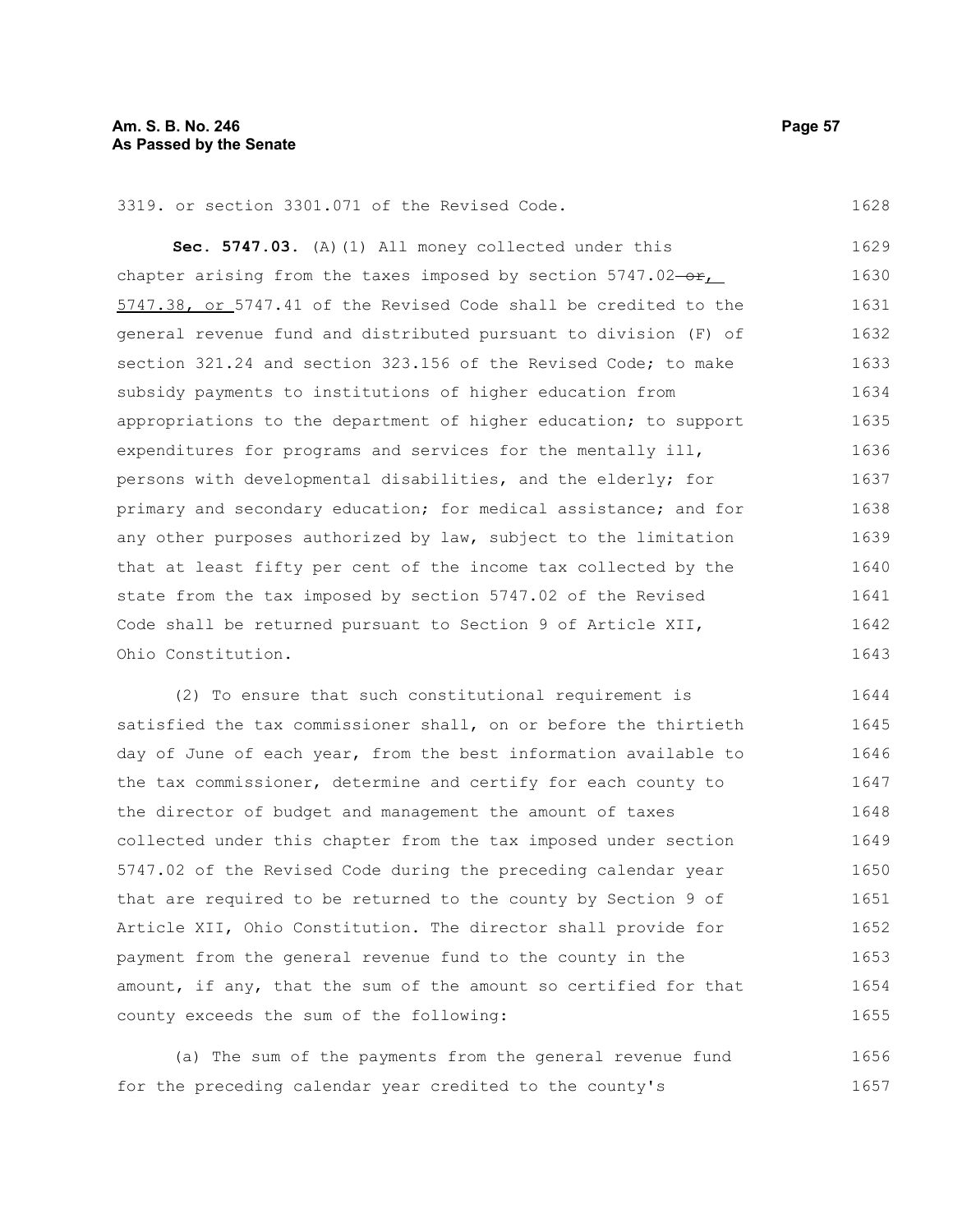**Sec. 5747.03.** (A)(1) All money collected under this chapter arising from the taxes imposed by section  $5747.02-\text{er}$ , 5747.38, or 5747.41 of the Revised Code shall be credited to the general revenue fund and distributed pursuant to division (F) of section 321.24 and section 323.156 of the Revised Code: to make subsidy payments to institutions of higher education from appropriations to the department of higher education; to support expenditures for programs and services for the mentally ill, persons with developmental disabilities, and the elderly; for primary and secondary education; for medical assistance; and for any other purposes authorized by law, subject to the limitation that at least fifty per cent of the income tax collected by the state from the tax imposed by section 5747.02 of the Revised Code shall be returned pursuant to Section 9 of Article XII, Ohio Constitution. 1629 1630 1631 1632 1633 1634 1635 1636 1637 1638 1639 1640 1641 1642 1643

(2) To ensure that such constitutional requirement is satisfied the tax commissioner shall, on or before the thirtieth day of June of each year, from the best information available to the tax commissioner, determine and certify for each county to the director of budget and management the amount of taxes collected under this chapter from the tax imposed under section 5747.02 of the Revised Code during the preceding calendar year that are required to be returned to the county by Section 9 of Article XII, Ohio Constitution. The director shall provide for payment from the general revenue fund to the county in the amount, if any, that the sum of the amount so certified for that county exceeds the sum of the following: 1644 1645 1646 1647 1648 1649 1650 1651 1652 1653 1654 1655

(a) The sum of the payments from the general revenue fund for the preceding calendar year credited to the county's 1656 1657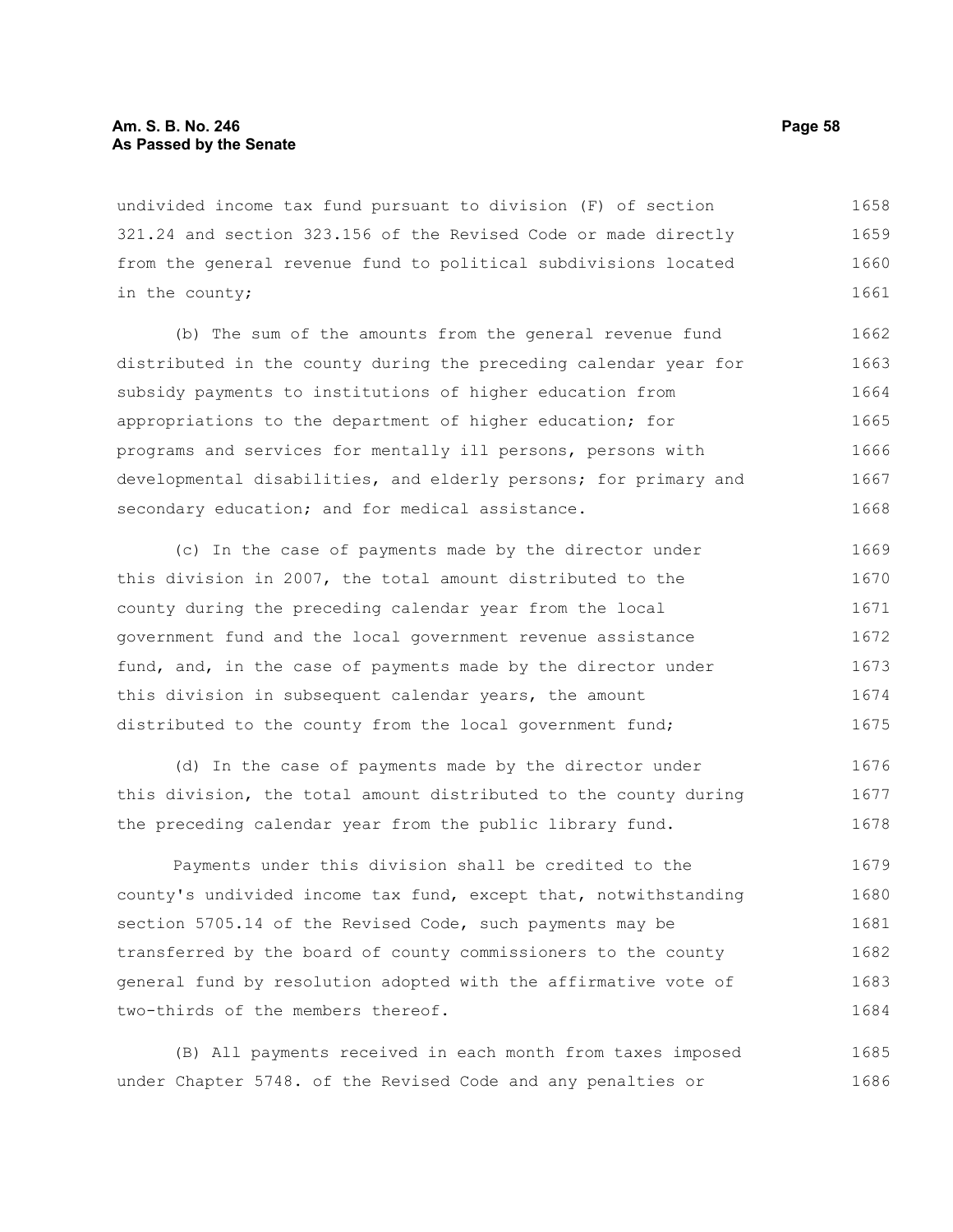## **Am. S. B. No. 246 Page 58 As Passed by the Senate**

undivided income tax fund pursuant to division (F) of section 321.24 and section 323.156 of the Revised Code or made directly from the general revenue fund to political subdivisions located in the county; 1658 1659 1660 1661

(b) The sum of the amounts from the general revenue fund distributed in the county during the preceding calendar year for subsidy payments to institutions of higher education from appropriations to the department of higher education; for programs and services for mentally ill persons, persons with developmental disabilities, and elderly persons; for primary and secondary education; and for medical assistance. 1662 1663 1664 1665 1666 1667 1668

(c) In the case of payments made by the director under this division in 2007, the total amount distributed to the county during the preceding calendar year from the local government fund and the local government revenue assistance fund, and, in the case of payments made by the director under this division in subsequent calendar years, the amount distributed to the county from the local government fund; 1669 1670 1671 1672 1673 1674 1675

(d) In the case of payments made by the director under this division, the total amount distributed to the county during the preceding calendar year from the public library fund. 1676 1677 1678

Payments under this division shall be credited to the county's undivided income tax fund, except that, notwithstanding section 5705.14 of the Revised Code, such payments may be transferred by the board of county commissioners to the county general fund by resolution adopted with the affirmative vote of two-thirds of the members thereof. 1679 1680 1681 1682 1683 1684

(B) All payments received in each month from taxes imposed under Chapter 5748. of the Revised Code and any penalties or 1685 1686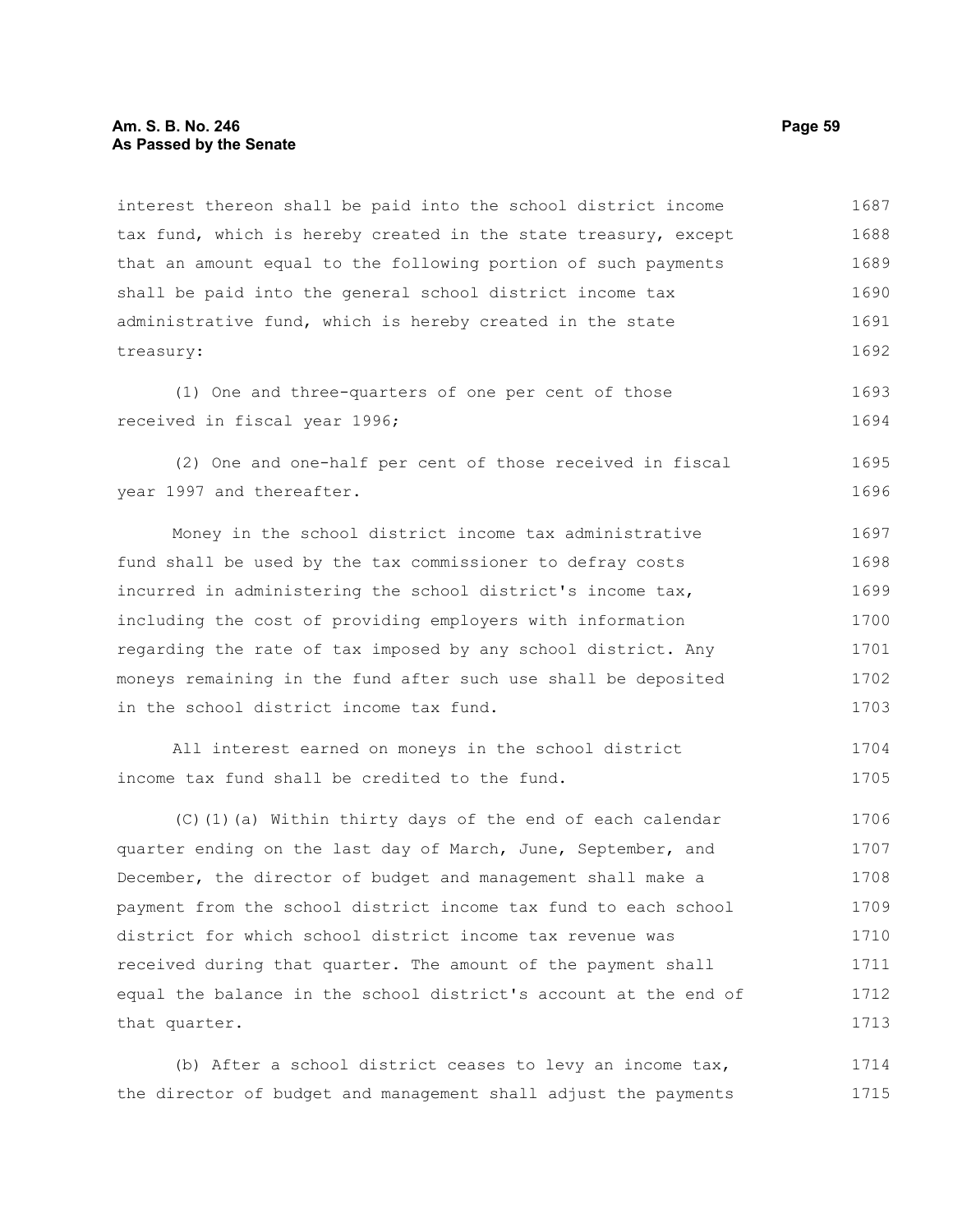#### **Am. S. B. No. 246 Page 59 As Passed by the Senate**

interest thereon shall be paid into the school district income tax fund, which is hereby created in the state treasury, except that an amount equal to the following portion of such payments shall be paid into the general school district income tax administrative fund, which is hereby created in the state treasury: 1687 1688 1689 1690 1691 1692

(1) One and three-quarters of one per cent of those received in fiscal year 1996; 1693 1694

(2) One and one-half per cent of those received in fiscal year 1997 and thereafter. 1695 1696

Money in the school district income tax administrative fund shall be used by the tax commissioner to defray costs incurred in administering the school district's income tax, including the cost of providing employers with information regarding the rate of tax imposed by any school district. Any moneys remaining in the fund after such use shall be deposited in the school district income tax fund. 1697 1698 1699 1700 1701 1702 1703

```
All interest earned on moneys in the school district
income tax fund shall be credited to the fund. 
                                                                            1704
                                                                            1705
```
(C)(1)(a) Within thirty days of the end of each calendar quarter ending on the last day of March, June, September, and December, the director of budget and management shall make a payment from the school district income tax fund to each school district for which school district income tax revenue was received during that quarter. The amount of the payment shall equal the balance in the school district's account at the end of that quarter. 1706 1707 1708 1709 1710 1711 1712 1713

(b) After a school district ceases to levy an income tax, the director of budget and management shall adjust the payments 1714 1715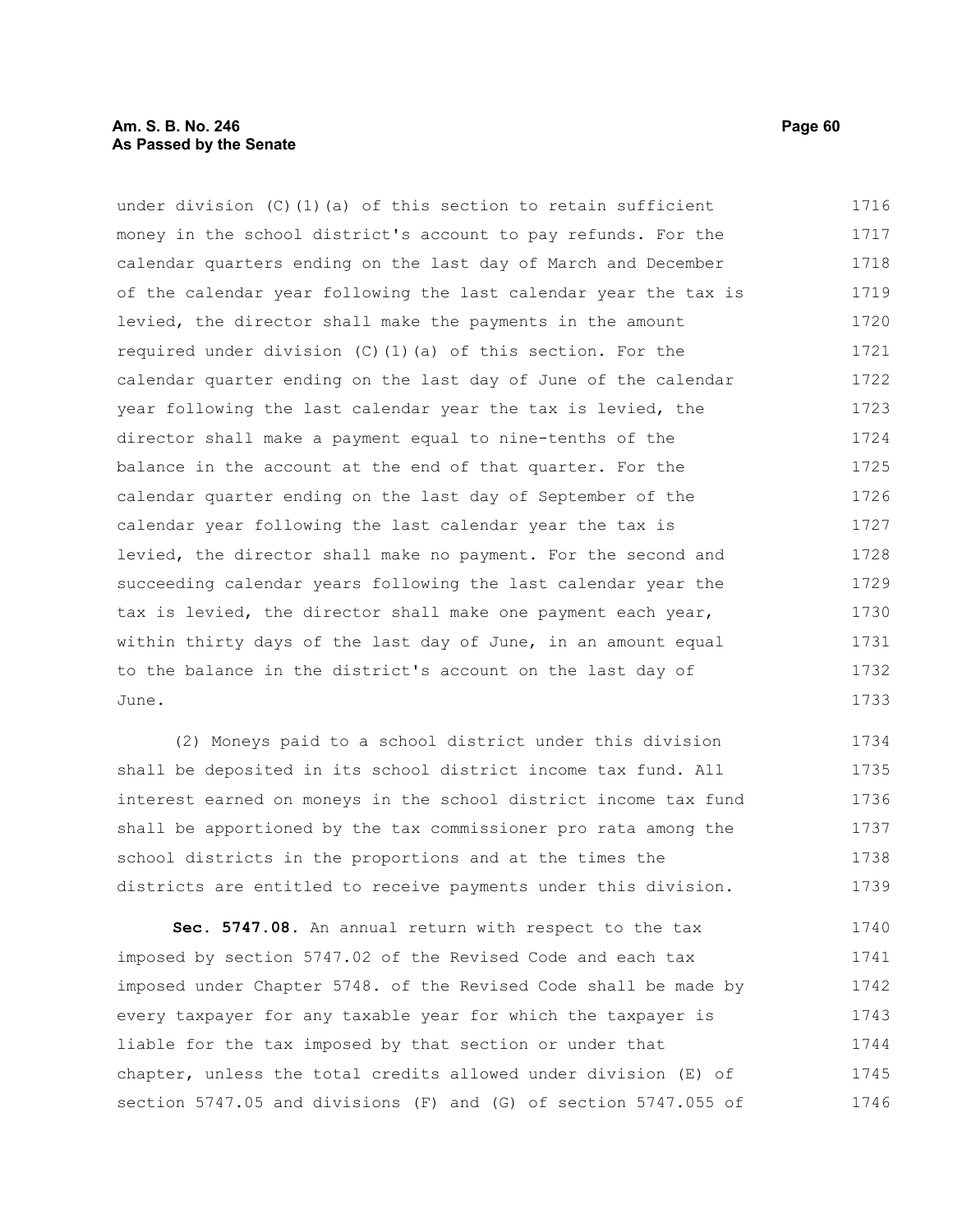under division (C)(1)(a) of this section to retain sufficient money in the school district's account to pay refunds. For the calendar quarters ending on the last day of March and December of the calendar year following the last calendar year the tax is levied, the director shall make the payments in the amount required under division (C)(1)(a) of this section. For the calendar quarter ending on the last day of June of the calendar year following the last calendar year the tax is levied, the director shall make a payment equal to nine-tenths of the balance in the account at the end of that quarter. For the calendar quarter ending on the last day of September of the calendar year following the last calendar year the tax is levied, the director shall make no payment. For the second and succeeding calendar years following the last calendar year the tax is levied, the director shall make one payment each year, within thirty days of the last day of June, in an amount equal to the balance in the district's account on the last day of June. 1716 1717 1718 1719 1720 1721 1722 1723 1724 1725 1726 1727 1728 1729 1730 1731 1732 1733

(2) Moneys paid to a school district under this division shall be deposited in its school district income tax fund. All interest earned on moneys in the school district income tax fund shall be apportioned by the tax commissioner pro rata among the school districts in the proportions and at the times the districts are entitled to receive payments under this division. 1734 1735 1736 1737 1738 1739

**Sec. 5747.08.** An annual return with respect to the tax imposed by section 5747.02 of the Revised Code and each tax imposed under Chapter 5748. of the Revised Code shall be made by every taxpayer for any taxable year for which the taxpayer is liable for the tax imposed by that section or under that chapter, unless the total credits allowed under division (E) of section 5747.05 and divisions (F) and (G) of section 5747.055 of 1740 1741 1742 1743 1744 1745 1746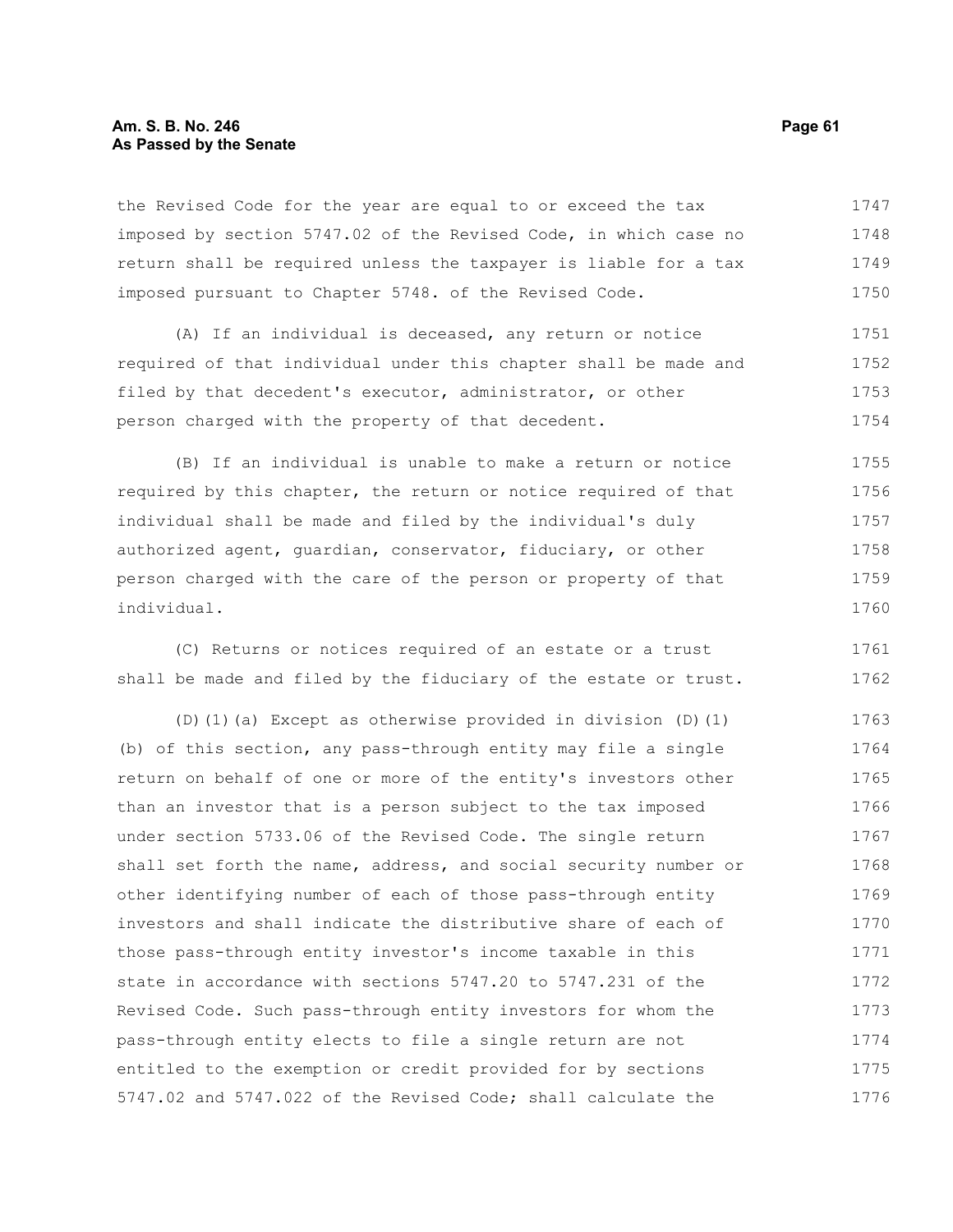#### **Am. S. B. No. 246 Page 61 As Passed by the Senate**

the Revised Code for the year are equal to or exceed the tax imposed by section 5747.02 of the Revised Code, in which case no return shall be required unless the taxpayer is liable for a tax imposed pursuant to Chapter 5748. of the Revised Code. 1747 1748 1749 1750

(A) If an individual is deceased, any return or notice required of that individual under this chapter shall be made and filed by that decedent's executor, administrator, or other person charged with the property of that decedent. 1751 1752 1753 1754

(B) If an individual is unable to make a return or notice required by this chapter, the return or notice required of that individual shall be made and filed by the individual's duly authorized agent, guardian, conservator, fiduciary, or other person charged with the care of the person or property of that individual. 1755 1756 1757 1758 1759 1760

(C) Returns or notices required of an estate or a trust shall be made and filed by the fiduciary of the estate or trust. 1761 1762

(D)(1)(a) Except as otherwise provided in division (D)(1) (b) of this section, any pass-through entity may file a single return on behalf of one or more of the entity's investors other than an investor that is a person subject to the tax imposed under section 5733.06 of the Revised Code. The single return shall set forth the name, address, and social security number or other identifying number of each of those pass-through entity investors and shall indicate the distributive share of each of those pass-through entity investor's income taxable in this state in accordance with sections 5747.20 to 5747.231 of the Revised Code. Such pass-through entity investors for whom the pass-through entity elects to file a single return are not entitled to the exemption or credit provided for by sections 5747.02 and 5747.022 of the Revised Code; shall calculate the 1763 1764 1765 1766 1767 1768 1769 1770 1771 1772 1773 1774 1775 1776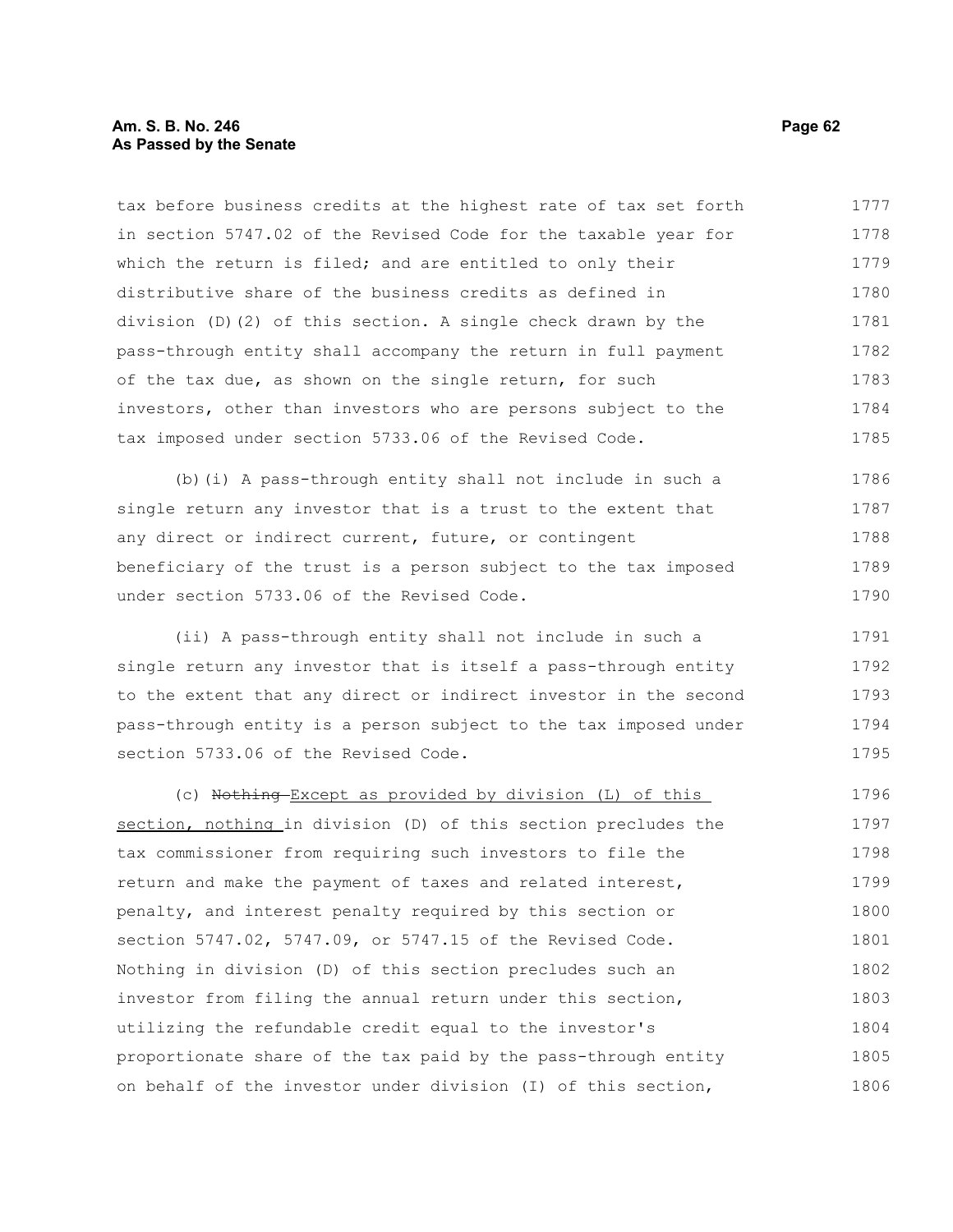#### **Am. S. B. No. 246 Page 62 As Passed by the Senate**

tax before business credits at the highest rate of tax set forth in section 5747.02 of the Revised Code for the taxable year for which the return is filed; and are entitled to only their distributive share of the business credits as defined in division (D)(2) of this section. A single check drawn by the pass-through entity shall accompany the return in full payment of the tax due, as shown on the single return, for such investors, other than investors who are persons subject to the tax imposed under section 5733.06 of the Revised Code. 1777 1778 1779 1780 1781 1782 1783 1784 1785

(b)(i) A pass-through entity shall not include in such a single return any investor that is a trust to the extent that any direct or indirect current, future, or contingent beneficiary of the trust is a person subject to the tax imposed under section 5733.06 of the Revised Code. 1786 1787 1788 1789 1790

(ii) A pass-through entity shall not include in such a single return any investor that is itself a pass-through entity to the extent that any direct or indirect investor in the second pass-through entity is a person subject to the tax imposed under section 5733.06 of the Revised Code. 1791 1792 1793 1794 1795

(c) Nothing Except as provided by division (L) of this section, nothing in division (D) of this section precludes the tax commissioner from requiring such investors to file the return and make the payment of taxes and related interest, penalty, and interest penalty required by this section or section 5747.02, 5747.09, or 5747.15 of the Revised Code. Nothing in division (D) of this section precludes such an investor from filing the annual return under this section, utilizing the refundable credit equal to the investor's proportionate share of the tax paid by the pass-through entity on behalf of the investor under division (I) of this section, 1796 1797 1798 1799 1800 1801 1802 1803 1804 1805 1806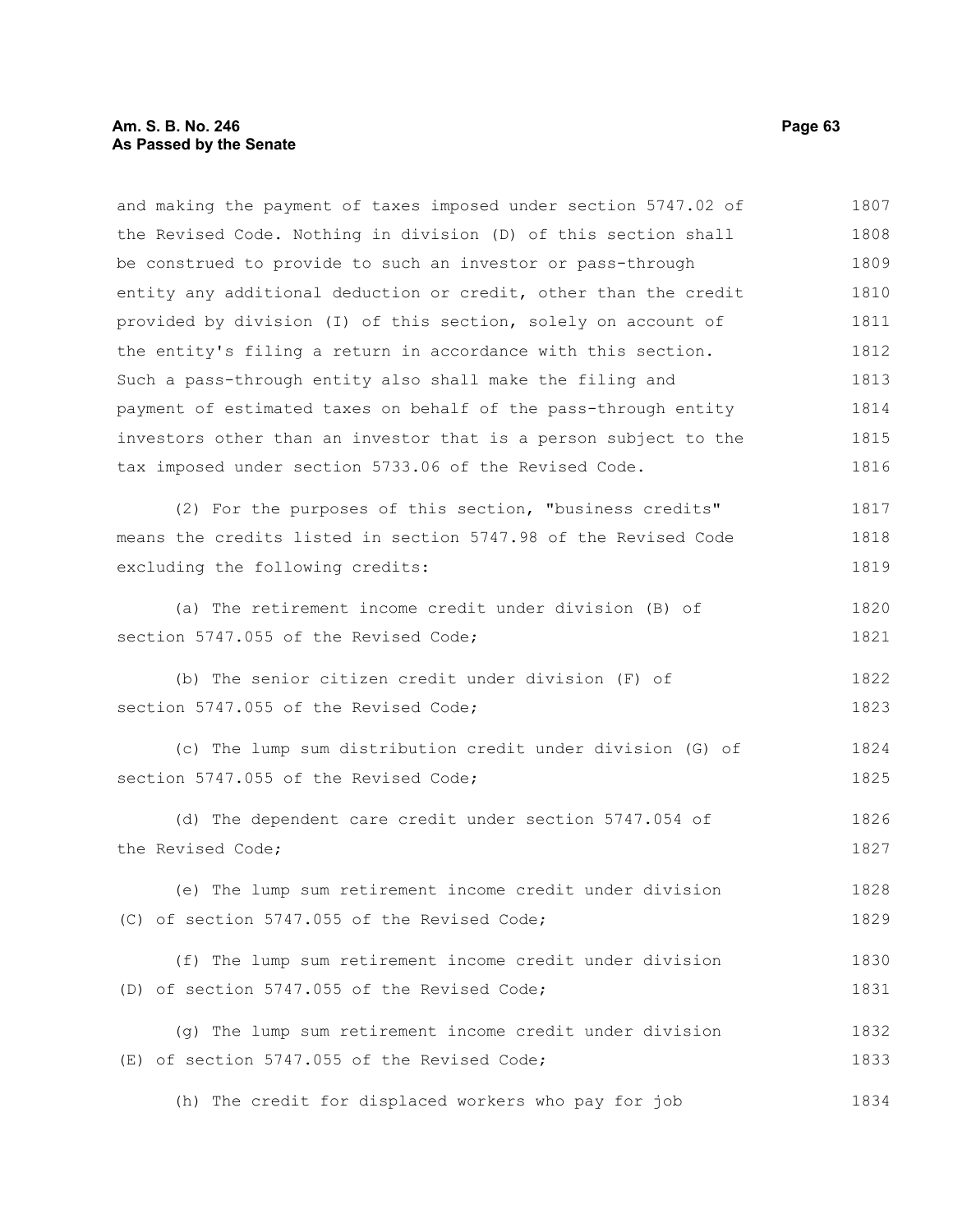and making the payment of taxes imposed under section 5747.02 of the Revised Code. Nothing in division (D) of this section shall be construed to provide to such an investor or pass-through entity any additional deduction or credit, other than the credit provided by division (I) of this section, solely on account of the entity's filing a return in accordance with this section. Such a pass-through entity also shall make the filing and payment of estimated taxes on behalf of the pass-through entity investors other than an investor that is a person subject to the tax imposed under section 5733.06 of the Revised Code. (2) For the purposes of this section, "business credits" means the credits listed in section 5747.98 of the Revised Code excluding the following credits: (a) The retirement income credit under division (B) of section 5747.055 of the Revised Code: (b) The senior citizen credit under division (F) of section 5747.055 of the Revised Code; (c) The lump sum distribution credit under division (G) of section 5747.055 of the Revised Code; (d) The dependent care credit under section 5747.054 of the Revised Code; (e) The lump sum retirement income credit under division (C) of section 5747.055 of the Revised Code; (f) The lump sum retirement income credit under division (D) of section 5747.055 of the Revised Code; (g) The lump sum retirement income credit under division (E) of section 5747.055 of the Revised Code; (h) The credit for displaced workers who pay for job 1807 1808 1809 1810 1811 1812 1813 1814 1815 1816 1817 1818 1819 1820 1821 1822 1823 1824 1825 1826 1827 1828 1829 1830 1831 1832 1833 1834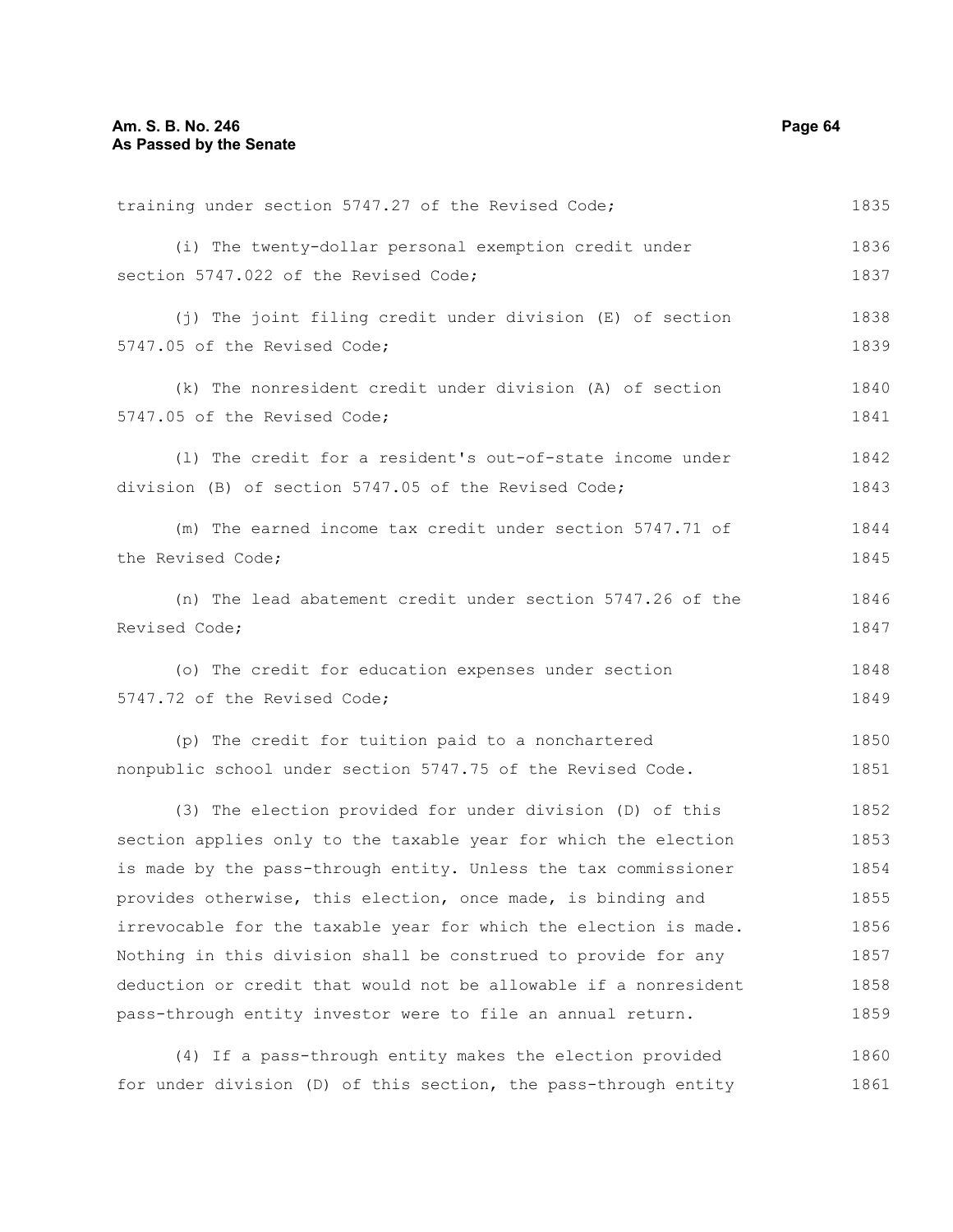| training under section 5747.27 of the Revised Code;              | 1835 |
|------------------------------------------------------------------|------|
| (i) The twenty-dollar personal exemption credit under            | 1836 |
| section 5747.022 of the Revised Code;                            | 1837 |
| (j) The joint filing credit under division (E) of section        | 1838 |
| 5747.05 of the Revised Code;                                     | 1839 |
| (k) The nonresident credit under division (A) of section         | 1840 |
| 5747.05 of the Revised Code;                                     | 1841 |
| (1) The credit for a resident's out-of-state income under        | 1842 |
| division (B) of section 5747.05 of the Revised Code;             | 1843 |
| (m) The earned income tax credit under section 5747.71 of        | 1844 |
| the Revised Code;                                                | 1845 |
| (n) The lead abatement credit under section 5747.26 of the       | 1846 |
| Revised Code;                                                    | 1847 |
| (o) The credit for education expenses under section              | 1848 |
| 5747.72 of the Revised Code;                                     | 1849 |
| (p) The credit for tuition paid to a nonchartered                | 1850 |
| nonpublic school under section 5747.75 of the Revised Code.      | 1851 |
| (3) The election provided for under division (D) of this         | 1852 |
| section applies only to the taxable year for which the election  | 1853 |
| is made by the pass-through entity. Unless the tax commissioner  | 1854 |
| provides otherwise, this election, once made, is binding and     | 1855 |
| irrevocable for the taxable year for which the election is made. | 1856 |
| Nothing in this division shall be construed to provide for any   | 1857 |
| deduction or credit that would not be allowable if a nonresident | 1858 |
| pass-through entity investor were to file an annual return.      | 1859 |
| (4) If a pass-through entity makes the election provided         | 1860 |

for under division (D) of this section, the pass-through entity 1861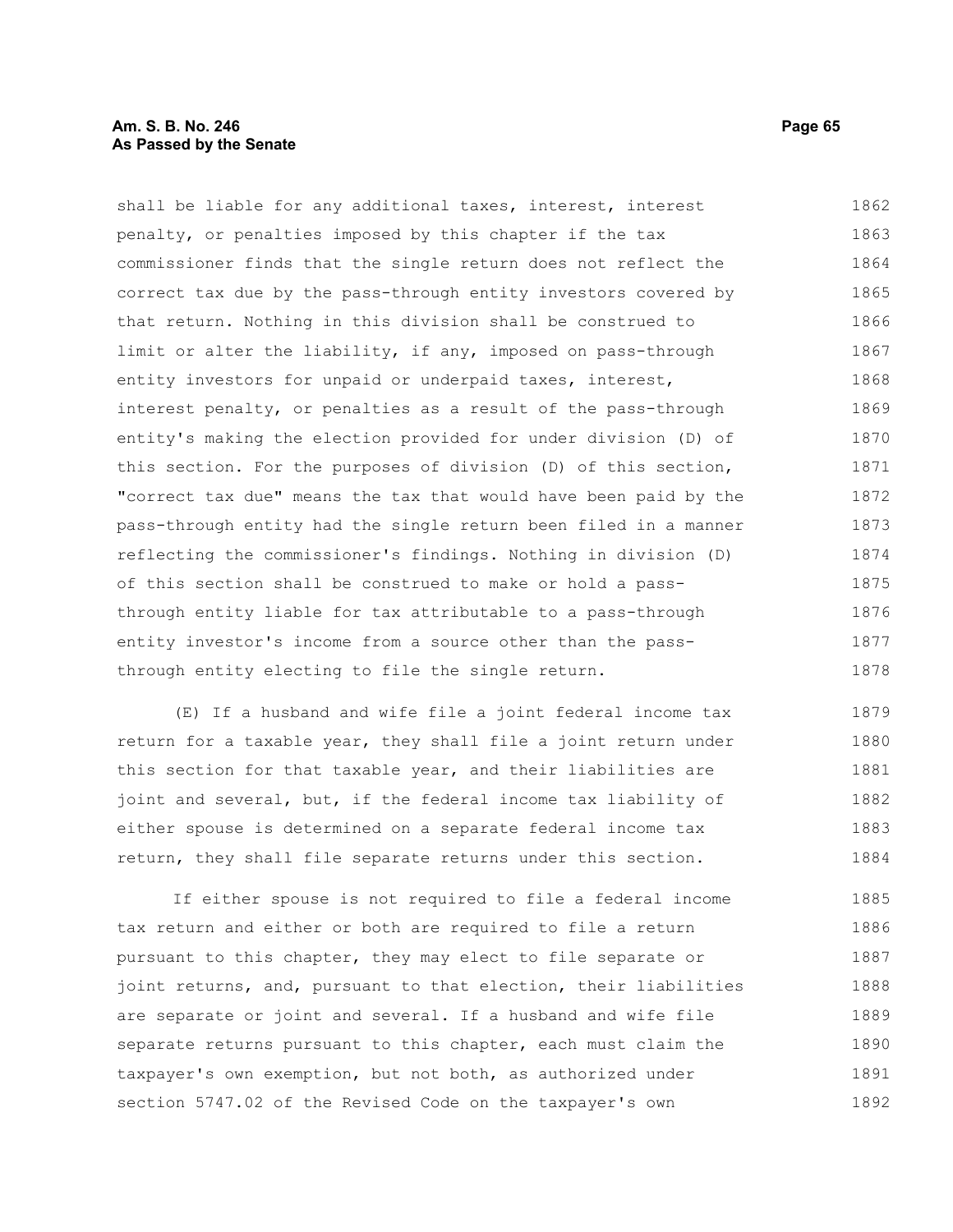#### **Am. S. B. No. 246 Page 65 As Passed by the Senate**

shall be liable for any additional taxes, interest, interest penalty, or penalties imposed by this chapter if the tax commissioner finds that the single return does not reflect the correct tax due by the pass-through entity investors covered by that return. Nothing in this division shall be construed to limit or alter the liability, if any, imposed on pass-through entity investors for unpaid or underpaid taxes, interest, interest penalty, or penalties as a result of the pass-through entity's making the election provided for under division (D) of this section. For the purposes of division (D) of this section, "correct tax due" means the tax that would have been paid by the pass-through entity had the single return been filed in a manner reflecting the commissioner's findings. Nothing in division (D) of this section shall be construed to make or hold a passthrough entity liable for tax attributable to a pass-through entity investor's income from a source other than the passthrough entity electing to file the single return. 1862 1863 1864 1865 1866 1867 1868 1869 1870 1871 1872 1873 1874 1875 1876 1877 1878

(E) If a husband and wife file a joint federal income tax return for a taxable year, they shall file a joint return under this section for that taxable year, and their liabilities are joint and several, but, if the federal income tax liability of either spouse is determined on a separate federal income tax return, they shall file separate returns under this section. 1879 1880 1881 1882 1883 1884

If either spouse is not required to file a federal income tax return and either or both are required to file a return pursuant to this chapter, they may elect to file separate or joint returns, and, pursuant to that election, their liabilities are separate or joint and several. If a husband and wife file separate returns pursuant to this chapter, each must claim the taxpayer's own exemption, but not both, as authorized under section 5747.02 of the Revised Code on the taxpayer's own 1885 1886 1887 1888 1889 1890 1891 1892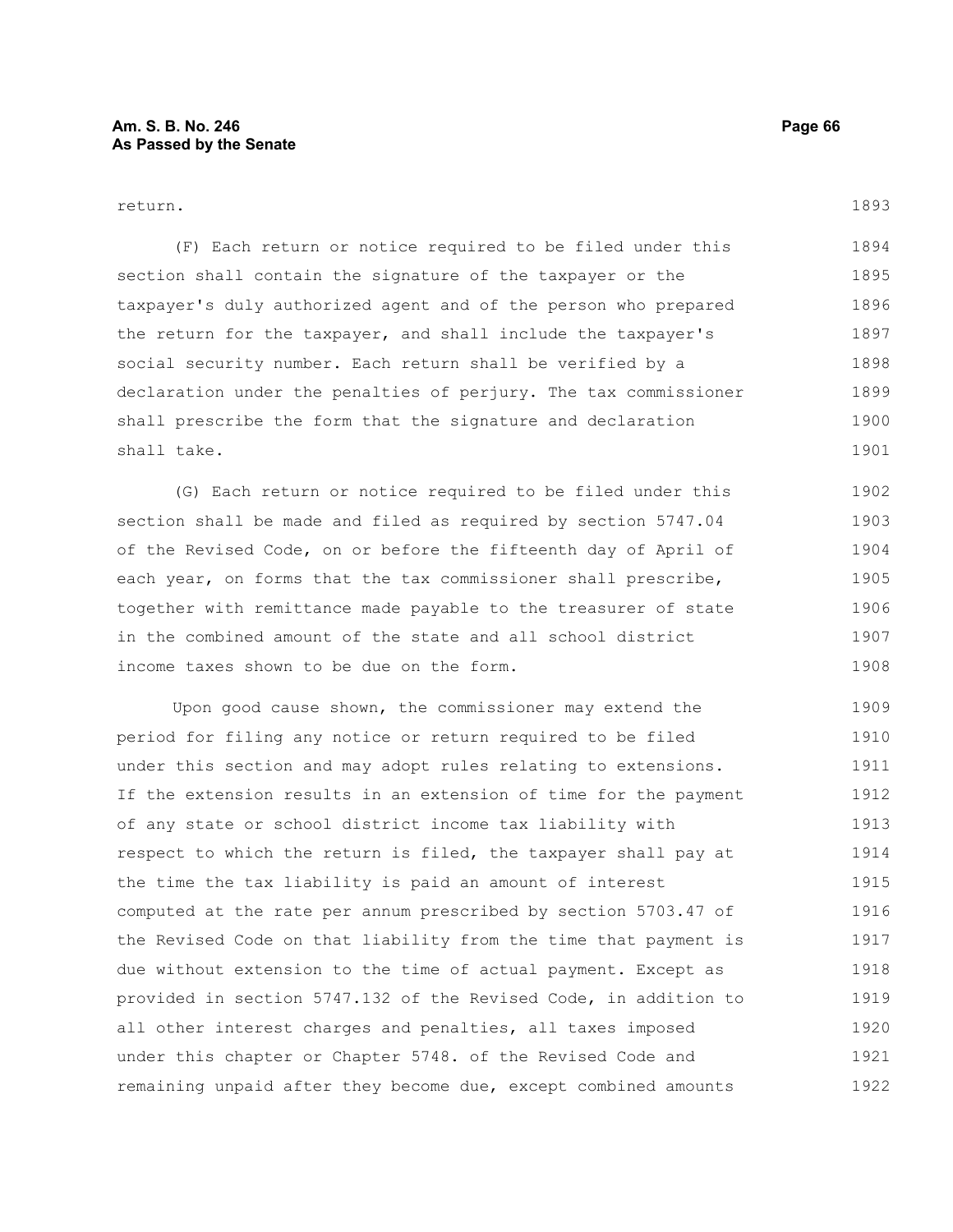#### return.

(F) Each return or notice required to be filed under this section shall contain the signature of the taxpayer or the taxpayer's duly authorized agent and of the person who prepared the return for the taxpayer, and shall include the taxpayer's social security number. Each return shall be verified by a declaration under the penalties of perjury. The tax commissioner shall prescribe the form that the signature and declaration shall take. 1894 1895 1896 1897 1898 1899 1900 1901

(G) Each return or notice required to be filed under this section shall be made and filed as required by section 5747.04 of the Revised Code, on or before the fifteenth day of April of each year, on forms that the tax commissioner shall prescribe, together with remittance made payable to the treasurer of state in the combined amount of the state and all school district income taxes shown to be due on the form. 1902 1903 1904 1905 1906 1907 1908

Upon good cause shown, the commissioner may extend the period for filing any notice or return required to be filed under this section and may adopt rules relating to extensions. If the extension results in an extension of time for the payment of any state or school district income tax liability with respect to which the return is filed, the taxpayer shall pay at the time the tax liability is paid an amount of interest computed at the rate per annum prescribed by section 5703.47 of the Revised Code on that liability from the time that payment is due without extension to the time of actual payment. Except as provided in section 5747.132 of the Revised Code, in addition to all other interest charges and penalties, all taxes imposed under this chapter or Chapter 5748. of the Revised Code and remaining unpaid after they become due, except combined amounts 1909 1910 1911 1912 1913 1914 1915 1916 1917 1918 1919 1920 1921 1922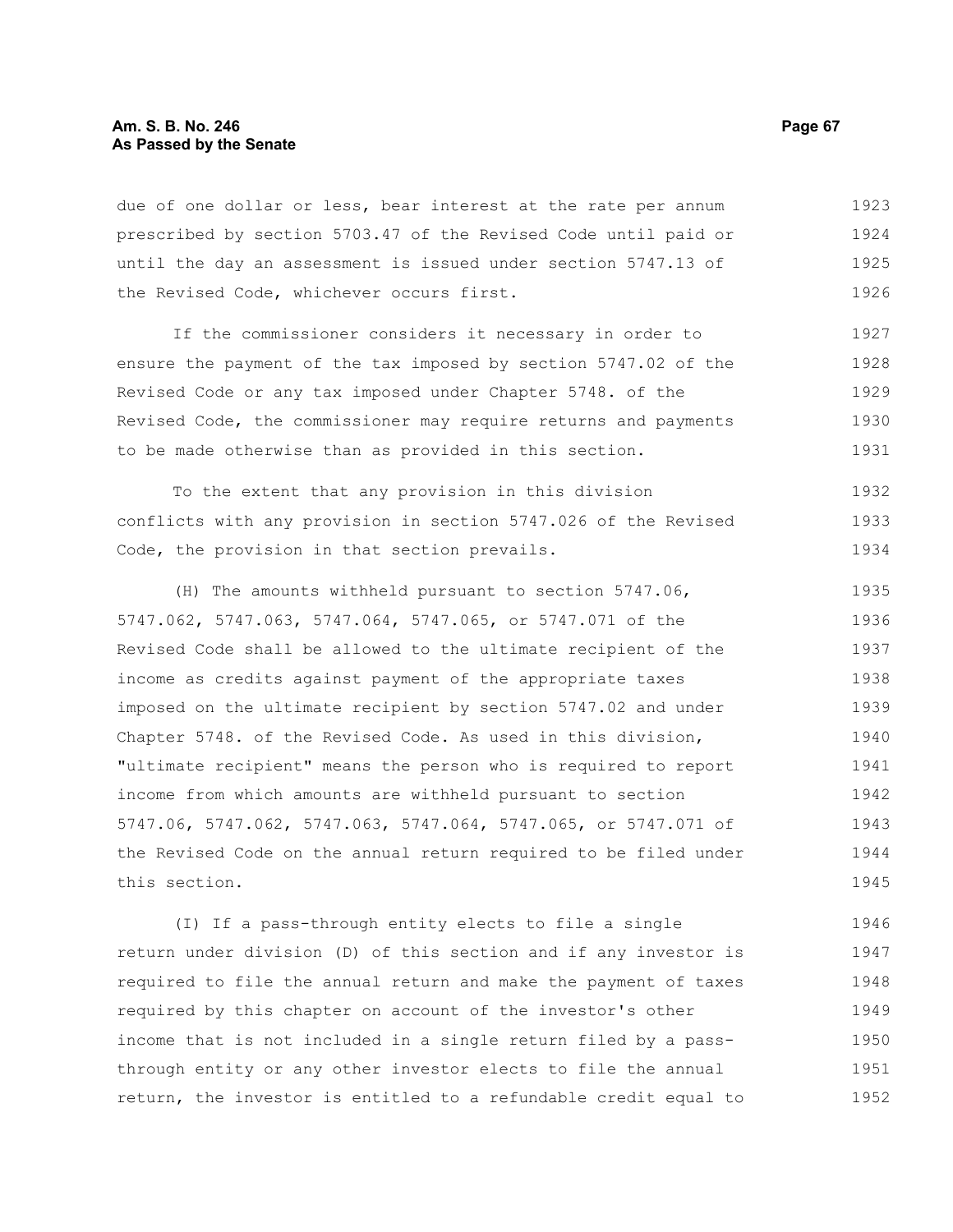due of one dollar or less, bear interest at the rate per annum prescribed by section 5703.47 of the Revised Code until paid or until the day an assessment is issued under section 5747.13 of the Revised Code, whichever occurs first. 1923 1924 1925 1926

If the commissioner considers it necessary in order to ensure the payment of the tax imposed by section 5747.02 of the Revised Code or any tax imposed under Chapter 5748. of the Revised Code, the commissioner may require returns and payments to be made otherwise than as provided in this section. 1927 1928 1929 1930 1931

To the extent that any provision in this division conflicts with any provision in section 5747.026 of the Revised Code, the provision in that section prevails. 1932 1933 1934

(H) The amounts withheld pursuant to section 5747.06, 5747.062, 5747.063, 5747.064, 5747.065, or 5747.071 of the Revised Code shall be allowed to the ultimate recipient of the income as credits against payment of the appropriate taxes imposed on the ultimate recipient by section 5747.02 and under Chapter 5748. of the Revised Code. As used in this division, "ultimate recipient" means the person who is required to report income from which amounts are withheld pursuant to section 5747.06, 5747.062, 5747.063, 5747.064, 5747.065, or 5747.071 of the Revised Code on the annual return required to be filed under this section. 1935 1936 1937 1938 1939 1940 1941 1942 1943 1944 1945

(I) If a pass-through entity elects to file a single return under division (D) of this section and if any investor is required to file the annual return and make the payment of taxes required by this chapter on account of the investor's other income that is not included in a single return filed by a passthrough entity or any other investor elects to file the annual return, the investor is entitled to a refundable credit equal to 1946 1947 1948 1949 1950 1951 1952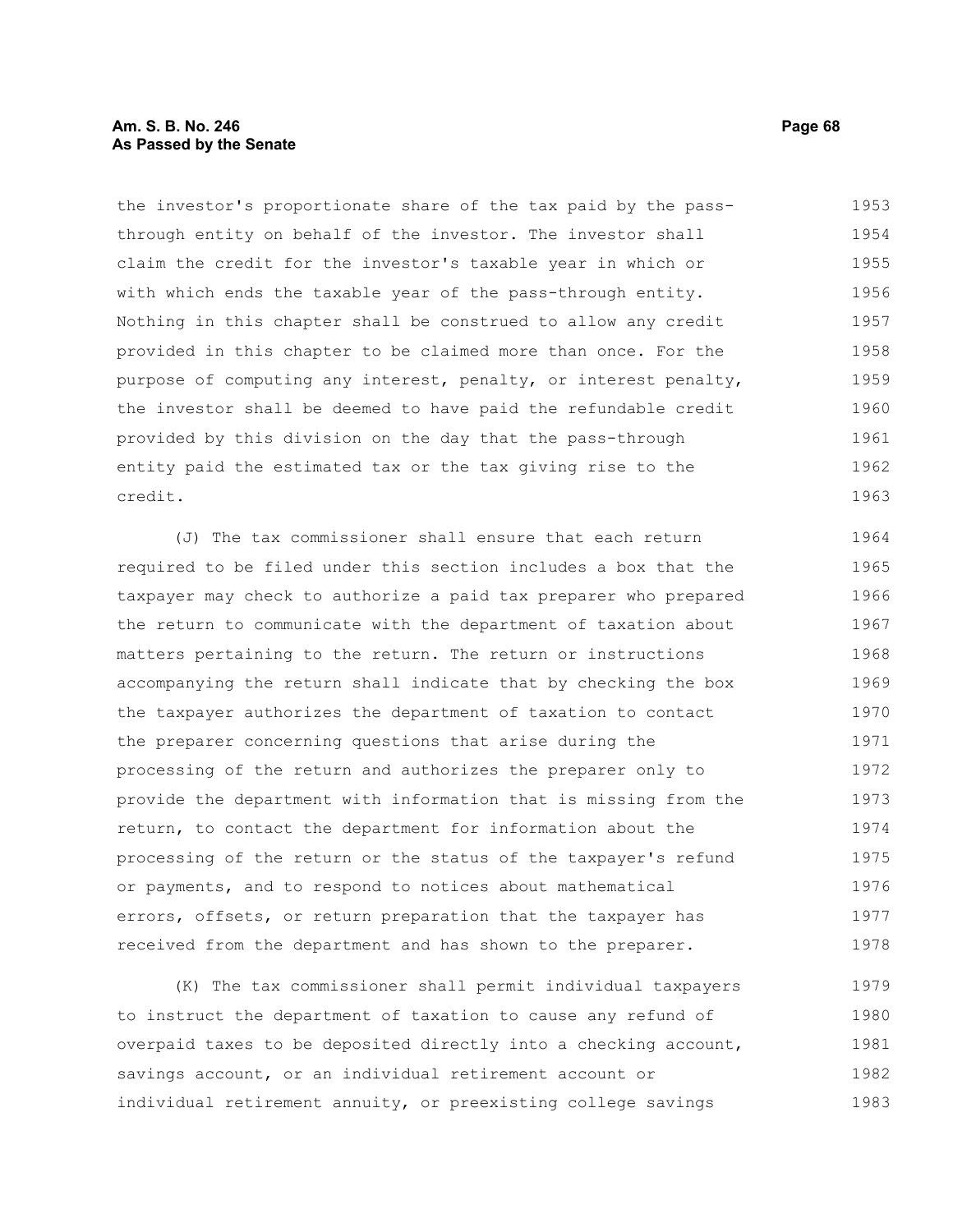## **Am. S. B. No. 246 Page 68 As Passed by the Senate**

the investor's proportionate share of the tax paid by the passthrough entity on behalf of the investor. The investor shall claim the credit for the investor's taxable year in which or with which ends the taxable year of the pass-through entity. Nothing in this chapter shall be construed to allow any credit provided in this chapter to be claimed more than once. For the purpose of computing any interest, penalty, or interest penalty, the investor shall be deemed to have paid the refundable credit provided by this division on the day that the pass-through entity paid the estimated tax or the tax giving rise to the credit. 1953 1954 1955 1956 1957 1958 1959 1960 1961 1962 1963

(J) The tax commissioner shall ensure that each return required to be filed under this section includes a box that the taxpayer may check to authorize a paid tax preparer who prepared the return to communicate with the department of taxation about matters pertaining to the return. The return or instructions accompanying the return shall indicate that by checking the box the taxpayer authorizes the department of taxation to contact the preparer concerning questions that arise during the processing of the return and authorizes the preparer only to provide the department with information that is missing from the return, to contact the department for information about the processing of the return or the status of the taxpayer's refund or payments, and to respond to notices about mathematical errors, offsets, or return preparation that the taxpayer has received from the department and has shown to the preparer. 1964 1965 1966 1967 1968 1969 1970 1971 1972 1973 1974 1975 1976 1977 1978

(K) The tax commissioner shall permit individual taxpayers to instruct the department of taxation to cause any refund of overpaid taxes to be deposited directly into a checking account, savings account, or an individual retirement account or individual retirement annuity, or preexisting college savings 1979 1980 1981 1982 1983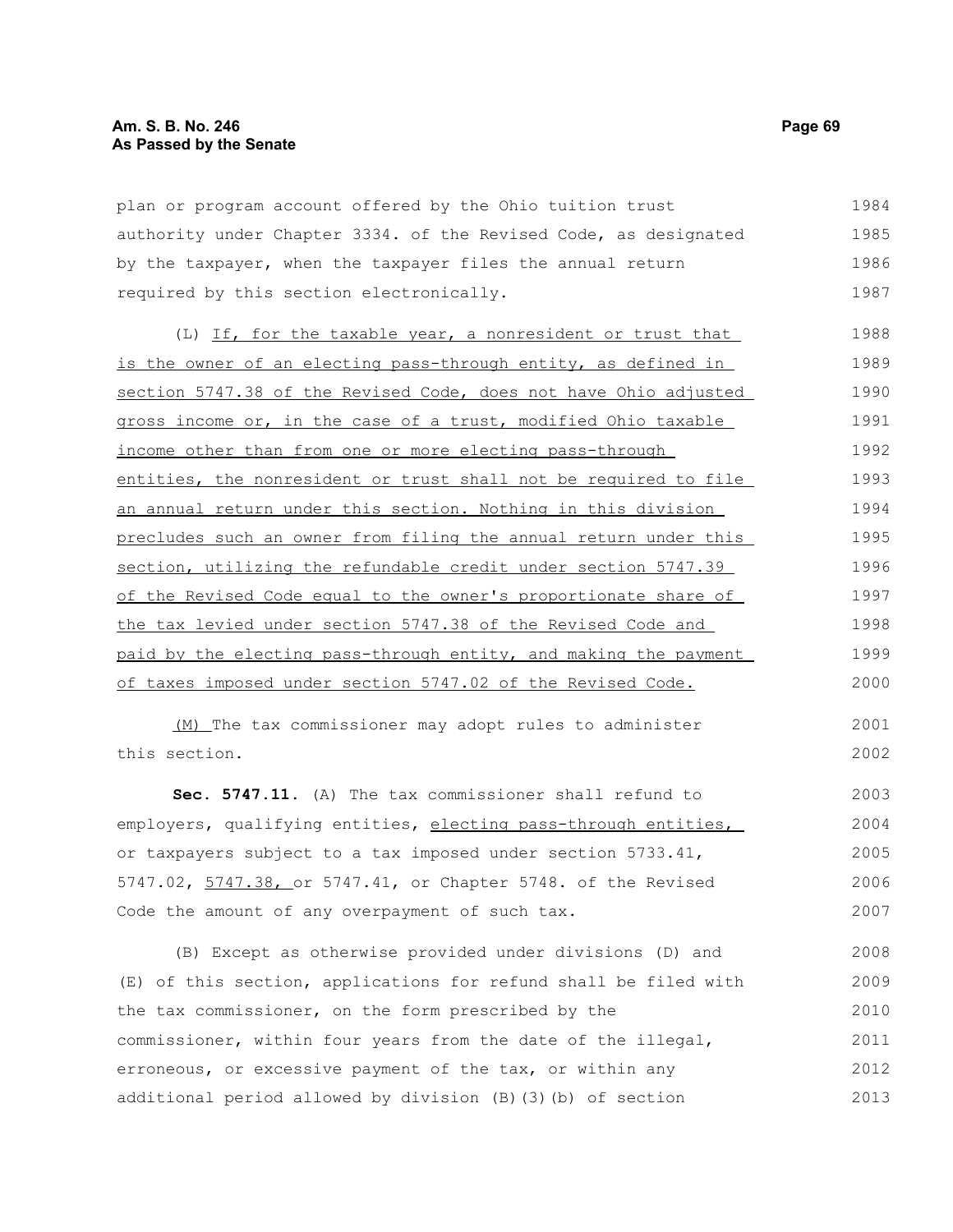plan or program account offered by the Ohio tuition trust authority under Chapter 3334. of the Revised Code, as designated by the taxpayer, when the taxpayer files the annual return required by this section electronically. 1984 1985 1986 1987

(L) If, for the taxable year, a nonresident or trust that is the owner of an electing pass-through entity, as defined in section 5747.38 of the Revised Code, does not have Ohio adjusted gross income or, in the case of a trust, modified Ohio taxable income other than from one or more electing pass-through entities, the nonresident or trust shall not be required to file an annual return under this section. Nothing in this division precludes such an owner from filing the annual return under this section, utilizing the refundable credit under section 5747.39 of the Revised Code equal to the owner's proportionate share of the tax levied under section 5747.38 of the Revised Code and paid by the electing pass-through entity, and making the payment of taxes imposed under section 5747.02 of the Revised Code. 1988 1989 1990 1991 1992 1993 1994 1995 1996 1997 1998 1999 2000

(M) The tax commissioner may adopt rules to administer this section.

**Sec. 5747.11.** (A) The tax commissioner shall refund to employers, qualifying entities, electing pass-through entities, or taxpayers subject to a tax imposed under section 5733.41, 5747.02, 5747.38, or 5747.41, or Chapter 5748. of the Revised Code the amount of any overpayment of such tax. 2003 2004 2005 2006 2007

(B) Except as otherwise provided under divisions (D) and (E) of this section, applications for refund shall be filed with the tax commissioner, on the form prescribed by the commissioner, within four years from the date of the illegal, erroneous, or excessive payment of the tax, or within any additional period allowed by division (B)(3)(b) of section 2008 2009 2010 2011 2012 2013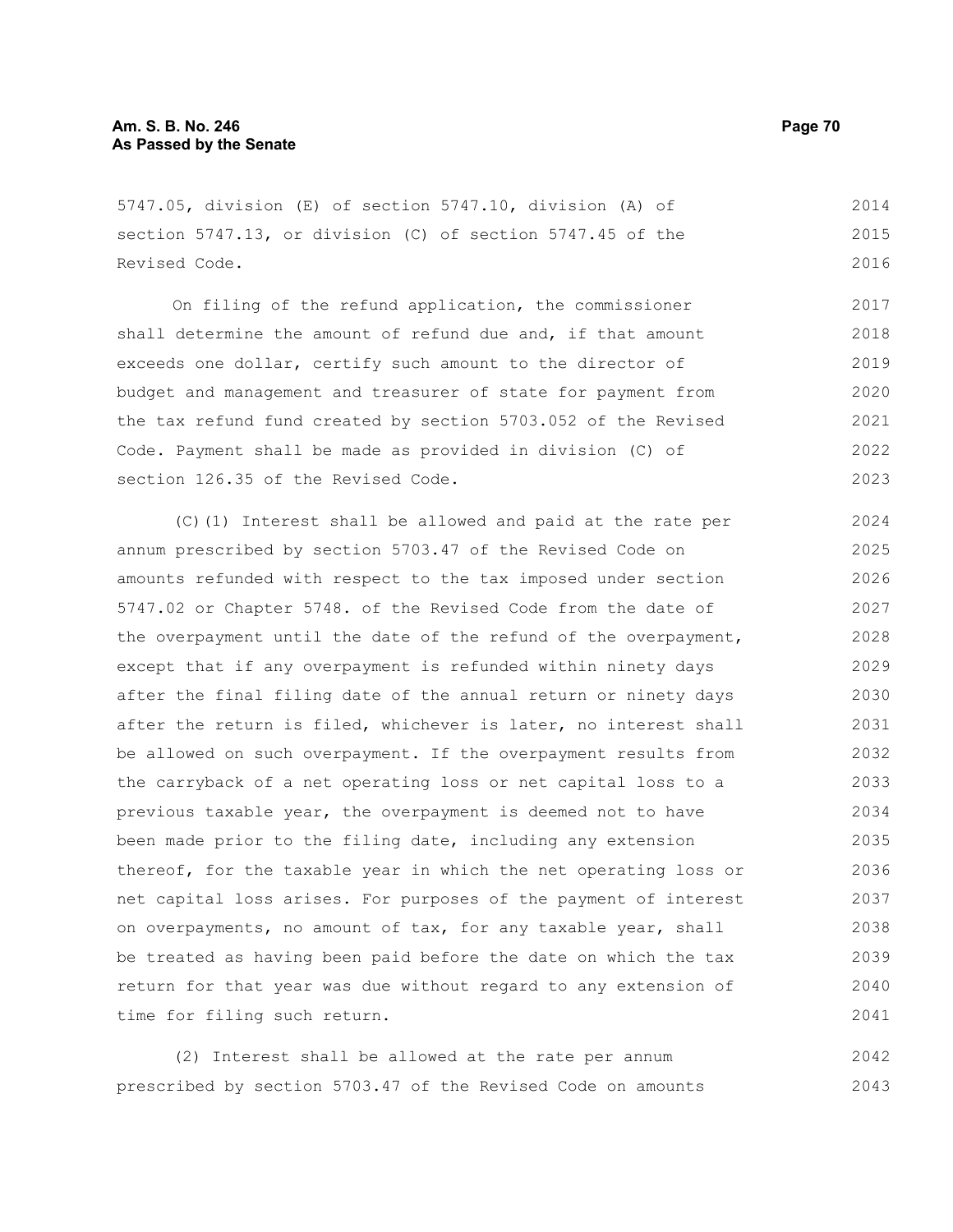5747.05, division (E) of section 5747.10, division (A) of section 5747.13, or division (C) of section 5747.45 of the Revised Code.

On filing of the refund application, the commissioner shall determine the amount of refund due and, if that amount exceeds one dollar, certify such amount to the director of budget and management and treasurer of state for payment from the tax refund fund created by section 5703.052 of the Revised Code. Payment shall be made as provided in division (C) of section 126.35 of the Revised Code. 2017 2018 2019 2020 2021 2022 2023

(C)(1) Interest shall be allowed and paid at the rate per annum prescribed by section 5703.47 of the Revised Code on amounts refunded with respect to the tax imposed under section 5747.02 or Chapter 5748. of the Revised Code from the date of the overpayment until the date of the refund of the overpayment, except that if any overpayment is refunded within ninety days after the final filing date of the annual return or ninety days after the return is filed, whichever is later, no interest shall be allowed on such overpayment. If the overpayment results from the carryback of a net operating loss or net capital loss to a previous taxable year, the overpayment is deemed not to have been made prior to the filing date, including any extension thereof, for the taxable year in which the net operating loss or net capital loss arises. For purposes of the payment of interest on overpayments, no amount of tax, for any taxable year, shall be treated as having been paid before the date on which the tax return for that year was due without regard to any extension of time for filing such return. 2024 2025 2026 2027 2028 2029 2030 2031 2032 2033 2034 2035 2036 2037 2038 2039 2040 2041

(2) Interest shall be allowed at the rate per annum prescribed by section 5703.47 of the Revised Code on amounts 2042 2043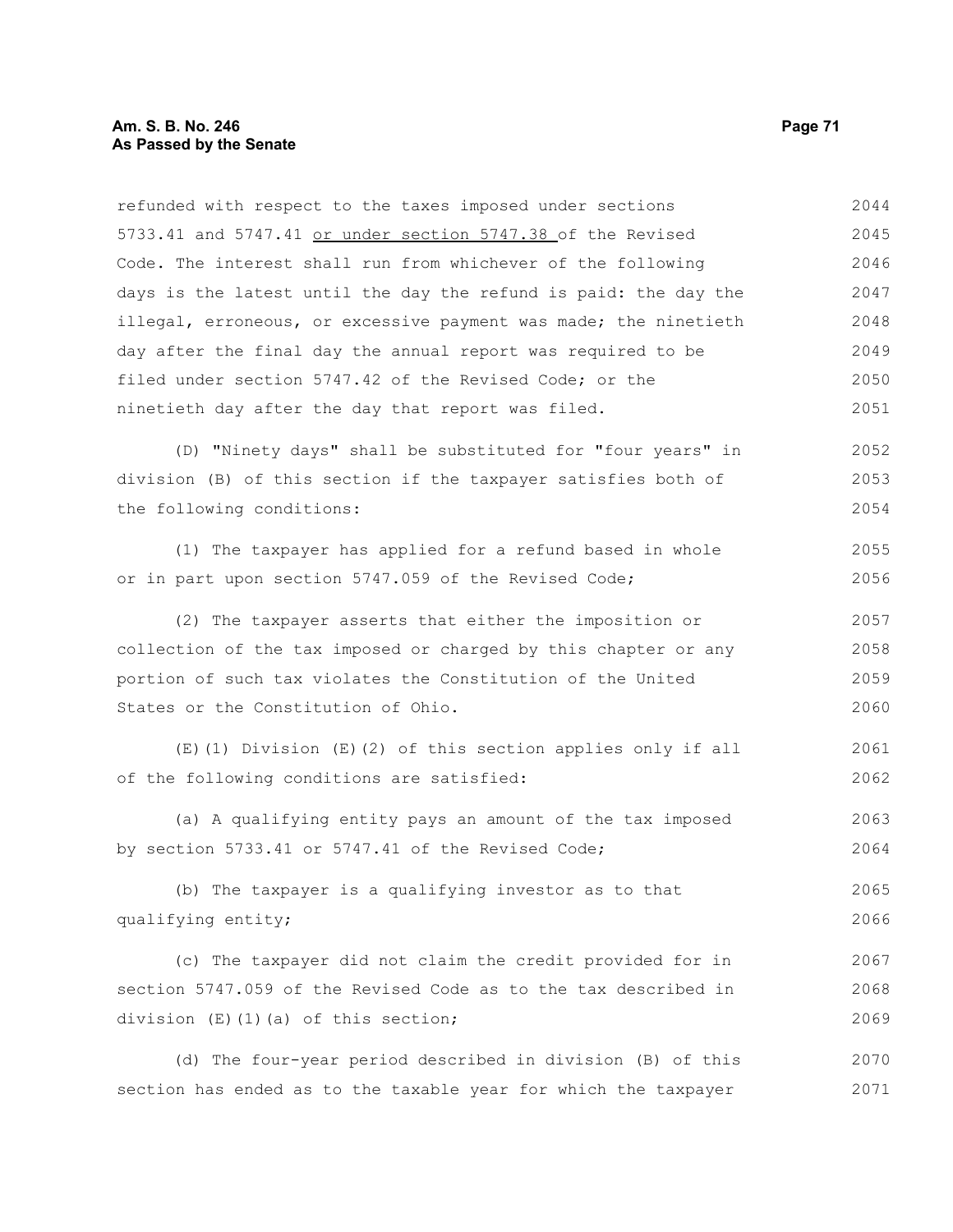refunded with respect to the taxes imposed under sections 5733.41 and 5747.41 or under section 5747.38 of the Revised Code. The interest shall run from whichever of the following days is the latest until the day the refund is paid: the day the illegal, erroneous, or excessive payment was made; the ninetieth day after the final day the annual report was required to be filed under section 5747.42 of the Revised Code; or the ninetieth day after the day that report was filed. (D) "Ninety days" shall be substituted for "four years" in division (B) of this section if the taxpayer satisfies both of the following conditions: (1) The taxpayer has applied for a refund based in whole or in part upon section 5747.059 of the Revised Code; (2) The taxpayer asserts that either the imposition or collection of the tax imposed or charged by this chapter or any portion of such tax violates the Constitution of the United States or the Constitution of Ohio. (E)(1) Division (E)(2) of this section applies only if all of the following conditions are satisfied: (a) A qualifying entity pays an amount of the tax imposed by section 5733.41 or 5747.41 of the Revised Code; (b) The taxpayer is a qualifying investor as to that qualifying entity; (c) The taxpayer did not claim the credit provided for in section 5747.059 of the Revised Code as to the tax described in division (E)(1)(a) of this section; 2044 2045 2046 2047 2048 2049 2050 2051 2052 2053 2054 2055 2056 2057 2058 2059 2060 2061 2062 2063 2064 2065 2066 2067 2068 2069

(d) The four-year period described in division (B) of this section has ended as to the taxable year for which the taxpayer 2070 2071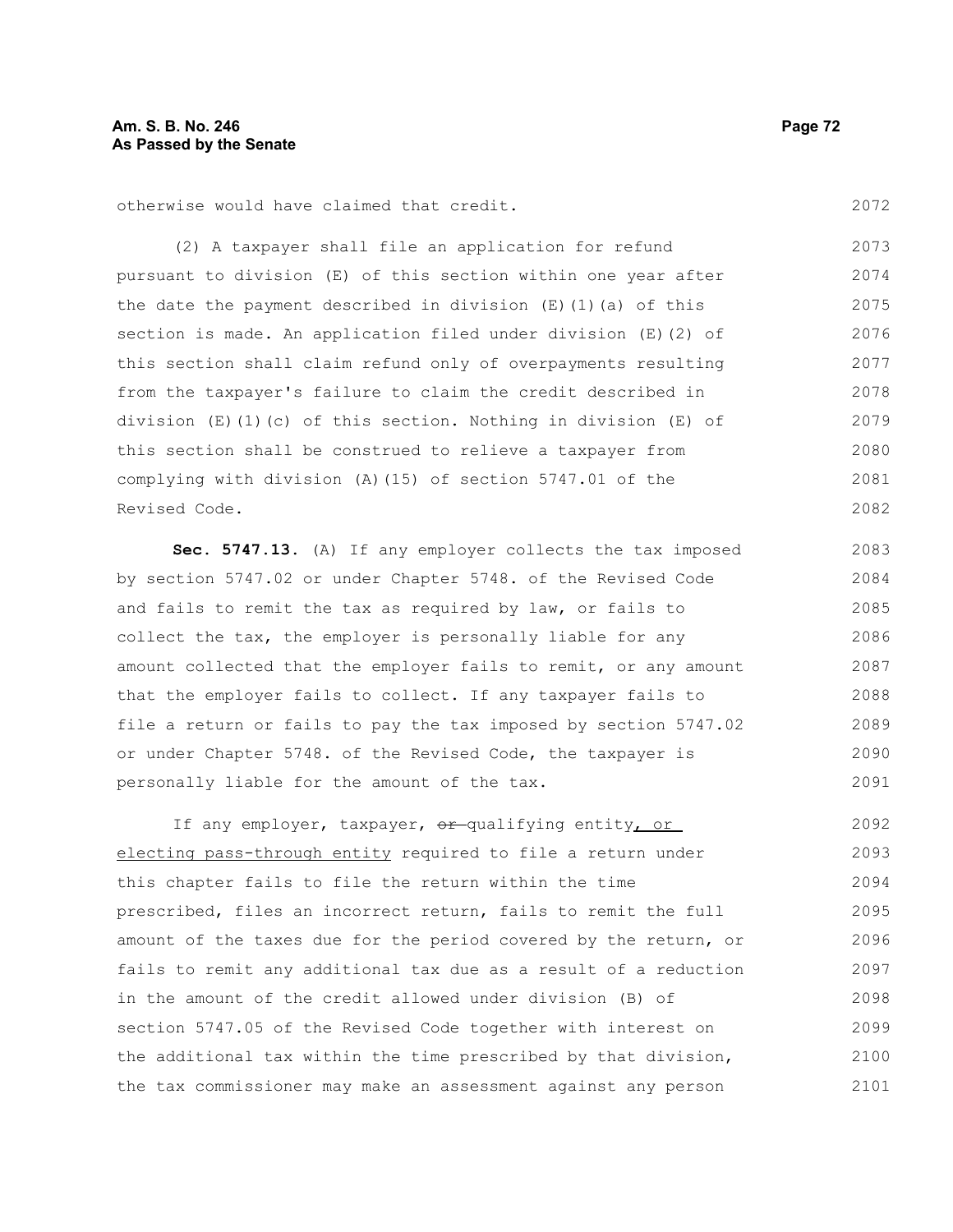otherwise would have claimed that credit.

(2) A taxpayer shall file an application for refund pursuant to division (E) of this section within one year after the date the payment described in division  $(E)$  (1)(a) of this section is made. An application filed under division (E)(2) of this section shall claim refund only of overpayments resulting from the taxpayer's failure to claim the credit described in division  $(E)(1)(c)$  of this section. Nothing in division  $(E)$  of this section shall be construed to relieve a taxpayer from complying with division (A)(15) of section 5747.01 of the Revised Code. 2073 2074 2075 2076 2077 2078 2079 2080 2081 2082

**Sec. 5747.13.** (A) If any employer collects the tax imposed by section 5747.02 or under Chapter 5748. of the Revised Code and fails to remit the tax as required by law, or fails to collect the tax, the employer is personally liable for any amount collected that the employer fails to remit, or any amount that the employer fails to collect. If any taxpayer fails to file a return or fails to pay the tax imposed by section 5747.02 or under Chapter 5748. of the Revised Code, the taxpayer is personally liable for the amount of the tax. 2083 2084 2085 2086 2087 2088 2089 2090 2091

If any employer, taxpayer,  $\theta$ r-qualifying entity, or electing pass-through entity required to file a return under this chapter fails to file the return within the time prescribed, files an incorrect return, fails to remit the full amount of the taxes due for the period covered by the return, or fails to remit any additional tax due as a result of a reduction in the amount of the credit allowed under division (B) of section 5747.05 of the Revised Code together with interest on the additional tax within the time prescribed by that division, the tax commissioner may make an assessment against any person 2092 2093 2094 2095 2096 2097 2098 2099 2100 2101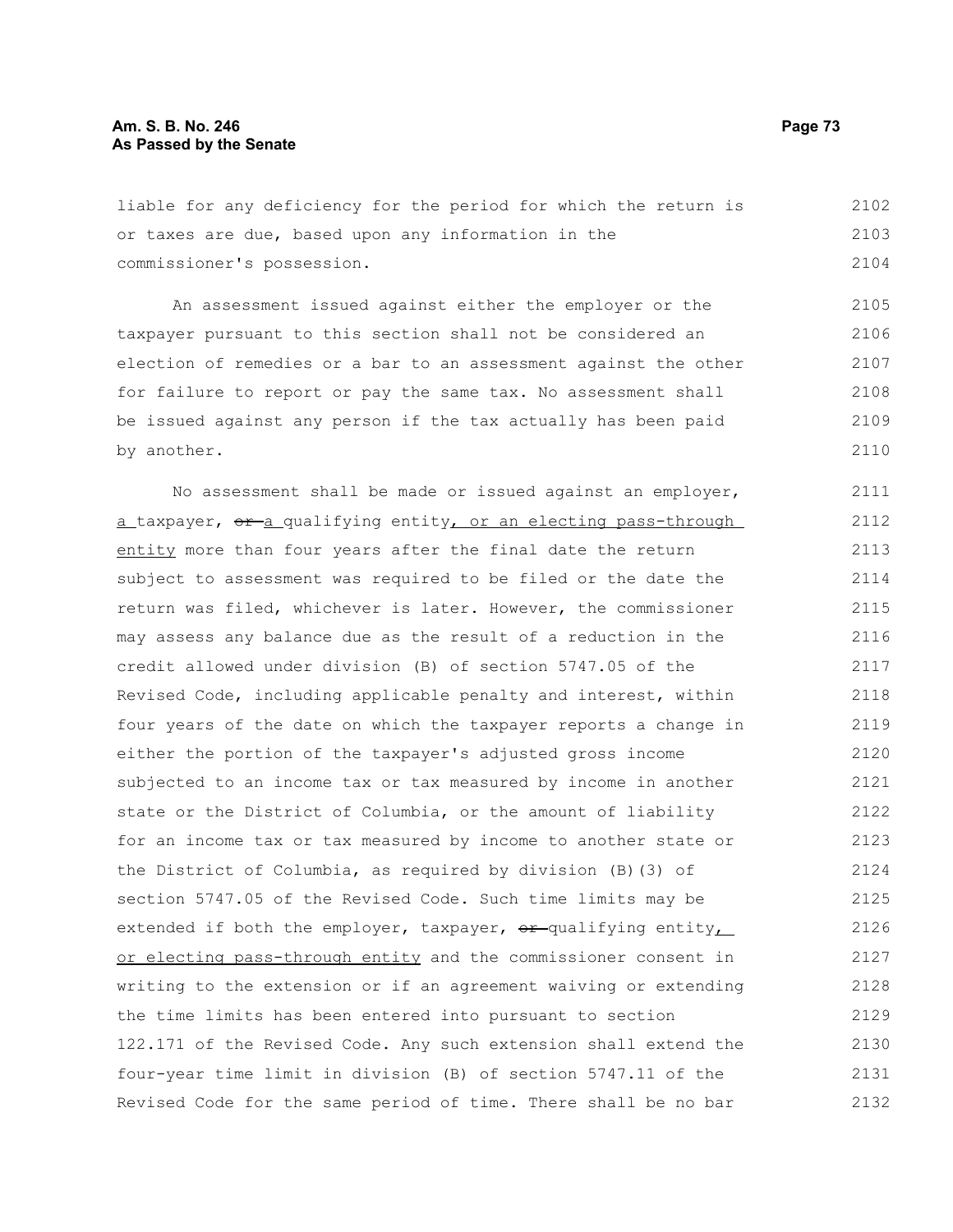liable for any deficiency for the period for which the return is or taxes are due, based upon any information in the commissioner's possession. 2102 2103 2104

An assessment issued against either the employer or the taxpayer pursuant to this section shall not be considered an election of remedies or a bar to an assessment against the other for failure to report or pay the same tax. No assessment shall be issued against any person if the tax actually has been paid by another. 2105 2106 2107 2108 2109 2110

No assessment shall be made or issued against an employer, a taxpayer,  $\theta$  a qualifying entity, or an electing pass-through entity more than four years after the final date the return subject to assessment was required to be filed or the date the return was filed, whichever is later. However, the commissioner may assess any balance due as the result of a reduction in the credit allowed under division (B) of section 5747.05 of the Revised Code, including applicable penalty and interest, within four years of the date on which the taxpayer reports a change in either the portion of the taxpayer's adjusted gross income subjected to an income tax or tax measured by income in another state or the District of Columbia, or the amount of liability for an income tax or tax measured by income to another state or the District of Columbia, as required by division (B)(3) of section 5747.05 of the Revised Code. Such time limits may be extended if both the employer, taxpayer,  $\theta$ r-qualifying entity, or electing pass-through entity and the commissioner consent in writing to the extension or if an agreement waiving or extending the time limits has been entered into pursuant to section 122.171 of the Revised Code. Any such extension shall extend the four-year time limit in division (B) of section 5747.11 of the Revised Code for the same period of time. There shall be no bar 2111 2112 2113 2114 2115 2116 2117 2118 2119 2120 2121 2122 2123 2124 2125 2126 2127 2128 2129 2130 2131 2132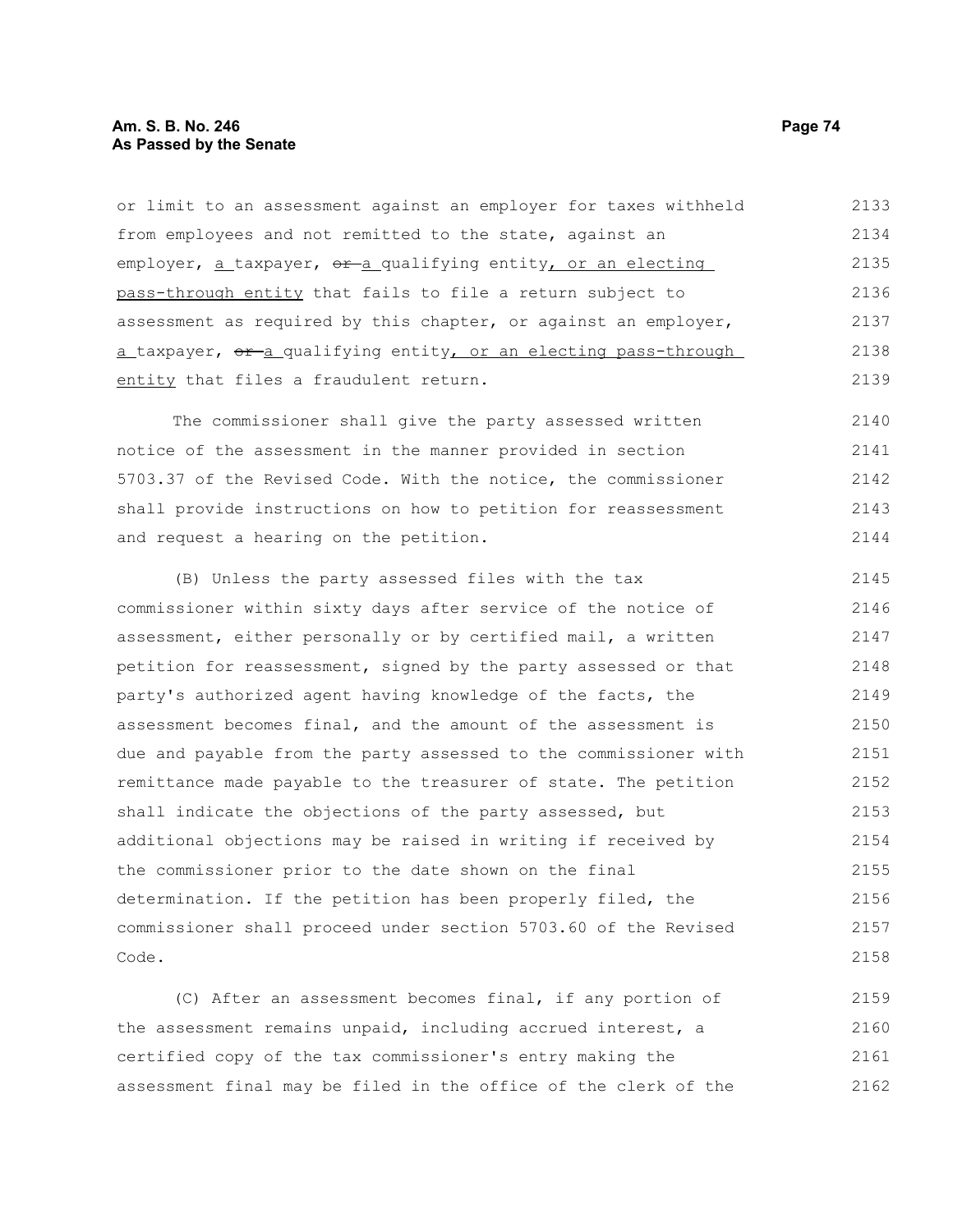# **Am. S. B. No. 246 Page 74 As Passed by the Senate**

or limit to an assessment against an employer for taxes withheld from employees and not remitted to the state, against an employer,  $a$  taxpayer,  $e^{a}$  qualifying entity, or an electing pass-through entity that fails to file a return subject to assessment as required by this chapter, or against an employer, a taxpayer, or a qualifying entity, or an electing pass-through entity that files a fraudulent return. 2133 2134 2135 2136 2137 2138 2139

The commissioner shall give the party assessed written notice of the assessment in the manner provided in section 5703.37 of the Revised Code. With the notice, the commissioner shall provide instructions on how to petition for reassessment and request a hearing on the petition. 2140 2141 2142 2143 2144

(B) Unless the party assessed files with the tax commissioner within sixty days after service of the notice of assessment, either personally or by certified mail, a written petition for reassessment, signed by the party assessed or that party's authorized agent having knowledge of the facts, the assessment becomes final, and the amount of the assessment is due and payable from the party assessed to the commissioner with remittance made payable to the treasurer of state. The petition shall indicate the objections of the party assessed, but additional objections may be raised in writing if received by the commissioner prior to the date shown on the final determination. If the petition has been properly filed, the commissioner shall proceed under section 5703.60 of the Revised Code. 2145 2146 2147 2148 2149 2150 2151 2152 2153 2154 2155 2156 2157 2158

(C) After an assessment becomes final, if any portion of the assessment remains unpaid, including accrued interest, a certified copy of the tax commissioner's entry making the assessment final may be filed in the office of the clerk of the 2159 2160 2161 2162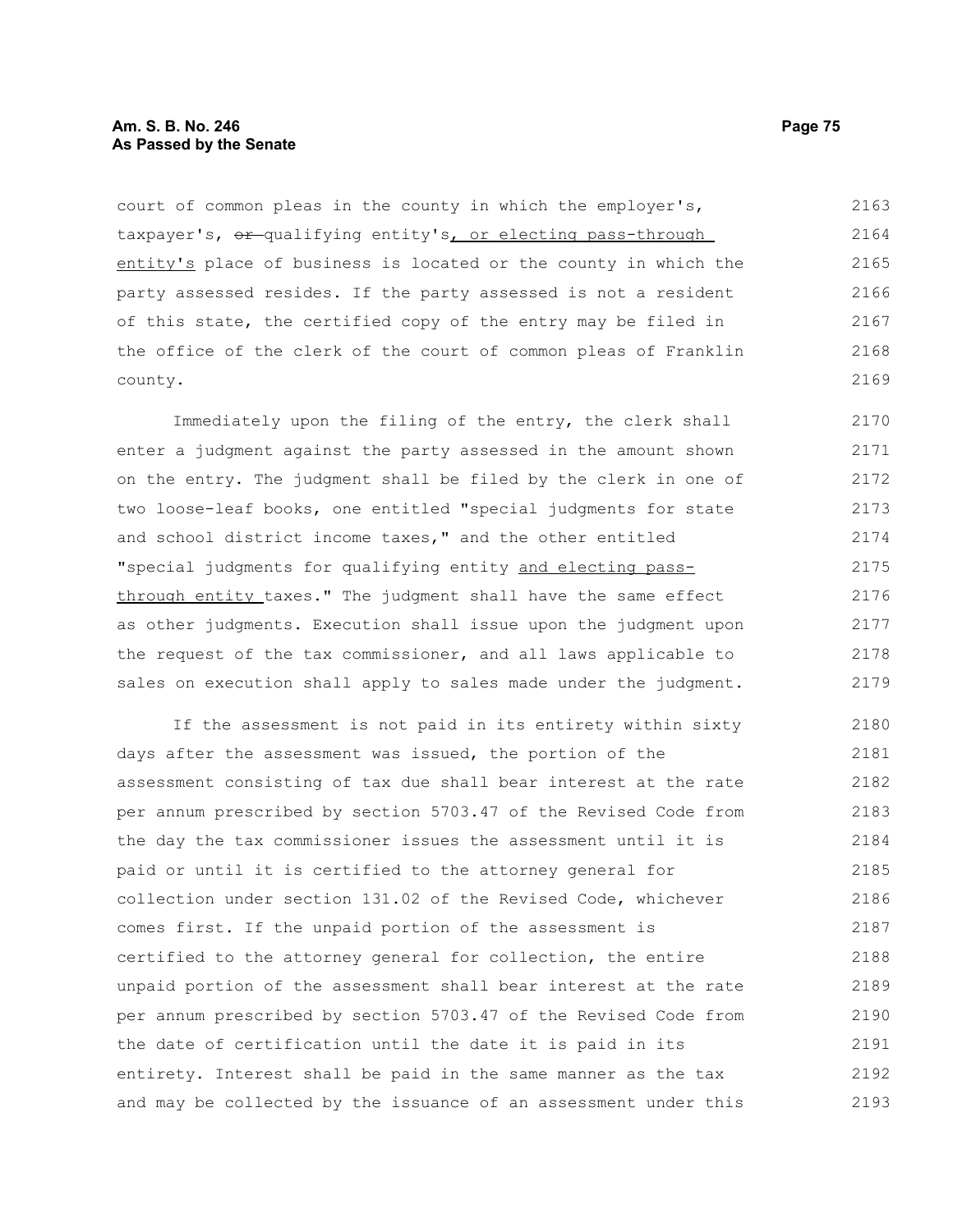# **Am. S. B. No. 246 Page 75 As Passed by the Senate**

court of common pleas in the county in which the employer's, taxpayer's,  $er$ -qualifying entity's, or electing pass-through entity's place of business is located or the county in which the party assessed resides. If the party assessed is not a resident of this state, the certified copy of the entry may be filed in the office of the clerk of the court of common pleas of Franklin county. 2163 2164 2165 2166 2167 2168 2169

Immediately upon the filing of the entry, the clerk shall enter a judgment against the party assessed in the amount shown on the entry. The judgment shall be filed by the clerk in one of two loose-leaf books, one entitled "special judgments for state and school district income taxes," and the other entitled "special judgments for qualifying entity and electing passthrough entity taxes." The judgment shall have the same effect as other judgments. Execution shall issue upon the judgment upon the request of the tax commissioner, and all laws applicable to sales on execution shall apply to sales made under the judgment. 2170 2171 2172 2173 2174 2175 2176 2177 2178 2179

If the assessment is not paid in its entirety within sixty days after the assessment was issued, the portion of the assessment consisting of tax due shall bear interest at the rate per annum prescribed by section 5703.47 of the Revised Code from the day the tax commissioner issues the assessment until it is paid or until it is certified to the attorney general for collection under section 131.02 of the Revised Code, whichever comes first. If the unpaid portion of the assessment is certified to the attorney general for collection, the entire unpaid portion of the assessment shall bear interest at the rate per annum prescribed by section 5703.47 of the Revised Code from the date of certification until the date it is paid in its entirety. Interest shall be paid in the same manner as the tax and may be collected by the issuance of an assessment under this 2180 2181 2182 2183 2184 2185 2186 2187 2188 2189 2190 2191 2192 2193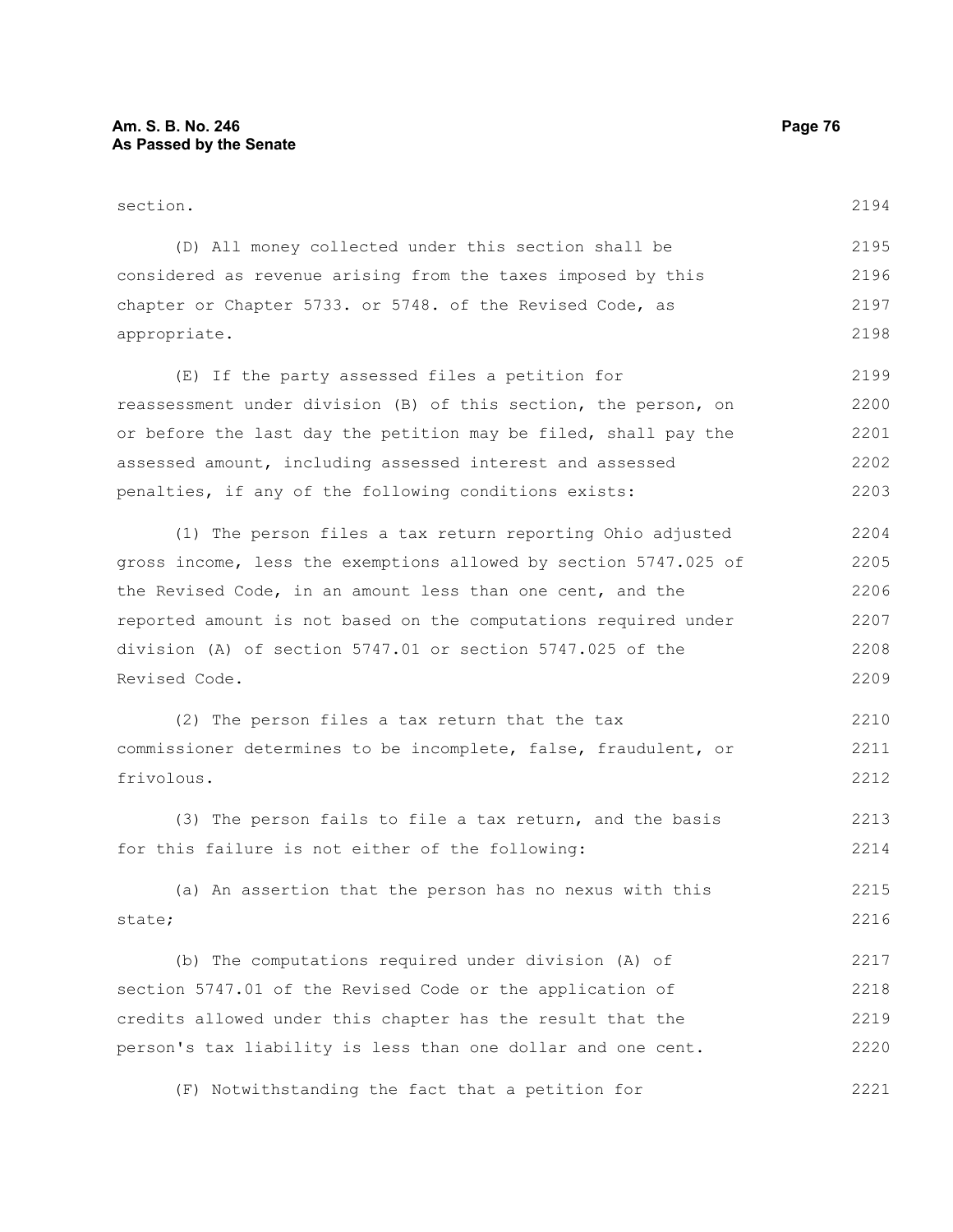| section.                                                         | 2194 |
|------------------------------------------------------------------|------|
| (D) All money collected under this section shall be              | 2195 |
| considered as revenue arising from the taxes imposed by this     | 2196 |
| chapter or Chapter 5733. or 5748. of the Revised Code, as        | 2197 |
| appropriate.                                                     | 2198 |
| (E) If the party assessed files a petition for                   | 2199 |
| reassessment under division (B) of this section, the person, on  | 2200 |
| or before the last day the petition may be filed, shall pay the  | 2201 |
| assessed amount, including assessed interest and assessed        | 2202 |
| penalties, if any of the following conditions exists:            | 2203 |
| (1) The person files a tax return reporting Ohio adjusted        | 2204 |
| gross income, less the exemptions allowed by section 5747.025 of | 2205 |
| the Revised Code, in an amount less than one cent, and the       | 2206 |
| reported amount is not based on the computations required under  | 2207 |
| division (A) of section 5747.01 or section 5747.025 of the       | 2208 |
| Revised Code.                                                    | 2209 |
| (2) The person files a tax return that the tax                   | 2210 |
| commissioner determines to be incomplete, false, fraudulent, or  | 2211 |
| frivolous.                                                       | 2212 |
| (3) The person fails to file a tax return, and the basis         | 2213 |
| for this failure is not either of the following:                 | 2214 |
| (a) An assertion that the person has no nexus with this          | 2215 |
| state;                                                           | 2216 |
| (b) The computations required under division (A) of              | 2217 |
| section 5747.01 of the Revised Code or the application of        | 2218 |
| credits allowed under this chapter has the result that the       | 2219 |
| person's tax liability is less than one dollar and one cent.     | 2220 |

(F) Notwithstanding the fact that a petition for 2221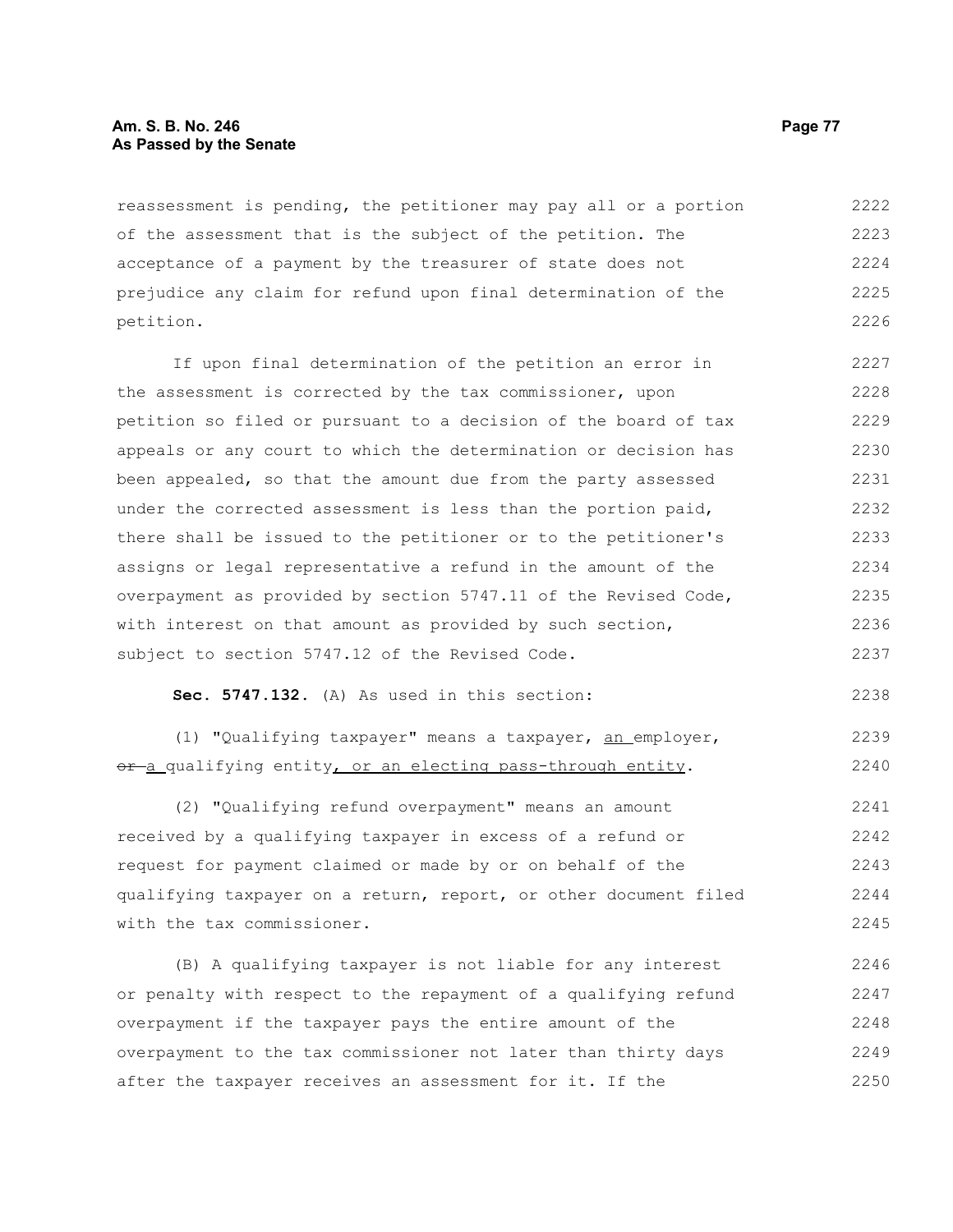# **Am. S. B. No. 246 Page 77 As Passed by the Senate**

reassessment is pending, the petitioner may pay all or a portion of the assessment that is the subject of the petition. The acceptance of a payment by the treasurer of state does not prejudice any claim for refund upon final determination of the petition. 2222 2223 2224 2225 2226

If upon final determination of the petition an error in the assessment is corrected by the tax commissioner, upon petition so filed or pursuant to a decision of the board of tax appeals or any court to which the determination or decision has been appealed, so that the amount due from the party assessed under the corrected assessment is less than the portion paid, there shall be issued to the petitioner or to the petitioner's assigns or legal representative a refund in the amount of the overpayment as provided by section 5747.11 of the Revised Code, with interest on that amount as provided by such section, subject to section 5747.12 of the Revised Code. 2227 2228 2229 2230 2231 2232 2233 2234 2235 2236 2237

**Sec. 5747.132.** (A) As used in this section:

(1) "Qualifying taxpayer" means a taxpayer, an employer, or-a qualifying entity, or an electing pass-through entity. 2239 2240

(2) "Qualifying refund overpayment" means an amount received by a qualifying taxpayer in excess of a refund or request for payment claimed or made by or on behalf of the qualifying taxpayer on a return, report, or other document filed with the tax commissioner. 2241 2242 2243 2244 2245

(B) A qualifying taxpayer is not liable for any interest or penalty with respect to the repayment of a qualifying refund overpayment if the taxpayer pays the entire amount of the overpayment to the tax commissioner not later than thirty days after the taxpayer receives an assessment for it. If the 2246 2247 2248 2249 2250

2238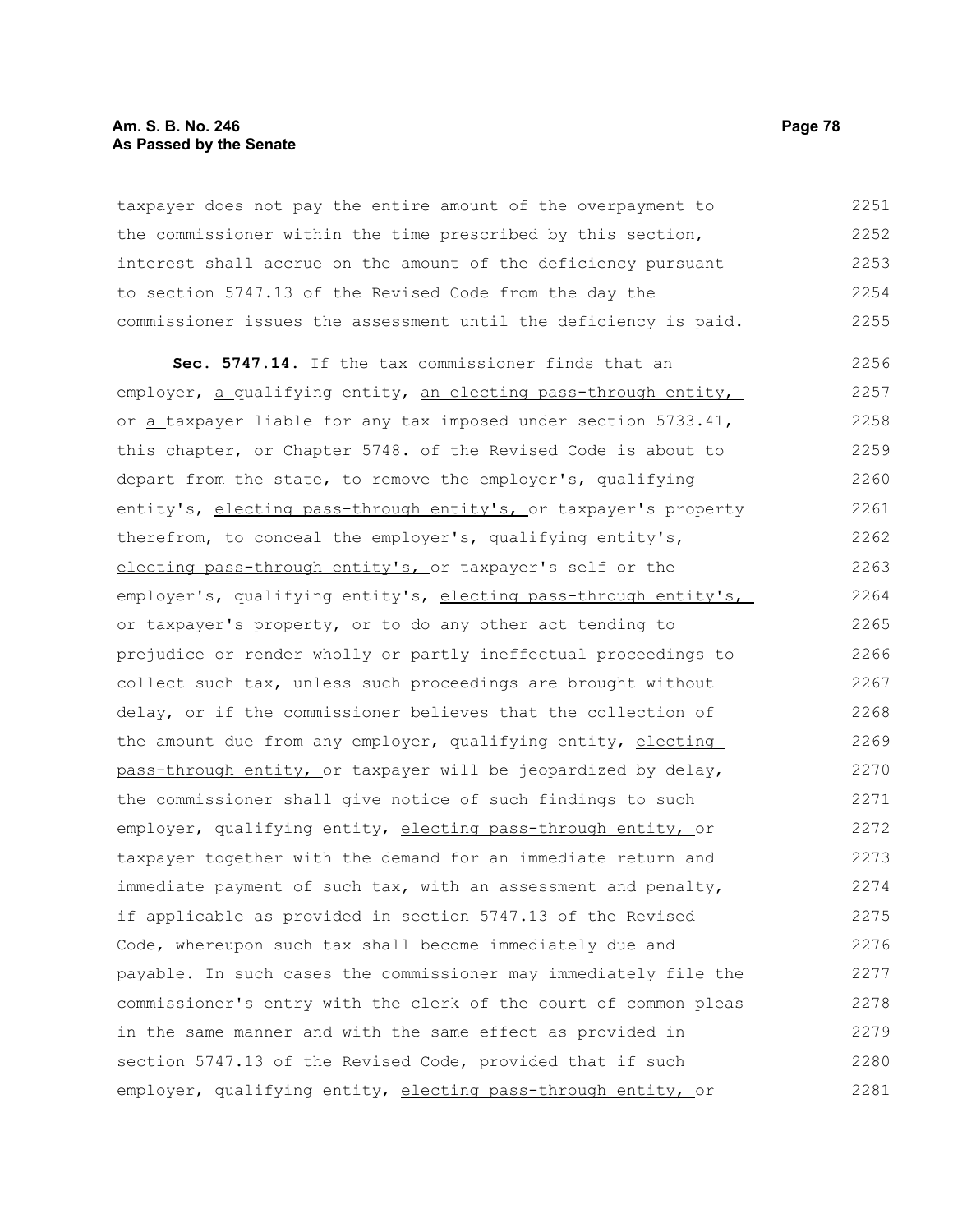# **Am. S. B. No. 246 Page 78 As Passed by the Senate**

taxpayer does not pay the entire amount of the overpayment to the commissioner within the time prescribed by this section, interest shall accrue on the amount of the deficiency pursuant to section 5747.13 of the Revised Code from the day the commissioner issues the assessment until the deficiency is paid. 2251 2252 2253 2254 2255

**Sec. 5747.14.** If the tax commissioner finds that an employer, a qualifying entity, an electing pass-through entity, or a taxpayer liable for any tax imposed under section 5733.41, this chapter, or Chapter 5748. of the Revised Code is about to depart from the state, to remove the employer's, qualifying entity's, electing pass-through entity's, or taxpayer's property therefrom, to conceal the employer's, qualifying entity's, electing pass-through entity's, or taxpayer's self or the employer's, qualifying entity's, electing pass-through entity's, or taxpayer's property, or to do any other act tending to prejudice or render wholly or partly ineffectual proceedings to collect such tax, unless such proceedings are brought without delay, or if the commissioner believes that the collection of the amount due from any employer, qualifying entity, electing pass-through entity, or taxpayer will be jeopardized by delay, the commissioner shall give notice of such findings to such employer, qualifying entity, electing pass-through entity, or taxpayer together with the demand for an immediate return and immediate payment of such tax, with an assessment and penalty, if applicable as provided in section 5747.13 of the Revised Code, whereupon such tax shall become immediately due and payable. In such cases the commissioner may immediately file the commissioner's entry with the clerk of the court of common pleas in the same manner and with the same effect as provided in section 5747.13 of the Revised Code, provided that if such employer, qualifying entity, electing pass-through entity, or 2256 2257 2258 2259 2260 2261 2262 2263 2264 2265 2266 2267 2268 2269 2270 2271 2272 2273 2274 2275 2276 2277 2278 2279 2280 2281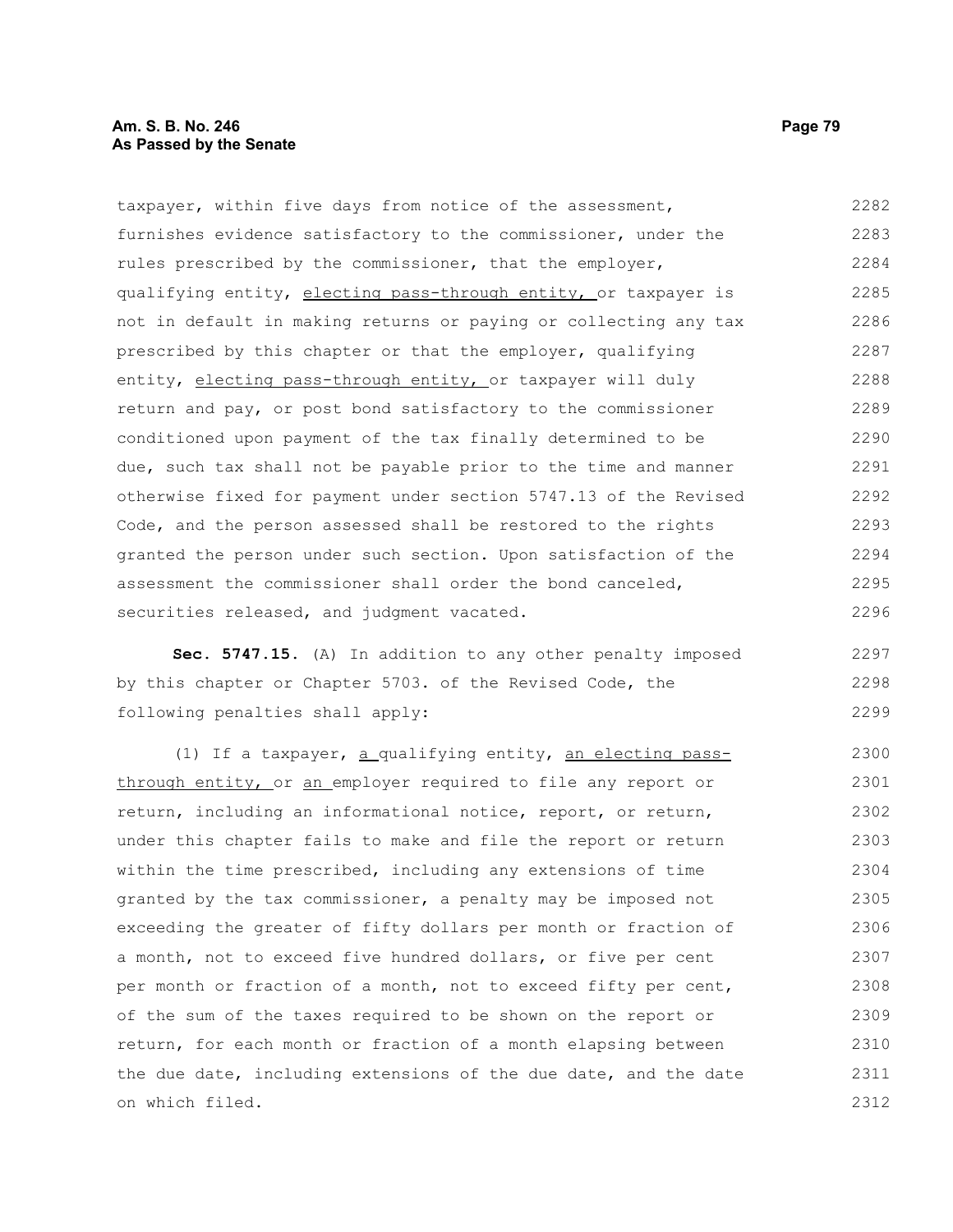taxpayer, within five days from notice of the assessment, furnishes evidence satisfactory to the commissioner, under the rules prescribed by the commissioner, that the employer, qualifying entity, electing pass-through entity, or taxpayer is not in default in making returns or paying or collecting any tax prescribed by this chapter or that the employer, qualifying entity, electing pass-through entity, or taxpayer will duly return and pay, or post bond satisfactory to the commissioner conditioned upon payment of the tax finally determined to be due, such tax shall not be payable prior to the time and manner otherwise fixed for payment under section 5747.13 of the Revised Code, and the person assessed shall be restored to the rights granted the person under such section. Upon satisfaction of the assessment the commissioner shall order the bond canceled, securities released, and judgment vacated. 2282 2283 2284 2285 2286 2287 2288 2289 2290 2291 2292 2293 2294 2295 2296

**Sec. 5747.15.** (A) In addition to any other penalty imposed by this chapter or Chapter 5703. of the Revised Code, the following penalties shall apply: 2297 2298 2299

(1) If a taxpayer, a qualifying entity, an electing passthrough entity, or an employer required to file any report or return, including an informational notice, report, or return, under this chapter fails to make and file the report or return within the time prescribed, including any extensions of time granted by the tax commissioner, a penalty may be imposed not exceeding the greater of fifty dollars per month or fraction of a month, not to exceed five hundred dollars, or five per cent per month or fraction of a month, not to exceed fifty per cent, of the sum of the taxes required to be shown on the report or return, for each month or fraction of a month elapsing between the due date, including extensions of the due date, and the date on which filed. 2300 2301 2302 2303 2304 2305 2306 2307 2308 2309 2310 2311 2312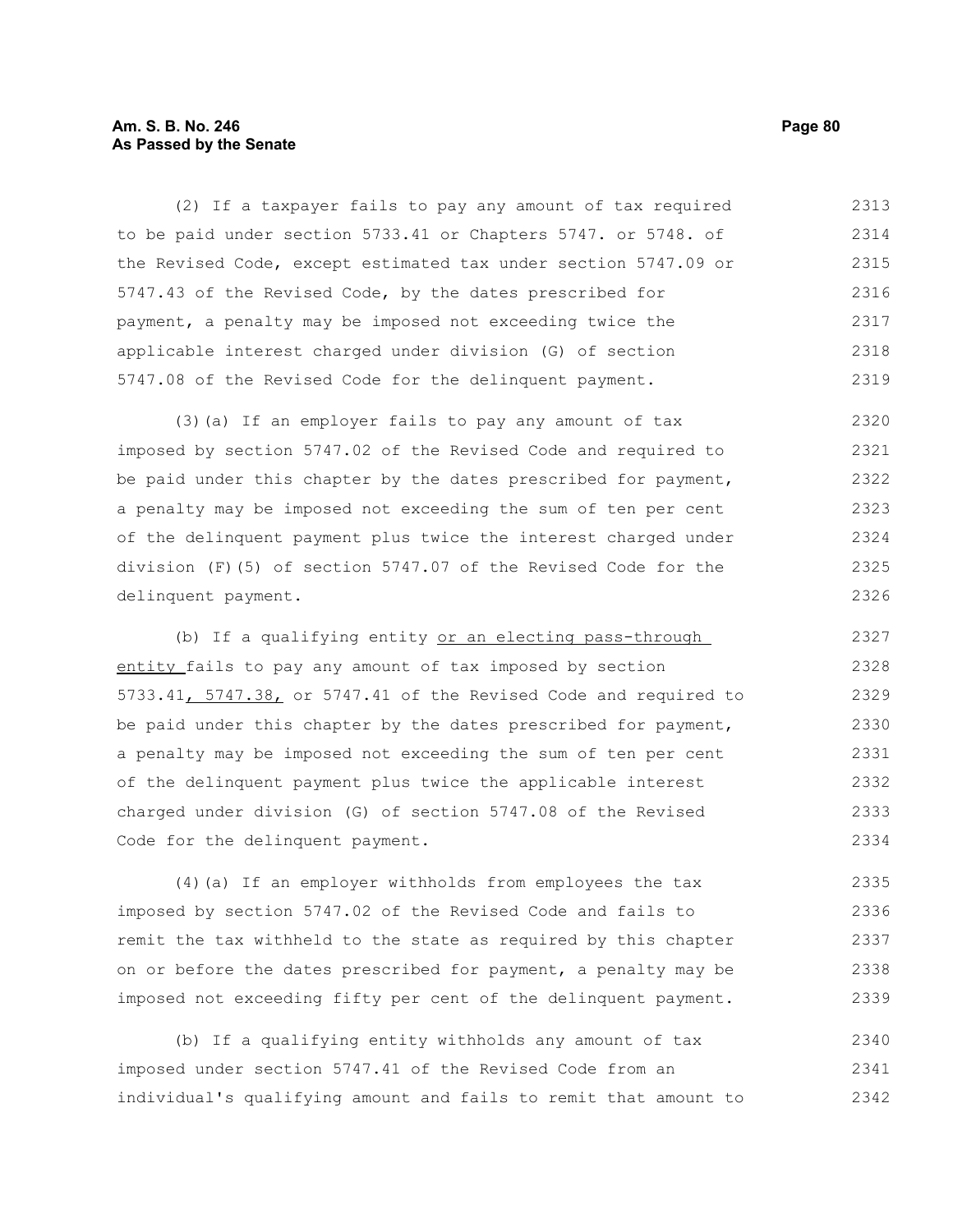# **Am. S. B. No. 246 Page 80 As Passed by the Senate**

(2) If a taxpayer fails to pay any amount of tax required to be paid under section 5733.41 or Chapters 5747. or 5748. of the Revised Code, except estimated tax under section 5747.09 or 5747.43 of the Revised Code, by the dates prescribed for payment, a penalty may be imposed not exceeding twice the applicable interest charged under division (G) of section 5747.08 of the Revised Code for the delinquent payment. 2313 2314 2315 2316 2317 2318 2319

(3)(a) If an employer fails to pay any amount of tax imposed by section 5747.02 of the Revised Code and required to be paid under this chapter by the dates prescribed for payment, a penalty may be imposed not exceeding the sum of ten per cent of the delinquent payment plus twice the interest charged under division (F)(5) of section 5747.07 of the Revised Code for the delinquent payment. 2320 2321 2322 2323 2324 2325 2326

(b) If a qualifying entity or an electing pass-through entity fails to pay any amount of tax imposed by section 5733.41, 5747.38, or 5747.41 of the Revised Code and required to be paid under this chapter by the dates prescribed for payment, a penalty may be imposed not exceeding the sum of ten per cent of the delinquent payment plus twice the applicable interest charged under division (G) of section 5747.08 of the Revised Code for the delinquent payment. 2327 2328 2329 2330 2331 2332 2333 2334

(4)(a) If an employer withholds from employees the tax imposed by section 5747.02 of the Revised Code and fails to remit the tax withheld to the state as required by this chapter on or before the dates prescribed for payment, a penalty may be imposed not exceeding fifty per cent of the delinquent payment. 2335 2336 2337 2338 2339

(b) If a qualifying entity withholds any amount of tax imposed under section 5747.41 of the Revised Code from an individual's qualifying amount and fails to remit that amount to 2340 2341 2342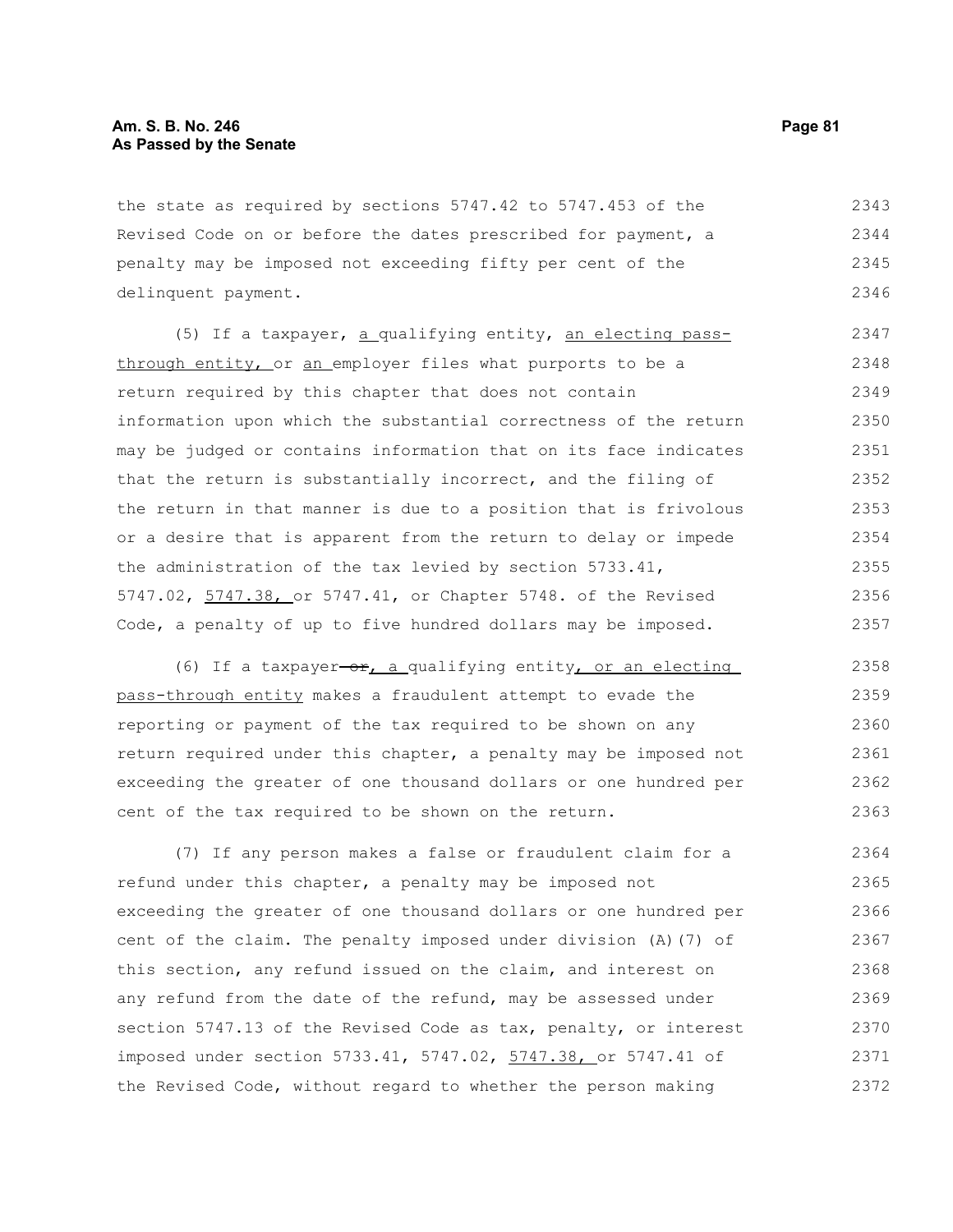the state as required by sections 5747.42 to 5747.453 of the Revised Code on or before the dates prescribed for payment, a penalty may be imposed not exceeding fifty per cent of the delinquent payment. 2343 2344 2345 2346

(5) If a taxpayer, a qualifying entity, an electing passthrough entity, or an employer files what purports to be a return required by this chapter that does not contain information upon which the substantial correctness of the return may be judged or contains information that on its face indicates that the return is substantially incorrect, and the filing of the return in that manner is due to a position that is frivolous or a desire that is apparent from the return to delay or impede the administration of the tax levied by section 5733.41, 5747.02, 5747.38, or 5747.41, or Chapter 5748. of the Revised Code, a penalty of up to five hundred dollars may be imposed. 2347 2348 2349 2350 2351 2352 2353 2354 2355 2356 2357

(6) If a taxpayer-or, a qualifying entity, or an electing pass-through entity makes a fraudulent attempt to evade the reporting or payment of the tax required to be shown on any return required under this chapter, a penalty may be imposed not exceeding the greater of one thousand dollars or one hundred per cent of the tax required to be shown on the return. 2358 2359 2360 2361 2362 2363

(7) If any person makes a false or fraudulent claim for a refund under this chapter, a penalty may be imposed not exceeding the greater of one thousand dollars or one hundred per cent of the claim. The penalty imposed under division (A)(7) of this section, any refund issued on the claim, and interest on any refund from the date of the refund, may be assessed under section 5747.13 of the Revised Code as tax, penalty, or interest imposed under section 5733.41, 5747.02, 5747.38, or 5747.41 of the Revised Code, without regard to whether the person making 2364 2365 2366 2367 2368 2369 2370 2371 2372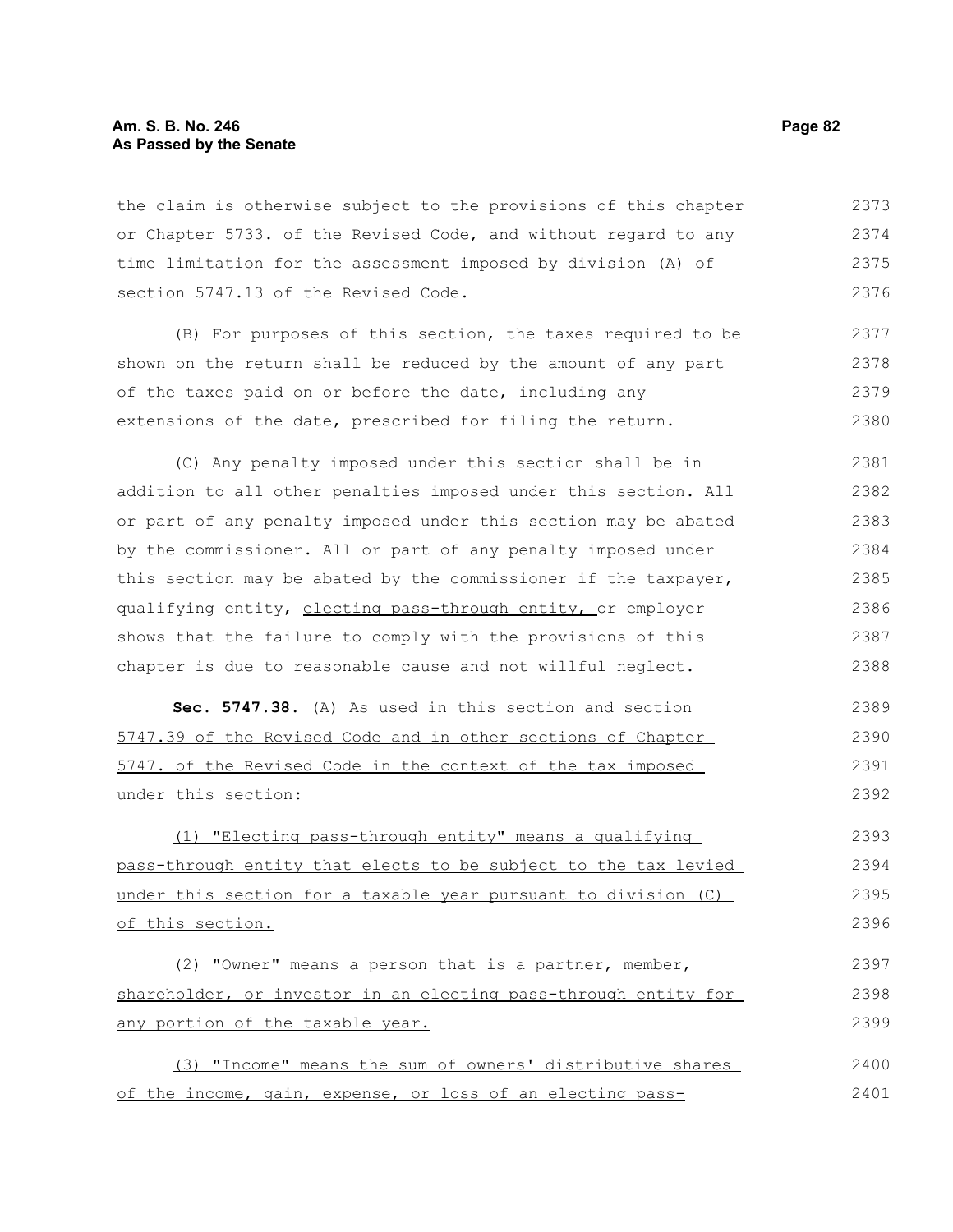# **Am. S. B. No. 246 Page 82 As Passed by the Senate**

the claim is otherwise subject to the provisions of this chapter or Chapter 5733. of the Revised Code, and without regard to any time limitation for the assessment imposed by division (A) of section 5747.13 of the Revised Code. 2373 2374 2375 2376

(B) For purposes of this section, the taxes required to be shown on the return shall be reduced by the amount of any part of the taxes paid on or before the date, including any extensions of the date, prescribed for filing the return. 2377 2378 2379 2380

(C) Any penalty imposed under this section shall be in addition to all other penalties imposed under this section. All or part of any penalty imposed under this section may be abated by the commissioner. All or part of any penalty imposed under this section may be abated by the commissioner if the taxpayer, qualifying entity, electing pass-through entity, or employer shows that the failure to comply with the provisions of this chapter is due to reasonable cause and not willful neglect. 2381 2382 2383 2384 2385 2386 2387 2388

 **Sec. 5747.38.** (A) As used in this section and section 5747.39 of the Revised Code and in other sections of Chapter 5747. of the Revised Code in the context of the tax imposed under this section: 2389 2390 2391 2392

(1) "Electing pass-through entity" means a qualifying pass-through entity that elects to be subject to the tax levied under this section for a taxable year pursuant to division (C) of this section. 2393 2394 2395 2396

(2) "Owner" means a person that is a partner, member, shareholder, or investor in an electing pass-through entity for any portion of the taxable year. 2397 2398 2399

(3) "Income" means the sum of owners' distributive shares of the income, gain, expense, or loss of an electing pass-2400 2401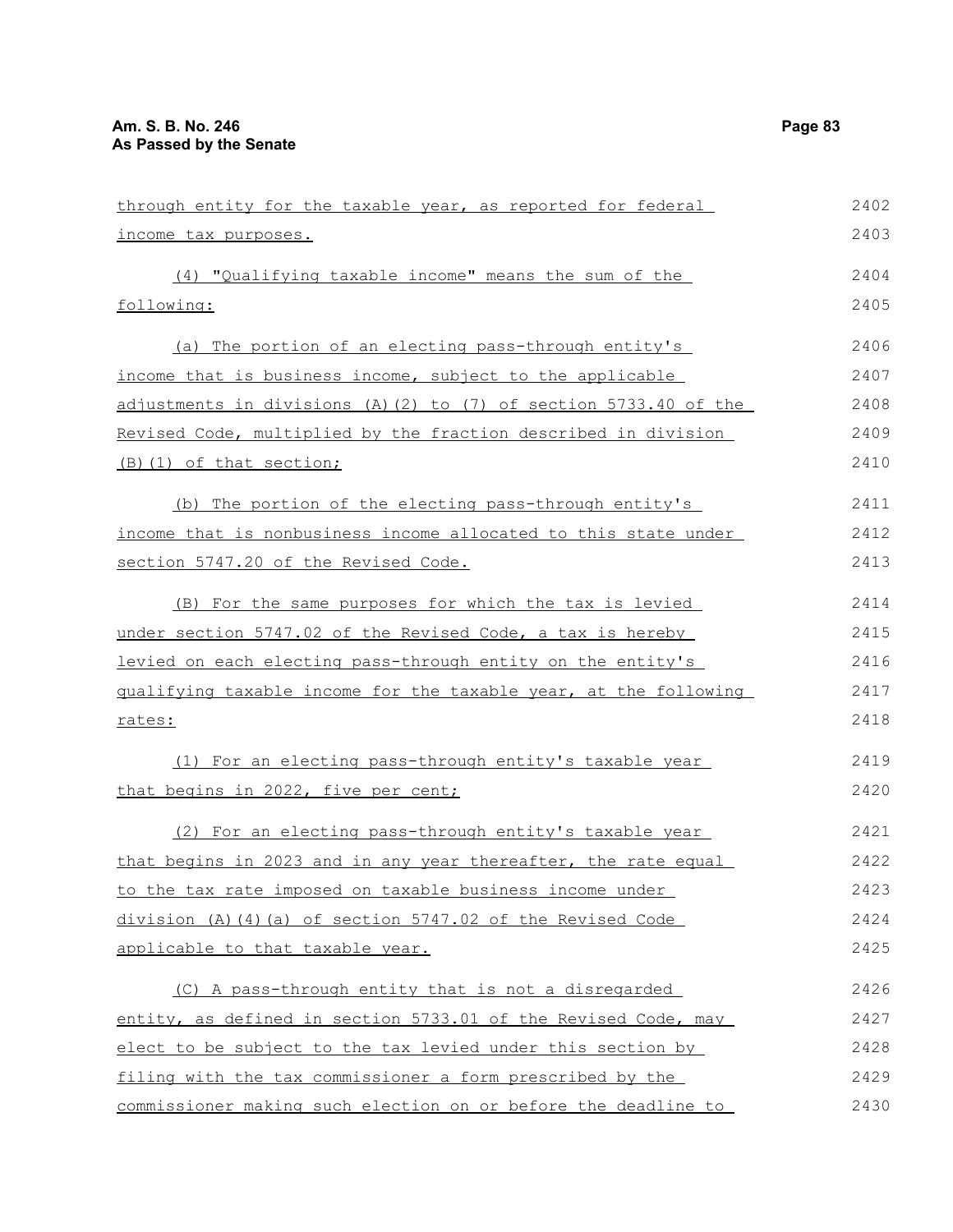| through entity for the taxable year, as reported for federal     | 2402 |
|------------------------------------------------------------------|------|
| income tax purposes.                                             | 2403 |
| (4) "Qualifying taxable income" means the sum of the             | 2404 |
| following:                                                       | 2405 |
| (a) The portion of an electing pass-through entity's             | 2406 |
| income that is business income, subject to the applicable        | 2407 |
| adjustments in divisions (A)(2) to (7) of section 5733.40 of the | 2408 |
| Revised Code, multiplied by the fraction described in division   | 2409 |
| (B) (1) of that section;                                         | 2410 |
| (b) The portion of the electing pass-through entity's            | 2411 |
| income that is nonbusiness income allocated to this state under  | 2412 |
| section 5747.20 of the Revised Code.                             | 2413 |
| (B) For the same purposes for which the tax is levied            | 2414 |
| under section 5747.02 of the Revised Code, a tax is hereby       | 2415 |
| levied on each electing pass-through entity on the entity's      | 2416 |
| gualifying taxable income for the taxable year, at the following | 2417 |
| <u>rates:</u>                                                    | 2418 |
| (1) For an electing pass-through entity's taxable year           | 2419 |
| that begins in 2022, five per cent;                              | 2420 |
| (2) For an electing pass-through entity's taxable year           | 2421 |
| that begins in 2023 and in any year thereafter, the rate equal   | 2422 |
| to the tax rate imposed on taxable business income under         | 2423 |
| division (A)(4)(a) of section 5747.02 of the Revised Code        | 2424 |
| applicable to that taxable year.                                 | 2425 |
| (C) A pass-through entity that is not a disregarded              | 2426 |
| entity, as defined in section 5733.01 of the Revised Code, may   | 2427 |
| elect to be subject to the tax levied under this section by      | 2428 |
| filing with the tax commissioner a form prescribed by the        | 2429 |
| commissioner making such election on or before the deadline to   | 2430 |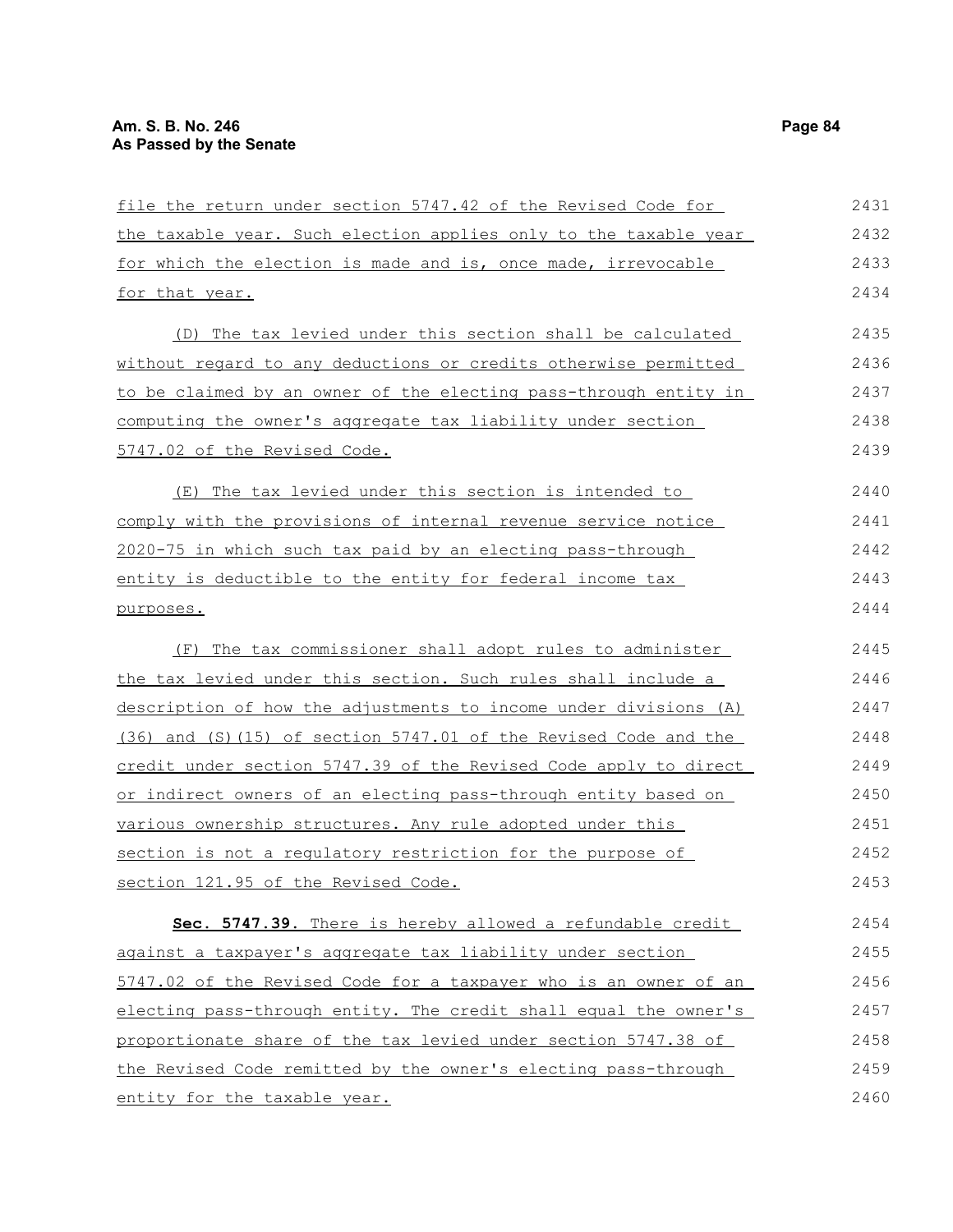| file the return under section 5747.42 of the Revised Code for         | 2431 |
|-----------------------------------------------------------------------|------|
| the taxable year. Such election applies only to the taxable year      | 2432 |
| for which the election is made and is, once made, irrevocable         | 2433 |
| for that year.                                                        | 2434 |
| (D) The tax levied under this section shall be calculated             | 2435 |
| without regard to any deductions or credits otherwise permitted       | 2436 |
| to be claimed by an owner of the electing pass-through entity in      | 2437 |
| <u>computing the owner's aggregate tax liability under section</u>    | 2438 |
| 5747.02 of the Revised Code.                                          | 2439 |
| The tax levied under this section is intended to<br>(E)               | 2440 |
| comply with the provisions of internal revenue service notice         | 2441 |
| 2020-75 in which such tax paid by an electing pass-through            | 2442 |
| entity is deductible to the entity for federal income tax             | 2443 |
| purposes.                                                             | 2444 |
| The tax commissioner shall adopt rules to administer<br>(F)           | 2445 |
| the tax levied under this section. Such rules shall include a         | 2446 |
| description of how the adjustments to income under divisions (A)      | 2447 |
| $(36)$ and $(S)$ (15) of section 5747.01 of the Revised Code and the  | 2448 |
| credit under section 5747.39 of the Revised Code apply to direct      | 2449 |
| <u>or indirect owners of an electing pass-through entity based on</u> | 2450 |
| various ownership structures. Any rule adopted under this             | 2451 |
| section is not a regulatory restriction for the purpose of            | 2452 |
| section 121.95 of the Revised Code.                                   | 2453 |
| Sec. 5747.39. There is hereby allowed a refundable credit             | 2454 |
| against a taxpayer's aggregate tax liability under section            | 2455 |
| 5747.02 of the Revised Code for a taxpayer who is an owner of an      | 2456 |
| electing pass-through entity. The credit shall equal the owner's      | 2457 |
| proportionate share of the tax levied under section 5747.38 of        | 2458 |
| the Revised Code remitted by the owner's electing pass-through        | 2459 |
| entity for the taxable year.                                          | 2460 |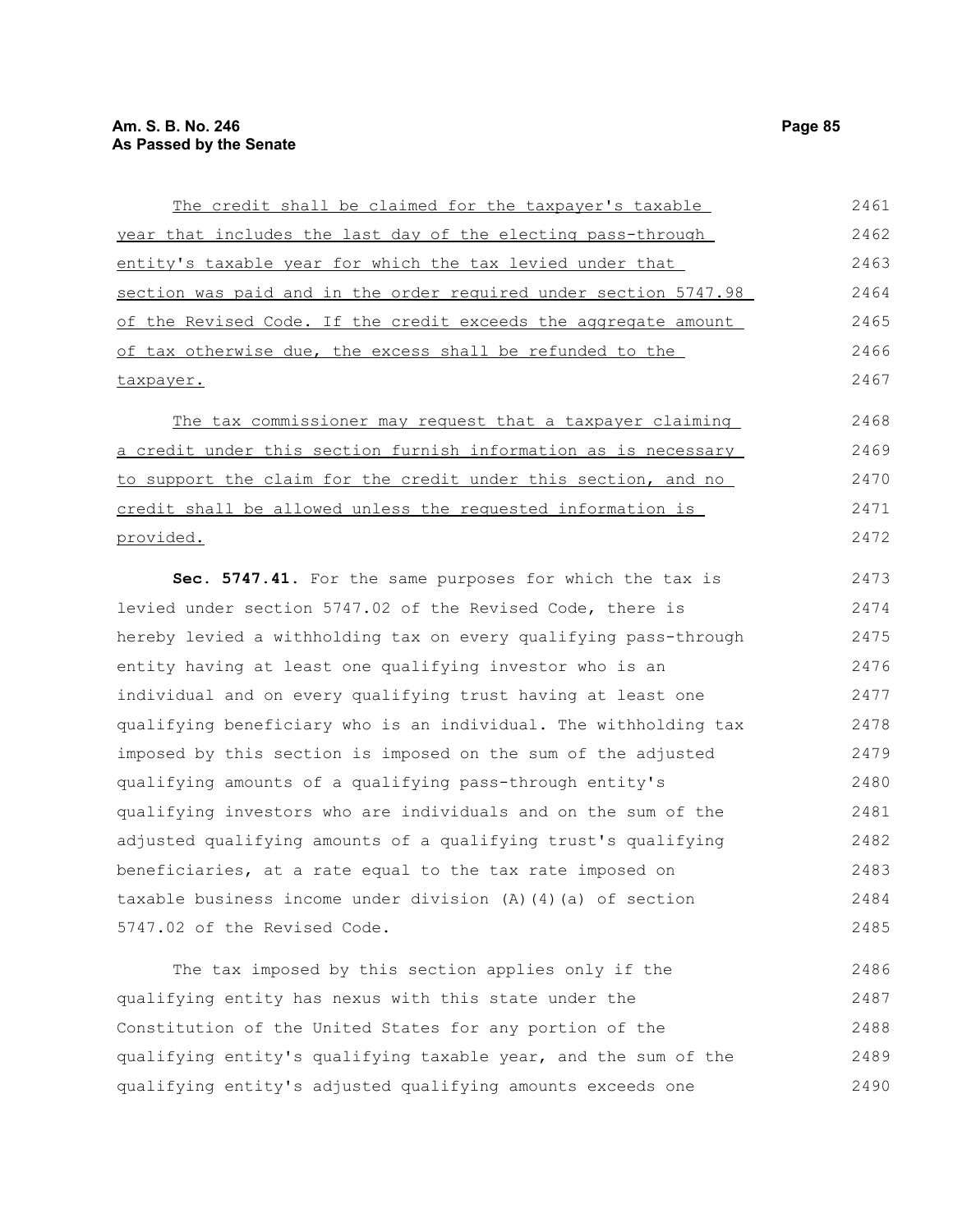| The credit shall be claimed for the taxpayer's taxable           | 2461 |
|------------------------------------------------------------------|------|
| year that includes the last day of the electing pass-through     | 2462 |
| entity's taxable year for which the tax levied under that        | 2463 |
| section was paid and in the order required under section 5747.98 | 2464 |
| of the Revised Code. If the credit exceeds the aggregate amount  | 2465 |
| of tax otherwise due, the excess shall be refunded to the        | 2466 |
| taxpayer.                                                        | 2467 |
| The tax commissioner may request that a taxpayer claiming        | 2468 |
| a credit under this section furnish information as is necessary  | 2469 |
| to support the claim for the credit under this section, and no   | 2470 |
| credit shall be allowed unless the requested information is      | 2471 |
| provided.                                                        | 2472 |
| Sec. 5747.41. For the same purposes for which the tax is         | 2473 |
| levied under section 5747.02 of the Revised Code, there is       | 2474 |
| hereby levied a withholding tax on every qualifying pass-through | 2475 |
| entity having at least one qualifying investor who is an         | 2476 |
| individual and on every qualifying trust having at least one     | 2477 |
| qualifying beneficiary who is an individual. The withholding tax | 2478 |
| imposed by this section is imposed on the sum of the adjusted    | 2479 |
| qualifying amounts of a qualifying pass-through entity's         | 2480 |
| qualifying investors who are individuals and on the sum of the   | 2481 |
| adjusted qualifying amounts of a qualifying trust's qualifying   | 2482 |
| beneficiaries, at a rate equal to the tax rate imposed on        | 2483 |
| taxable business income under division (A) (4) (a) of section    | 2484 |
| 5747.02 of the Revised Code.                                     | 2485 |
| The tax imposed by this section applies only if the              | 2486 |

qualifying entity has nexus with this state under the Constitution of the United States for any portion of the qualifying entity's qualifying taxable year, and the sum of the qualifying entity's adjusted qualifying amounts exceeds one 2487 2488 2489 2490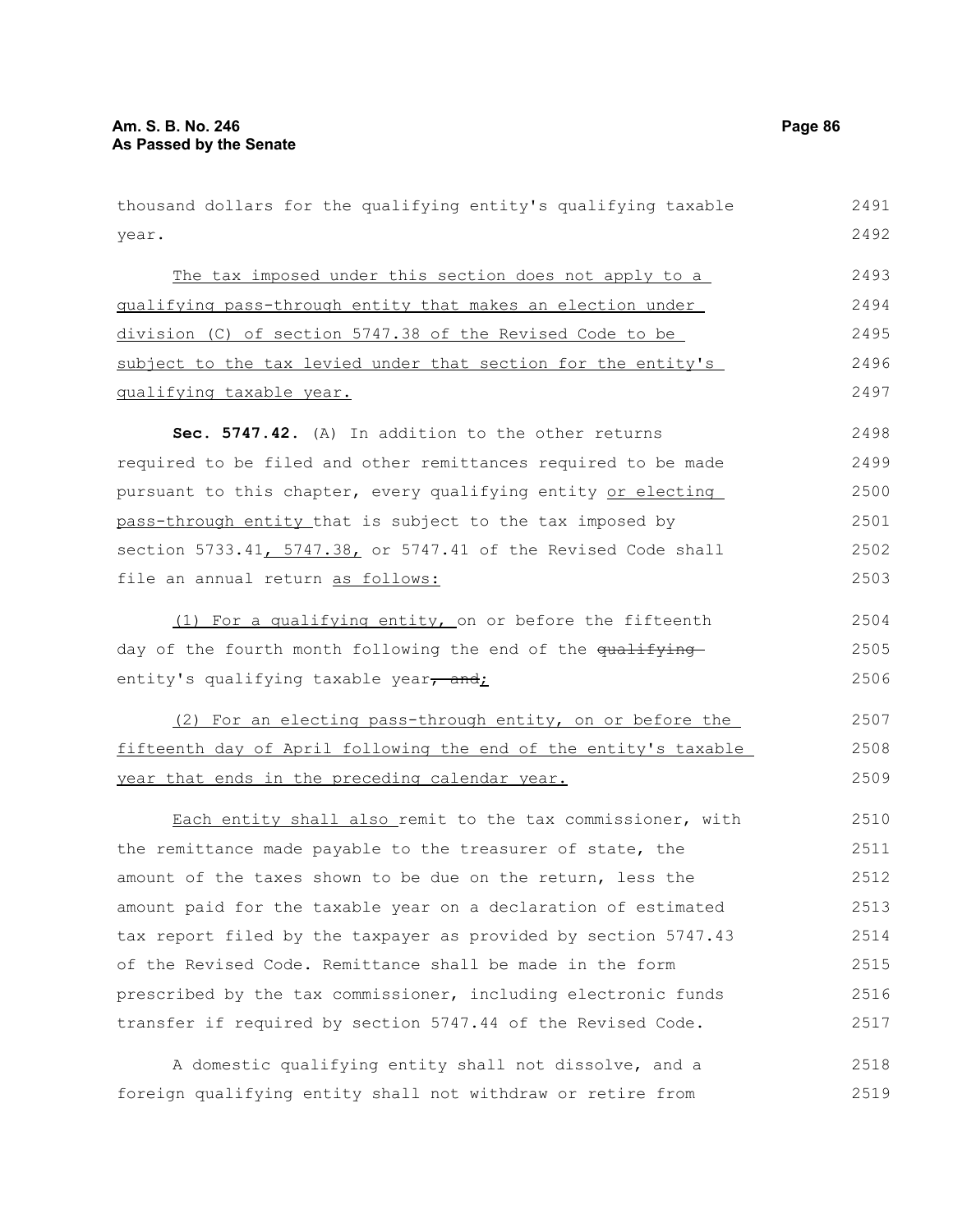year. The tax imposed under this section does not apply to a qualifying pass-through entity that makes an election under division (C) of section 5747.38 of the Revised Code to be subject to the tax levied under that section for the entity's qualifying taxable year. **Sec. 5747.42.** (A) In addition to the other returns required to be filed and other remittances required to be made pursuant to this chapter, every qualifying entity or electing pass-through entity that is subject to the tax imposed by section 5733.41, 5747.38, or 5747.41 of the Revised Code shall file an annual return as follows: (1) For a qualifying entity, on or before the fifteenth day of the fourth month following the end of the qualifying entity's qualifying taxable year, and; (2) For an electing pass-through entity, on or before the fifteenth day of April following the end of the entity's taxable year that ends in the preceding calendar year. Each entity shall also remit to the tax commissioner, with the remittance made payable to the treasurer of state, the amount of the taxes shown to be due on the return, less the amount paid for the taxable year on a declaration of estimated tax report filed by the taxpayer as provided by section 5747.43 of the Revised Code. Remittance shall be made in the form prescribed by the tax commissioner, including electronic funds transfer if required by section 5747.44 of the Revised Code. A domestic qualifying entity shall not dissolve, and a 2492 2493 2494 2495 2496 2497 2498 2499 2500 2501 2502 2503 2504 2505 2506 2507 2508 2509 2510 2511 2512 2513 2514 2515 2516 2517 2518

thousand dollars for the qualifying entity's qualifying taxable

foreign qualifying entity shall not withdraw or retire from 2519

2491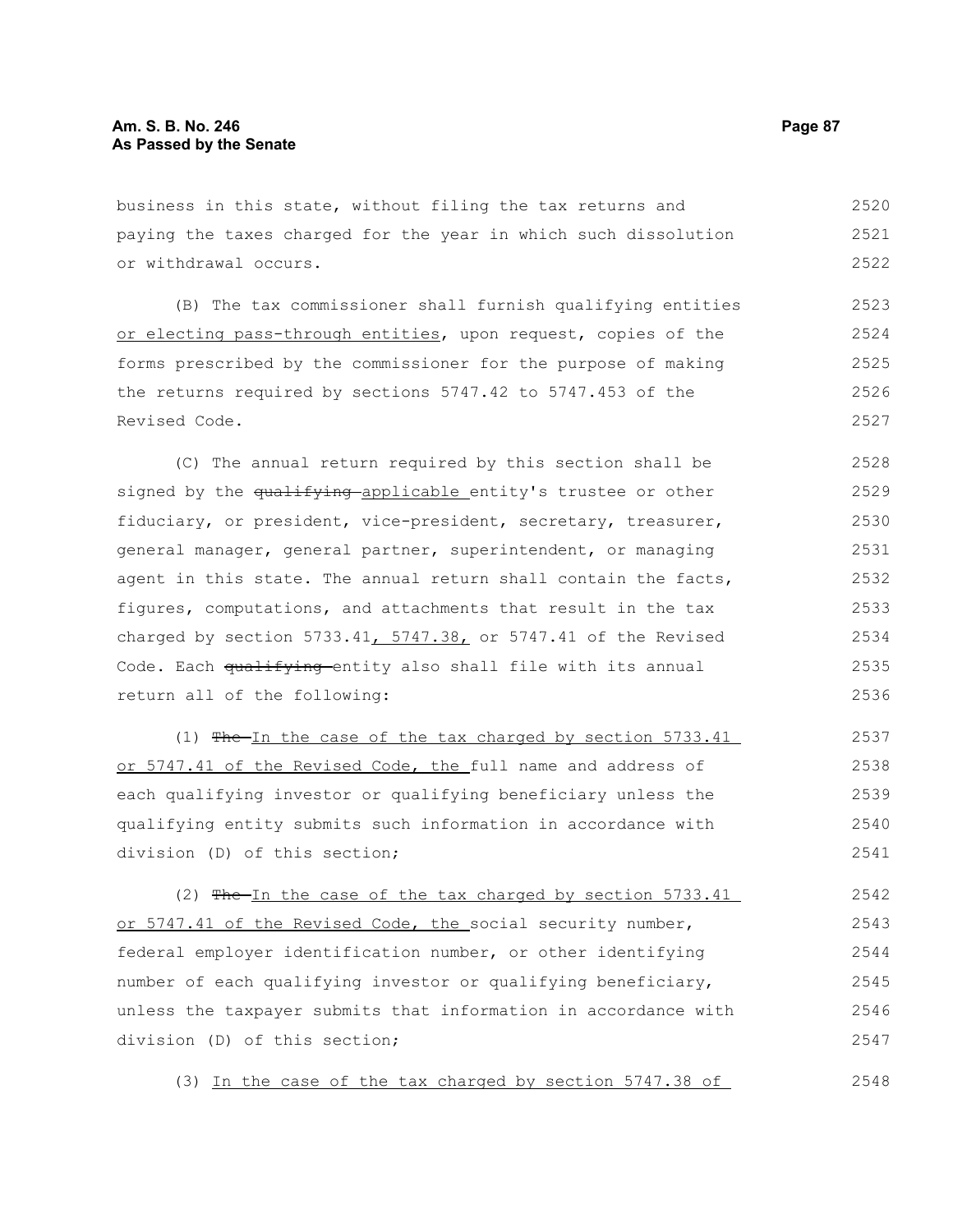business in this state, without filing the tax returns and paying the taxes charged for the year in which such dissolution or withdrawal occurs. 2520 2521 2522

(B) The tax commissioner shall furnish qualifying entities or electing pass-through entities, upon request, copies of the forms prescribed by the commissioner for the purpose of making the returns required by sections 5747.42 to 5747.453 of the Revised Code. 2523 2524 2525 2526 2527

(C) The annual return required by this section shall be signed by the qualifying applicable entity's trustee or other fiduciary, or president, vice-president, secretary, treasurer, general manager, general partner, superintendent, or managing agent in this state. The annual return shall contain the facts, figures, computations, and attachments that result in the tax charged by section 5733.41,  $5747.38$ , or 5747.41 of the Revised Code. Each qualifying entity also shall file with its annual return all of the following: 2528 2529 2530 2531 2532 2533 2534 2535 2536

(1) The In the case of the tax charged by section 5733.41 or 5747.41 of the Revised Code, the full name and address of each qualifying investor or qualifying beneficiary unless the qualifying entity submits such information in accordance with division (D) of this section; 2537 2538 2539 2540 2541

(2)  $Fhe-In$  the case of the tax charged by section 5733.41 or 5747.41 of the Revised Code, the social security number, federal employer identification number, or other identifying number of each qualifying investor or qualifying beneficiary, unless the taxpayer submits that information in accordance with division (D) of this section; 2542 2543 2544 2545 2546 2547

(3) In the case of the tax charged by section 5747.38 of

2548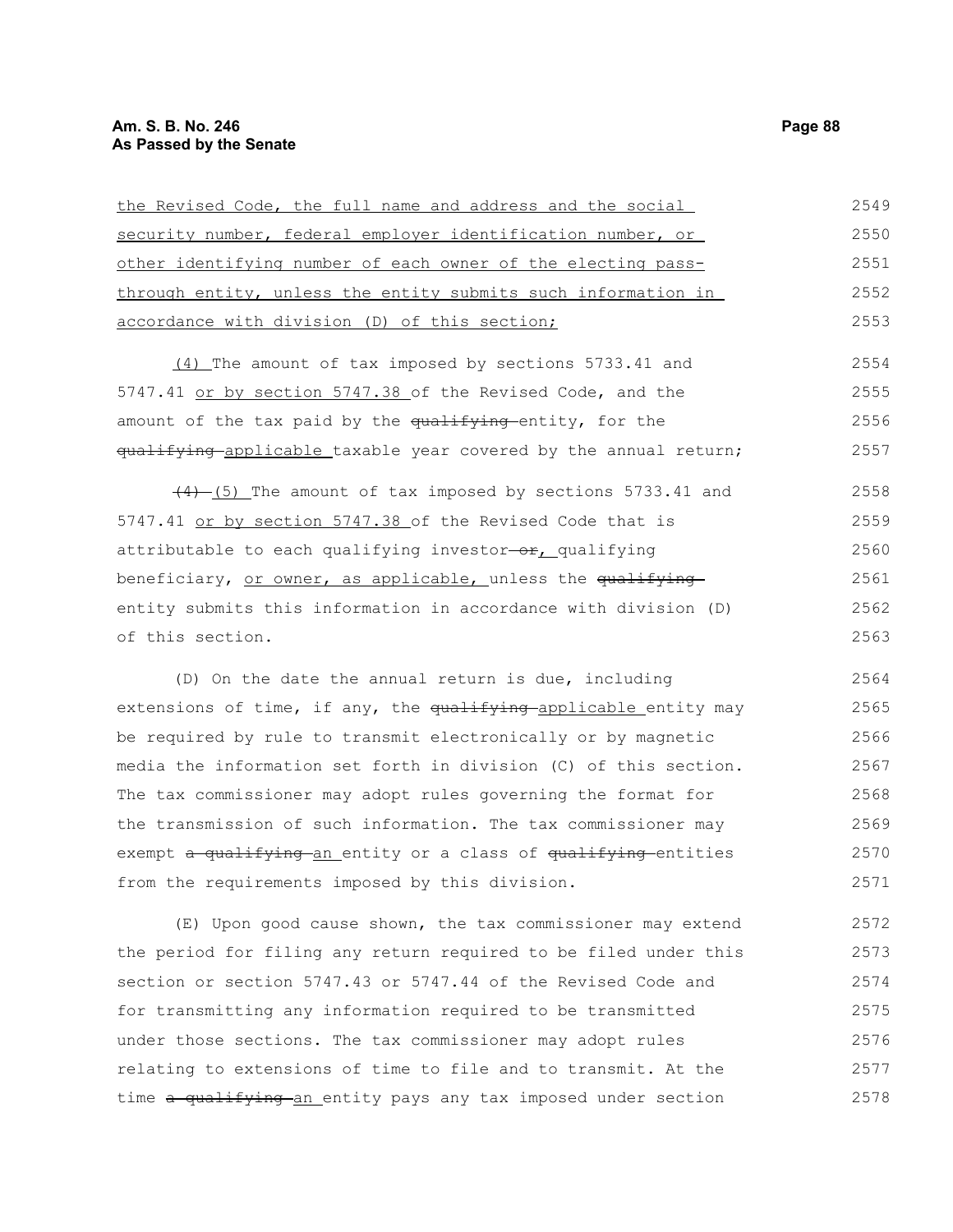| the Revised Code, the full name and address and the social       | 2549 |
|------------------------------------------------------------------|------|
| security number, federal employer identification number, or      | 2550 |
| other identifying number of each owner of the electing pass-     | 2551 |
| through entity, unless the entity submits such information in    | 2552 |
| accordance with division (D) of this section;                    | 2553 |
| (4) The amount of tax imposed by sections 5733.41 and            | 2554 |
| 5747.41 or by section 5747.38 of the Revised Code, and the       | 2555 |
| amount of the tax paid by the qualifying entity, for the         | 2556 |
| qualifying applicable taxable year covered by the annual return; | 2557 |
| $(4)$ (5) The amount of tax imposed by sections 5733.41 and      | 2558 |
| 5747.41 or by section 5747.38 of the Revised Code that is        | 2559 |
| attributable to each qualifying investor-or, qualifying          | 2560 |
| beneficiary, or owner, as applicable, unless the qualifying      | 2561 |
| entity submits this information in accordance with division (D)  | 2562 |
| of this section.                                                 | 2563 |
| (D) On the date the annual return is due, including              | 2564 |
| extensions of time, if any, the qualifying applicable entity may | 2565 |
| be required by rule to transmit electronically or by magnetic    | 2566 |
|                                                                  |      |

media the information set forth in division (C) of this section. The tax commissioner may adopt rules governing the format for the transmission of such information. The tax commissioner may exempt a qualifying an entity or a class of qualifying entities from the requirements imposed by this division. 2567 2568 2569 2570 2571

(E) Upon good cause shown, the tax commissioner may extend the period for filing any return required to be filed under this section or section 5747.43 or 5747.44 of the Revised Code and for transmitting any information required to be transmitted under those sections. The tax commissioner may adopt rules relating to extensions of time to file and to transmit. At the time a qualifying an entity pays any tax imposed under section 2572 2573 2574 2575 2576 2577 2578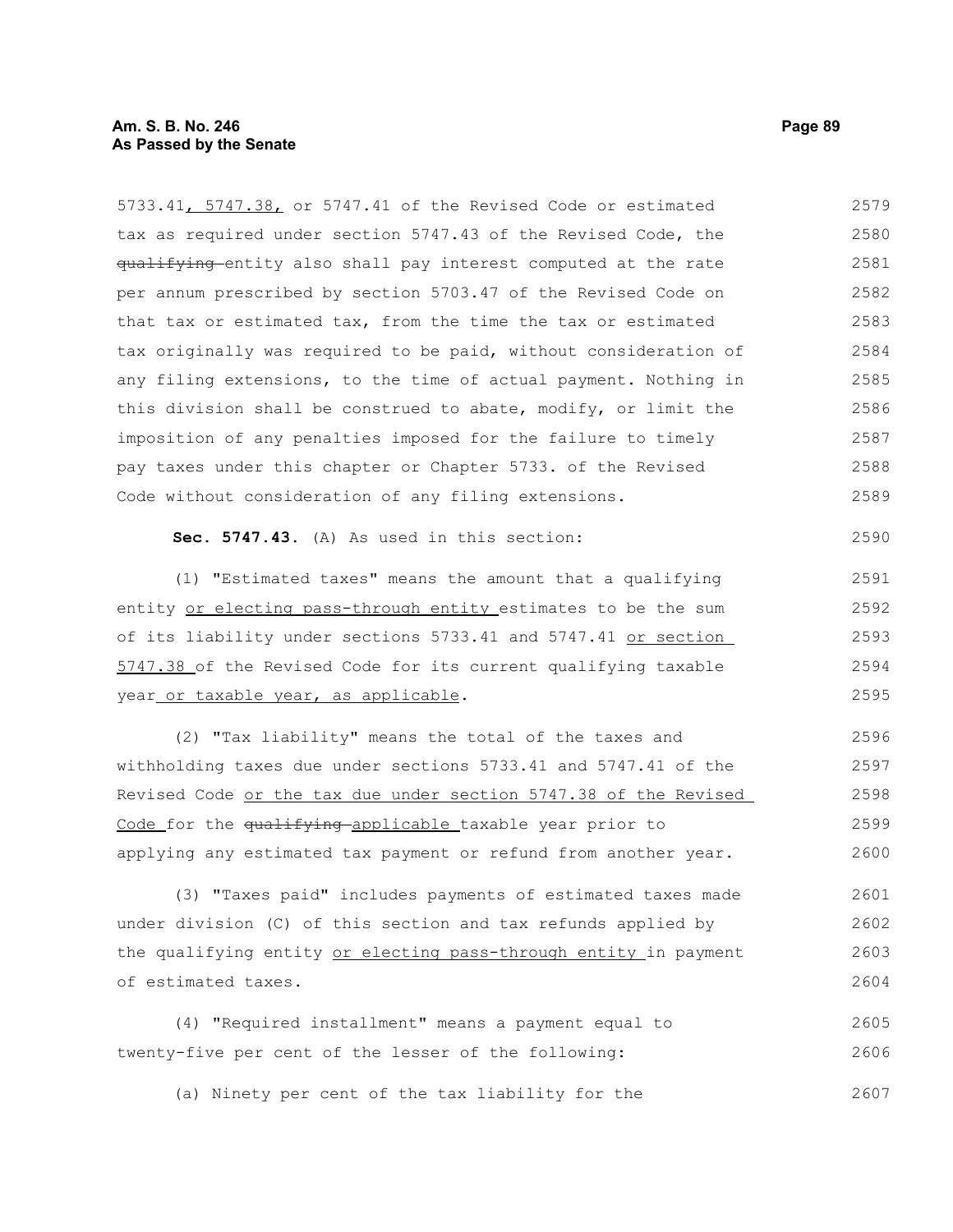5733.41, 5747.38, or 5747.41 of the Revised Code or estimated tax as required under section 5747.43 of the Revised Code, the qualifying entity also shall pay interest computed at the rate per annum prescribed by section 5703.47 of the Revised Code on that tax or estimated tax, from the time the tax or estimated tax originally was required to be paid, without consideration of any filing extensions, to the time of actual payment. Nothing in this division shall be construed to abate, modify, or limit the imposition of any penalties imposed for the failure to timely pay taxes under this chapter or Chapter 5733. of the Revised Code without consideration of any filing extensions. **Sec. 5747.43.** (A) As used in this section: (1) "Estimated taxes" means the amount that a qualifying entity or electing pass-through entity estimates to be the sum of its liability under sections 5733.41 and 5747.41 or section 5747.38 of the Revised Code for its current qualifying taxable year or taxable year, as applicable. (2) "Tax liability" means the total of the taxes and withholding taxes due under sections 5733.41 and 5747.41 of the Revised Code or the tax due under section 5747.38 of the Revised Code for the qualifying applicable taxable year prior to applying any estimated tax payment or refund from another year. (3) "Taxes paid" includes payments of estimated taxes made under division (C) of this section and tax refunds applied by the qualifying entity or electing pass-through entity in payment of estimated taxes. (4) "Required installment" means a payment equal to 2580 2581 2582 2583 2584 2585 2586 2587 2588 2589 2590 2591 2592 2593 2594 2595 2596 2597 2598 2599 2600 2601 2602 2603 2604 2605

twenty-five per cent of the lesser of the following: 2606

(a) Ninety per cent of the tax liability for the 2607

2579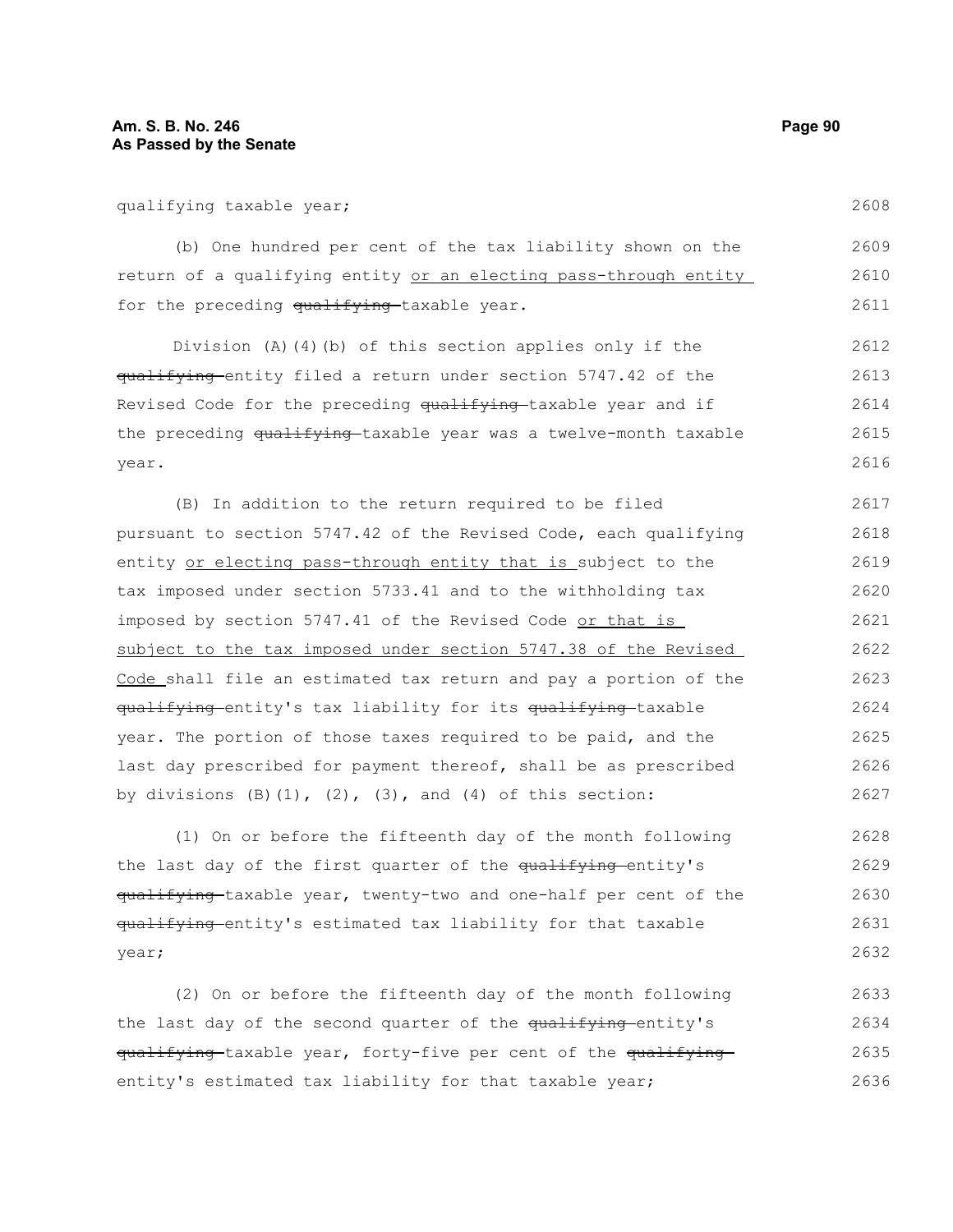qualifying taxable year;

(b) One hundred per cent of the tax liability shown on the return of a qualifying entity or an electing pass-through entity for the preceding qualifying taxable year. 2609 2610 2611

Division (A)(4)(b) of this section applies only if the qualifying entity filed a return under section 5747.42 of the Revised Code for the preceding qualifying taxable year and if the preceding qualifying taxable year was a twelve-month taxable year. 2612 2613 2614 2615 2616

(B) In addition to the return required to be filed pursuant to section 5747.42 of the Revised Code, each qualifying entity or electing pass-through entity that is subject to the tax imposed under section 5733.41 and to the withholding tax imposed by section 5747.41 of the Revised Code or that is subject to the tax imposed under section 5747.38 of the Revised Code shall file an estimated tax return and pay a portion of the qualifying entity's tax liability for its qualifying taxable year. The portion of those taxes required to be paid, and the last day prescribed for payment thereof, shall be as prescribed by divisions  $(B)$   $(1)$ ,  $(2)$ ,  $(3)$ , and  $(4)$  of this section: 2617 2618 2619 2620 2621 2622 2623 2624 2625 2626 2627

(1) On or before the fifteenth day of the month following the last day of the first quarter of the qualifying entity's qualifying-taxable year, twenty-two and one-half per cent of the qualifying entity's estimated tax liability for that taxable year; 2628 2629 2630 2631 2632

(2) On or before the fifteenth day of the month following the last day of the second quarter of the qualifying-entity's qualifying taxable year, forty-five per cent of the qualifying entity's estimated tax liability for that taxable year; 2633 2634 2635 2636

2608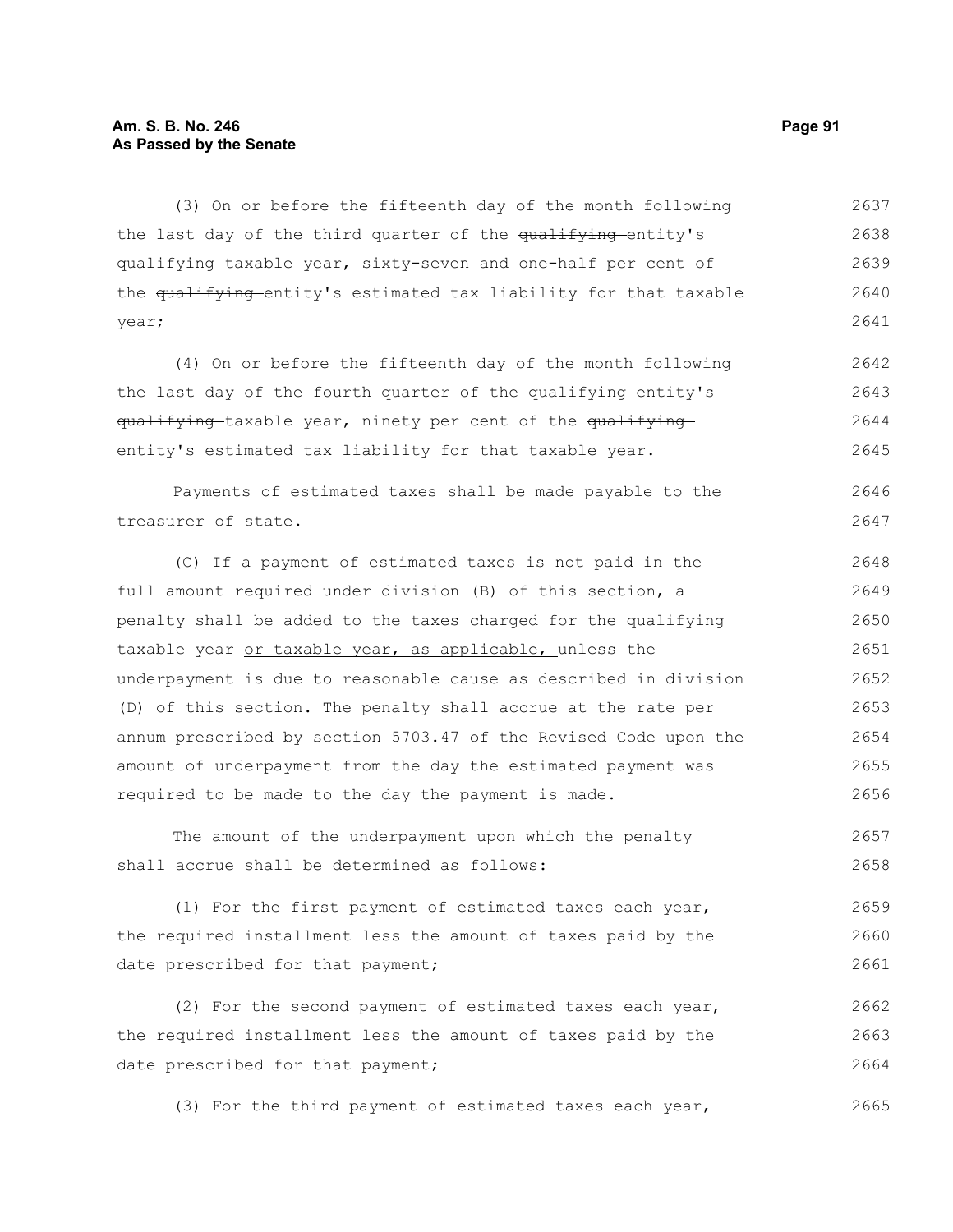# **Am. S. B. No. 246 Page 91 As Passed by the Senate**

(3) On or before the fifteenth day of the month following the last day of the third quarter of the qualifying entity's qualifying taxable year, sixty-seven and one-half per cent of the qualifying entity's estimated tax liability for that taxable year; 2637 2638 2639 2640 2641

(4) On or before the fifteenth day of the month following the last day of the fourth quarter of the qualifying-entity's qualifying-taxable year, ninety per cent of the qualifyingentity's estimated tax liability for that taxable year. 2642 2643 2644 2645

Payments of estimated taxes shall be made payable to the treasurer of state. 2646 2647

(C) If a payment of estimated taxes is not paid in the full amount required under division (B) of this section, a penalty shall be added to the taxes charged for the qualifying taxable year or taxable year, as applicable, unless the underpayment is due to reasonable cause as described in division (D) of this section. The penalty shall accrue at the rate per annum prescribed by section 5703.47 of the Revised Code upon the amount of underpayment from the day the estimated payment was required to be made to the day the payment is made. 2648 2649 2650 2651 2652 2653 2654 2655 2656

The amount of the underpayment upon which the penalty shall accrue shall be determined as follows: 2657 2658

(1) For the first payment of estimated taxes each year, the required installment less the amount of taxes paid by the date prescribed for that payment; 2659 2660 2661

(2) For the second payment of estimated taxes each year, the required installment less the amount of taxes paid by the date prescribed for that payment; 2662 2663 2664

(3) For the third payment of estimated taxes each year, 2665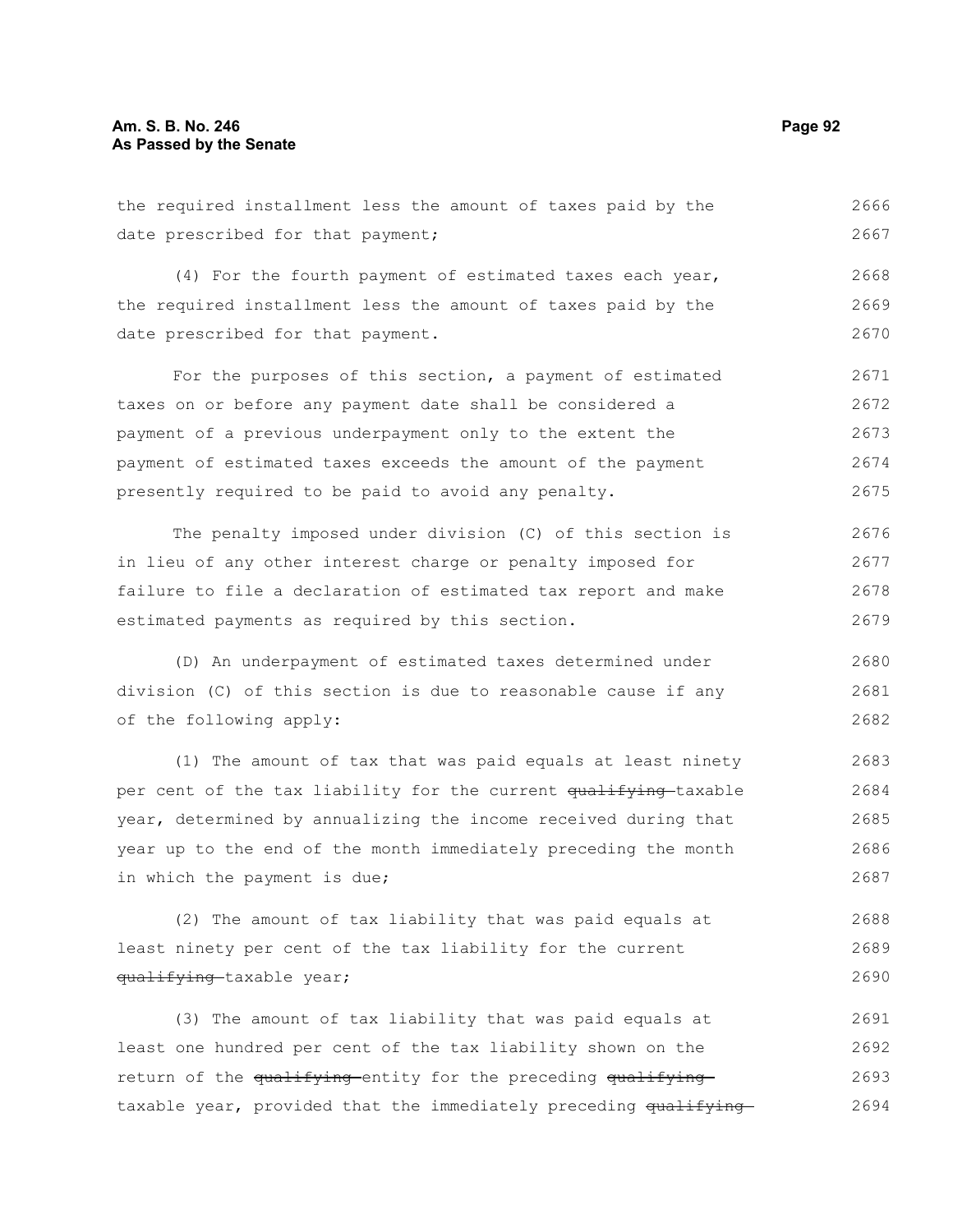# **Am. S. B. No. 246 Page 92 As Passed by the Senate**

the required installment less the amount of taxes paid by the date prescribed for that payment; 2666 2667

(4) For the fourth payment of estimated taxes each year, the required installment less the amount of taxes paid by the date prescribed for that payment. 2668 2669 2670

For the purposes of this section, a payment of estimated taxes on or before any payment date shall be considered a payment of a previous underpayment only to the extent the payment of estimated taxes exceeds the amount of the payment presently required to be paid to avoid any penalty. 2671 2672 2673 2674 2675

The penalty imposed under division (C) of this section is in lieu of any other interest charge or penalty imposed for failure to file a declaration of estimated tax report and make estimated payments as required by this section. 2676 2677 2678 2679

(D) An underpayment of estimated taxes determined under division (C) of this section is due to reasonable cause if any of the following apply: 2680 2681 2682

(1) The amount of tax that was paid equals at least ninety per cent of the tax liability for the current qualifying taxable year, determined by annualizing the income received during that year up to the end of the month immediately preceding the month in which the payment is due; 2683 2684 2685 2686 2687

(2) The amount of tax liability that was paid equals at least ninety per cent of the tax liability for the current qualifying-taxable year; 2688 2689 2690

(3) The amount of tax liability that was paid equals at least one hundred per cent of the tax liability shown on the return of the qualifying entity for the preceding qualifying taxable year, provided that the immediately preceding qualifying-2691 2692 2693 2694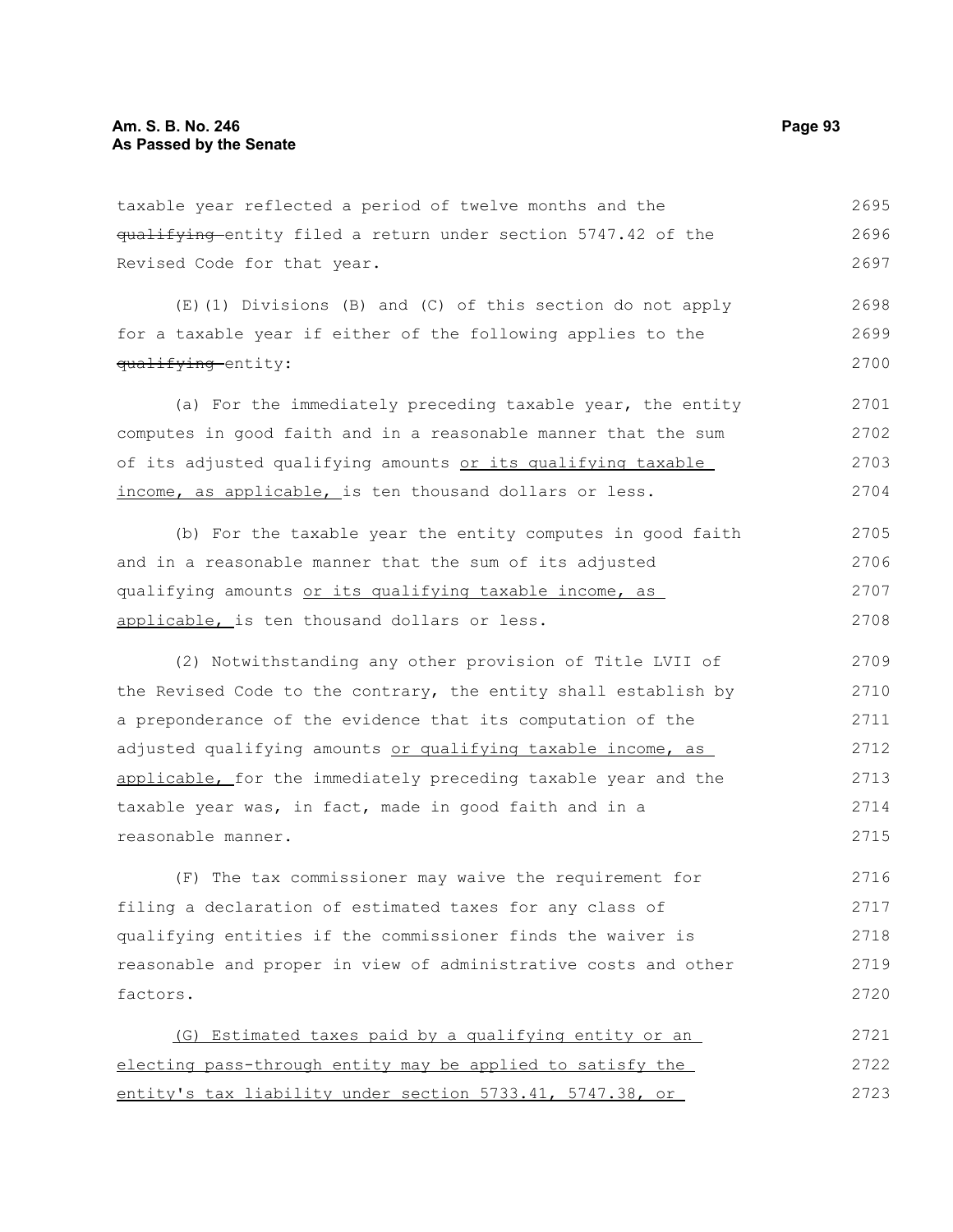taxable year reflected a period of twelve months and the qualifying entity filed a return under section 5747.42 of the Revised Code for that year. 2695 2696 2697

(E)(1) Divisions (B) and (C) of this section do not apply for a taxable year if either of the following applies to the qualifying entity: 2698 2699 2700

(a) For the immediately preceding taxable year, the entity computes in good faith and in a reasonable manner that the sum of its adjusted qualifying amounts or its qualifying taxable income, as applicable, is ten thousand dollars or less. 2701 2702 2703 2704

(b) For the taxable year the entity computes in good faith and in a reasonable manner that the sum of its adjusted qualifying amounts or its qualifying taxable income, as applicable, is ten thousand dollars or less. 2705 2706 2707 2708

(2) Notwithstanding any other provision of Title LVII of the Revised Code to the contrary, the entity shall establish by a preponderance of the evidence that its computation of the adjusted qualifying amounts or qualifying taxable income, as applicable, for the immediately preceding taxable year and the taxable year was, in fact, made in good faith and in a reasonable manner. 2709 2710 2711 2712 2713 2714 2715

(F) The tax commissioner may waive the requirement for filing a declaration of estimated taxes for any class of qualifying entities if the commissioner finds the waiver is reasonable and proper in view of administrative costs and other factors. 2716 2717 2718 2719 2720

(G) Estimated taxes paid by a qualifying entity or an electing pass-through entity may be applied to satisfy the entity's tax liability under section 5733.41, 5747.38, or 2721 2722 2723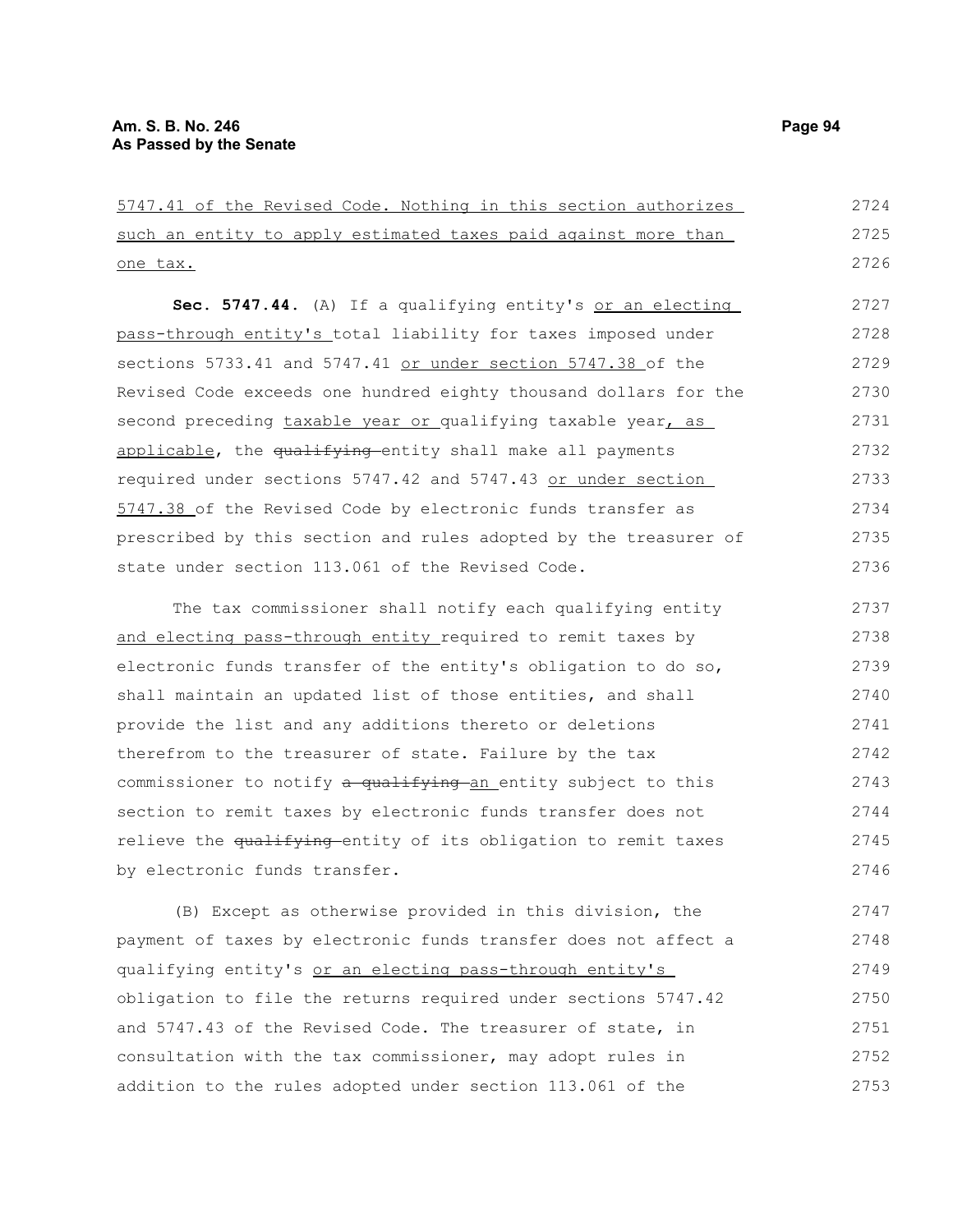| 5747.41 of the Revised Code. Nothing in this section authorizes            | 2724 |
|----------------------------------------------------------------------------|------|
| such an entity to apply estimated taxes paid against more than             | 2725 |
| one tax.                                                                   | 2726 |
| Sec. 5747.44. (A) If a qualifying entity's or an electing                  | 2727 |
| pass-through entity's total liability for taxes imposed under              | 2728 |
| sections 5733.41 and 5747.41 or under section 5747.38 of the               | 2729 |
| Revised Code exceeds one hundred eighty thousand dollars for the           | 2730 |
| second preceding taxable year or qualifying taxable year, as               | 2731 |
| applicable, the qualifying entity shall make all payments                  | 2732 |
| required under sections 5747.42 and 5747.43 or under section               | 2733 |
| 5747.38 of the Revised Code by electronic funds transfer as                | 2734 |
| prescribed by this section and rules adopted by the treasurer of           | 2735 |
| state under section 113.061 of the Revised Code.                           | 2736 |
| The tax commissioner shall notify each qualifying entity                   | 2737 |
| and electing pass-through entity required to remit taxes by                | 2738 |
| electronic funds transfer of the entity's obligation to do so,             | 2739 |
| shall maintain an updated list of those entities, and shall                | 2740 |
| provide the list and any additions thereto or deletions                    | 2741 |
| therefrom to the treasurer of state. Failure by the tax                    | 2742 |
| commissioner to notify a qualifying an entity subject to this              | 2743 |
| section to remit taxes by electronic funds transfer does not               | 2744 |
| relieve the <del>qualifying e</del> ntity of its obligation to remit taxes | 2745 |
| by electronic funds transfer.                                              | 2746 |
| (B) Except as otherwise provided in this division, the                     | 2747 |
|                                                                            |      |

payment of taxes by electronic funds transfer does not affect a qualifying entity's or an electing pass-through entity's obligation to file the returns required under sections 5747.42 and 5747.43 of the Revised Code. The treasurer of state, in consultation with the tax commissioner, may adopt rules in addition to the rules adopted under section 113.061 of the 2748 2749 2750 2751 2752 2753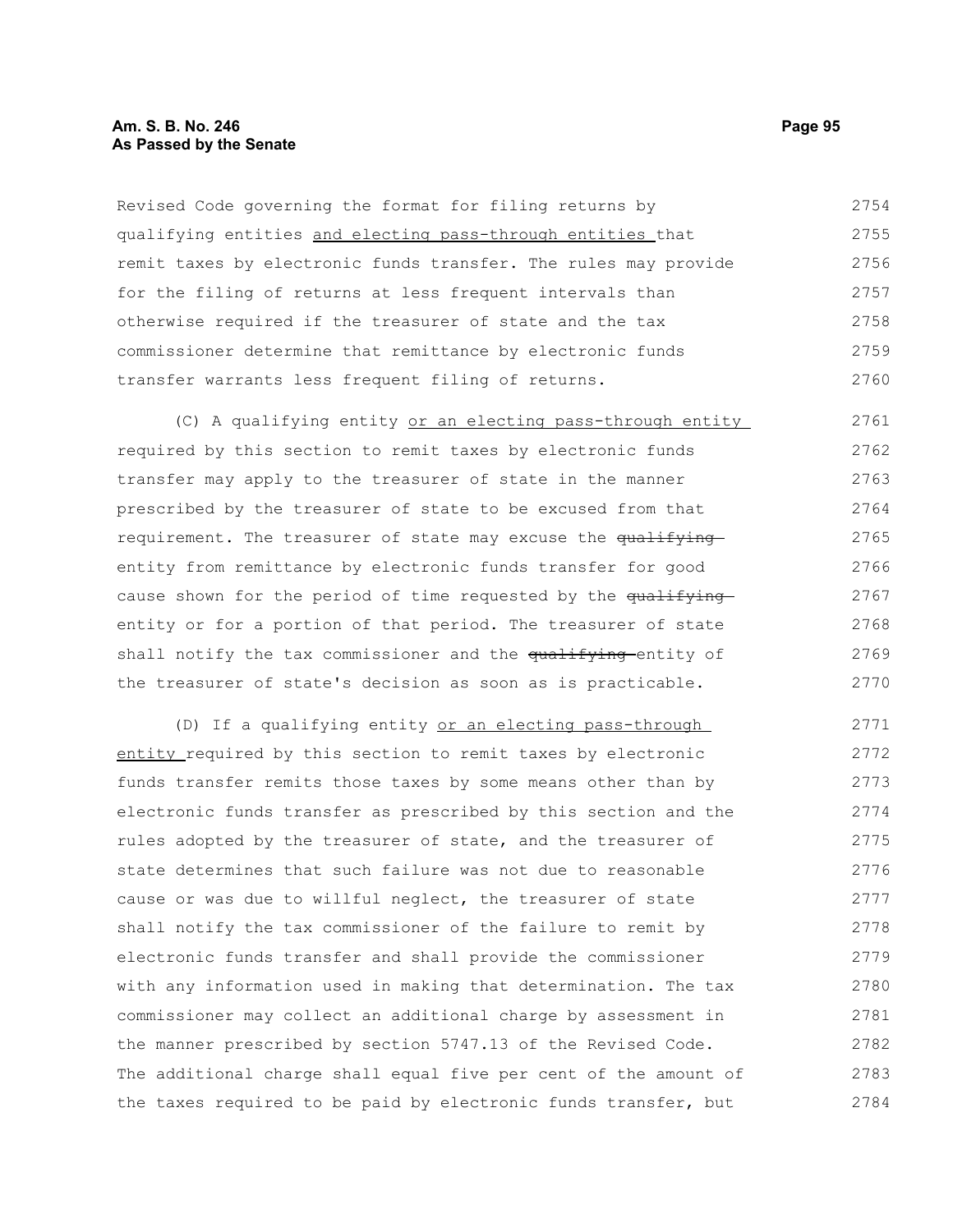# **Am. S. B. No. 246 Page 95 As Passed by the Senate**

Revised Code governing the format for filing returns by qualifying entities and electing pass-through entities that remit taxes by electronic funds transfer. The rules may provide for the filing of returns at less frequent intervals than otherwise required if the treasurer of state and the tax commissioner determine that remittance by electronic funds transfer warrants less frequent filing of returns. 2754 2755 2756 2757 2758 2759 2760

(C) A qualifying entity or an electing pass-through entity required by this section to remit taxes by electronic funds transfer may apply to the treasurer of state in the manner prescribed by the treasurer of state to be excused from that requirement. The treasurer of state may excuse the qualifying entity from remittance by electronic funds transfer for good cause shown for the period of time requested by the qualifying entity or for a portion of that period. The treasurer of state shall notify the tax commissioner and the qualifying entity of the treasurer of state's decision as soon as is practicable. 2761 2762 2763 2764 2765 2766 2767 2768 2769 2770

(D) If a qualifying entity or an electing pass-through entity required by this section to remit taxes by electronic funds transfer remits those taxes by some means other than by electronic funds transfer as prescribed by this section and the rules adopted by the treasurer of state, and the treasurer of state determines that such failure was not due to reasonable cause or was due to willful neglect, the treasurer of state shall notify the tax commissioner of the failure to remit by electronic funds transfer and shall provide the commissioner with any information used in making that determination. The tax commissioner may collect an additional charge by assessment in the manner prescribed by section 5747.13 of the Revised Code. The additional charge shall equal five per cent of the amount of the taxes required to be paid by electronic funds transfer, but 2771 2772 2773 2774 2775 2776 2777 2778 2779 2780 2781 2782 2783 2784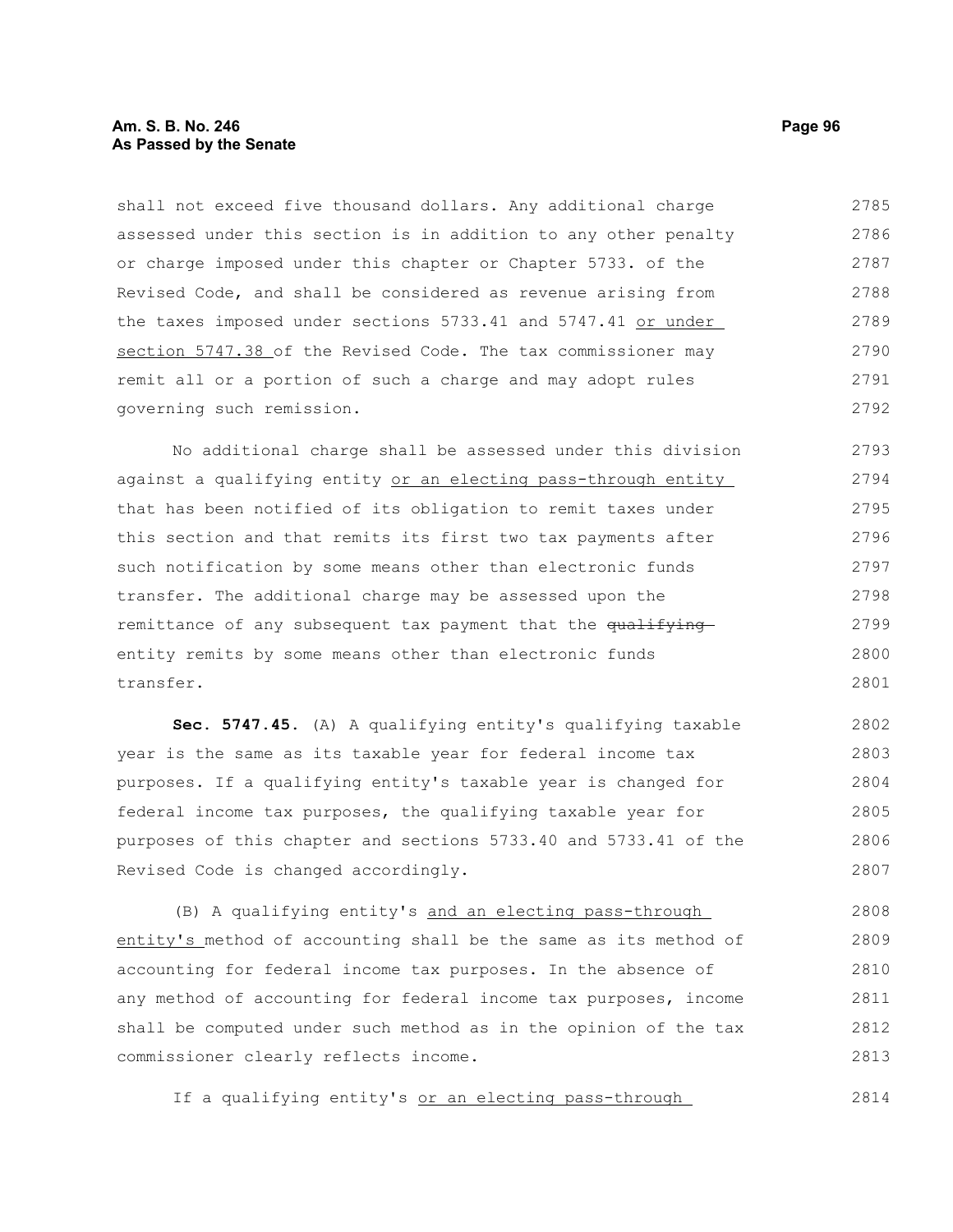# **Am. S. B. No. 246 Page 96 As Passed by the Senate**

shall not exceed five thousand dollars. Any additional charge assessed under this section is in addition to any other penalty or charge imposed under this chapter or Chapter 5733. of the Revised Code, and shall be considered as revenue arising from the taxes imposed under sections 5733.41 and 5747.41 or under section 5747.38 of the Revised Code. The tax commissioner may remit all or a portion of such a charge and may adopt rules governing such remission. 2785 2786 2787 2788 2789 2790 2791 2792

No additional charge shall be assessed under this division against a qualifying entity or an electing pass-through entity that has been notified of its obligation to remit taxes under this section and that remits its first two tax payments after such notification by some means other than electronic funds transfer. The additional charge may be assessed upon the remittance of any subsequent tax payment that the qualifying entity remits by some means other than electronic funds transfer. 2793 2794 2795 2796 2797 2798 2799 2800 2801

**Sec. 5747.45.** (A) A qualifying entity's qualifying taxable year is the same as its taxable year for federal income tax purposes. If a qualifying entity's taxable year is changed for federal income tax purposes, the qualifying taxable year for purposes of this chapter and sections 5733.40 and 5733.41 of the Revised Code is changed accordingly. 2802 2803 2804 2805 2806 2807

(B) A qualifying entity's and an electing pass-through entity's method of accounting shall be the same as its method of accounting for federal income tax purposes. In the absence of any method of accounting for federal income tax purposes, income shall be computed under such method as in the opinion of the tax commissioner clearly reflects income. 2808 2809 2810 2811 2812 2813

If a qualifying entity's or an electing pass-through 2814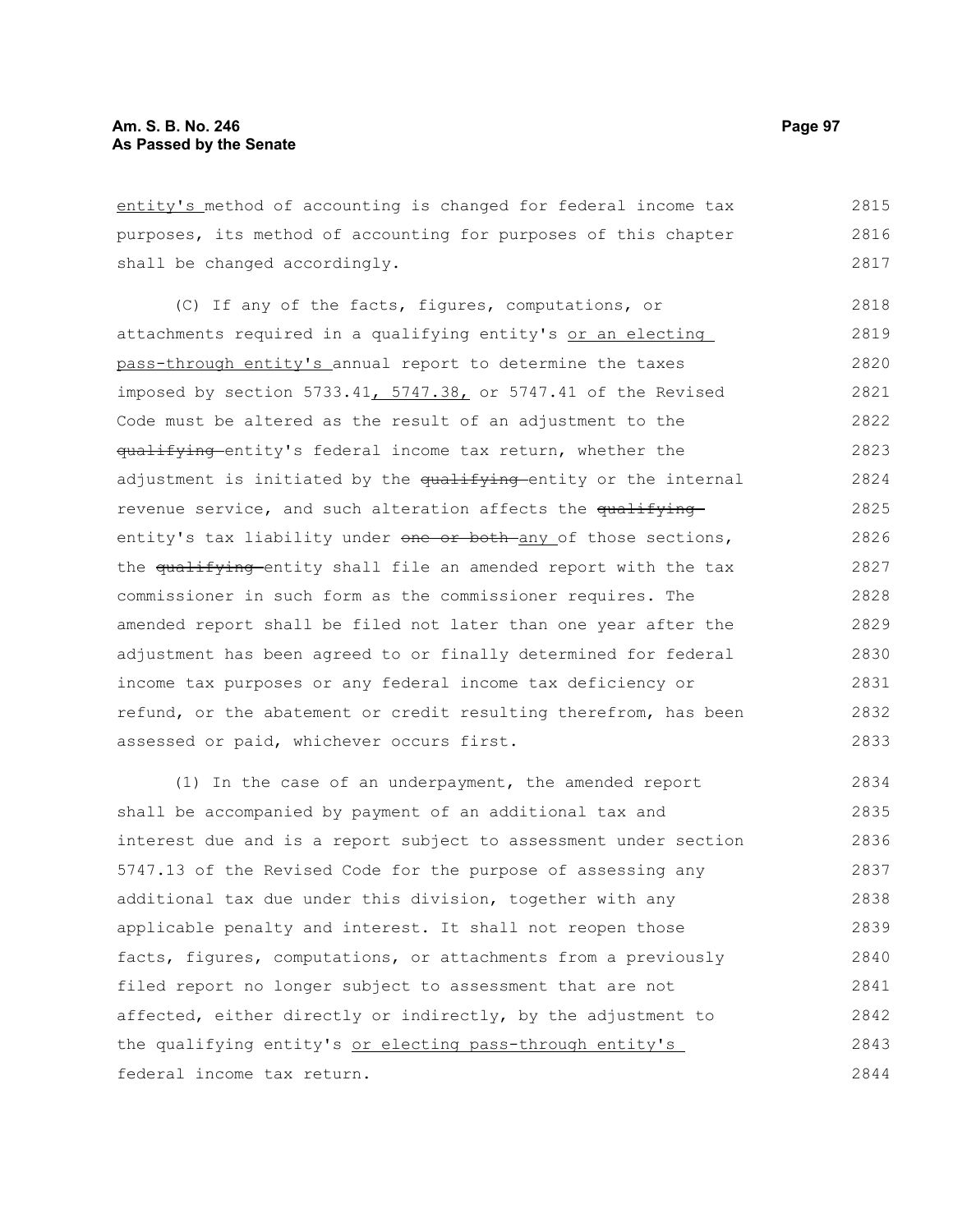entity's method of accounting is changed for federal income tax purposes, its method of accounting for purposes of this chapter shall be changed accordingly. 2815 2816 2817

(C) If any of the facts, figures, computations, or attachments required in a qualifying entity's or an electing pass-through entity's annual report to determine the taxes imposed by section 5733.41, 5747.38, or 5747.41 of the Revised Code must be altered as the result of an adjustment to the qualifying entity's federal income tax return, whether the adjustment is initiated by the qualifying-entity or the internal revenue service, and such alteration affects the qualifying entity's tax liability under one or both any of those sections, the qualifying entity shall file an amended report with the tax commissioner in such form as the commissioner requires. The amended report shall be filed not later than one year after the adjustment has been agreed to or finally determined for federal income tax purposes or any federal income tax deficiency or refund, or the abatement or credit resulting therefrom, has been assessed or paid, whichever occurs first. 2818 2819 2820 2821 2822 2823 2824 2825 2826 2827 2828 2829 2830 2831 2832 2833

(1) In the case of an underpayment, the amended report shall be accompanied by payment of an additional tax and interest due and is a report subject to assessment under section 5747.13 of the Revised Code for the purpose of assessing any additional tax due under this division, together with any applicable penalty and interest. It shall not reopen those facts, figures, computations, or attachments from a previously filed report no longer subject to assessment that are not affected, either directly or indirectly, by the adjustment to the qualifying entity's or electing pass-through entity's federal income tax return. 2834 2835 2836 2837 2838 2839 2840 2841 2842 2843 2844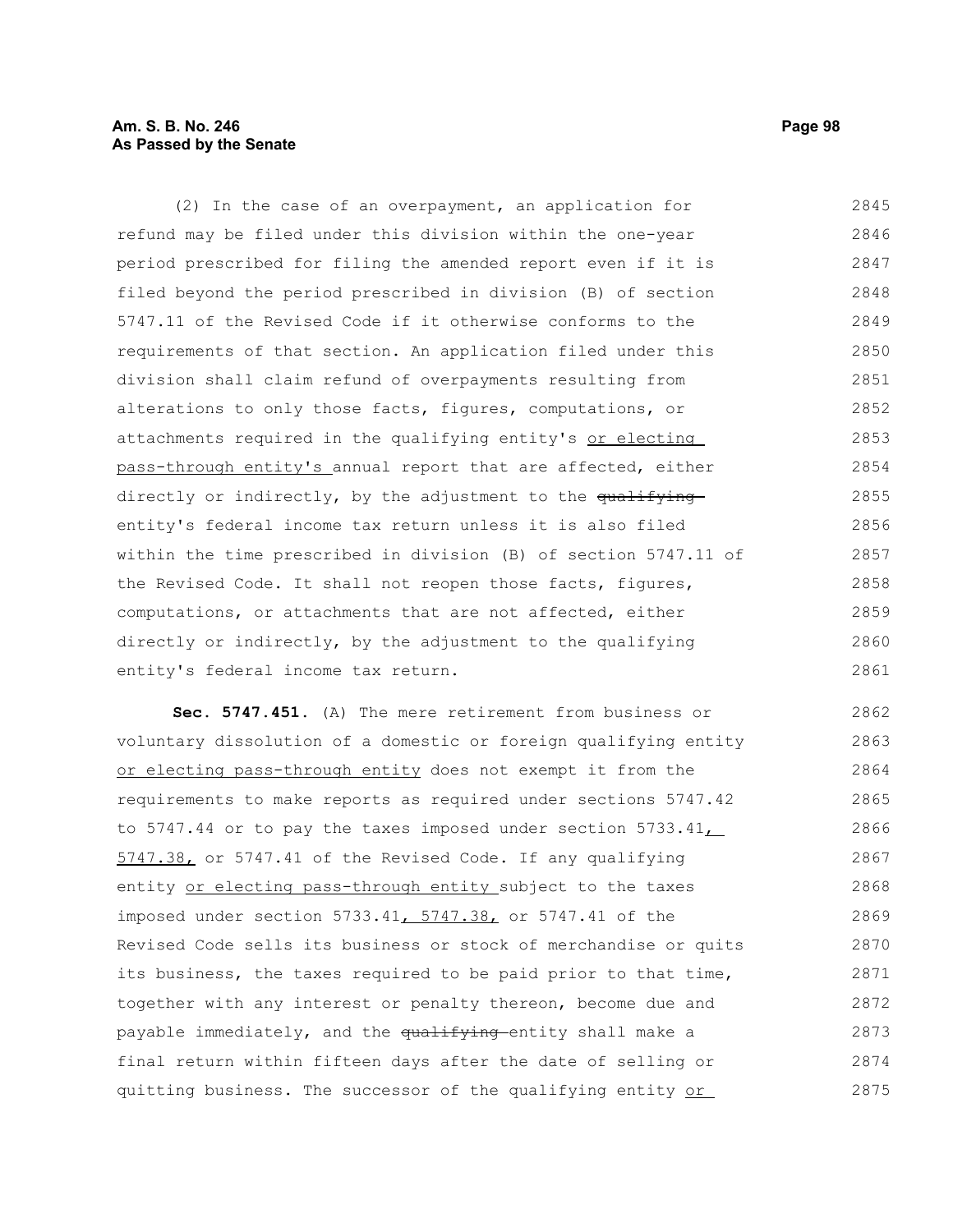# **Am. S. B. No. 246 Page 98 As Passed by the Senate**

(2) In the case of an overpayment, an application for refund may be filed under this division within the one-year period prescribed for filing the amended report even if it is filed beyond the period prescribed in division (B) of section 5747.11 of the Revised Code if it otherwise conforms to the requirements of that section. An application filed under this division shall claim refund of overpayments resulting from alterations to only those facts, figures, computations, or attachments required in the qualifying entity's or electing pass-through entity's annual report that are affected, either directly or indirectly, by the adjustment to the qualifying entity's federal income tax return unless it is also filed within the time prescribed in division (B) of section 5747.11 of the Revised Code. It shall not reopen those facts, figures, computations, or attachments that are not affected, either directly or indirectly, by the adjustment to the qualifying entity's federal income tax return. 2845 2846 2847 2848 2849 2850 2851 2852 2853 2854 2855 2856 2857 2858 2859 2860 2861

**Sec. 5747.451.** (A) The mere retirement from business or voluntary dissolution of a domestic or foreign qualifying entity or electing pass-through entity does not exempt it from the requirements to make reports as required under sections 5747.42 to 5747.44 or to pay the taxes imposed under section 5733.41, 5747.38, or 5747.41 of the Revised Code. If any qualifying entity or electing pass-through entity subject to the taxes imposed under section 5733.41, 5747.38, or 5747.41 of the Revised Code sells its business or stock of merchandise or quits its business, the taxes required to be paid prior to that time, together with any interest or penalty thereon, become due and payable immediately, and the qualifying entity shall make a final return within fifteen days after the date of selling or quitting business. The successor of the qualifying entity or 2862 2863 2864 2865 2866 2867 2868 2869 2870 2871 2872 2873 2874 2875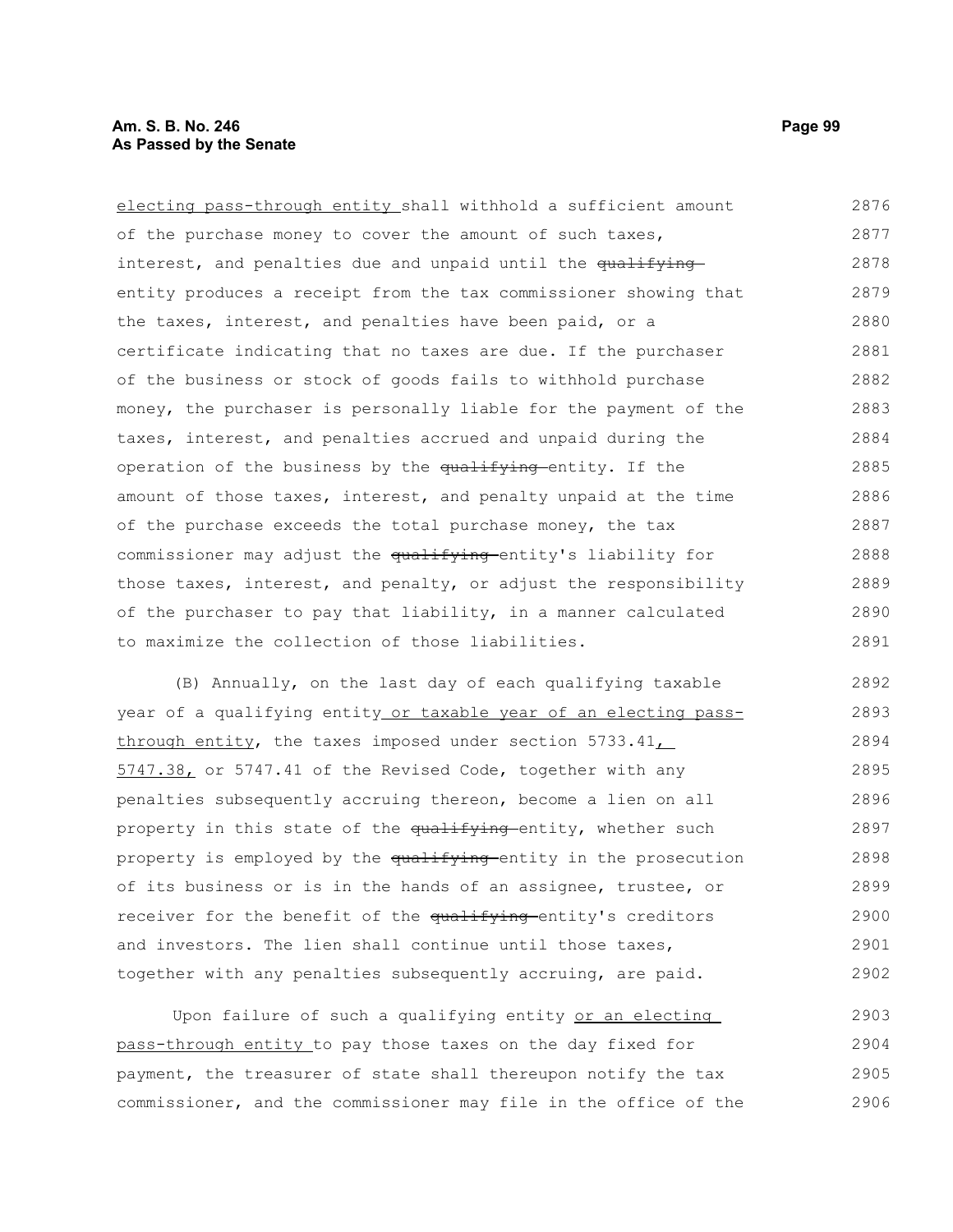electing pass-through entity shall withhold a sufficient amount of the purchase money to cover the amount of such taxes, interest, and penalties due and unpaid until the qualifying entity produces a receipt from the tax commissioner showing that the taxes, interest, and penalties have been paid, or a certificate indicating that no taxes are due. If the purchaser of the business or stock of goods fails to withhold purchase money, the purchaser is personally liable for the payment of the taxes, interest, and penalties accrued and unpaid during the operation of the business by the qualifying entity. If the amount of those taxes, interest, and penalty unpaid at the time of the purchase exceeds the total purchase money, the tax commissioner may adjust the qualifying entity's liability for those taxes, interest, and penalty, or adjust the responsibility of the purchaser to pay that liability, in a manner calculated to maximize the collection of those liabilities. 2876 2877 2878 2879 2880 2881 2882 2883 2884 2885 2886 2887 2888 2889 2890 2891

(B) Annually, on the last day of each qualifying taxable year of a qualifying entity or taxable year of an electing passthrough entity, the taxes imposed under section  $5733.41\_\_$ 5747.38, or 5747.41 of the Revised Code, together with any penalties subsequently accruing thereon, become a lien on all property in this state of the qualifying entity, whether such property is employed by the qualifying entity in the prosecution of its business or is in the hands of an assignee, trustee, or receiver for the benefit of the qualifying entity's creditors and investors. The lien shall continue until those taxes, together with any penalties subsequently accruing, are paid. 2892 2893 2894 2895 2896 2897 2898 2899 2900 2901 2902

Upon failure of such a qualifying entity or an electing pass-through entity to pay those taxes on the day fixed for payment, the treasurer of state shall thereupon notify the tax commissioner, and the commissioner may file in the office of the 2903 2904 2905 2906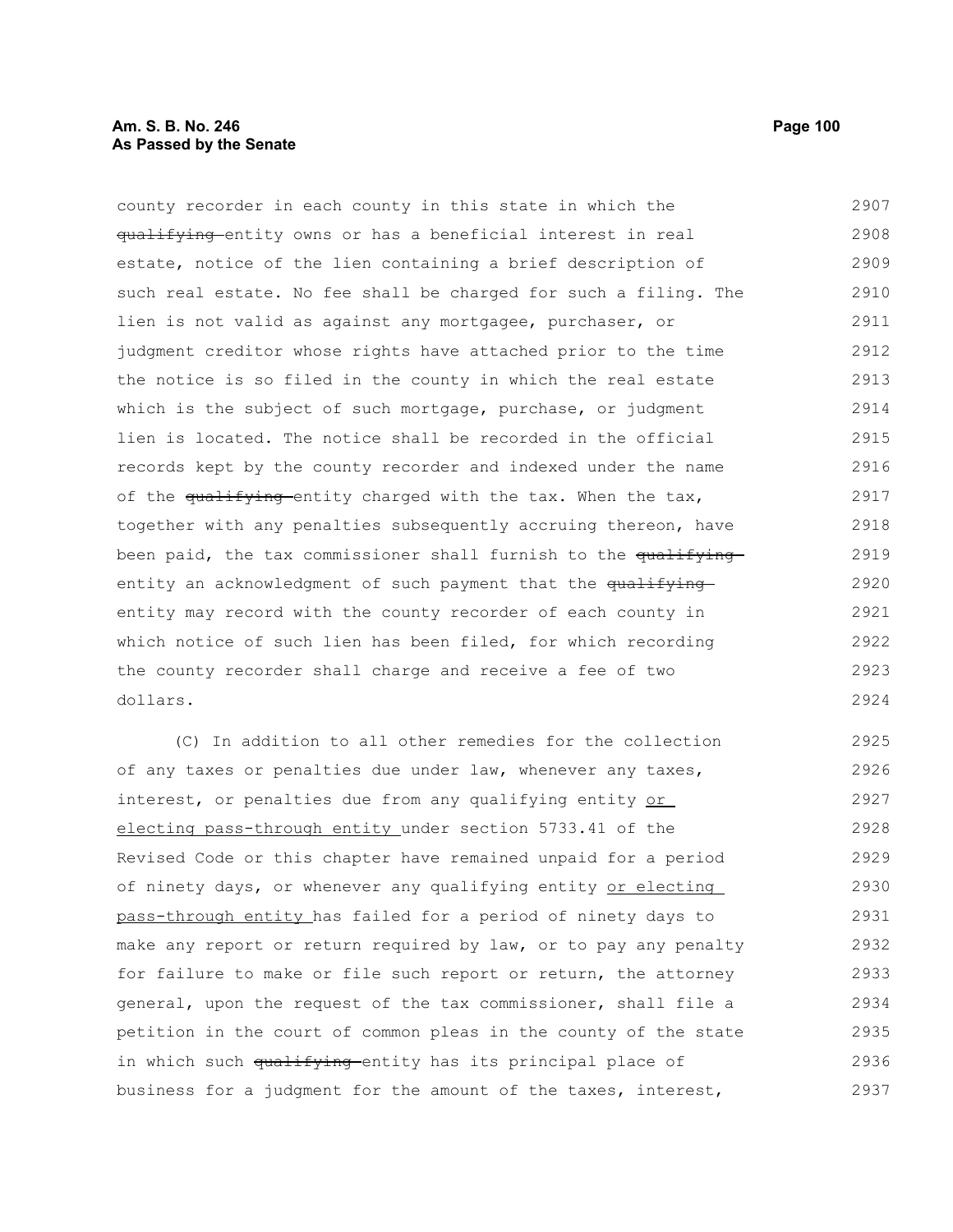# **Am. S. B. No. 246 Page 100 As Passed by the Senate**

county recorder in each county in this state in which the qualifying entity owns or has a beneficial interest in real estate, notice of the lien containing a brief description of such real estate. No fee shall be charged for such a filing. The lien is not valid as against any mortgagee, purchaser, or judgment creditor whose rights have attached prior to the time the notice is so filed in the county in which the real estate which is the subject of such mortgage, purchase, or judgment lien is located. The notice shall be recorded in the official records kept by the county recorder and indexed under the name of the qualifying entity charged with the tax. When the tax, together with any penalties subsequently accruing thereon, have been paid, the tax commissioner shall furnish to the qualifyingentity an acknowledgment of such payment that the qualifying entity may record with the county recorder of each county in which notice of such lien has been filed, for which recording the county recorder shall charge and receive a fee of two dollars. 2907 2908 2909 2910 2911 2912 2913 2914 2915 2916 2917 2918 2919 2920 2921 2922 2923 2924

(C) In addition to all other remedies for the collection of any taxes or penalties due under law, whenever any taxes, interest, or penalties due from any qualifying entity or electing pass-through entity under section 5733.41 of the Revised Code or this chapter have remained unpaid for a period of ninety days, or whenever any qualifying entity or electing pass-through entity has failed for a period of ninety days to make any report or return required by law, or to pay any penalty for failure to make or file such report or return, the attorney general, upon the request of the tax commissioner, shall file a petition in the court of common pleas in the county of the state in which such qualifying entity has its principal place of business for a judgment for the amount of the taxes, interest, 2925 2926 2927 2928 2929 2930 2931 2932 2933 2934 2935 2936 2937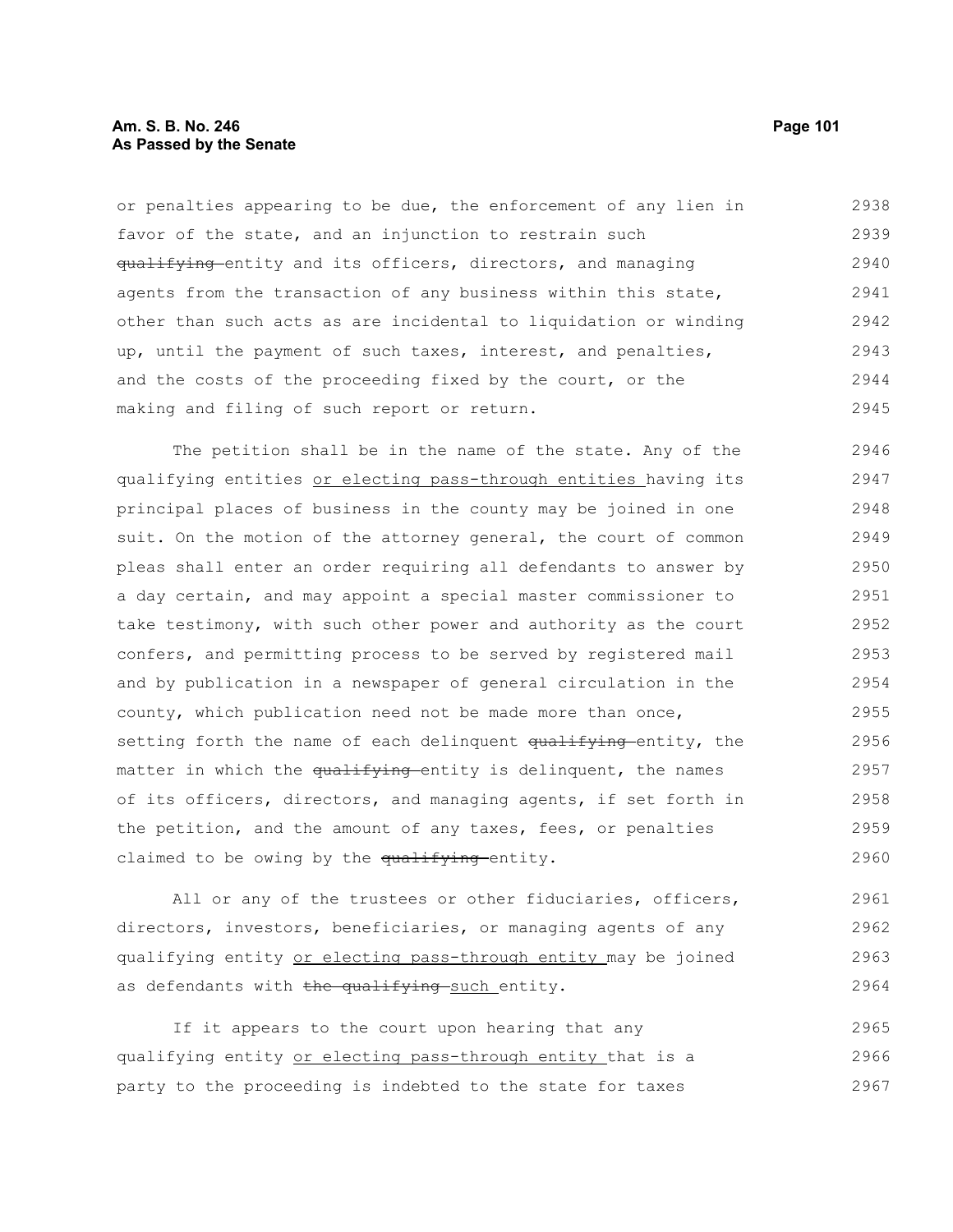# **Am. S. B. No. 246** Page 101 **As Passed by the Senate**

or penalties appearing to be due, the enforcement of any lien in favor of the state, and an injunction to restrain such qualifying entity and its officers, directors, and managing agents from the transaction of any business within this state, other than such acts as are incidental to liquidation or winding up, until the payment of such taxes, interest, and penalties, and the costs of the proceeding fixed by the court, or the making and filing of such report or return. 2938 2939 2940 2941 2942 2943 2944 2945

The petition shall be in the name of the state. Any of the qualifying entities or electing pass-through entities having its principal places of business in the county may be joined in one suit. On the motion of the attorney general, the court of common pleas shall enter an order requiring all defendants to answer by a day certain, and may appoint a special master commissioner to take testimony, with such other power and authority as the court confers, and permitting process to be served by registered mail and by publication in a newspaper of general circulation in the county, which publication need not be made more than once, setting forth the name of each delinquent qualifying entity, the matter in which the qualifying entity is delinquent, the names of its officers, directors, and managing agents, if set forth in the petition, and the amount of any taxes, fees, or penalties claimed to be owing by the qualifying entity. 2946 2947 2948 2949 2950 2951 2952 2953 2954 2955 2956 2957 2958 2959 2960

All or any of the trustees or other fiduciaries, officers, directors, investors, beneficiaries, or managing agents of any qualifying entity or electing pass-through entity may be joined as defendants with the qualifying such entity. 2961 2962 2963 2964

If it appears to the court upon hearing that any qualifying entity or electing pass-through entity that is a party to the proceeding is indebted to the state for taxes 2965 2966 2967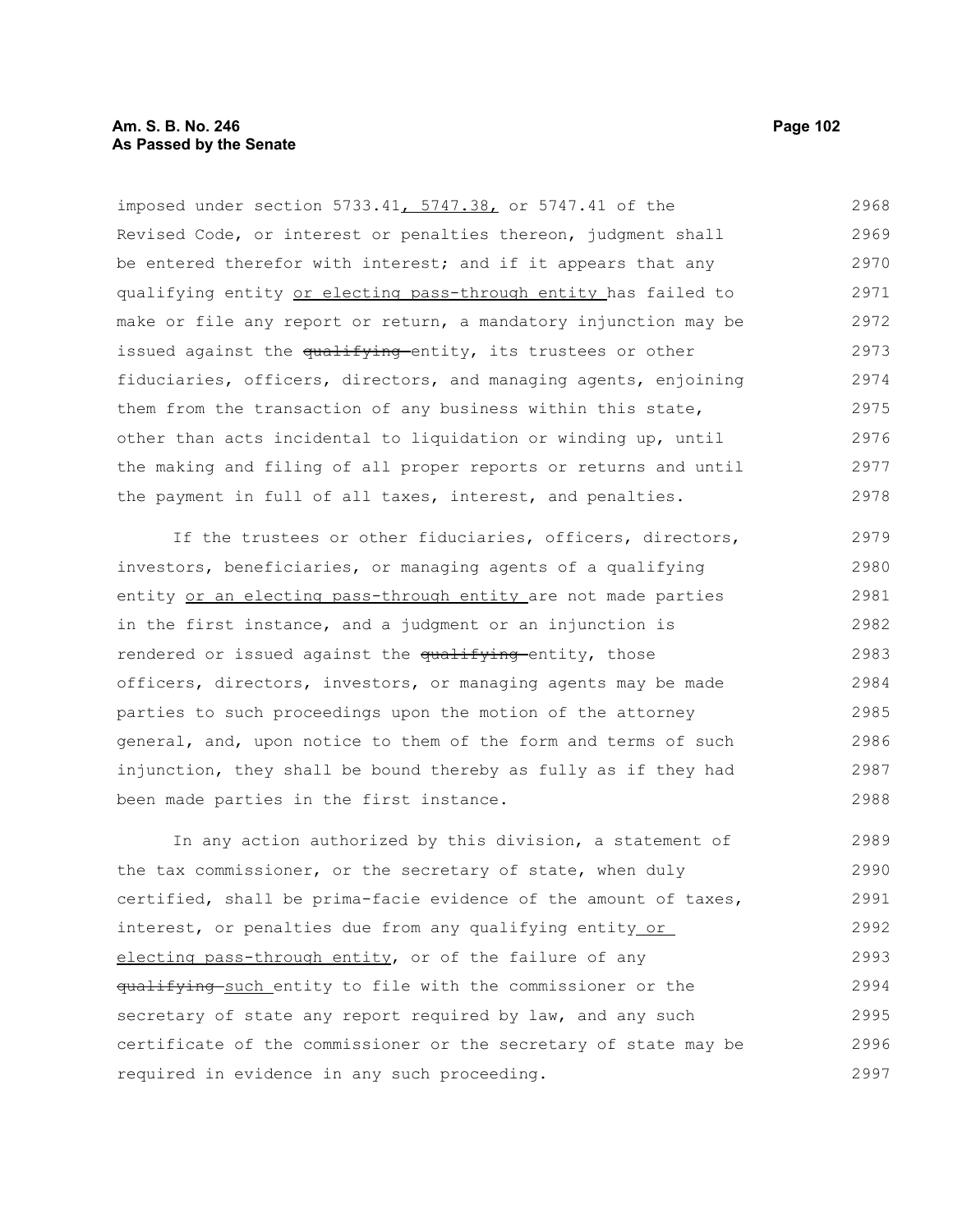imposed under section 5733.41, 5747.38, or 5747.41 of the Revised Code, or interest or penalties thereon, judgment shall be entered therefor with interest; and if it appears that any qualifying entity or electing pass-through entity has failed to make or file any report or return, a mandatory injunction may be issued against the qualifying entity, its trustees or other fiduciaries, officers, directors, and managing agents, enjoining them from the transaction of any business within this state, other than acts incidental to liquidation or winding up, until the making and filing of all proper reports or returns and until the payment in full of all taxes, interest, and penalties. 2968 2969 2970 2971 2972 2973 2974 2975 2976 2977 2978

If the trustees or other fiduciaries, officers, directors, investors, beneficiaries, or managing agents of a qualifying entity or an electing pass-through entity are not made parties in the first instance, and a judgment or an injunction is rendered or issued against the qualifying entity, those officers, directors, investors, or managing agents may be made parties to such proceedings upon the motion of the attorney general, and, upon notice to them of the form and terms of such injunction, they shall be bound thereby as fully as if they had been made parties in the first instance. 2979 2980 2981 2982 2983 2984 2985 2986 2987 2988

In any action authorized by this division, a statement of the tax commissioner, or the secretary of state, when duly certified, shall be prima-facie evidence of the amount of taxes, interest, or penalties due from any qualifying entity or electing pass-through entity, or of the failure of any qualifying such entity to file with the commissioner or the secretary of state any report required by law, and any such certificate of the commissioner or the secretary of state may be required in evidence in any such proceeding. 2989 2990 2991 2992 2993 2994 2995 2996 2997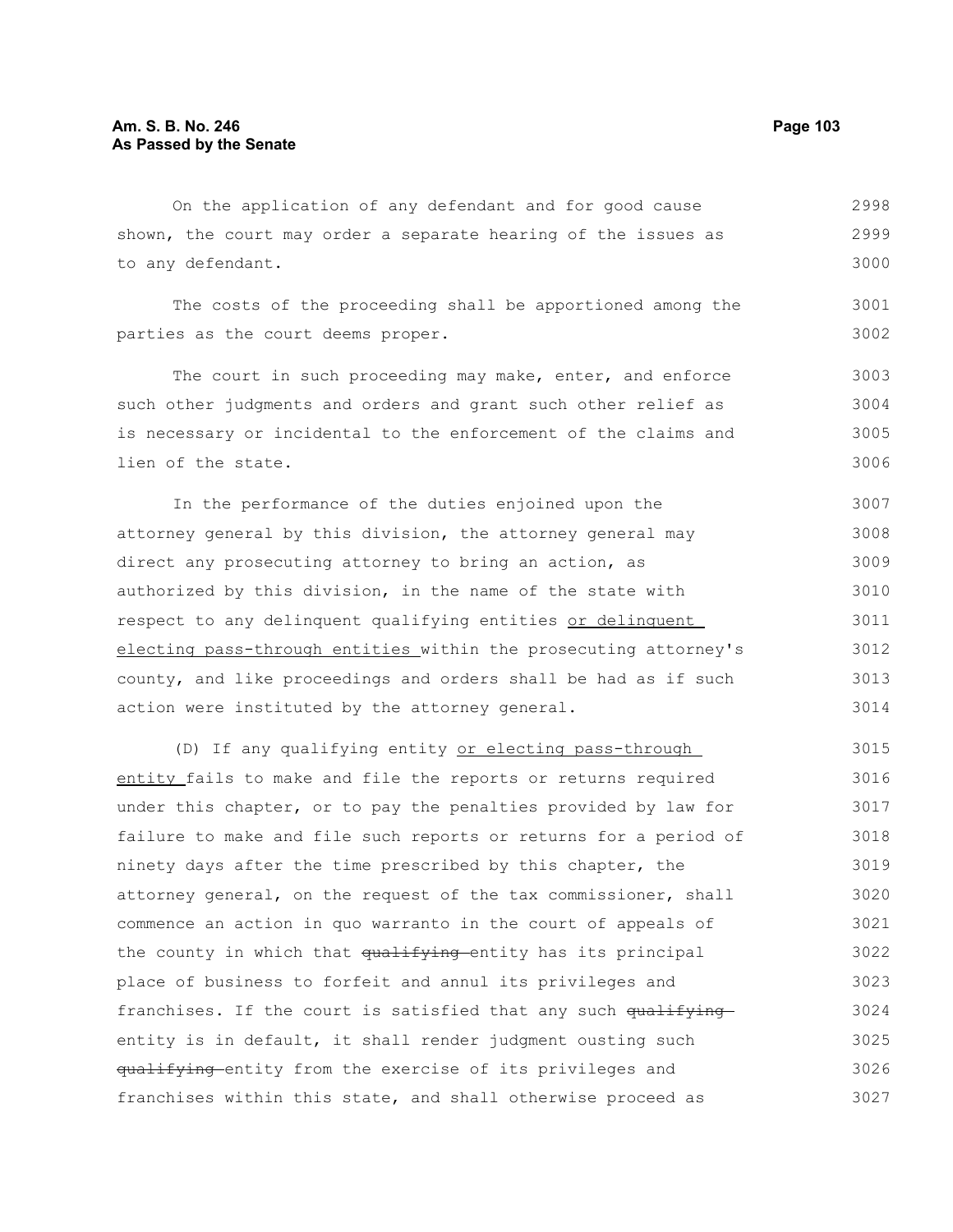On the application of any defendant and for good cause shown, the court may order a separate hearing of the issues as to any defendant. 2998 2999 3000

The costs of the proceeding shall be apportioned among the parties as the court deems proper. 3001 3002

The court in such proceeding may make, enter, and enforce such other judgments and orders and grant such other relief as is necessary or incidental to the enforcement of the claims and lien of the state. 3003 3004 3005 3006

In the performance of the duties enjoined upon the attorney general by this division, the attorney general may direct any prosecuting attorney to bring an action, as authorized by this division, in the name of the state with respect to any delinquent qualifying entities or delinquent electing pass-through entities within the prosecuting attorney's county, and like proceedings and orders shall be had as if such action were instituted by the attorney general. 3007 3008 3009 3010 3011 3012 3013 3014

(D) If any qualifying entity or electing pass-through entity fails to make and file the reports or returns required under this chapter, or to pay the penalties provided by law for failure to make and file such reports or returns for a period of ninety days after the time prescribed by this chapter, the attorney general, on the request of the tax commissioner, shall commence an action in quo warranto in the court of appeals of the county in which that qualifying entity has its principal place of business to forfeit and annul its privileges and franchises. If the court is satisfied that any such  $qu$ <sup>ifying</sup> entity is in default, it shall render judgment ousting such qualifying entity from the exercise of its privileges and franchises within this state, and shall otherwise proceed as 3015 3016 3017 3018 3019 3020 3021 3022 3023 3024 3025 3026 3027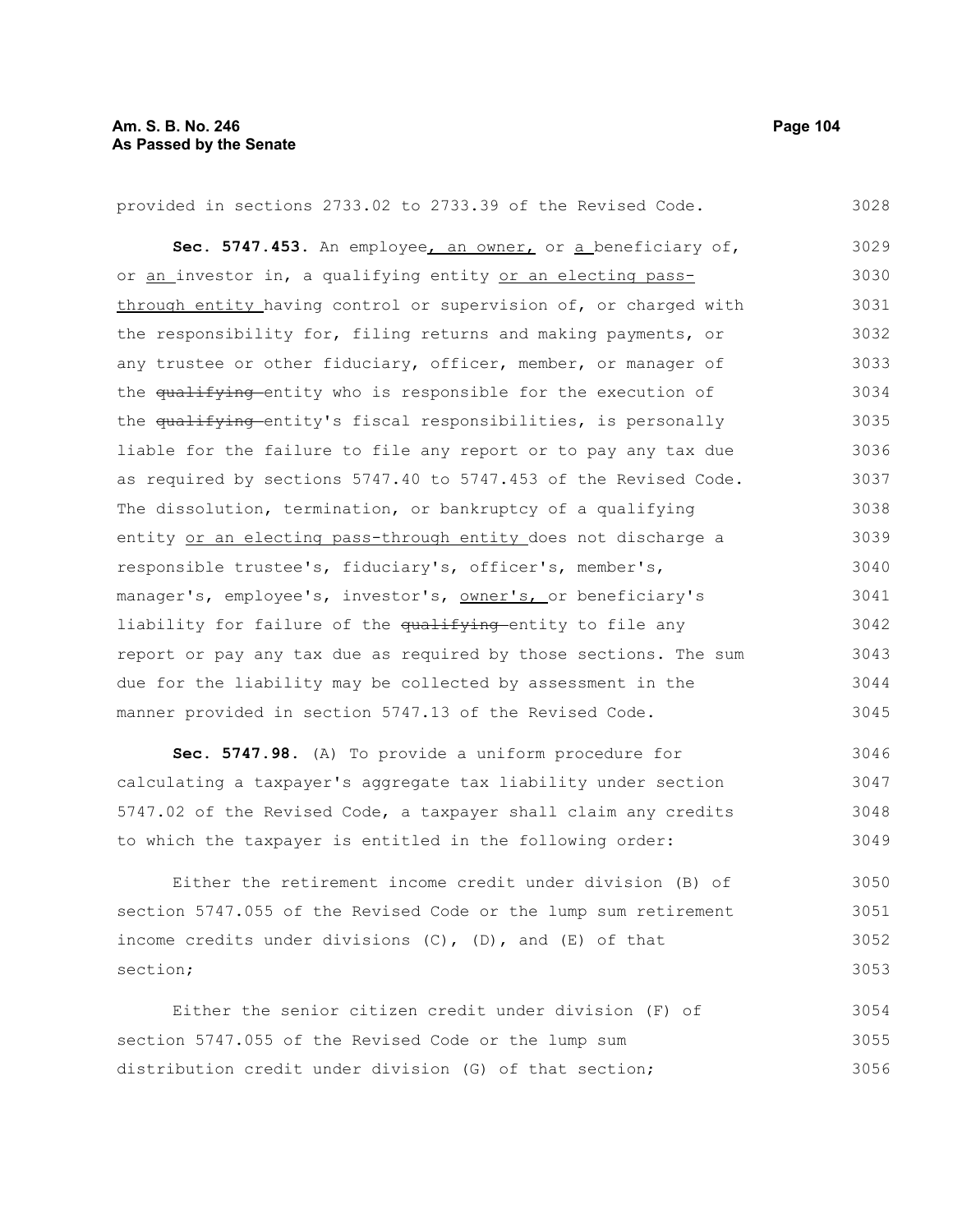| provided in sections 2733.02 to 2733.39 of the Revised Code.     | 3028 |
|------------------------------------------------------------------|------|
| Sec. 5747.453. An employee, an owner, or a beneficiary of,       | 3029 |
| or an investor in, a qualifying entity or an electing pass-      | 3030 |
| through entity having control or supervision of, or charged with | 3031 |
| the responsibility for, filing returns and making payments, or   | 3032 |
| any trustee or other fiduciary, officer, member, or manager of   | 3033 |
| the qualifying entity who is responsible for the execution of    | 3034 |
| the qualifying entity's fiscal responsibilities, is personally   | 3035 |
| liable for the failure to file any report or to pay any tax due  | 3036 |
| as required by sections 5747.40 to 5747.453 of the Revised Code. | 3037 |
| The dissolution, termination, or bankruptcy of a qualifying      | 3038 |
| entity or an electing pass-through entity does not discharge a   | 3039 |
| responsible trustee's, fiduciary's, officer's, member's,         | 3040 |
| manager's, employee's, investor's, owner's, or beneficiary's     | 3041 |
| liability for failure of the qualifying entity to file any       | 3042 |
| report or pay any tax due as required by those sections. The sum | 3043 |
| due for the liability may be collected by assessment in the      | 3044 |
| manner provided in section 5747.13 of the Revised Code.          | 3045 |
| Sec. 5747.98. (A) To provide a uniform procedure for             | 3046 |
| calculating a taxpayer's aggregate tax liability under section   | 3047 |
| 5747.02 of the Revised Code, a taxpayer shall claim any credits  | 3048 |
| to which the taxpayer is entitled in the following order:        | 3049 |

Either the retirement income credit under division (B) of section 5747.055 of the Revised Code or the lump sum retirement income credits under divisions (C), (D), and (E) of that section; 3050 3051 3052 3053

Either the senior citizen credit under division (F) of section 5747.055 of the Revised Code or the lump sum distribution credit under division (G) of that section; 3054 3055 3056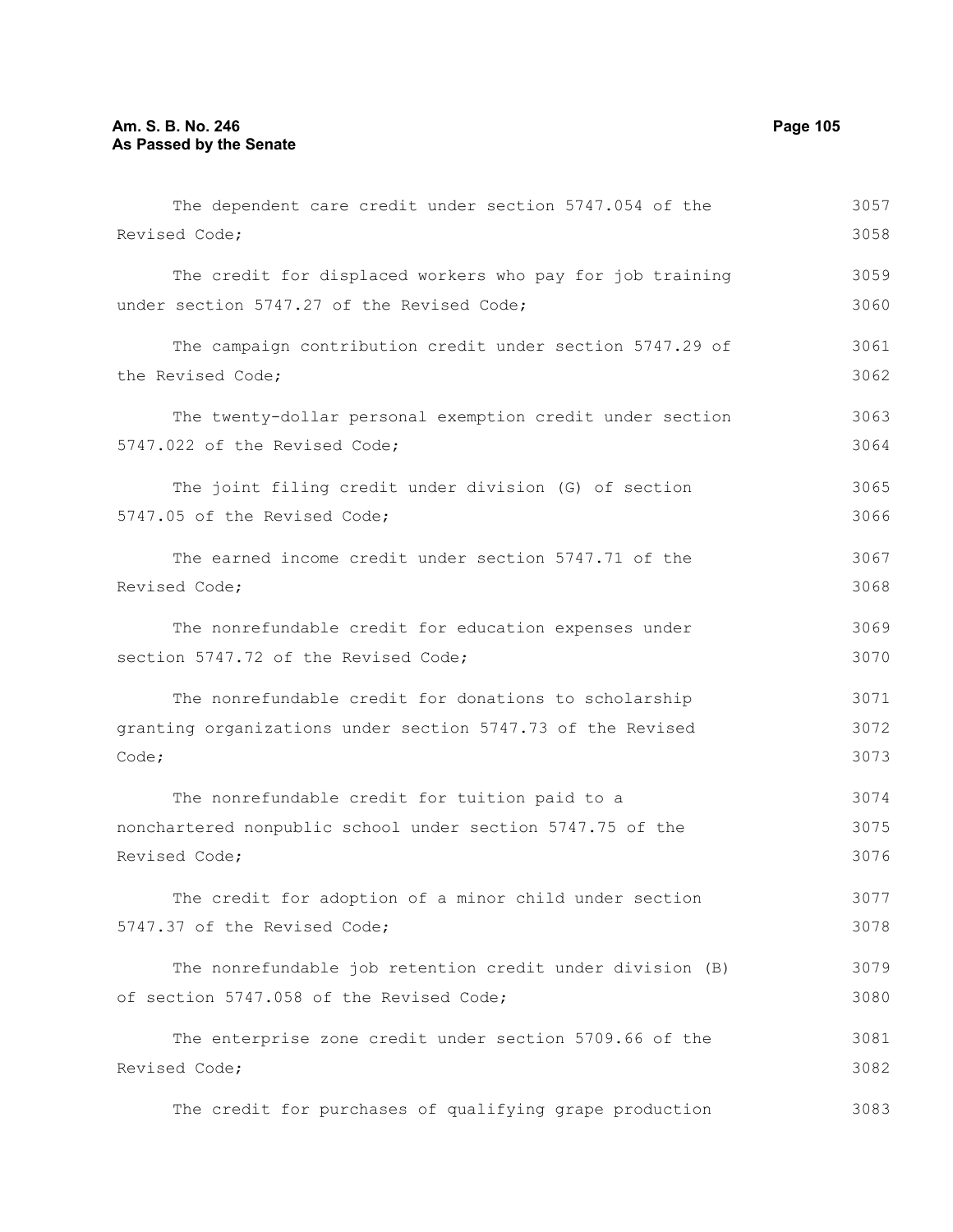Code;

The dependent care credit under section 5747.054 of the Revised Code; The credit for displaced workers who pay for job training under section 5747.27 of the Revised Code; The campaign contribution credit under section 5747.29 of the Revised Code; The twenty-dollar personal exemption credit under section 5747.022 of the Revised Code; The joint filing credit under division (G) of section 5747.05 of the Revised Code; The earned income credit under section 5747.71 of the Revised Code; The nonrefundable credit for education expenses under section 5747.72 of the Revised Code; The nonrefundable credit for donations to scholarship granting organizations under section 5747.73 of the Revised The nonrefundable credit for tuition paid to a nonchartered nonpublic school under section 5747.75 of the Revised Code; The credit for adoption of a minor child under section 5747.37 of the Revised Code; 3057 3058 3059 3060 3061 3062 3063 3064 3065 3066 3067 3068 3069 3070 3071 3072 3073 3074 3075 3076 3077 3078

The nonrefundable job retention credit under division (B) of section 5747.058 of the Revised Code; 3079 3080

The enterprise zone credit under section 5709.66 of the Revised Code; 3081 3082

The credit for purchases of qualifying grape production 3083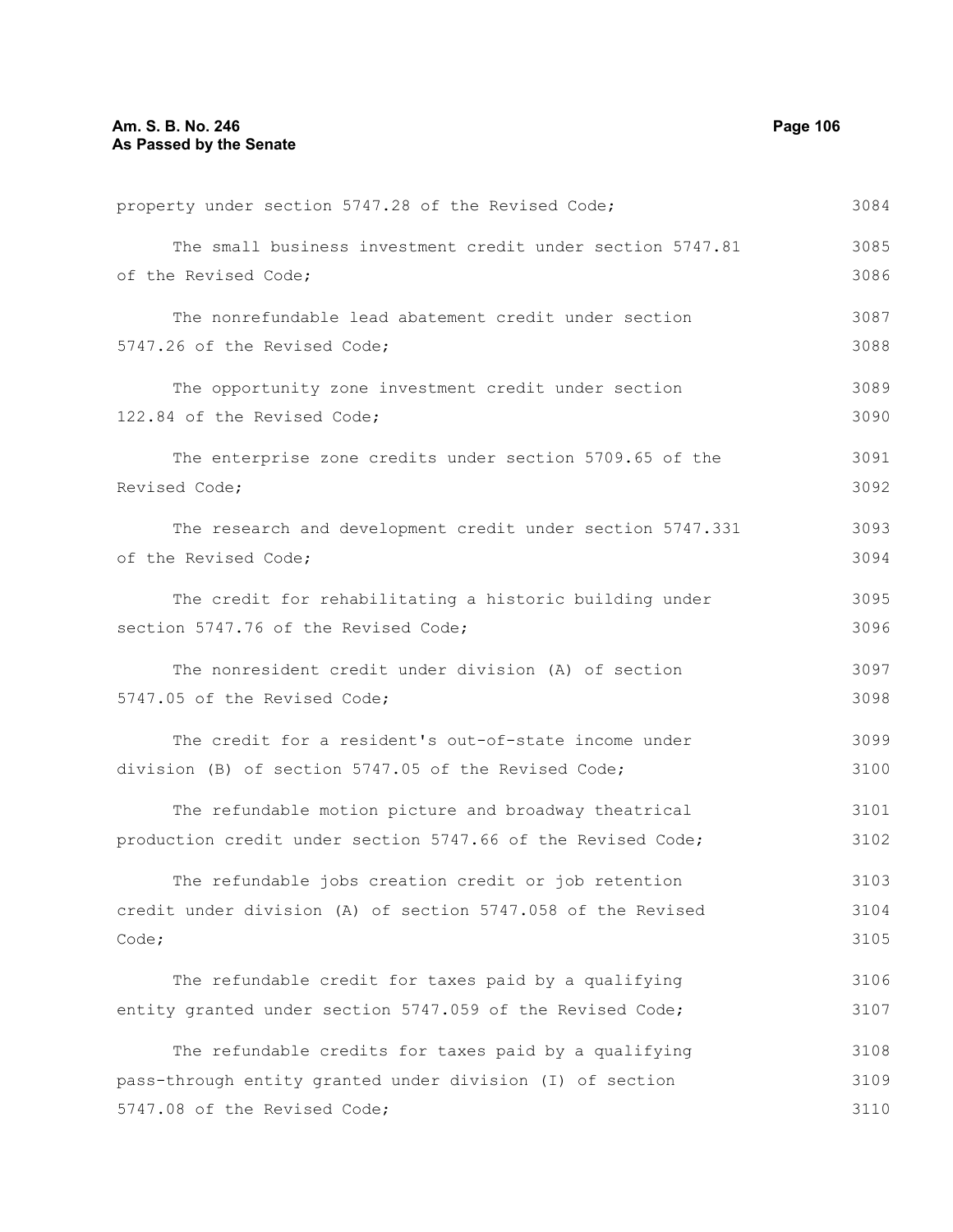property under section 5747.28 of the Revised Code; The small business investment credit under section 5747.81 of the Revised Code; The nonrefundable lead abatement credit under section 5747.26 of the Revised Code; The opportunity zone investment credit under section 122.84 of the Revised Code; The enterprise zone credits under section 5709.65 of the Revised Code; The research and development credit under section 5747.331 of the Revised Code; The credit for rehabilitating a historic building under section 5747.76 of the Revised Code; The nonresident credit under division (A) of section 5747.05 of the Revised Code; The credit for a resident's out-of-state income under division (B) of section 5747.05 of the Revised Code; The refundable motion picture and broadway theatrical production credit under section 5747.66 of the Revised Code; The refundable jobs creation credit or job retention credit under division (A) of section 5747.058 of the Revised Code; The refundable credit for taxes paid by a qualifying entity granted under section 5747.059 of the Revised Code; The refundable credits for taxes paid by a qualifying pass-through entity granted under division (I) of section 5747.08 of the Revised Code; 3084 3085 3086 3087 3088 3089 3090 3091 3092 3093 3094 3095 3096 3097 3098 3099 3100 3101 3102 3103 3104 3105 3106 3107 3108 3109 3110